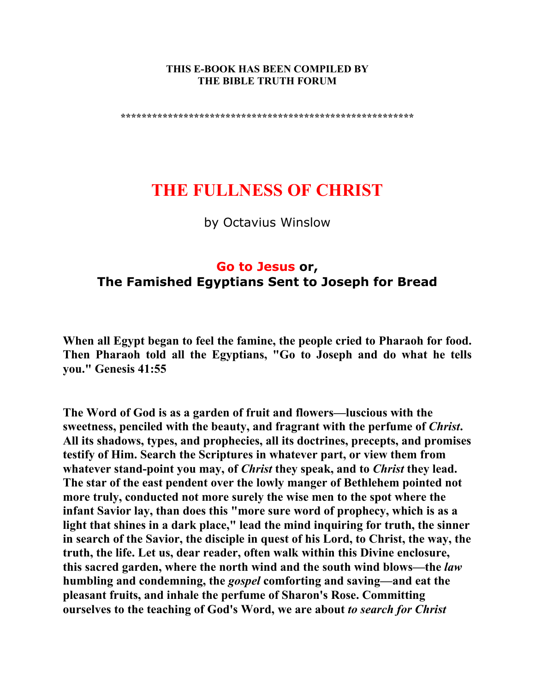#### **THIS E-BOOK HAS BEEN COMPILED BY THE BIBLE TRUTH FORUM**

**\*\*\*\*\*\*\*\*\*\*\*\*\*\*\*\*\*\*\*\*\*\*\*\*\*\*\*\*\*\*\*\*\*\*\*\*\*\*\*\*\*\*\*\*\*\*\*\*\*\*\*\*\*\*\*\*** 

# **THE FULLNESS OF CHRIST**

by Octavius Winslow

## **Go to Jesus or, The Famished Egyptians Sent to Joseph for Bread**

**When all Egypt began to feel the famine, the people cried to Pharaoh for food. Then Pharaoh told all the Egyptians, "Go to Joseph and do what he tells you." Genesis 41:55** 

**The Word of God is as a garden of fruit and flowers—luscious with the sweetness, penciled with the beauty, and fragrant with the perfume of** *Christ***. All its shadows, types, and prophecies, all its doctrines, precepts, and promises testify of Him. Search the Scriptures in whatever part, or view them from whatever stand-point you may, of** *Christ* **they speak, and to** *Christ* **they lead. The star of the east pendent over the lowly manger of Bethlehem pointed not more truly, conducted not more surely the wise men to the spot where the infant Savior lay, than does this "more sure word of prophecy, which is as a light that shines in a dark place," lead the mind inquiring for truth, the sinner in search of the Savior, the disciple in quest of his Lord, to Christ, the way, the truth, the life. Let us, dear reader, often walk within this Divine enclosure, this sacred garden, where the north wind and the south wind blows—the** *law* **humbling and condemning, the** *gospel* **comforting and saving—and eat the pleasant fruits, and inhale the perfume of Sharon's Rose. Committing ourselves to the teaching of God's Word, we are about** *to search for Christ*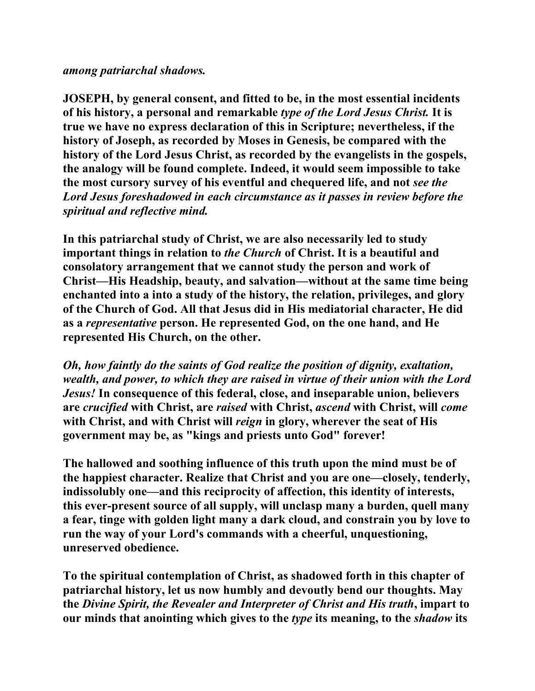#### *among patriarchal shadows.*

**JOSEPH, by general consent, and fitted to be, in the most essential incidents of his history, a personal and remarkable** *type of the Lord Jesus Christ.* **It is true we have no express declaration of this in Scripture; nevertheless, if the history of Joseph, as recorded by Moses in Genesis, be compared with the history of the Lord Jesus Christ, as recorded by the evangelists in the gospels, the analogy will be found complete. Indeed, it would seem impossible to take the most cursory survey of his eventful and chequered life, and not** *see the Lord Jesus foreshadowed in each circumstance as it passes in review before the spiritual and reflective mind.* 

**In this patriarchal study of Christ, we are also necessarily led to study important things in relation to** *the Church* **of Christ. It is a beautiful and consolatory arrangement that we cannot study the person and work of Christ—His Headship, beauty, and salvation—without at the same time being enchanted into a into a study of the history, the relation, privileges, and glory of the Church of God. All that Jesus did in His mediatorial character, He did as a** *representative* **person. He represented God, on the one hand, and He represented His Church, on the other.** 

*Oh, how faintly do the saints of God realize the position of dignity, exaltation, wealth, and power, to which they are raised in virtue of their union with the Lord Jesus!* **In consequence of this federal, close, and inseparable union, believers are** *crucified* **with Christ, are** *raised* **with Christ,** *ascend* **with Christ, will** *come* **with Christ, and with Christ will** *reign* **in glory, wherever the seat of His government may be, as "kings and priests unto God" forever!** 

**The hallowed and soothing influence of this truth upon the mind must be of the happiest character. Realize that Christ and you are one—closely, tenderly, indissolubly one—and this reciprocity of affection, this identity of interests, this ever-present source of all supply, will unclasp many a burden, quell many a fear, tinge with golden light many a dark cloud, and constrain you by love to run the way of your Lord's commands with a cheerful, unquestioning, unreserved obedience.** 

**To the spiritual contemplation of Christ, as shadowed forth in this chapter of patriarchal history, let us now humbly and devoutly bend our thoughts. May the** *Divine Spirit, the Revealer and Interpreter of Christ and His truth***, impart to our minds that anointing which gives to the** *type* **its meaning, to the** *shadow* **its**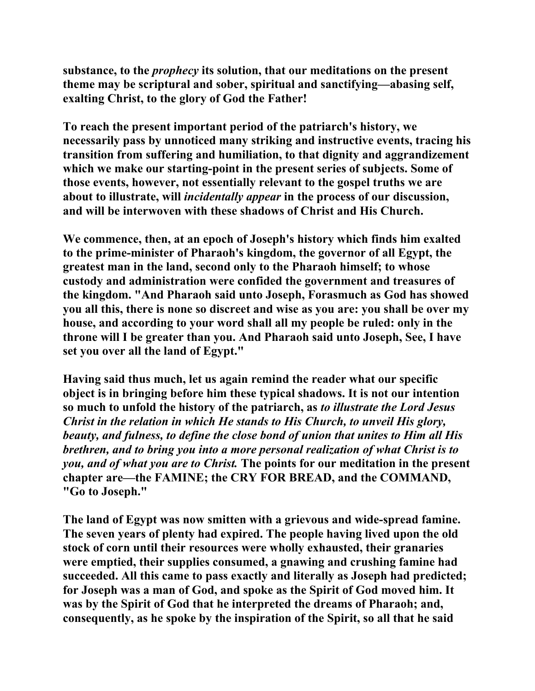**substance, to the** *prophecy* **its solution, that our meditations on the present theme may be scriptural and sober, spiritual and sanctifying—abasing self, exalting Christ, to the glory of God the Father!** 

**To reach the present important period of the patriarch's history, we necessarily pass by unnoticed many striking and instructive events, tracing his transition from suffering and humiliation, to that dignity and aggrandizement which we make our starting-point in the present series of subjects. Some of those events, however, not essentially relevant to the gospel truths we are about to illustrate, will** *incidentally appear* **in the process of our discussion, and will be interwoven with these shadows of Christ and His Church.** 

**We commence, then, at an epoch of Joseph's history which finds him exalted to the prime-minister of Pharaoh's kingdom, the governor of all Egypt, the greatest man in the land, second only to the Pharaoh himself; to whose custody and administration were confided the government and treasures of the kingdom. "And Pharaoh said unto Joseph, Forasmuch as God has showed you all this, there is none so discreet and wise as you are: you shall be over my house, and according to your word shall all my people be ruled: only in the throne will I be greater than you. And Pharaoh said unto Joseph, See, I have set you over all the land of Egypt."** 

**Having said thus much, let us again remind the reader what our specific object is in bringing before him these typical shadows. It is not our intention so much to unfold the history of the patriarch, as** *to illustrate the Lord Jesus Christ in the relation in which He stands to His Church, to unveil His glory, beauty, and fulness, to define the close bond of union that unites to Him all His brethren, and to bring you into a more personal realization of what Christ is to you, and of what you are to Christ.* **The points for our meditation in the present chapter are—the FAMINE; the CRY FOR BREAD, and the COMMAND, "Go to Joseph."** 

**The land of Egypt was now smitten with a grievous and wide-spread famine. The seven years of plenty had expired. The people having lived upon the old stock of corn until their resources were wholly exhausted, their granaries were emptied, their supplies consumed, a gnawing and crushing famine had succeeded. All this came to pass exactly and literally as Joseph had predicted; for Joseph was a man of God, and spoke as the Spirit of God moved him. It was by the Spirit of God that he interpreted the dreams of Pharaoh; and, consequently, as he spoke by the inspiration of the Spirit, so all that he said**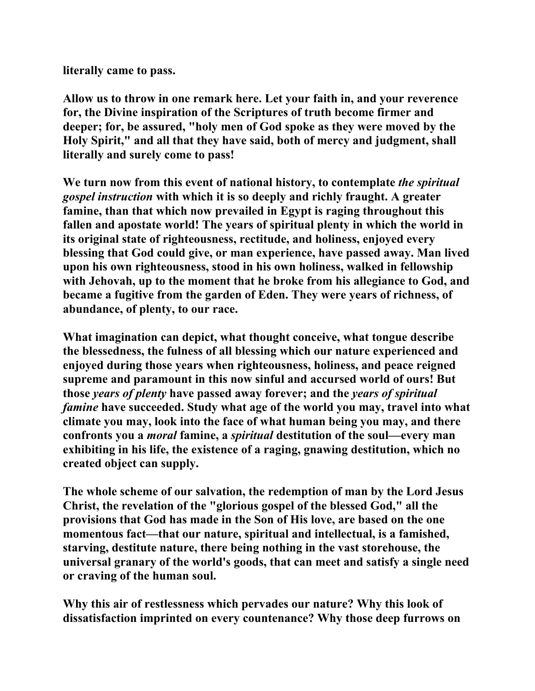**literally came to pass.** 

**Allow us to throw in one remark here. Let your faith in, and your reverence for, the Divine inspiration of the Scriptures of truth become firmer and deeper; for, be assured, "holy men of God spoke as they were moved by the Holy Spirit," and all that they have said, both of mercy and judgment, shall literally and surely come to pass!** 

**We turn now from this event of national history, to contemplate** *the spiritual gospel instruction* **with which it is so deeply and richly fraught. A greater famine, than that which now prevailed in Egypt is raging throughout this fallen and apostate world! The years of spiritual plenty in which the world in its original state of righteousness, rectitude, and holiness, enjoyed every blessing that God could give, or man experience, have passed away. Man lived upon his own righteousness, stood in his own holiness, walked in fellowship with Jehovah, up to the moment that he broke from his allegiance to God, and became a fugitive from the garden of Eden. They were years of richness, of abundance, of plenty, to our race.** 

**What imagination can depict, what thought conceive, what tongue describe the blessedness, the fulness of all blessing which our nature experienced and enjoyed during those years when righteousness, holiness, and peace reigned supreme and paramount in this now sinful and accursed world of ours! But those** *years of plenty* **have passed away forever; and the** *years of spiritual famine* **have succeeded. Study what age of the world you may, travel into what climate you may, look into the face of what human being you may, and there confronts you a** *moral* **famine, a** *spiritual* **destitution of the soul—every man exhibiting in his life, the existence of a raging, gnawing destitution, which no created object can supply.** 

**The whole scheme of our salvation, the redemption of man by the Lord Jesus Christ, the revelation of the "glorious gospel of the blessed God," all the provisions that God has made in the Son of His love, are based on the one momentous fact—that our nature, spiritual and intellectual, is a famished, starving, destitute nature, there being nothing in the vast storehouse, the universal granary of the world's goods, that can meet and satisfy a single need or craving of the human soul.** 

**Why this air of restlessness which pervades our nature? Why this look of dissatisfaction imprinted on every countenance? Why those deep furrows on**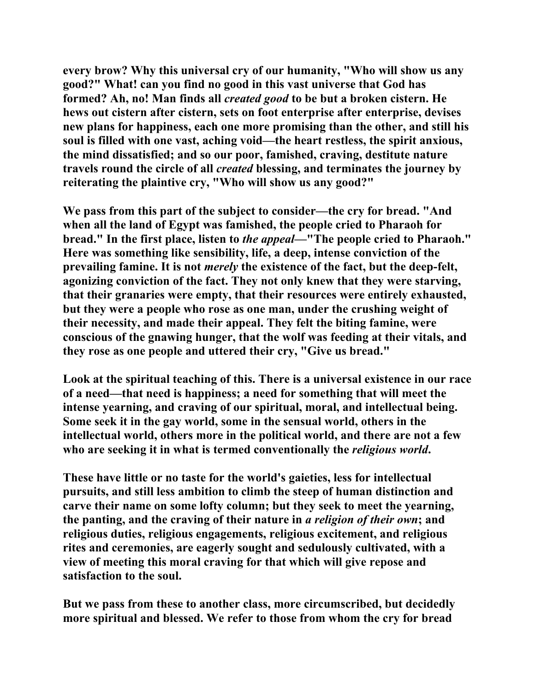**every brow? Why this universal cry of our humanity, "Who will show us any good?" What! can you find no good in this vast universe that God has formed? Ah, no! Man finds all** *created good* **to be but a broken cistern. He hews out cistern after cistern, sets on foot enterprise after enterprise, devises new plans for happiness, each one more promising than the other, and still his soul is filled with one vast, aching void—the heart restless, the spirit anxious, the mind dissatisfied; and so our poor, famished, craving, destitute nature travels round the circle of all** *created* **blessing, and terminates the journey by reiterating the plaintive cry, "Who will show us any good?"** 

**We pass from this part of the subject to consider—the cry for bread. "And when all the land of Egypt was famished, the people cried to Pharaoh for bread." In the first place, listen to** *the appeal***—"The people cried to Pharaoh." Here was something like sensibility, life, a deep, intense conviction of the prevailing famine. It is not** *merely* **the existence of the fact, but the deep-felt, agonizing conviction of the fact. They not only knew that they were starving, that their granaries were empty, that their resources were entirely exhausted, but they were a people who rose as one man, under the crushing weight of their necessity, and made their appeal. They felt the biting famine, were conscious of the gnawing hunger, that the wolf was feeding at their vitals, and they rose as one people and uttered their cry, "Give us bread."** 

**Look at the spiritual teaching of this. There is a universal existence in our race of a need—that need is happiness; a need for something that will meet the intense yearning, and craving of our spiritual, moral, and intellectual being. Some seek it in the gay world, some in the sensual world, others in the intellectual world, others more in the political world, and there are not a few who are seeking it in what is termed conventionally the** *religious world***.** 

**These have little or no taste for the world's gaieties, less for intellectual pursuits, and still less ambition to climb the steep of human distinction and carve their name on some lofty column; but they seek to meet the yearning, the panting, and the craving of their nature in** *a religion of their own***; and religious duties, religious engagements, religious excitement, and religious rites and ceremonies, are eagerly sought and sedulously cultivated, with a view of meeting this moral craving for that which will give repose and satisfaction to the soul.** 

**But we pass from these to another class, more circumscribed, but decidedly more spiritual and blessed. We refer to those from whom the cry for bread**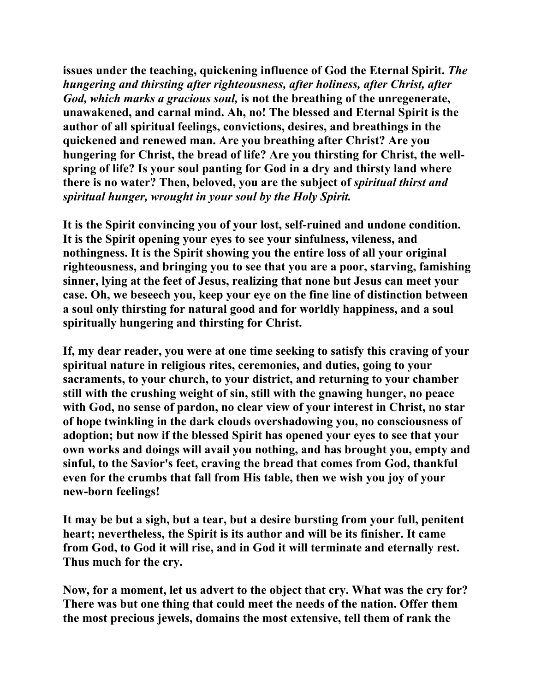**issues under the teaching, quickening influence of God the Eternal Spirit.** *The hungering and thirsting after righteousness, after holiness, after Christ, after God, which marks a gracious soul,* **is not the breathing of the unregenerate, unawakened, and carnal mind. Ah, no! The blessed and Eternal Spirit is the author of all spiritual feelings, convictions, desires, and breathings in the quickened and renewed man. Are you breathing after Christ? Are you hungering for Christ, the bread of life? Are you thirsting for Christ, the wellspring of life? Is your soul panting for God in a dry and thirsty land where there is no water? Then, beloved, you are the subject of** *spiritual thirst and spiritual hunger, wrought in your soul by the Holy Spirit.* 

**It is the Spirit convincing you of your lost, self-ruined and undone condition. It is the Spirit opening your eyes to see your sinfulness, vileness, and nothingness. It is the Spirit showing you the entire loss of all your original righteousness, and bringing you to see that you are a poor, starving, famishing sinner, lying at the feet of Jesus, realizing that none but Jesus can meet your case. Oh, we beseech you, keep your eye on the fine line of distinction between a soul only thirsting for natural good and for worldly happiness, and a soul spiritually hungering and thirsting for Christ.** 

**If, my dear reader, you were at one time seeking to satisfy this craving of your spiritual nature in religious rites, ceremonies, and duties, going to your sacraments, to your church, to your district, and returning to your chamber still with the crushing weight of sin, still with the gnawing hunger, no peace with God, no sense of pardon, no clear view of your interest in Christ, no star of hope twinkling in the dark clouds overshadowing you, no consciousness of adoption; but now if the blessed Spirit has opened your eyes to see that your own works and doings will avail you nothing, and has brought you, empty and sinful, to the Savior's feet, craving the bread that comes from God, thankful even for the crumbs that fall from His table, then we wish you joy of your new-born feelings!** 

**It may be but a sigh, but a tear, but a desire bursting from your full, penitent heart; nevertheless, the Spirit is its author and will be its finisher. It came from God, to God it will rise, and in God it will terminate and eternally rest. Thus much for the cry.** 

**Now, for a moment, let us advert to the object that cry. What was the cry for? There was but one thing that could meet the needs of the nation. Offer them the most precious jewels, domains the most extensive, tell them of rank the**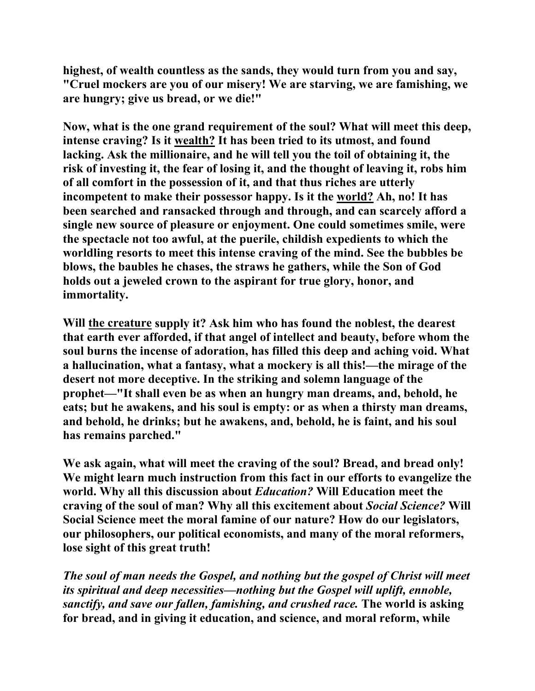**highest, of wealth countless as the sands, they would turn from you and say, "Cruel mockers are you of our misery! We are starving, we are famishing, we are hungry; give us bread, or we die!"** 

**Now, what is the one grand requirement of the soul? What will meet this deep, intense craving? Is it wealth? It has been tried to its utmost, and found lacking. Ask the millionaire, and he will tell you the toil of obtaining it, the risk of investing it, the fear of losing it, and the thought of leaving it, robs him of all comfort in the possession of it, and that thus riches are utterly incompetent to make their possessor happy. Is it the world? Ah, no! It has been searched and ransacked through and through, and can scarcely afford a single new source of pleasure or enjoyment. One could sometimes smile, were the spectacle not too awful, at the puerile, childish expedients to which the worldling resorts to meet this intense craving of the mind. See the bubbles be blows, the baubles he chases, the straws he gathers, while the Son of God holds out a jeweled crown to the aspirant for true glory, honor, and immortality.** 

**Will the creature supply it? Ask him who has found the noblest, the dearest that earth ever afforded, if that angel of intellect and beauty, before whom the soul burns the incense of adoration, has filled this deep and aching void. What a hallucination, what a fantasy, what a mockery is all this!—the mirage of the desert not more deceptive. In the striking and solemn language of the prophet—"It shall even be as when an hungry man dreams, and, behold, he eats; but he awakens, and his soul is empty: or as when a thirsty man dreams, and behold, he drinks; but he awakens, and, behold, he is faint, and his soul has remains parched."** 

**We ask again, what will meet the craving of the soul? Bread, and bread only! We might learn much instruction from this fact in our efforts to evangelize the world. Why all this discussion about** *Education?* **Will Education meet the craving of the soul of man? Why all this excitement about** *Social Science?* **Will Social Science meet the moral famine of our nature? How do our legislators, our philosophers, our political economists, and many of the moral reformers, lose sight of this great truth!** 

*The soul of man needs the Gospel, and nothing but the gospel of Christ will meet its spiritual and deep necessities—nothing but the Gospel will uplift, ennoble, sanctify, and save our fallen, famishing, and crushed race.* **The world is asking for bread, and in giving it education, and science, and moral reform, while**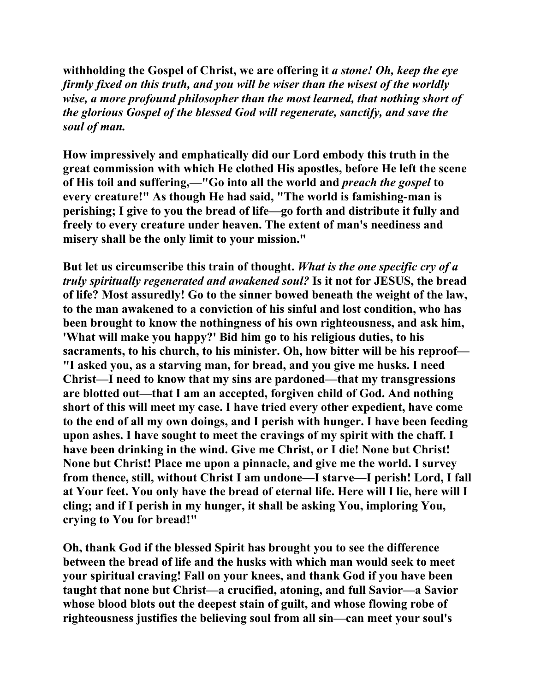**withholding the Gospel of Christ, we are offering it** *a stone! Oh, keep the eye firmly fixed on this truth, and you will be wiser than the wisest of the worldly wise, a more profound philosopher than the most learned, that nothing short of the glorious Gospel of the blessed God will regenerate, sanctify, and save the soul of man.* 

**How impressively and emphatically did our Lord embody this truth in the great commission with which He clothed His apostles, before He left the scene of His toil and suffering,—"Go into all the world and** *preach the gospel* **to every creature!" As though He had said, "The world is famishing-man is perishing; I give to you the bread of life—go forth and distribute it fully and freely to every creature under heaven. The extent of man's neediness and misery shall be the only limit to your mission."** 

**But let us circumscribe this train of thought.** *What is the one specific cry of a truly spiritually regenerated and awakened soul?* **Is it not for JESUS, the bread of life? Most assuredly! Go to the sinner bowed beneath the weight of the law, to the man awakened to a conviction of his sinful and lost condition, who has been brought to know the nothingness of his own righteousness, and ask him, 'What will make you happy?' Bid him go to his religious duties, to his sacraments, to his church, to his minister. Oh, how bitter will be his reproof— "I asked you, as a starving man, for bread, and you give me husks. I need Christ—I need to know that my sins are pardoned—that my transgressions are blotted out—that I am an accepted, forgiven child of God. And nothing short of this will meet my case. I have tried every other expedient, have come to the end of all my own doings, and I perish with hunger. I have been feeding upon ashes. I have sought to meet the cravings of my spirit with the chaff. I have been drinking in the wind. Give me Christ, or I die! None but Christ! None but Christ! Place me upon a pinnacle, and give me the world. I survey from thence, still, without Christ I am undone—I starve—I perish! Lord, I fall at Your feet. You only have the bread of eternal life. Here will I lie, here will I cling; and if I perish in my hunger, it shall be asking You, imploring You, crying to You for bread!"** 

**Oh, thank God if the blessed Spirit has brought you to see the difference between the bread of life and the husks with which man would seek to meet your spiritual craving! Fall on your knees, and thank God if you have been taught that none but Christ—a crucified, atoning, and full Savior—a Savior whose blood blots out the deepest stain of guilt, and whose flowing robe of righteousness justifies the believing soul from all sin—can meet your soul's**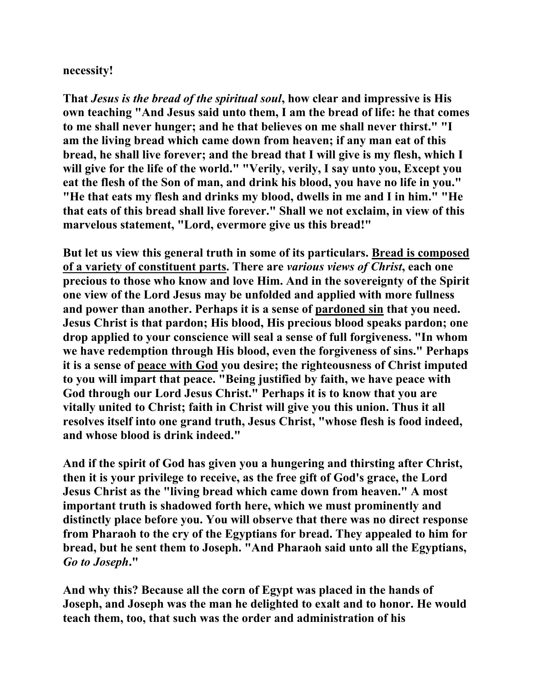#### **necessity!**

**That** *Jesus is the bread of the spiritual soul***, how clear and impressive is His own teaching "And Jesus said unto them, I am the bread of life: he that comes to me shall never hunger; and he that believes on me shall never thirst." "I am the living bread which came down from heaven; if any man eat of this bread, he shall live forever; and the bread that I will give is my flesh, which I will give for the life of the world." "Verily, verily, I say unto you, Except you eat the flesh of the Son of man, and drink his blood, you have no life in you." "He that eats my flesh and drinks my blood, dwells in me and I in him." "He that eats of this bread shall live forever." Shall we not exclaim, in view of this marvelous statement, "Lord, evermore give us this bread!"** 

**But let us view this general truth in some of its particulars. Bread is composed of a variety of constituent parts. There are** *various views of Christ***, each one precious to those who know and love Him. And in the sovereignty of the Spirit one view of the Lord Jesus may be unfolded and applied with more fullness and power than another. Perhaps it is a sense of pardoned sin that you need. Jesus Christ is that pardon; His blood, His precious blood speaks pardon; one drop applied to your conscience will seal a sense of full forgiveness. "In whom we have redemption through His blood, even the forgiveness of sins." Perhaps it is a sense of peace with God you desire; the righteousness of Christ imputed to you will impart that peace. "Being justified by faith, we have peace with God through our Lord Jesus Christ." Perhaps it is to know that you are vitally united to Christ; faith in Christ will give you this union. Thus it all resolves itself into one grand truth, Jesus Christ, "whose flesh is food indeed, and whose blood is drink indeed."** 

**And if the spirit of God has given you a hungering and thirsting after Christ, then it is your privilege to receive, as the free gift of God's grace, the Lord Jesus Christ as the "living bread which came down from heaven." A most important truth is shadowed forth here, which we must prominently and distinctly place before you. You will observe that there was no direct response from Pharaoh to the cry of the Egyptians for bread. They appealed to him for bread, but he sent them to Joseph. "And Pharaoh said unto all the Egyptians,**  *Go to Joseph***."** 

**And why this? Because all the corn of Egypt was placed in the hands of Joseph, and Joseph was the man he delighted to exalt and to honor. He would teach them, too, that such was the order and administration of his**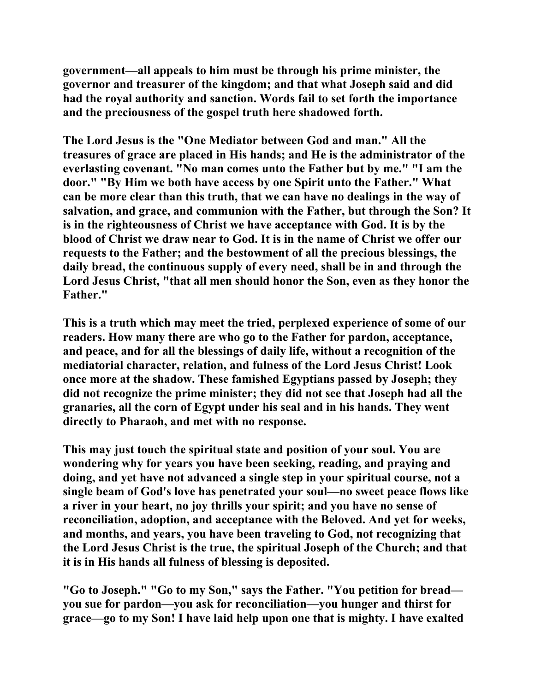**government—all appeals to him must be through his prime minister, the governor and treasurer of the kingdom; and that what Joseph said and did had the royal authority and sanction. Words fail to set forth the importance and the preciousness of the gospel truth here shadowed forth.** 

**The Lord Jesus is the "One Mediator between God and man." All the treasures of grace are placed in His hands; and He is the administrator of the everlasting covenant. "No man comes unto the Father but by me." "I am the door." "By Him we both have access by one Spirit unto the Father." What can be more clear than this truth, that we can have no dealings in the way of salvation, and grace, and communion with the Father, but through the Son? It is in the righteousness of Christ we have acceptance with God. It is by the blood of Christ we draw near to God. It is in the name of Christ we offer our requests to the Father; and the bestowment of all the precious blessings, the daily bread, the continuous supply of every need, shall be in and through the Lord Jesus Christ, "that all men should honor the Son, even as they honor the Father."** 

**This is a truth which may meet the tried, perplexed experience of some of our readers. How many there are who go to the Father for pardon, acceptance, and peace, and for all the blessings of daily life, without a recognition of the mediatorial character, relation, and fulness of the Lord Jesus Christ! Look once more at the shadow. These famished Egyptians passed by Joseph; they did not recognize the prime minister; they did not see that Joseph had all the granaries, all the corn of Egypt under his seal and in his hands. They went directly to Pharaoh, and met with no response.** 

**This may just touch the spiritual state and position of your soul. You are wondering why for years you have been seeking, reading, and praying and doing, and yet have not advanced a single step in your spiritual course, not a single beam of God's love has penetrated your soul—no sweet peace flows like a river in your heart, no joy thrills your spirit; and you have no sense of reconciliation, adoption, and acceptance with the Beloved. And yet for weeks, and months, and years, you have been traveling to God, not recognizing that the Lord Jesus Christ is the true, the spiritual Joseph of the Church; and that it is in His hands all fulness of blessing is deposited.** 

**"Go to Joseph." "Go to my Son," says the Father. "You petition for bread you sue for pardon—you ask for reconciliation—you hunger and thirst for grace—go to my Son! I have laid help upon one that is mighty. I have exalted**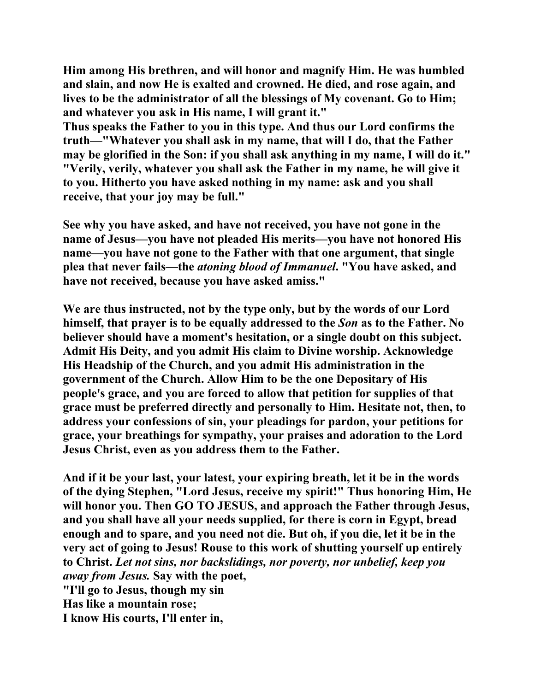**Him among His brethren, and will honor and magnify Him. He was humbled and slain, and now He is exalted and crowned. He died, and rose again, and lives to be the administrator of all the blessings of My covenant. Go to Him; and whatever you ask in His name, I will grant it."** 

**Thus speaks the Father to you in this type. And thus our Lord confirms the truth—"Whatever you shall ask in my name, that will I do, that the Father may be glorified in the Son: if you shall ask anything in my name, I will do it." "Verily, verily, whatever you shall ask the Father in my name, he will give it to you. Hitherto you have asked nothing in my name: ask and you shall receive, that your joy may be full."** 

**See why you have asked, and have not received, you have not gone in the name of Jesus—you have not pleaded His merits—you have not honored His name—you have not gone to the Father with that one argument, that single plea that never fails—the** *atoning blood of Immanuel***. "You have asked, and have not received, because you have asked amiss."** 

**We are thus instructed, not by the type only, but by the words of our Lord himself, that prayer is to be equally addressed to the** *Son* **as to the Father. No believer should have a moment's hesitation, or a single doubt on this subject. Admit His Deity, and you admit His claim to Divine worship. Acknowledge His Headship of the Church, and you admit His administration in the government of the Church. Allow Him to be the one Depositary of His people's grace, and you are forced to allow that petition for supplies of that grace must be preferred directly and personally to Him. Hesitate not, then, to address your confessions of sin, your pleadings for pardon, your petitions for grace, your breathings for sympathy, your praises and adoration to the Lord Jesus Christ, even as you address them to the Father.** 

**And if it be your last, your latest, your expiring breath, let it be in the words of the dying Stephen, "Lord Jesus, receive my spirit!" Thus honoring Him, He will honor you. Then GO TO JESUS, and approach the Father through Jesus, and you shall have all your needs supplied, for there is corn in Egypt, bread enough and to spare, and you need not die. But oh, if you die, let it be in the very act of going to Jesus! Rouse to this work of shutting yourself up entirely to Christ.** *Let not sins, nor backslidings, nor poverty, nor unbelief, keep you away from Jesus.* **Say with the poet, "I'll go to Jesus, though my sin Has like a mountain rose; I know His courts, I'll enter in,**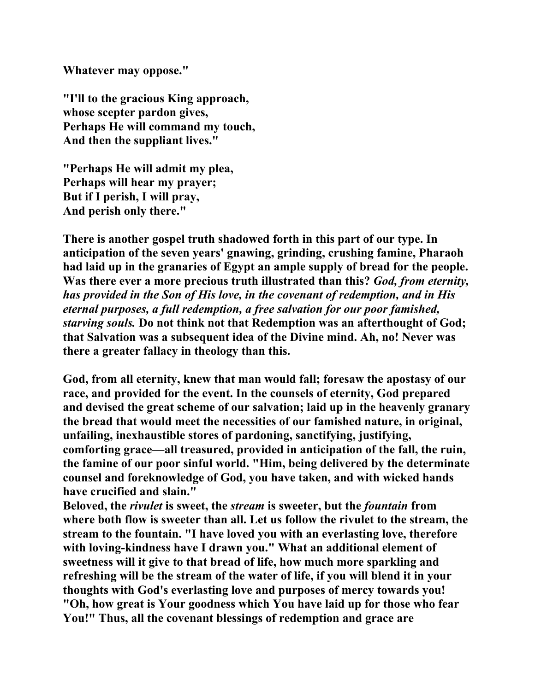**Whatever may oppose."** 

**"I'll to the gracious King approach, whose scepter pardon gives, Perhaps He will command my touch, And then the suppliant lives."** 

**"Perhaps He will admit my plea, Perhaps will hear my prayer; But if I perish, I will pray, And perish only there."** 

**There is another gospel truth shadowed forth in this part of our type. In anticipation of the seven years' gnawing, grinding, crushing famine, Pharaoh had laid up in the granaries of Egypt an ample supply of bread for the people. Was there ever a more precious truth illustrated than this?** *God, from eternity, has provided in the Son of His love, in the covenant of redemption, and in His eternal purposes, a full redemption, a free salvation for our poor famished, starving souls.* **Do not think not that Redemption was an afterthought of God; that Salvation was a subsequent idea of the Divine mind. Ah, no! Never was there a greater fallacy in theology than this.** 

**God, from all eternity, knew that man would fall; foresaw the apostasy of our race, and provided for the event. In the counsels of eternity, God prepared and devised the great scheme of our salvation; laid up in the heavenly granary the bread that would meet the necessities of our famished nature, in original, unfailing, inexhaustible stores of pardoning, sanctifying, justifying, comforting grace—all treasured, provided in anticipation of the fall, the ruin, the famine of our poor sinful world. "Him, being delivered by the determinate counsel and foreknowledge of God, you have taken, and with wicked hands have crucified and slain."** 

**Beloved, the** *rivulet* **is sweet, the** *stream* **is sweeter, but the** *fountain* **from where both flow is sweeter than all. Let us follow the rivulet to the stream, the stream to the fountain. "I have loved you with an everlasting love, therefore with loving-kindness have I drawn you." What an additional element of sweetness will it give to that bread of life, how much more sparkling and refreshing will be the stream of the water of life, if you will blend it in your thoughts with God's everlasting love and purposes of mercy towards you! "Oh, how great is Your goodness which You have laid up for those who fear You!" Thus, all the covenant blessings of redemption and grace are**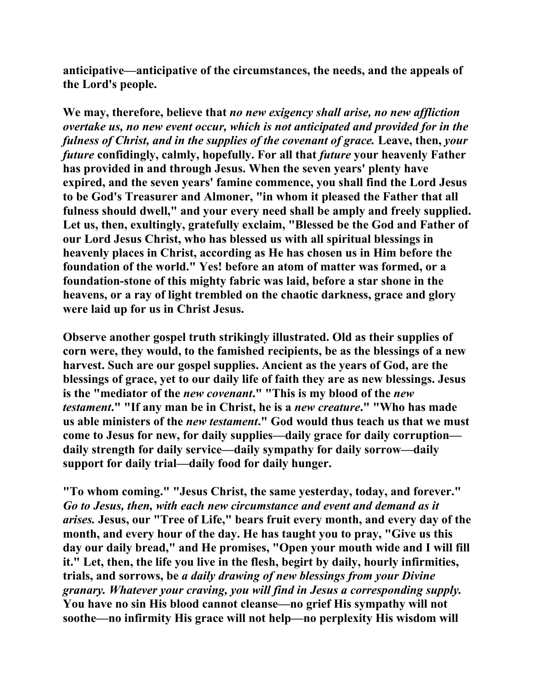**anticipative—anticipative of the circumstances, the needs, and the appeals of the Lord's people.** 

**We may, therefore, believe that** *no new exigency shall arise, no new affliction overtake us, no new event occur, which is not anticipated and provided for in the fulness of Christ, and in the supplies of the covenant of grace.* **Leave, then,** *your future* **confidingly, calmly, hopefully. For all that** *future* **your heavenly Father has provided in and through Jesus. When the seven years' plenty have expired, and the seven years' famine commence, you shall find the Lord Jesus to be God's Treasurer and Almoner, "in whom it pleased the Father that all fulness should dwell," and your every need shall be amply and freely supplied. Let us, then, exultingly, gratefully exclaim, "Blessed be the God and Father of our Lord Jesus Christ, who has blessed us with all spiritual blessings in heavenly places in Christ, according as He has chosen us in Him before the foundation of the world." Yes! before an atom of matter was formed, or a foundation-stone of this mighty fabric was laid, before a star shone in the heavens, or a ray of light trembled on the chaotic darkness, grace and glory were laid up for us in Christ Jesus.** 

**Observe another gospel truth strikingly illustrated. Old as their supplies of corn were, they would, to the famished recipients, be as the blessings of a new harvest. Such are our gospel supplies. Ancient as the years of God, are the blessings of grace, yet to our daily life of faith they are as new blessings. Jesus is the "mediator of the** *new covenant***." "This is my blood of the** *new testament***." "If any man be in Christ, he is a** *new creature***." "Who has made us able ministers of the** *new testament***." God would thus teach us that we must come to Jesus for new, for daily supplies—daily grace for daily corruption daily strength for daily service—daily sympathy for daily sorrow—daily support for daily trial—daily food for daily hunger.** 

**"To whom coming." "Jesus Christ, the same yesterday, today, and forever."**  *Go to Jesus, then, with each new circumstance and event and demand as it arises.* **Jesus, our "Tree of Life," bears fruit every month, and every day of the month, and every hour of the day. He has taught you to pray, "Give us this day our daily bread," and He promises, "Open your mouth wide and I will fill it." Let, then, the life you live in the flesh, begirt by daily, hourly infirmities, trials, and sorrows, be** *a daily drawing of new blessings from your Divine granary. Whatever your craving, you will find in Jesus a corresponding supply.* **You have no sin His blood cannot cleanse—no grief His sympathy will not soothe—no infirmity His grace will not help—no perplexity His wisdom will**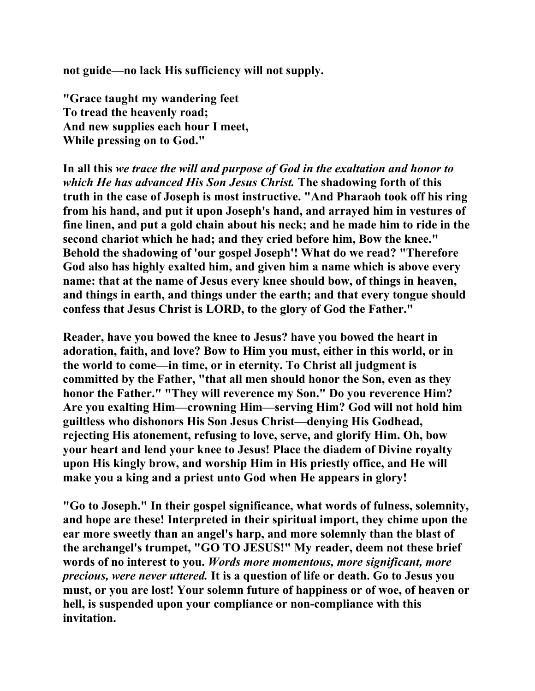**not guide—no lack His sufficiency will not supply.** 

**"Grace taught my wandering feet To tread the heavenly road; And new supplies each hour I meet, While pressing on to God."** 

**In all this** *we trace the will and purpose of God in the exaltation and honor to which He has advanced His Son Jesus Christ.* **The shadowing forth of this truth in the case of Joseph is most instructive. "And Pharaoh took off his ring from his hand, and put it upon Joseph's hand, and arrayed him in vestures of fine linen, and put a gold chain about his neck; and he made him to ride in the second chariot which he had; and they cried before him, Bow the knee." Behold the shadowing of 'our gospel Joseph'! What do we read? "Therefore God also has highly exalted him, and given him a name which is above every name: that at the name of Jesus every knee should bow, of things in heaven, and things in earth, and things under the earth; and that every tongue should confess that Jesus Christ is LORD, to the glory of God the Father."** 

**Reader, have you bowed the knee to Jesus? have you bowed the heart in adoration, faith, and love? Bow to Him you must, either in this world, or in the world to come—in time, or in eternity. To Christ all judgment is committed by the Father, "that all men should honor the Son, even as they honor the Father." "They will reverence my Son." Do you reverence Him? Are you exalting Him—crowning Him—serving Him? God will not hold him guiltless who dishonors His Son Jesus Christ—denying His Godhead, rejecting His atonement, refusing to love, serve, and glorify Him. Oh, bow your heart and lend your knee to Jesus! Place the diadem of Divine royalty upon His kingly brow, and worship Him in His priestly office, and He will make you a king and a priest unto God when He appears in glory!** 

**"Go to Joseph." In their gospel significance, what words of fulness, solemnity, and hope are these! Interpreted in their spiritual import, they chime upon the ear more sweetly than an angel's harp, and more solemnly than the blast of the archangel's trumpet, "GO TO JESUS!" My reader, deem not these brief words of no interest to you.** *Words more momentous, more significant, more precious, were never uttered.* **It is a question of life or death. Go to Jesus you must, or you are lost! Your solemn future of happiness or of woe, of heaven or hell, is suspended upon your compliance or non-compliance with this invitation.**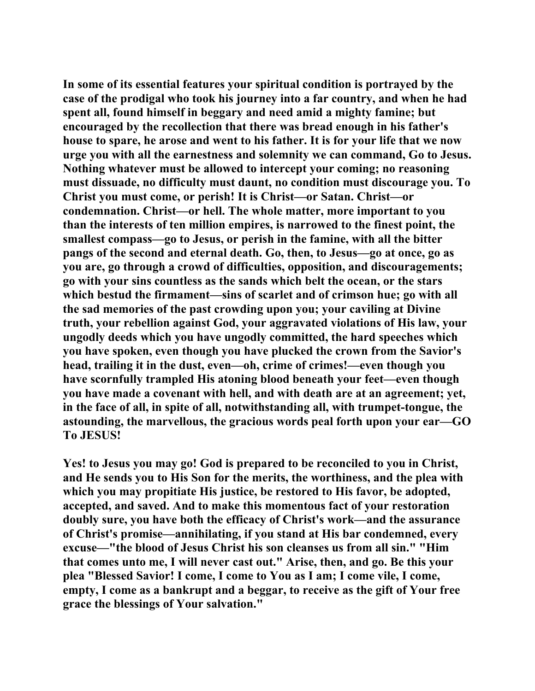**In some of its essential features your spiritual condition is portrayed by the case of the prodigal who took his journey into a far country, and when he had spent all, found himself in beggary and need amid a mighty famine; but encouraged by the recollection that there was bread enough in his father's house to spare, he arose and went to his father. It is for your life that we now urge you with all the earnestness and solemnity we can command, Go to Jesus. Nothing whatever must be allowed to intercept your coming; no reasoning must dissuade, no difficulty must daunt, no condition must discourage you. To Christ you must come, or perish! It is Christ—or Satan. Christ—or condemnation. Christ—or hell. The whole matter, more important to you than the interests of ten million empires, is narrowed to the finest point, the smallest compass—go to Jesus, or perish in the famine, with all the bitter pangs of the second and eternal death. Go, then, to Jesus—go at once, go as you are, go through a crowd of difficulties, opposition, and discouragements; go with your sins countless as the sands which belt the ocean, or the stars which bestud the firmament—sins of scarlet and of crimson hue; go with all the sad memories of the past crowding upon you; your caviling at Divine truth, your rebellion against God, your aggravated violations of His law, your ungodly deeds which you have ungodly committed, the hard speeches which you have spoken, even though you have plucked the crown from the Savior's head, trailing it in the dust, even—oh, crime of crimes!—even though you have scornfully trampled His atoning blood beneath your feet—even though you have made a covenant with hell, and with death are at an agreement; yet, in the face of all, in spite of all, notwithstanding all, with trumpet-tongue, the astounding, the marvellous, the gracious words peal forth upon your ear—GO To JESUS!** 

**Yes! to Jesus you may go! God is prepared to be reconciled to you in Christ, and He sends you to His Son for the merits, the worthiness, and the plea with which you may propitiate His justice, be restored to His favor, be adopted, accepted, and saved. And to make this momentous fact of your restoration doubly sure, you have both the efficacy of Christ's work—and the assurance of Christ's promise—annihilating, if you stand at His bar condemned, every excuse—"the blood of Jesus Christ his son cleanses us from all sin." "Him that comes unto me, I will never cast out." Arise, then, and go. Be this your plea "Blessed Savior! I come, I come to You as I am; I come vile, I come, empty, I come as a bankrupt and a beggar, to receive as the gift of Your free grace the blessings of Your salvation."**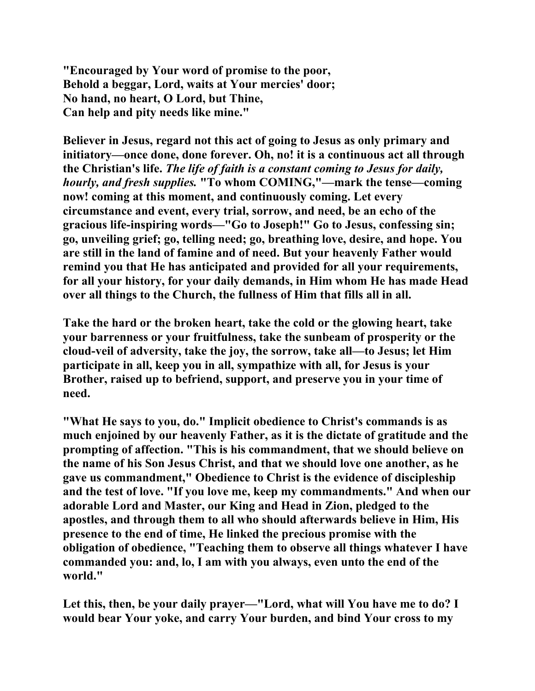**"Encouraged by Your word of promise to the poor, Behold a beggar, Lord, waits at Your mercies' door; No hand, no heart, O Lord, but Thine, Can help and pity needs like mine."** 

**Believer in Jesus, regard not this act of going to Jesus as only primary and initiatory—once done, done forever. Oh, no! it is a continuous act all through the Christian's life.** *The life of faith is a constant coming to Jesus for daily, hourly, and fresh supplies.* **"To whom COMING,"—mark the tense—coming now! coming at this moment, and continuously coming. Let every circumstance and event, every trial, sorrow, and need, be an echo of the gracious life-inspiring words—"Go to Joseph!" Go to Jesus, confessing sin; go, unveiling grief; go, telling need; go, breathing love, desire, and hope. You are still in the land of famine and of need. But your heavenly Father would remind you that He has anticipated and provided for all your requirements, for all your history, for your daily demands, in Him whom He has made Head over all things to the Church, the fullness of Him that fills all in all.** 

**Take the hard or the broken heart, take the cold or the glowing heart, take your barrenness or your fruitfulness, take the sunbeam of prosperity or the cloud-veil of adversity, take the joy, the sorrow, take all—to Jesus; let Him participate in all, keep you in all, sympathize with all, for Jesus is your Brother, raised up to befriend, support, and preserve you in your time of need.** 

**"What He says to you, do." Implicit obedience to Christ's commands is as much enjoined by our heavenly Father, as it is the dictate of gratitude and the prompting of affection. "This is his commandment, that we should believe on the name of his Son Jesus Christ, and that we should love one another, as he gave us commandment," Obedience to Christ is the evidence of discipleship and the test of love. "If you love me, keep my commandments." And when our adorable Lord and Master, our King and Head in Zion, pledged to the apostles, and through them to all who should afterwards believe in Him, His presence to the end of time, He linked the precious promise with the obligation of obedience, "Teaching them to observe all things whatever I have commanded you: and, lo, I am with you always, even unto the end of the world."** 

**Let this, then, be your daily prayer—"Lord, what will You have me to do? I would bear Your yoke, and carry Your burden, and bind Your cross to my**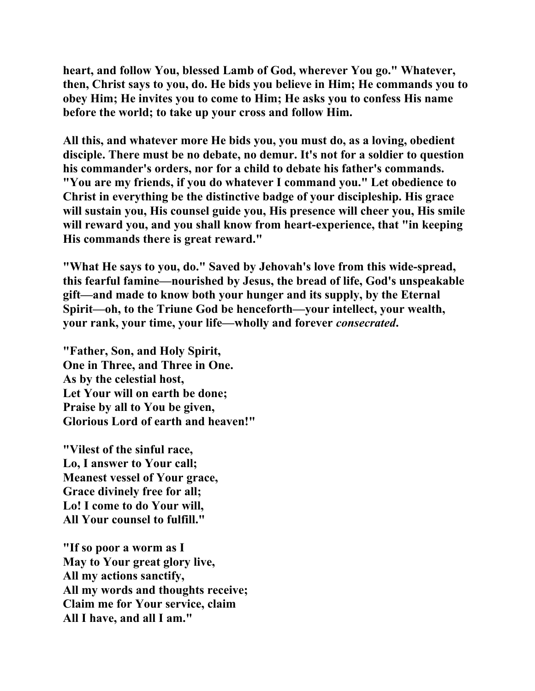**heart, and follow You, blessed Lamb of God, wherever You go." Whatever, then, Christ says to you, do. He bids you believe in Him; He commands you to obey Him; He invites you to come to Him; He asks you to confess His name before the world; to take up your cross and follow Him.** 

**All this, and whatever more He bids you, you must do, as a loving, obedient disciple. There must be no debate, no demur. It's not for a soldier to question his commander's orders, nor for a child to debate his father's commands. "You are my friends, if you do whatever I command you." Let obedience to Christ in everything be the distinctive badge of your discipleship. His grace will sustain you, His counsel guide you, His presence will cheer you, His smile will reward you, and you shall know from heart-experience, that "in keeping His commands there is great reward."** 

**"What He says to you, do." Saved by Jehovah's love from this wide-spread, this fearful famine—nourished by Jesus, the bread of life, God's unspeakable gift—and made to know both your hunger and its supply, by the Eternal Spirit—oh, to the Triune God be henceforth—your intellect, your wealth, your rank, your time, your life—wholly and forever** *consecrated***.** 

**"Father, Son, and Holy Spirit, One in Three, and Three in One. As by the celestial host, Let Your will on earth be done; Praise by all to You be given, Glorious Lord of earth and heaven!"** 

**"Vilest of the sinful race, Lo, I answer to Your call; Meanest vessel of Your grace, Grace divinely free for all; Lo! I come to do Your will, All Your counsel to fulfill."** 

**"If so poor a worm as I May to Your great glory live, All my actions sanctify, All my words and thoughts receive; Claim me for Your service, claim All I have, and all I am."**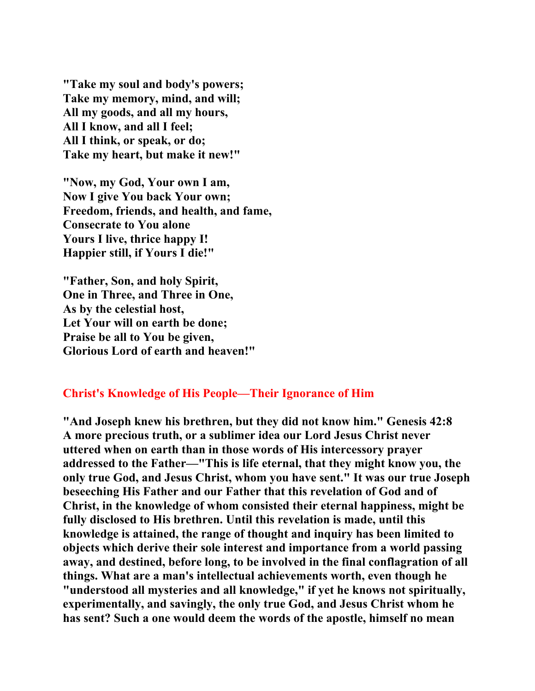**"Take my soul and body's powers; Take my memory, mind, and will; All my goods, and all my hours, All I know, and all I feel; All I think, or speak, or do; Take my heart, but make it new!"** 

**"Now, my God, Your own I am, Now I give You back Your own; Freedom, friends, and health, and fame, Consecrate to You alone Yours I live, thrice happy I! Happier still, if Yours I die!"** 

**"Father, Son, and holy Spirit, One in Three, and Three in One, As by the celestial host, Let Your will on earth be done; Praise be all to You be given, Glorious Lord of earth and heaven!"** 

#### **Christ's Knowledge of His People—Their Ignorance of Him**

**"And Joseph knew his brethren, but they did not know him." Genesis 42:8 A more precious truth, or a sublimer idea our Lord Jesus Christ never uttered when on earth than in those words of His intercessory prayer addressed to the Father—"This is life eternal, that they might know you, the only true God, and Jesus Christ, whom you have sent." It was our true Joseph beseeching His Father and our Father that this revelation of God and of Christ, in the knowledge of whom consisted their eternal happiness, might be fully disclosed to His brethren. Until this revelation is made, until this knowledge is attained, the range of thought and inquiry has been limited to objects which derive their sole interest and importance from a world passing away, and destined, before long, to be involved in the final conflagration of all things. What are a man's intellectual achievements worth, even though he "understood all mysteries and all knowledge," if yet he knows not spiritually, experimentally, and savingly, the only true God, and Jesus Christ whom he has sent? Such a one would deem the words of the apostle, himself no mean**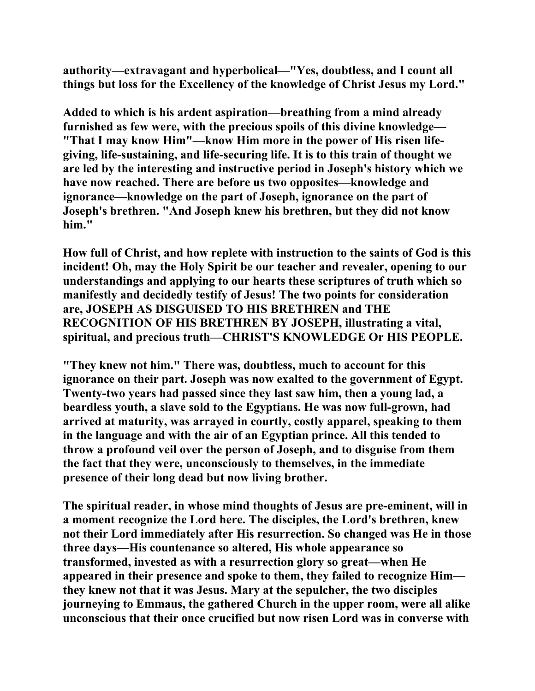**authority—extravagant and hyperbolical—"Yes, doubtless, and I count all things but loss for the Excellency of the knowledge of Christ Jesus my Lord."** 

**Added to which is his ardent aspiration—breathing from a mind already furnished as few were, with the precious spoils of this divine knowledge— "That I may know Him"—know Him more in the power of His risen lifegiving, life-sustaining, and life-securing life. It is to this train of thought we are led by the interesting and instructive period in Joseph's history which we have now reached. There are before us two opposites—knowledge and ignorance—knowledge on the part of Joseph, ignorance on the part of Joseph's brethren. "And Joseph knew his brethren, but they did not know him."** 

**How full of Christ, and how replete with instruction to the saints of God is this incident! Oh, may the Holy Spirit be our teacher and revealer, opening to our understandings and applying to our hearts these scriptures of truth which so manifestly and decidedly testify of Jesus! The two points for consideration are, JOSEPH AS DISGUISED TO HIS BRETHREN and THE RECOGNITION OF HIS BRETHREN BY JOSEPH, illustrating a vital, spiritual, and precious truth—CHRIST'S KNOWLEDGE Or HIS PEOPLE.** 

**"They knew not him." There was, doubtless, much to account for this ignorance on their part. Joseph was now exalted to the government of Egypt. Twenty-two years had passed since they last saw him, then a young lad, a beardless youth, a slave sold to the Egyptians. He was now full-grown, had arrived at maturity, was arrayed in courtly, costly apparel, speaking to them in the language and with the air of an Egyptian prince. All this tended to throw a profound veil over the person of Joseph, and to disguise from them the fact that they were, unconsciously to themselves, in the immediate presence of their long dead but now living brother.** 

**The spiritual reader, in whose mind thoughts of Jesus are pre-eminent, will in a moment recognize the Lord here. The disciples, the Lord's brethren, knew not their Lord immediately after His resurrection. So changed was He in those three days—His countenance so altered, His whole appearance so transformed, invested as with a resurrection glory so great—when He appeared in their presence and spoke to them, they failed to recognize Him they knew not that it was Jesus. Mary at the sepulcher, the two disciples journeying to Emmaus, the gathered Church in the upper room, were all alike unconscious that their once crucified but now risen Lord was in converse with**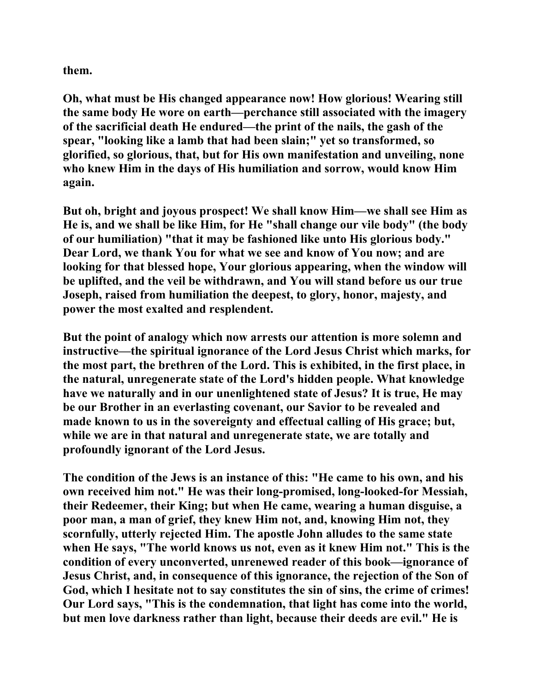**them.** 

**Oh, what must be His changed appearance now! How glorious! Wearing still the same body He wore on earth—perchance still associated with the imagery of the sacrificial death He endured—the print of the nails, the gash of the spear, "looking like a lamb that had been slain;" yet so transformed, so glorified, so glorious, that, but for His own manifestation and unveiling, none who knew Him in the days of His humiliation and sorrow, would know Him again.** 

**But oh, bright and joyous prospect! We shall know Him—we shall see Him as He is, and we shall be like Him, for He "shall change our vile body" (the body of our humiliation) "that it may be fashioned like unto His glorious body." Dear Lord, we thank You for what we see and know of You now; and are looking for that blessed hope, Your glorious appearing, when the window will be uplifted, and the veil be withdrawn, and You will stand before us our true Joseph, raised from humiliation the deepest, to glory, honor, majesty, and power the most exalted and resplendent.** 

**But the point of analogy which now arrests our attention is more solemn and instructive—the spiritual ignorance of the Lord Jesus Christ which marks, for the most part, the brethren of the Lord. This is exhibited, in the first place, in the natural, unregenerate state of the Lord's hidden people. What knowledge have we naturally and in our unenlightened state of Jesus? It is true, He may be our Brother in an everlasting covenant, our Savior to be revealed and made known to us in the sovereignty and effectual calling of His grace; but, while we are in that natural and unregenerate state, we are totally and profoundly ignorant of the Lord Jesus.** 

**The condition of the Jews is an instance of this: "He came to his own, and his own received him not." He was their long-promised, long-looked-for Messiah, their Redeemer, their King; but when He came, wearing a human disguise, a poor man, a man of grief, they knew Him not, and, knowing Him not, they scornfully, utterly rejected Him. The apostle John alludes to the same state when He says, "The world knows us not, even as it knew Him not." This is the condition of every unconverted, unrenewed reader of this book—ignorance of Jesus Christ, and, in consequence of this ignorance, the rejection of the Son of God, which I hesitate not to say constitutes the sin of sins, the crime of crimes! Our Lord says, "This is the condemnation, that light has come into the world, but men love darkness rather than light, because their deeds are evil." He is**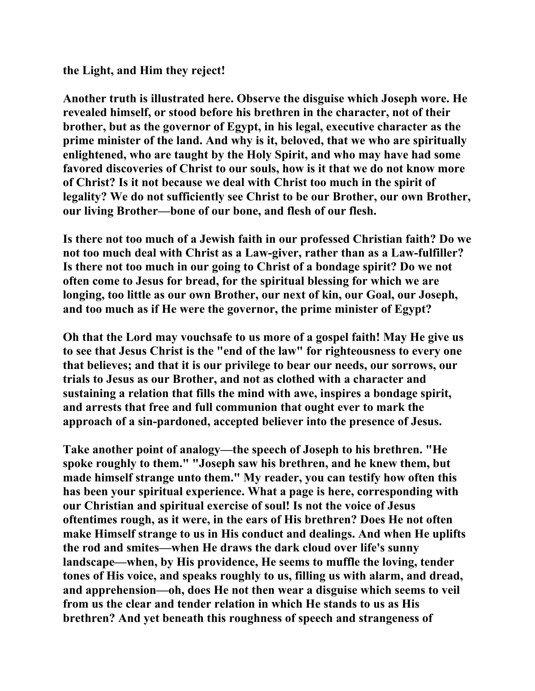### **the Light, and Him they reject!**

**Another truth is illustrated here. Observe the disguise which Joseph wore. He revealed himself, or stood before his brethren in the character, not of their brother, but as the governor of Egypt, in his legal, executive character as the prime minister of the land. And why is it, beloved, that we who are spiritually enlightened, who are taught by the Holy Spirit, and who may have had some favored discoveries of Christ to our souls, how is it that we do not know more of Christ? Is it not because we deal with Christ too much in the spirit of legality? We do not sufficiently see Christ to be our Brother, our own Brother, our living Brother—bone of our bone, and flesh of our flesh.** 

**Is there not too much of a Jewish faith in our professed Christian faith? Do we not too much deal with Christ as a Law-giver, rather than as a Law-fulfiller? Is there not too much in our going to Christ of a bondage spirit? Do we not often come to Jesus for bread, for the spiritual blessing for which we are longing, too little as our own Brother, our next of kin, our Goal, our Joseph, and too much as if He were the governor, the prime minister of Egypt?** 

**Oh that the Lord may vouchsafe to us more of a gospel faith! May He give us to see that Jesus Christ is the "end of the law" for righteousness to every one that believes; and that it is our privilege to bear our needs, our sorrows, our trials to Jesus as our Brother, and not as clothed with a character and sustaining a relation that fills the mind with awe, inspires a bondage spirit, and arrests that free and full communion that ought ever to mark the approach of a sin-pardoned, accepted believer into the presence of Jesus.** 

**Take another point of analogy—the speech of Joseph to his brethren. "He spoke roughly to them." "Joseph saw his brethren, and he knew them, but made himself strange unto them." My reader, you can testify how often this has been your spiritual experience. What a page is here, corresponding with our Christian and spiritual exercise of soul! Is not the voice of Jesus oftentimes rough, as it were, in the ears of His brethren? Does He not often make Himself strange to us in His conduct and dealings. And when He uplifts the rod and smites—when He draws the dark cloud over life's sunny landscape—when, by His providence, He seems to muffle the loving, tender tones of His voice, and speaks roughly to us, filling us with alarm, and dread, and apprehension—oh, does He not then wear a disguise which seems to veil from us the clear and tender relation in which He stands to us as His brethren? And yet beneath this roughness of speech and strangeness of**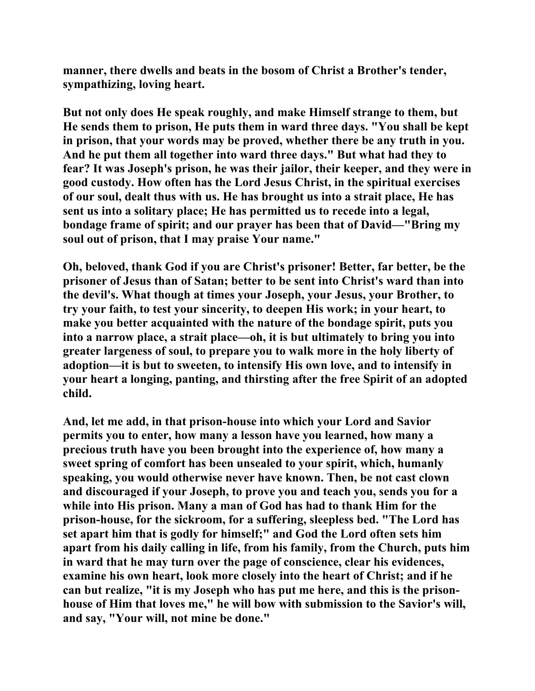**manner, there dwells and beats in the bosom of Christ a Brother's tender, sympathizing, loving heart.** 

**But not only does He speak roughly, and make Himself strange to them, but He sends them to prison, He puts them in ward three days. "You shall be kept in prison, that your words may be proved, whether there be any truth in you. And he put them all together into ward three days." But what had they to fear? It was Joseph's prison, he was their jailor, their keeper, and they were in good custody. How often has the Lord Jesus Christ, in the spiritual exercises of our soul, dealt thus with us. He has brought us into a strait place, He has sent us into a solitary place; He has permitted us to recede into a legal, bondage frame of spirit; and our prayer has been that of David—"Bring my soul out of prison, that I may praise Your name."** 

**Oh, beloved, thank God if you are Christ's prisoner! Better, far better, be the prisoner of Jesus than of Satan; better to be sent into Christ's ward than into the devil's. What though at times your Joseph, your Jesus, your Brother, to try your faith, to test your sincerity, to deepen His work; in your heart, to make you better acquainted with the nature of the bondage spirit, puts you into a narrow place, a strait place—oh, it is but ultimately to bring you into greater largeness of soul, to prepare you to walk more in the holy liberty of adoption—it is but to sweeten, to intensify His own love, and to intensify in your heart a longing, panting, and thirsting after the free Spirit of an adopted child.** 

**And, let me add, in that prison-house into which your Lord and Savior permits you to enter, how many a lesson have you learned, how many a precious truth have you been brought into the experience of, how many a sweet spring of comfort has been unsealed to your spirit, which, humanly speaking, you would otherwise never have known. Then, be not cast clown and discouraged if your Joseph, to prove you and teach you, sends you for a while into His prison. Many a man of God has had to thank Him for the prison-house, for the sickroom, for a suffering, sleepless bed. "The Lord has set apart him that is godly for himself;" and God the Lord often sets him apart from his daily calling in life, from his family, from the Church, puts him in ward that he may turn over the page of conscience, clear his evidences, examine his own heart, look more closely into the heart of Christ; and if he can but realize, "it is my Joseph who has put me here, and this is the prisonhouse of Him that loves me," he will bow with submission to the Savior's will, and say, "Your will, not mine be done."**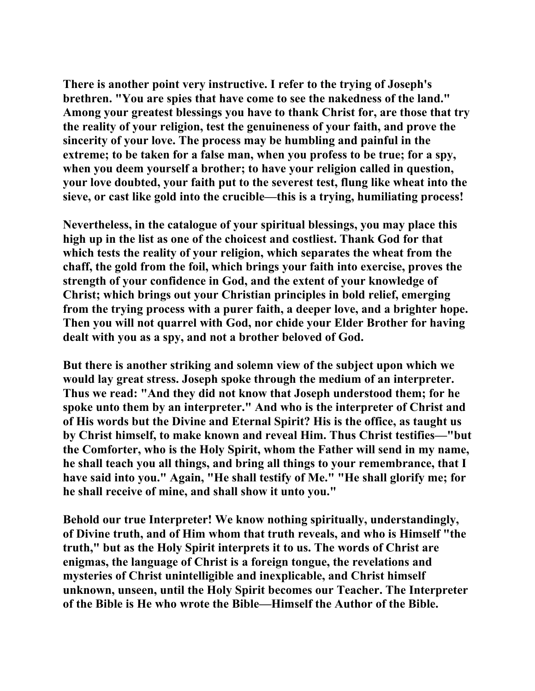**There is another point very instructive. I refer to the trying of Joseph's brethren. "You are spies that have come to see the nakedness of the land." Among your greatest blessings you have to thank Christ for, are those that try the reality of your religion, test the genuineness of your faith, and prove the sincerity of your love. The process may be humbling and painful in the extreme; to be taken for a false man, when you profess to be true; for a spy, when you deem yourself a brother; to have your religion called in question, your love doubted, your faith put to the severest test, flung like wheat into the sieve, or cast like gold into the crucible—this is a trying, humiliating process!** 

**Nevertheless, in the catalogue of your spiritual blessings, you may place this high up in the list as one of the choicest and costliest. Thank God for that which tests the reality of your religion, which separates the wheat from the chaff, the gold from the foil, which brings your faith into exercise, proves the strength of your confidence in God, and the extent of your knowledge of Christ; which brings out your Christian principles in bold relief, emerging from the trying process with a purer faith, a deeper love, and a brighter hope. Then you will not quarrel with God, nor chide your Elder Brother for having dealt with you as a spy, and not a brother beloved of God.** 

**But there is another striking and solemn view of the subject upon which we would lay great stress. Joseph spoke through the medium of an interpreter. Thus we read: "And they did not know that Joseph understood them; for he spoke unto them by an interpreter." And who is the interpreter of Christ and of His words but the Divine and Eternal Spirit? His is the office, as taught us by Christ himself, to make known and reveal Him. Thus Christ testifies—"but the Comforter, who is the Holy Spirit, whom the Father will send in my name, he shall teach you all things, and bring all things to your remembrance, that I have said into you." Again, "He shall testify of Me." "He shall glorify me; for he shall receive of mine, and shall show it unto you."** 

**Behold our true Interpreter! We know nothing spiritually, understandingly, of Divine truth, and of Him whom that truth reveals, and who is Himself "the truth," but as the Holy Spirit interprets it to us. The words of Christ are enigmas, the language of Christ is a foreign tongue, the revelations and mysteries of Christ unintelligible and inexplicable, and Christ himself unknown, unseen, until the Holy Spirit becomes our Teacher. The Interpreter of the Bible is He who wrote the Bible—Himself the Author of the Bible.**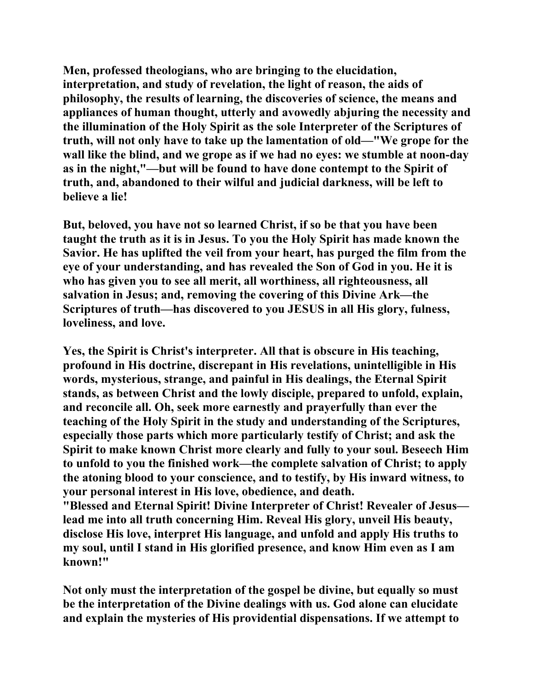**Men, professed theologians, who are bringing to the elucidation, interpretation, and study of revelation, the light of reason, the aids of philosophy, the results of learning, the discoveries of science, the means and appliances of human thought, utterly and avowedly abjuring the necessity and the illumination of the Holy Spirit as the sole Interpreter of the Scriptures of truth, will not only have to take up the lamentation of old—"We grope for the wall like the blind, and we grope as if we had no eyes: we stumble at noon-day as in the night,"—but will be found to have done contempt to the Spirit of truth, and, abandoned to their wilful and judicial darkness, will be left to believe a lie!** 

**But, beloved, you have not so learned Christ, if so be that you have been taught the truth as it is in Jesus. To you the Holy Spirit has made known the Savior. He has uplifted the veil from your heart, has purged the film from the eye of your understanding, and has revealed the Son of God in you. He it is who has given you to see all merit, all worthiness, all righteousness, all salvation in Jesus; and, removing the covering of this Divine Ark—the Scriptures of truth—has discovered to you JESUS in all His glory, fulness, loveliness, and love.** 

**Yes, the Spirit is Christ's interpreter. All that is obscure in His teaching, profound in His doctrine, discrepant in His revelations, unintelligible in His words, mysterious, strange, and painful in His dealings, the Eternal Spirit stands, as between Christ and the lowly disciple, prepared to unfold, explain, and reconcile all. Oh, seek more earnestly and prayerfully than ever the teaching of the Holy Spirit in the study and understanding of the Scriptures, especially those parts which more particularly testify of Christ; and ask the Spirit to make known Christ more clearly and fully to your soul. Beseech Him to unfold to you the finished work—the complete salvation of Christ; to apply the atoning blood to your conscience, and to testify, by His inward witness, to your personal interest in His love, obedience, and death.** 

**"Blessed and Eternal Spirit! Divine Interpreter of Christ! Revealer of Jesus lead me into all truth concerning Him. Reveal His glory, unveil His beauty, disclose His love, interpret His language, and unfold and apply His truths to my soul, until I stand in His glorified presence, and know Him even as I am known!"** 

**Not only must the interpretation of the gospel be divine, but equally so must be the interpretation of the Divine dealings with us. God alone can elucidate and explain the mysteries of His providential dispensations. If we attempt to**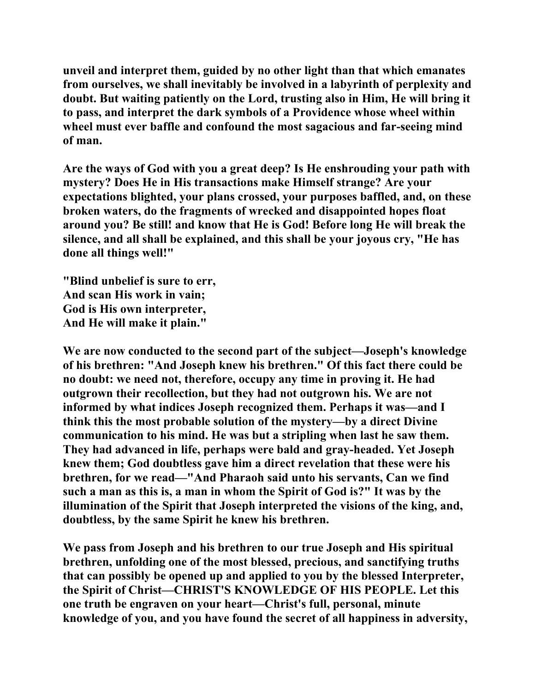**unveil and interpret them, guided by no other light than that which emanates from ourselves, we shall inevitably be involved in a labyrinth of perplexity and doubt. But waiting patiently on the Lord, trusting also in Him, He will bring it to pass, and interpret the dark symbols of a Providence whose wheel within wheel must ever baffle and confound the most sagacious and far-seeing mind of man.** 

**Are the ways of God with you a great deep? Is He enshrouding your path with mystery? Does He in His transactions make Himself strange? Are your expectations blighted, your plans crossed, your purposes baffled, and, on these broken waters, do the fragments of wrecked and disappointed hopes float around you? Be still! and know that He is God! Before long He will break the silence, and all shall be explained, and this shall be your joyous cry, "He has done all things well!"** 

**"Blind unbelief is sure to err, And scan His work in vain; God is His own interpreter, And He will make it plain."** 

**We are now conducted to the second part of the subject—Joseph's knowledge of his brethren: "And Joseph knew his brethren." Of this fact there could be no doubt: we need not, therefore, occupy any time in proving it. He had outgrown their recollection, but they had not outgrown his. We are not informed by what indices Joseph recognized them. Perhaps it was—and I think this the most probable solution of the mystery—by a direct Divine communication to his mind. He was but a stripling when last he saw them. They had advanced in life, perhaps were bald and gray-headed. Yet Joseph knew them; God doubtless gave him a direct revelation that these were his brethren, for we read—"And Pharaoh said unto his servants, Can we find such a man as this is, a man in whom the Spirit of God is?" It was by the illumination of the Spirit that Joseph interpreted the visions of the king, and, doubtless, by the same Spirit he knew his brethren.** 

**We pass from Joseph and his brethren to our true Joseph and His spiritual brethren, unfolding one of the most blessed, precious, and sanctifying truths that can possibly be opened up and applied to you by the blessed Interpreter, the Spirit of Christ—CHRIST'S KNOWLEDGE OF HIS PEOPLE. Let this one truth be engraven on your heart—Christ's full, personal, minute knowledge of you, and you have found the secret of all happiness in adversity,**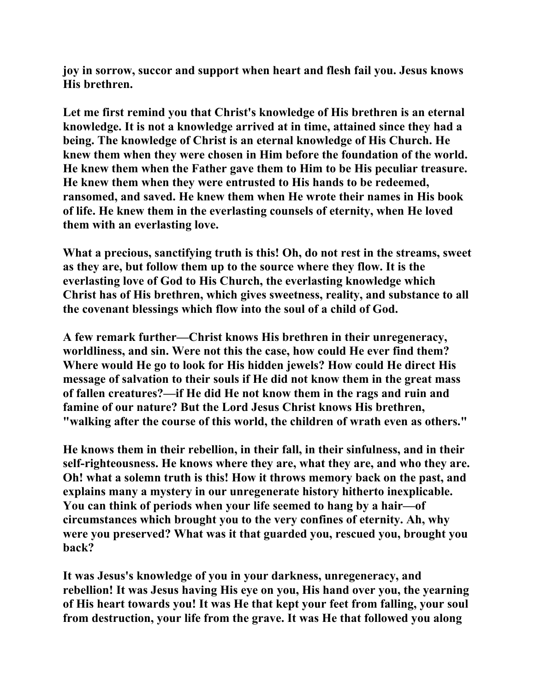**joy in sorrow, succor and support when heart and flesh fail you. Jesus knows His brethren.** 

**Let me first remind you that Christ's knowledge of His brethren is an eternal knowledge. It is not a knowledge arrived at in time, attained since they had a being. The knowledge of Christ is an eternal knowledge of His Church. He knew them when they were chosen in Him before the foundation of the world. He knew them when the Father gave them to Him to be His peculiar treasure. He knew them when they were entrusted to His hands to be redeemed, ransomed, and saved. He knew them when He wrote their names in His book of life. He knew them in the everlasting counsels of eternity, when He loved them with an everlasting love.** 

**What a precious, sanctifying truth is this! Oh, do not rest in the streams, sweet as they are, but follow them up to the source where they flow. It is the everlasting love of God to His Church, the everlasting knowledge which Christ has of His brethren, which gives sweetness, reality, and substance to all the covenant blessings which flow into the soul of a child of God.** 

**A few remark further—Christ knows His brethren in their unregeneracy, worldliness, and sin. Were not this the case, how could He ever find them? Where would He go to look for His hidden jewels? How could He direct His message of salvation to their souls if He did not know them in the great mass of fallen creatures?—if He did He not know them in the rags and ruin and famine of our nature? But the Lord Jesus Christ knows His brethren, "walking after the course of this world, the children of wrath even as others."** 

**He knows them in their rebellion, in their fall, in their sinfulness, and in their self-righteousness. He knows where they are, what they are, and who they are. Oh! what a solemn truth is this! How it throws memory back on the past, and explains many a mystery in our unregenerate history hitherto inexplicable. You can think of periods when your life seemed to hang by a hair—of circumstances which brought you to the very confines of eternity. Ah, why were you preserved? What was it that guarded you, rescued you, brought you back?** 

**It was Jesus's knowledge of you in your darkness, unregeneracy, and rebellion! It was Jesus having His eye on you, His hand over you, the yearning of His heart towards you! It was He that kept your feet from falling, your soul from destruction, your life from the grave. It was He that followed you along**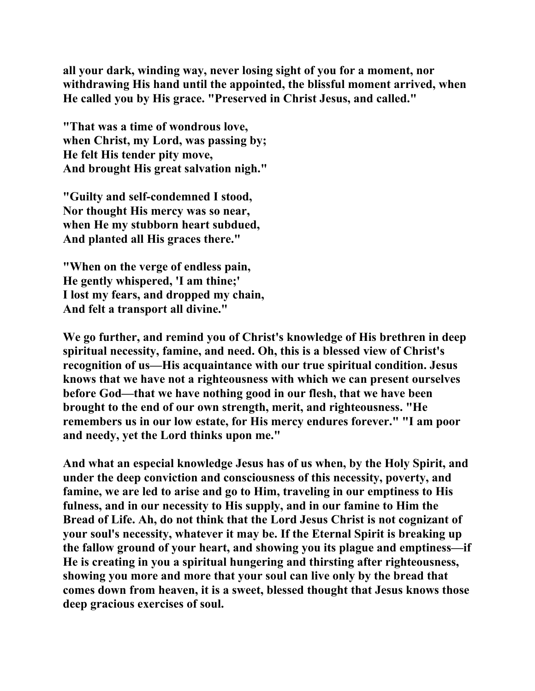**all your dark, winding way, never losing sight of you for a moment, nor withdrawing His hand until the appointed, the blissful moment arrived, when He called you by His grace. "Preserved in Christ Jesus, and called."** 

**"That was a time of wondrous love, when Christ, my Lord, was passing by; He felt His tender pity move, And brought His great salvation nigh."** 

**"Guilty and self-condemned I stood, Nor thought His mercy was so near, when He my stubborn heart subdued, And planted all His graces there."** 

**"When on the verge of endless pain, He gently whispered, 'I am thine;' I lost my fears, and dropped my chain, And felt a transport all divine."** 

**We go further, and remind you of Christ's knowledge of His brethren in deep spiritual necessity, famine, and need. Oh, this is a blessed view of Christ's recognition of us—His acquaintance with our true spiritual condition. Jesus knows that we have not a righteousness with which we can present ourselves before God—that we have nothing good in our flesh, that we have been brought to the end of our own strength, merit, and righteousness. "He remembers us in our low estate, for His mercy endures forever." "I am poor and needy, yet the Lord thinks upon me."** 

**And what an especial knowledge Jesus has of us when, by the Holy Spirit, and under the deep conviction and consciousness of this necessity, poverty, and famine, we are led to arise and go to Him, traveling in our emptiness to His fulness, and in our necessity to His supply, and in our famine to Him the Bread of Life. Ah, do not think that the Lord Jesus Christ is not cognizant of your soul's necessity, whatever it may be. If the Eternal Spirit is breaking up the fallow ground of your heart, and showing you its plague and emptiness—if He is creating in you a spiritual hungering and thirsting after righteousness, showing you more and more that your soul can live only by the bread that comes down from heaven, it is a sweet, blessed thought that Jesus knows those deep gracious exercises of soul.**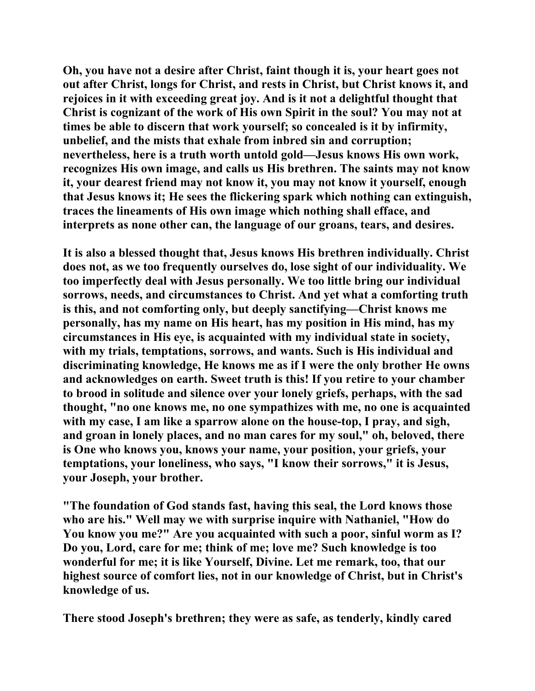**Oh, you have not a desire after Christ, faint though it is, your heart goes not out after Christ, longs for Christ, and rests in Christ, but Christ knows it, and rejoices in it with exceeding great joy. And is it not a delightful thought that Christ is cognizant of the work of His own Spirit in the soul? You may not at times be able to discern that work yourself; so concealed is it by infirmity, unbelief, and the mists that exhale from inbred sin and corruption; nevertheless, here is a truth worth untold gold—Jesus knows His own work, recognizes His own image, and calls us His brethren. The saints may not know it, your dearest friend may not know it, you may not know it yourself, enough that Jesus knows it; He sees the flickering spark which nothing can extinguish, traces the lineaments of His own image which nothing shall efface, and interprets as none other can, the language of our groans, tears, and desires.** 

**It is also a blessed thought that, Jesus knows His brethren individually. Christ does not, as we too frequently ourselves do, lose sight of our individuality. We too imperfectly deal with Jesus personally. We too little bring our individual sorrows, needs, and circumstances to Christ. And yet what a comforting truth is this, and not comforting only, but deeply sanctifying—Christ knows me personally, has my name on His heart, has my position in His mind, has my circumstances in His eye, is acquainted with my individual state in society, with my trials, temptations, sorrows, and wants. Such is His individual and discriminating knowledge, He knows me as if I were the only brother He owns and acknowledges on earth. Sweet truth is this! If you retire to your chamber to brood in solitude and silence over your lonely griefs, perhaps, with the sad thought, "no one knows me, no one sympathizes with me, no one is acquainted with my case, I am like a sparrow alone on the house-top, I pray, and sigh, and groan in lonely places, and no man cares for my soul," oh, beloved, there is One who knows you, knows your name, your position, your griefs, your temptations, your loneliness, who says, "I know their sorrows," it is Jesus, your Joseph, your brother.** 

**"The foundation of God stands fast, having this seal, the Lord knows those who are his." Well may we with surprise inquire with Nathaniel, "How do You know you me?" Are you acquainted with such a poor, sinful worm as I? Do you, Lord, care for me; think of me; love me? Such knowledge is too wonderful for me; it is like Yourself, Divine. Let me remark, too, that our highest source of comfort lies, not in our knowledge of Christ, but in Christ's knowledge of us.** 

**There stood Joseph's brethren; they were as safe, as tenderly, kindly cared**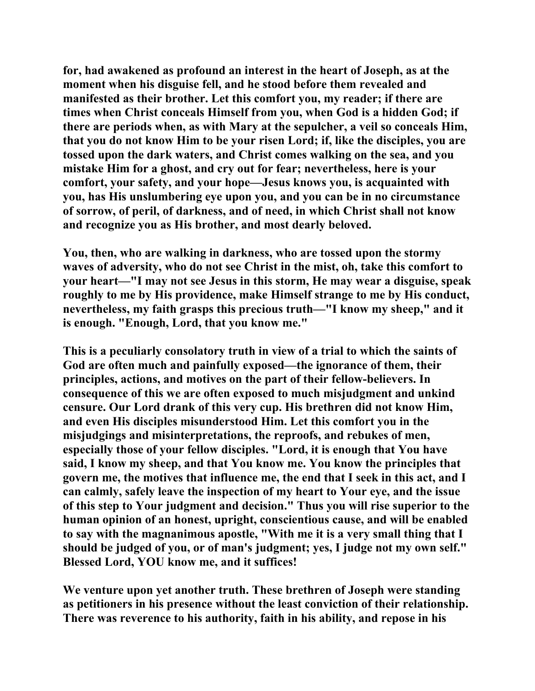**for, had awakened as profound an interest in the heart of Joseph, as at the moment when his disguise fell, and he stood before them revealed and manifested as their brother. Let this comfort you, my reader; if there are times when Christ conceals Himself from you, when God is a hidden God; if there are periods when, as with Mary at the sepulcher, a veil so conceals Him, that you do not know Him to be your risen Lord; if, like the disciples, you are tossed upon the dark waters, and Christ comes walking on the sea, and you mistake Him for a ghost, and cry out for fear; nevertheless, here is your comfort, your safety, and your hope—Jesus knows you, is acquainted with you, has His unslumbering eye upon you, and you can be in no circumstance of sorrow, of peril, of darkness, and of need, in which Christ shall not know and recognize you as His brother, and most dearly beloved.** 

**You, then, who are walking in darkness, who are tossed upon the stormy waves of adversity, who do not see Christ in the mist, oh, take this comfort to your heart—"I may not see Jesus in this storm, He may wear a disguise, speak roughly to me by His providence, make Himself strange to me by His conduct, nevertheless, my faith grasps this precious truth—"I know my sheep," and it is enough. "Enough, Lord, that you know me."** 

**This is a peculiarly consolatory truth in view of a trial to which the saints of God are often much and painfully exposed—the ignorance of them, their principles, actions, and motives on the part of their fellow-believers. In consequence of this we are often exposed to much misjudgment and unkind censure. Our Lord drank of this very cup. His brethren did not know Him, and even His disciples misunderstood Him. Let this comfort you in the misjudgings and misinterpretations, the reproofs, and rebukes of men, especially those of your fellow disciples. "Lord, it is enough that You have said, I know my sheep, and that You know me. You know the principles that govern me, the motives that influence me, the end that I seek in this act, and I can calmly, safely leave the inspection of my heart to Your eye, and the issue of this step to Your judgment and decision." Thus you will rise superior to the human opinion of an honest, upright, conscientious cause, and will be enabled to say with the magnanimous apostle, "With me it is a very small thing that I should be judged of you, or of man's judgment; yes, I judge not my own self." Blessed Lord, YOU know me, and it suffices!** 

**We venture upon yet another truth. These brethren of Joseph were standing as petitioners in his presence without the least conviction of their relationship. There was reverence to his authority, faith in his ability, and repose in his**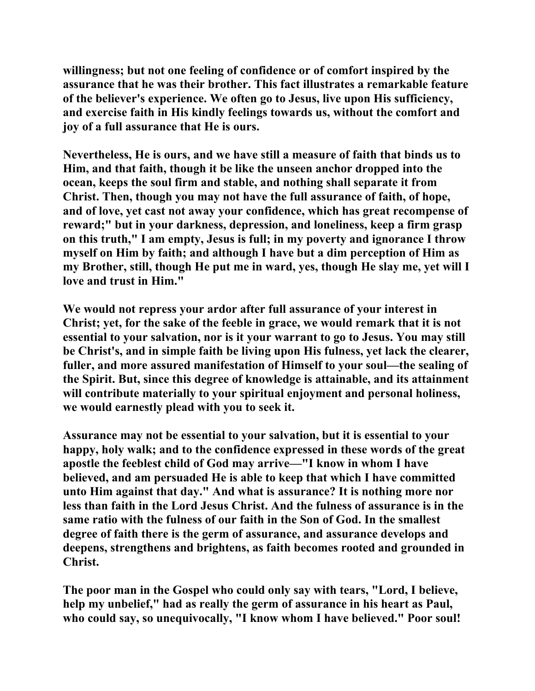**willingness; but not one feeling of confidence or of comfort inspired by the assurance that he was their brother. This fact illustrates a remarkable feature of the believer's experience. We often go to Jesus, live upon His sufficiency, and exercise faith in His kindly feelings towards us, without the comfort and joy of a full assurance that He is ours.** 

**Nevertheless, He is ours, and we have still a measure of faith that binds us to Him, and that faith, though it be like the unseen anchor dropped into the ocean, keeps the soul firm and stable, and nothing shall separate it from Christ. Then, though you may not have the full assurance of faith, of hope, and of love, yet cast not away your confidence, which has great recompense of reward;" but in your darkness, depression, and loneliness, keep a firm grasp on this truth," I am empty, Jesus is full; in my poverty and ignorance I throw myself on Him by faith; and although I have but a dim perception of Him as my Brother, still, though He put me in ward, yes, though He slay me, yet will I love and trust in Him."** 

**We would not repress your ardor after full assurance of your interest in Christ; yet, for the sake of the feeble in grace, we would remark that it is not essential to your salvation, nor is it your warrant to go to Jesus. You may still be Christ's, and in simple faith be living upon His fulness, yet lack the clearer, fuller, and more assured manifestation of Himself to your soul—the sealing of the Spirit. But, since this degree of knowledge is attainable, and its attainment will contribute materially to your spiritual enjoyment and personal holiness, we would earnestly plead with you to seek it.** 

**Assurance may not be essential to your salvation, but it is essential to your happy, holy walk; and to the confidence expressed in these words of the great apostle the feeblest child of God may arrive—"I know in whom I have believed, and am persuaded He is able to keep that which I have committed unto Him against that day." And what is assurance? It is nothing more nor less than faith in the Lord Jesus Christ. And the fulness of assurance is in the same ratio with the fulness of our faith in the Son of God. In the smallest degree of faith there is the germ of assurance, and assurance develops and deepens, strengthens and brightens, as faith becomes rooted and grounded in Christ.** 

**The poor man in the Gospel who could only say with tears, "Lord, I believe, help my unbelief," had as really the germ of assurance in his heart as Paul, who could say, so unequivocally, "I know whom I have believed." Poor soul!**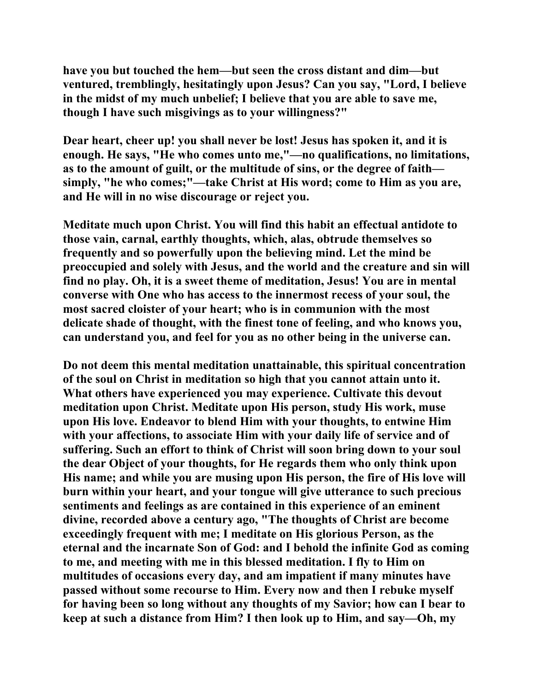**have you but touched the hem—but seen the cross distant and dim—but ventured, tremblingly, hesitatingly upon Jesus? Can you say, "Lord, I believe in the midst of my much unbelief; I believe that you are able to save me, though I have such misgivings as to your willingness?"** 

**Dear heart, cheer up! you shall never be lost! Jesus has spoken it, and it is enough. He says, "He who comes unto me,"—no qualifications, no limitations, as to the amount of guilt, or the multitude of sins, or the degree of faith simply, "he who comes;"—take Christ at His word; come to Him as you are, and He will in no wise discourage or reject you.** 

**Meditate much upon Christ. You will find this habit an effectual antidote to those vain, carnal, earthly thoughts, which, alas, obtrude themselves so frequently and so powerfully upon the believing mind. Let the mind be preoccupied and solely with Jesus, and the world and the creature and sin will find no play. Oh, it is a sweet theme of meditation, Jesus! You are in mental converse with One who has access to the innermost recess of your soul, the most sacred cloister of your heart; who is in communion with the most delicate shade of thought, with the finest tone of feeling, and who knows you, can understand you, and feel for you as no other being in the universe can.** 

**Do not deem this mental meditation unattainable, this spiritual concentration of the soul on Christ in meditation so high that you cannot attain unto it. What others have experienced you may experience. Cultivate this devout meditation upon Christ. Meditate upon His person, study His work, muse upon His love. Endeavor to blend Him with your thoughts, to entwine Him with your affections, to associate Him with your daily life of service and of suffering. Such an effort to think of Christ will soon bring down to your soul the dear Object of your thoughts, for He regards them who only think upon His name; and while you are musing upon His person, the fire of His love will burn within your heart, and your tongue will give utterance to such precious sentiments and feelings as are contained in this experience of an eminent divine, recorded above a century ago, "The thoughts of Christ are become exceedingly frequent with me; I meditate on His glorious Person, as the eternal and the incarnate Son of God: and I behold the infinite God as coming to me, and meeting with me in this blessed meditation. I fly to Him on multitudes of occasions every day, and am impatient if many minutes have passed without some recourse to Him. Every now and then I rebuke myself for having been so long without any thoughts of my Savior; how can I bear to keep at such a distance from Him? I then look up to Him, and say—Oh, my**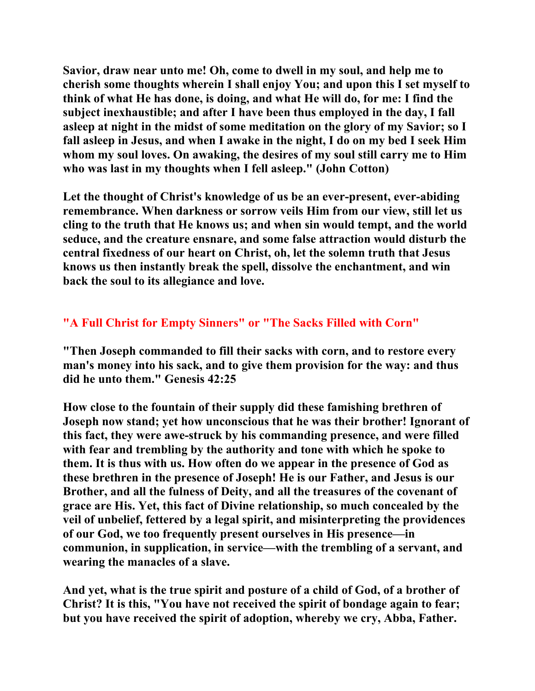**Savior, draw near unto me! Oh, come to dwell in my soul, and help me to cherish some thoughts wherein I shall enjoy You; and upon this I set myself to think of what He has done, is doing, and what He will do, for me: I find the subject inexhaustible; and after I have been thus employed in the day, I fall asleep at night in the midst of some meditation on the glory of my Savior; so I fall asleep in Jesus, and when I awake in the night, I do on my bed I seek Him whom my soul loves. On awaking, the desires of my soul still carry me to Him who was last in my thoughts when I fell asleep." (John Cotton)** 

**Let the thought of Christ's knowledge of us be an ever-present, ever-abiding remembrance. When darkness or sorrow veils Him from our view, still let us cling to the truth that He knows us; and when sin would tempt, and the world seduce, and the creature ensnare, and some false attraction would disturb the central fixedness of our heart on Christ, oh, let the solemn truth that Jesus knows us then instantly break the spell, dissolve the enchantment, and win back the soul to its allegiance and love.** 

## **"A Full Christ for Empty Sinners" or "The Sacks Filled with Corn"**

**"Then Joseph commanded to fill their sacks with corn, and to restore every man's money into his sack, and to give them provision for the way: and thus did he unto them." Genesis 42:25** 

**How close to the fountain of their supply did these famishing brethren of Joseph now stand; yet how unconscious that he was their brother! Ignorant of this fact, they were awe-struck by his commanding presence, and were filled with fear and trembling by the authority and tone with which he spoke to them. It is thus with us. How often do we appear in the presence of God as these brethren in the presence of Joseph! He is our Father, and Jesus is our Brother, and all the fulness of Deity, and all the treasures of the covenant of grace are His. Yet, this fact of Divine relationship, so much concealed by the veil of unbelief, fettered by a legal spirit, and misinterpreting the providences of our God, we too frequently present ourselves in His presence—in communion, in supplication, in service—with the trembling of a servant, and wearing the manacles of a slave.** 

**And yet, what is the true spirit and posture of a child of God, of a brother of Christ? It is this, "You have not received the spirit of bondage again to fear; but you have received the spirit of adoption, whereby we cry, Abba, Father.**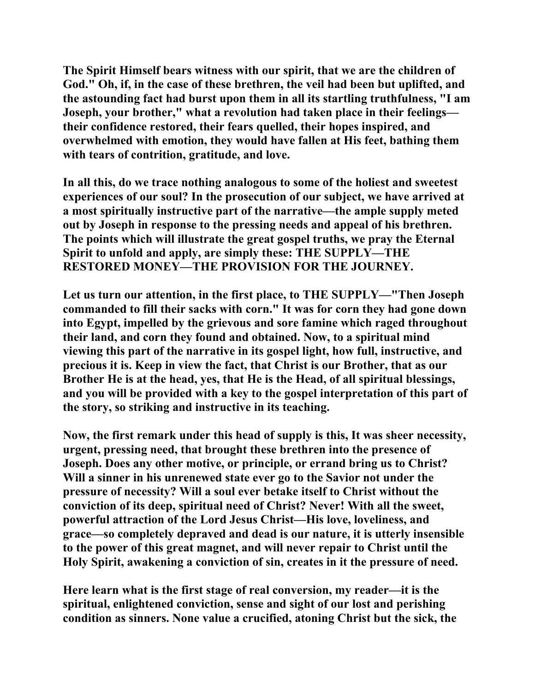**The Spirit Himself bears witness with our spirit, that we are the children of God." Oh, if, in the case of these brethren, the veil had been but uplifted, and the astounding fact had burst upon them in all its startling truthfulness, "I am Joseph, your brother," what a revolution had taken place in their feelings their confidence restored, their fears quelled, their hopes inspired, and overwhelmed with emotion, they would have fallen at His feet, bathing them with tears of contrition, gratitude, and love.** 

**In all this, do we trace nothing analogous to some of the holiest and sweetest experiences of our soul? In the prosecution of our subject, we have arrived at a most spiritually instructive part of the narrative—the ample supply meted out by Joseph in response to the pressing needs and appeal of his brethren. The points which will illustrate the great gospel truths, we pray the Eternal Spirit to unfold and apply, are simply these: THE SUPPLY—THE RESTORED MONEY—THE PROVISION FOR THE JOURNEY.** 

**Let us turn our attention, in the first place, to THE SUPPLY—"Then Joseph commanded to fill their sacks with corn." It was for corn they had gone down into Egypt, impelled by the grievous and sore famine which raged throughout their land, and corn they found and obtained. Now, to a spiritual mind viewing this part of the narrative in its gospel light, how full, instructive, and precious it is. Keep in view the fact, that Christ is our Brother, that as our Brother He is at the head, yes, that He is the Head, of all spiritual blessings, and you will be provided with a key to the gospel interpretation of this part of the story, so striking and instructive in its teaching.** 

**Now, the first remark under this head of supply is this, It was sheer necessity, urgent, pressing need, that brought these brethren into the presence of Joseph. Does any other motive, or principle, or errand bring us to Christ? Will a sinner in his unrenewed state ever go to the Savior not under the pressure of necessity? Will a soul ever betake itself to Christ without the conviction of its deep, spiritual need of Christ? Never! With all the sweet, powerful attraction of the Lord Jesus Christ—His love, loveliness, and grace—so completely depraved and dead is our nature, it is utterly insensible to the power of this great magnet, and will never repair to Christ until the Holy Spirit, awakening a conviction of sin, creates in it the pressure of need.** 

**Here learn what is the first stage of real conversion, my reader—it is the spiritual, enlightened conviction, sense and sight of our lost and perishing condition as sinners. None value a crucified, atoning Christ but the sick, the**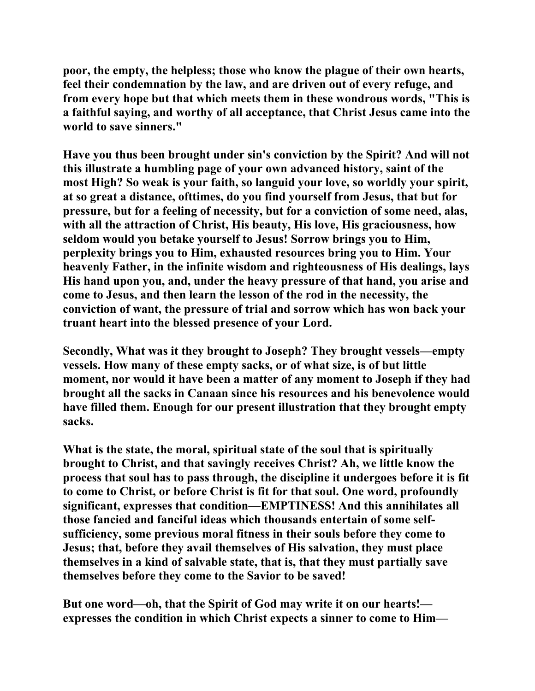**poor, the empty, the helpless; those who know the plague of their own hearts, feel their condemnation by the law, and are driven out of every refuge, and from every hope but that which meets them in these wondrous words, "This is a faithful saying, and worthy of all acceptance, that Christ Jesus came into the world to save sinners."** 

**Have you thus been brought under sin's conviction by the Spirit? And will not this illustrate a humbling page of your own advanced history, saint of the most High? So weak is your faith, so languid your love, so worldly your spirit, at so great a distance, ofttimes, do you find yourself from Jesus, that but for pressure, but for a feeling of necessity, but for a conviction of some need, alas, with all the attraction of Christ, His beauty, His love, His graciousness, how seldom would you betake yourself to Jesus! Sorrow brings you to Him, perplexity brings you to Him, exhausted resources bring you to Him. Your heavenly Father, in the infinite wisdom and righteousness of His dealings, lays His hand upon you, and, under the heavy pressure of that hand, you arise and come to Jesus, and then learn the lesson of the rod in the necessity, the conviction of want, the pressure of trial and sorrow which has won back your truant heart into the blessed presence of your Lord.** 

**Secondly, What was it they brought to Joseph? They brought vessels—empty vessels. How many of these empty sacks, or of what size, is of but little moment, nor would it have been a matter of any moment to Joseph if they had brought all the sacks in Canaan since his resources and his benevolence would have filled them. Enough for our present illustration that they brought empty sacks.** 

**What is the state, the moral, spiritual state of the soul that is spiritually brought to Christ, and that savingly receives Christ? Ah, we little know the process that soul has to pass through, the discipline it undergoes before it is fit to come to Christ, or before Christ is fit for that soul. One word, profoundly significant, expresses that condition—EMPTINESS! And this annihilates all those fancied and fanciful ideas which thousands entertain of some selfsufficiency, some previous moral fitness in their souls before they come to Jesus; that, before they avail themselves of His salvation, they must place themselves in a kind of salvable state, that is, that they must partially save themselves before they come to the Savior to be saved!** 

**But one word—oh, that the Spirit of God may write it on our hearts! expresses the condition in which Christ expects a sinner to come to Him—**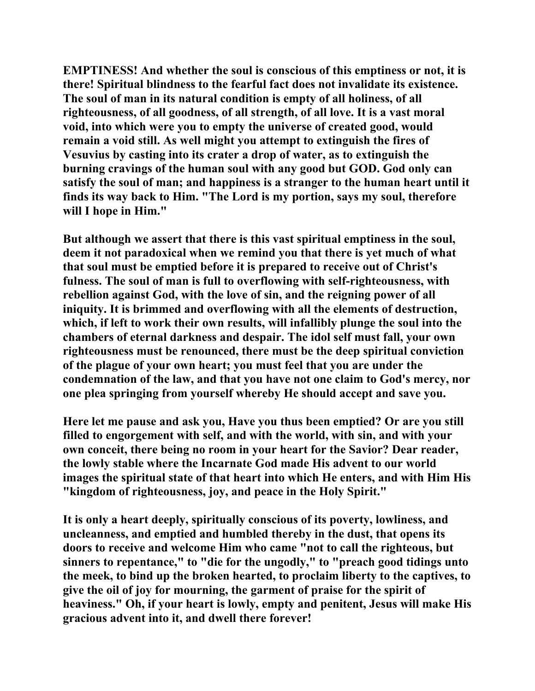**EMPTINESS! And whether the soul is conscious of this emptiness or not, it is there! Spiritual blindness to the fearful fact does not invalidate its existence. The soul of man in its natural condition is empty of all holiness, of all righteousness, of all goodness, of all strength, of all love. It is a vast moral void, into which were you to empty the universe of created good, would remain a void still. As well might you attempt to extinguish the fires of Vesuvius by casting into its crater a drop of water, as to extinguish the burning cravings of the human soul with any good but GOD. God only can satisfy the soul of man; and happiness is a stranger to the human heart until it finds its way back to Him. "The Lord is my portion, says my soul, therefore will I hope in Him."** 

**But although we assert that there is this vast spiritual emptiness in the soul, deem it not paradoxical when we remind you that there is yet much of what that soul must be emptied before it is prepared to receive out of Christ's fulness. The soul of man is full to overflowing with self-righteousness, with rebellion against God, with the love of sin, and the reigning power of all iniquity. It is brimmed and overflowing with all the elements of destruction, which, if left to work their own results, will infallibly plunge the soul into the chambers of eternal darkness and despair. The idol self must fall, your own righteousness must be renounced, there must be the deep spiritual conviction of the plague of your own heart; you must feel that you are under the condemnation of the law, and that you have not one claim to God's mercy, nor one plea springing from yourself whereby He should accept and save you.** 

**Here let me pause and ask you, Have you thus been emptied? Or are you still filled to engorgement with self, and with the world, with sin, and with your own conceit, there being no room in your heart for the Savior? Dear reader, the lowly stable where the Incarnate God made His advent to our world images the spiritual state of that heart into which He enters, and with Him His "kingdom of righteousness, joy, and peace in the Holy Spirit."** 

**It is only a heart deeply, spiritually conscious of its poverty, lowliness, and uncleanness, and emptied and humbled thereby in the dust, that opens its doors to receive and welcome Him who came "not to call the righteous, but sinners to repentance," to "die for the ungodly," to "preach good tidings unto the meek, to bind up the broken hearted, to proclaim liberty to the captives, to give the oil of joy for mourning, the garment of praise for the spirit of heaviness." Oh, if your heart is lowly, empty and penitent, Jesus will make His gracious advent into it, and dwell there forever!**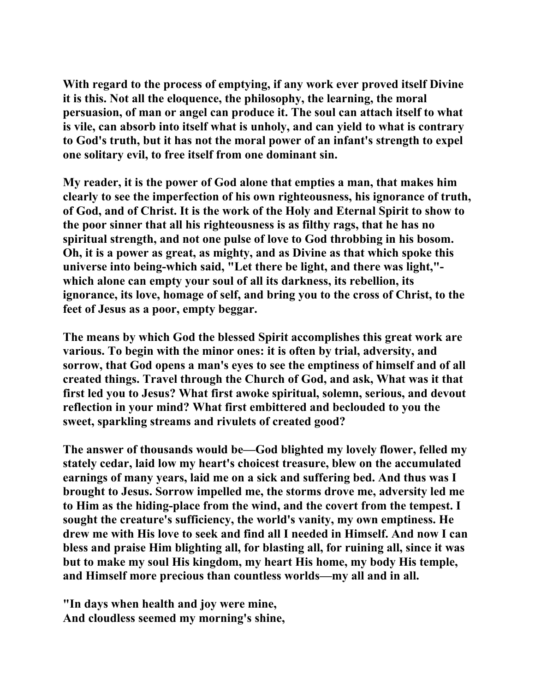**With regard to the process of emptying, if any work ever proved itself Divine it is this. Not all the eloquence, the philosophy, the learning, the moral persuasion, of man or angel can produce it. The soul can attach itself to what is vile, can absorb into itself what is unholy, and can yield to what is contrary to God's truth, but it has not the moral power of an infant's strength to expel one solitary evil, to free itself from one dominant sin.** 

**My reader, it is the power of God alone that empties a man, that makes him clearly to see the imperfection of his own righteousness, his ignorance of truth, of God, and of Christ. It is the work of the Holy and Eternal Spirit to show to the poor sinner that all his righteousness is as filthy rags, that he has no spiritual strength, and not one pulse of love to God throbbing in his bosom. Oh, it is a power as great, as mighty, and as Divine as that which spoke this universe into being-which said, "Let there be light, and there was light," which alone can empty your soul of all its darkness, its rebellion, its ignorance, its love, homage of self, and bring you to the cross of Christ, to the feet of Jesus as a poor, empty beggar.** 

**The means by which God the blessed Spirit accomplishes this great work are various. To begin with the minor ones: it is often by trial, adversity, and sorrow, that God opens a man's eyes to see the emptiness of himself and of all created things. Travel through the Church of God, and ask, What was it that first led you to Jesus? What first awoke spiritual, solemn, serious, and devout reflection in your mind? What first embittered and beclouded to you the sweet, sparkling streams and rivulets of created good?** 

**The answer of thousands would be—God blighted my lovely flower, felled my stately cedar, laid low my heart's choicest treasure, blew on the accumulated earnings of many years, laid me on a sick and suffering bed. And thus was I brought to Jesus. Sorrow impelled me, the storms drove me, adversity led me to Him as the hiding-place from the wind, and the covert from the tempest. I sought the creature's sufficiency, the world's vanity, my own emptiness. He drew me with His love to seek and find all I needed in Himself. And now I can bless and praise Him blighting all, for blasting all, for ruining all, since it was but to make my soul His kingdom, my heart His home, my body His temple, and Himself more precious than countless worlds—my all and in all.** 

**"In days when health and joy were mine, And cloudless seemed my morning's shine,**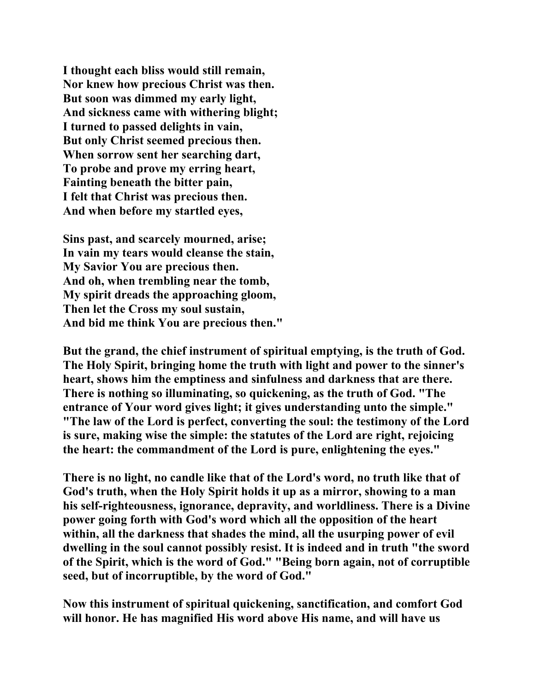**I thought each bliss would still remain, Nor knew how precious Christ was then. But soon was dimmed my early light, And sickness came with withering blight; I turned to passed delights in vain, But only Christ seemed precious then. When sorrow sent her searching dart, To probe and prove my erring heart, Fainting beneath the bitter pain, I felt that Christ was precious then. And when before my startled eyes,** 

**Sins past, and scarcely mourned, arise; In vain my tears would cleanse the stain, My Savior You are precious then. And oh, when trembling near the tomb, My spirit dreads the approaching gloom, Then let the Cross my soul sustain, And bid me think You are precious then."** 

**But the grand, the chief instrument of spiritual emptying, is the truth of God. The Holy Spirit, bringing home the truth with light and power to the sinner's heart, shows him the emptiness and sinfulness and darkness that are there. There is nothing so illuminating, so quickening, as the truth of God. "The entrance of Your word gives light; it gives understanding unto the simple." "The law of the Lord is perfect, converting the soul: the testimony of the Lord is sure, making wise the simple: the statutes of the Lord are right, rejoicing the heart: the commandment of the Lord is pure, enlightening the eyes."** 

**There is no light, no candle like that of the Lord's word, no truth like that of God's truth, when the Holy Spirit holds it up as a mirror, showing to a man his self-righteousness, ignorance, depravity, and worldliness. There is a Divine power going forth with God's word which all the opposition of the heart within, all the darkness that shades the mind, all the usurping power of evil dwelling in the soul cannot possibly resist. It is indeed and in truth "the sword of the Spirit, which is the word of God." "Being born again, not of corruptible seed, but of incorruptible, by the word of God."** 

**Now this instrument of spiritual quickening, sanctification, and comfort God will honor. He has magnified His word above His name, and will have us**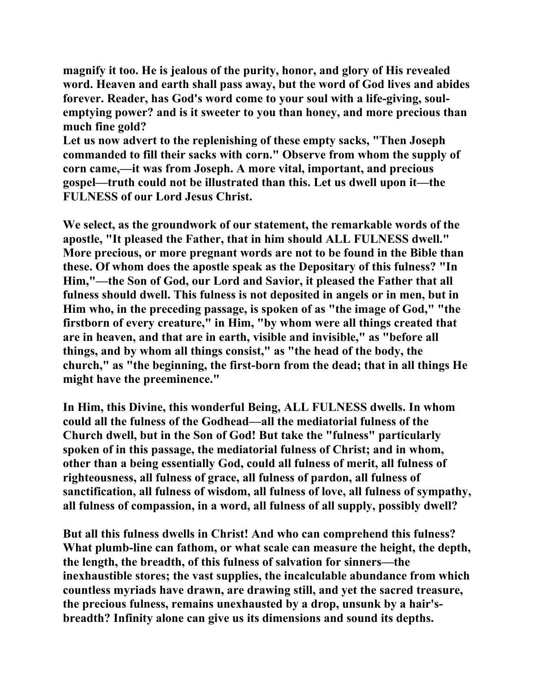**magnify it too. He is jealous of the purity, honor, and glory of His revealed word. Heaven and earth shall pass away, but the word of God lives and abides forever. Reader, has God's word come to your soul with a life-giving, soulemptying power? and is it sweeter to you than honey, and more precious than much fine gold?** 

**Let us now advert to the replenishing of these empty sacks, "Then Joseph commanded to fill their sacks with corn." Observe from whom the supply of corn came,—it was from Joseph. A more vital, important, and precious gospel—truth could not be illustrated than this. Let us dwell upon it—the FULNESS of our Lord Jesus Christ.** 

**We select, as the groundwork of our statement, the remarkable words of the apostle, "It pleased the Father, that in him should ALL FULNESS dwell." More precious, or more pregnant words are not to be found in the Bible than these. Of whom does the apostle speak as the Depositary of this fulness? "In Him,"—the Son of God, our Lord and Savior, it pleased the Father that all fulness should dwell. This fulness is not deposited in angels or in men, but in Him who, in the preceding passage, is spoken of as "the image of God," "the firstborn of every creature," in Him, "by whom were all things created that are in heaven, and that are in earth, visible and invisible," as "before all things, and by whom all things consist," as "the head of the body, the church," as "the beginning, the first-born from the dead; that in all things He might have the preeminence."** 

**In Him, this Divine, this wonderful Being, ALL FULNESS dwells. In whom could all the fulness of the Godhead—all the mediatorial fulness of the Church dwell, but in the Son of God! But take the "fulness" particularly spoken of in this passage, the mediatorial fulness of Christ; and in whom, other than a being essentially God, could all fulness of merit, all fulness of righteousness, all fulness of grace, all fulness of pardon, all fulness of sanctification, all fulness of wisdom, all fulness of love, all fulness of sympathy, all fulness of compassion, in a word, all fulness of all supply, possibly dwell?** 

**But all this fulness dwells in Christ! And who can comprehend this fulness? What plumb-line can fathom, or what scale can measure the height, the depth, the length, the breadth, of this fulness of salvation for sinners—the inexhaustible stores; the vast supplies, the incalculable abundance from which countless myriads have drawn, are drawing still, and yet the sacred treasure, the precious fulness, remains unexhausted by a drop, unsunk by a hair'sbreadth? Infinity alone can give us its dimensions and sound its depths.**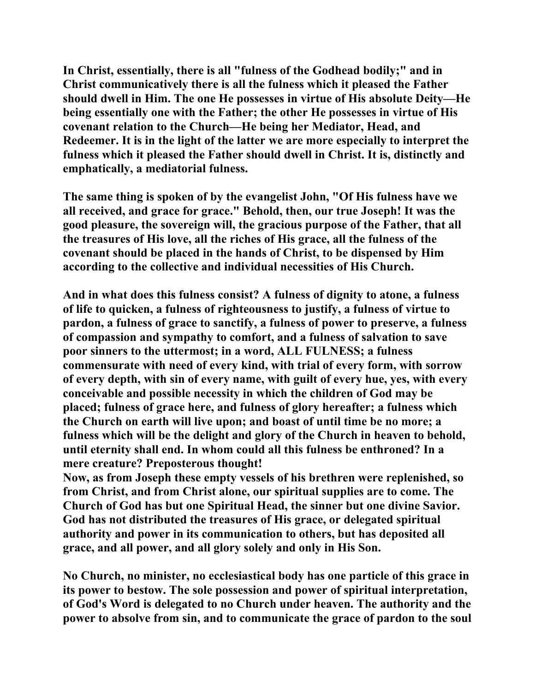**In Christ, essentially, there is all "fulness of the Godhead bodily;" and in Christ communicatively there is all the fulness which it pleased the Father should dwell in Him. The one He possesses in virtue of His absolute Deity—He being essentially one with the Father; the other He possesses in virtue of His covenant relation to the Church—He being her Mediator, Head, and Redeemer. It is in the light of the latter we are more especially to interpret the fulness which it pleased the Father should dwell in Christ. It is, distinctly and emphatically, a mediatorial fulness.** 

**The same thing is spoken of by the evangelist John, "Of His fulness have we all received, and grace for grace." Behold, then, our true Joseph! It was the good pleasure, the sovereign will, the gracious purpose of the Father, that all the treasures of His love, all the riches of His grace, all the fulness of the covenant should be placed in the hands of Christ, to be dispensed by Him according to the collective and individual necessities of His Church.** 

**And in what does this fulness consist? A fulness of dignity to atone, a fulness of life to quicken, a fulness of righteousness to justify, a fulness of virtue to pardon, a fulness of grace to sanctify, a fulness of power to preserve, a fulness of compassion and sympathy to comfort, and a fulness of salvation to save poor sinners to the uttermost; in a word, ALL FULNESS; a fulness commensurate with need of every kind, with trial of every form, with sorrow of every depth, with sin of every name, with guilt of every hue, yes, with every conceivable and possible necessity in which the children of God may be placed; fulness of grace here, and fulness of glory hereafter; a fulness which the Church on earth will live upon; and boast of until time be no more; a fulness which will be the delight and glory of the Church in heaven to behold, until eternity shall end. In whom could all this fulness be enthroned? In a mere creature? Preposterous thought!** 

**Now, as from Joseph these empty vessels of his brethren were replenished, so from Christ, and from Christ alone, our spiritual supplies are to come. The Church of God has but one Spiritual Head, the sinner but one divine Savior. God has not distributed the treasures of His grace, or delegated spiritual authority and power in its communication to others, but has deposited all grace, and all power, and all glory solely and only in His Son.** 

**No Church, no minister, no ecclesiastical body has one particle of this grace in its power to bestow. The sole possession and power of spiritual interpretation, of God's Word is delegated to no Church under heaven. The authority and the power to absolve from sin, and to communicate the grace of pardon to the soul**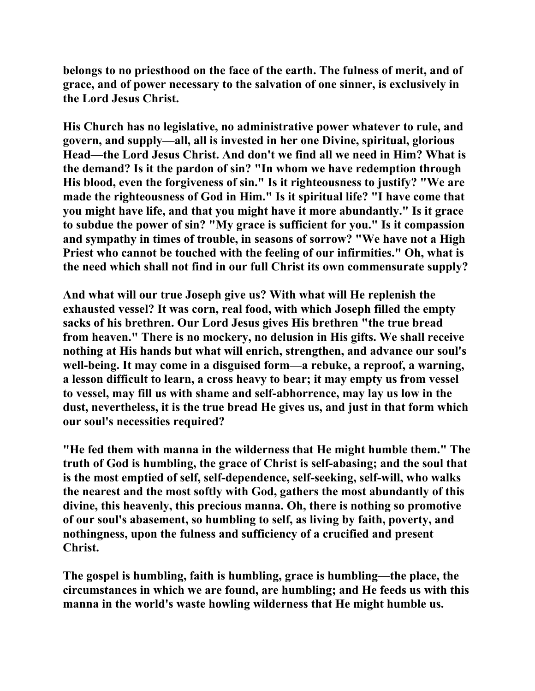**belongs to no priesthood on the face of the earth. The fulness of merit, and of grace, and of power necessary to the salvation of one sinner, is exclusively in the Lord Jesus Christ.** 

**His Church has no legislative, no administrative power whatever to rule, and govern, and supply—all, all is invested in her one Divine, spiritual, glorious Head—the Lord Jesus Christ. And don't we find all we need in Him? What is the demand? Is it the pardon of sin? "In whom we have redemption through His blood, even the forgiveness of sin." Is it righteousness to justify? "We are made the righteousness of God in Him." Is it spiritual life? "I have come that you might have life, and that you might have it more abundantly." Is it grace to subdue the power of sin? "My grace is sufficient for you." Is it compassion and sympathy in times of trouble, in seasons of sorrow? "We have not a High Priest who cannot be touched with the feeling of our infirmities." Oh, what is the need which shall not find in our full Christ its own commensurate supply?** 

**And what will our true Joseph give us? With what will He replenish the exhausted vessel? It was corn, real food, with which Joseph filled the empty sacks of his brethren. Our Lord Jesus gives His brethren "the true bread from heaven." There is no mockery, no delusion in His gifts. We shall receive nothing at His hands but what will enrich, strengthen, and advance our soul's well-being. It may come in a disguised form—a rebuke, a reproof, a warning, a lesson difficult to learn, a cross heavy to bear; it may empty us from vessel to vessel, may fill us with shame and self-abhorrence, may lay us low in the dust, nevertheless, it is the true bread He gives us, and just in that form which our soul's necessities required?** 

**"He fed them with manna in the wilderness that He might humble them." The truth of God is humbling, the grace of Christ is self-abasing; and the soul that is the most emptied of self, self-dependence, self-seeking, self-will, who walks the nearest and the most softly with God, gathers the most abundantly of this divine, this heavenly, this precious manna. Oh, there is nothing so promotive of our soul's abasement, so humbling to self, as living by faith, poverty, and nothingness, upon the fulness and sufficiency of a crucified and present Christ.** 

**The gospel is humbling, faith is humbling, grace is humbling—the place, the circumstances in which we are found, are humbling; and He feeds us with this manna in the world's waste howling wilderness that He might humble us.**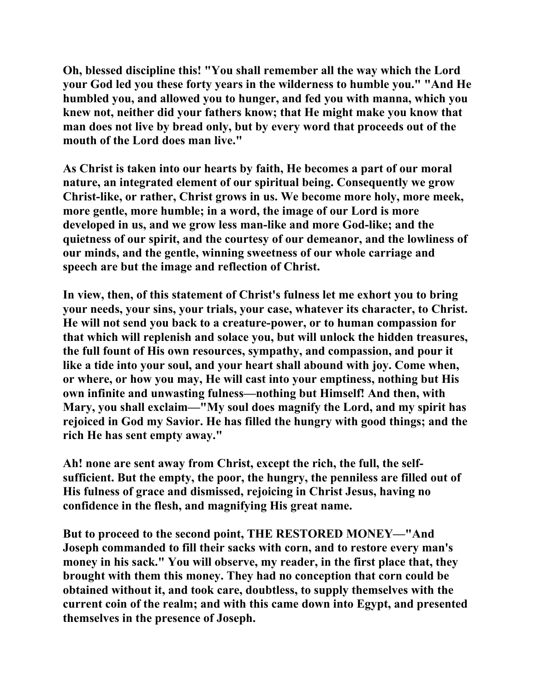**Oh, blessed discipline this! "You shall remember all the way which the Lord your God led you these forty years in the wilderness to humble you." "And He humbled you, and allowed you to hunger, and fed you with manna, which you knew not, neither did your fathers know; that He might make you know that man does not live by bread only, but by every word that proceeds out of the mouth of the Lord does man live."** 

**As Christ is taken into our hearts by faith, He becomes a part of our moral nature, an integrated element of our spiritual being. Consequently we grow Christ-like, or rather, Christ grows in us. We become more holy, more meek, more gentle, more humble; in a word, the image of our Lord is more developed in us, and we grow less man-like and more God-like; and the quietness of our spirit, and the courtesy of our demeanor, and the lowliness of our minds, and the gentle, winning sweetness of our whole carriage and speech are but the image and reflection of Christ.** 

**In view, then, of this statement of Christ's fulness let me exhort you to bring your needs, your sins, your trials, your case, whatever its character, to Christ. He will not send you back to a creature-power, or to human compassion for that which will replenish and solace you, but will unlock the hidden treasures, the full fount of His own resources, sympathy, and compassion, and pour it like a tide into your soul, and your heart shall abound with joy. Come when, or where, or how you may, He will cast into your emptiness, nothing but His own infinite and unwasting fulness—nothing but Himself! And then, with Mary, you shall exclaim—"My soul does magnify the Lord, and my spirit has rejoiced in God my Savior. He has filled the hungry with good things; and the rich He has sent empty away."** 

**Ah! none are sent away from Christ, except the rich, the full, the selfsufficient. But the empty, the poor, the hungry, the penniless are filled out of His fulness of grace and dismissed, rejoicing in Christ Jesus, having no confidence in the flesh, and magnifying His great name.** 

**But to proceed to the second point, THE RESTORED MONEY—"And Joseph commanded to fill their sacks with corn, and to restore every man's money in his sack." You will observe, my reader, in the first place that, they brought with them this money. They had no conception that corn could be obtained without it, and took care, doubtless, to supply themselves with the current coin of the realm; and with this came down into Egypt, and presented themselves in the presence of Joseph.**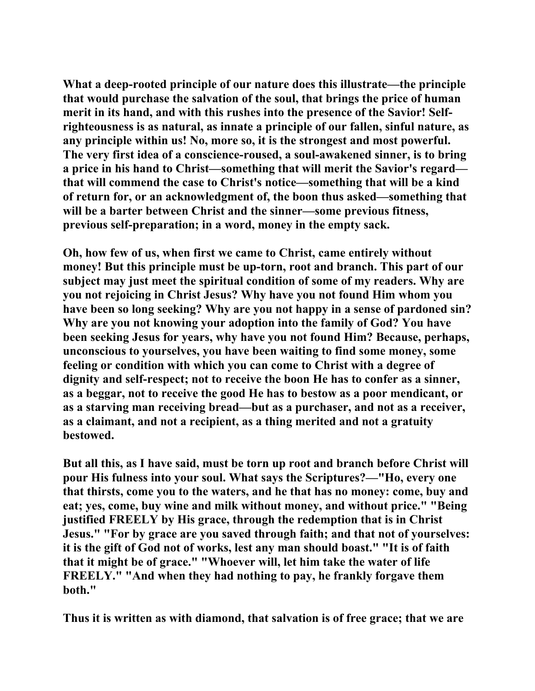**What a deep-rooted principle of our nature does this illustrate—the principle that would purchase the salvation of the soul, that brings the price of human merit in its hand, and with this rushes into the presence of the Savior! Selfrighteousness is as natural, as innate a principle of our fallen, sinful nature, as any principle within us! No, more so, it is the strongest and most powerful. The very first idea of a conscience-roused, a soul-awakened sinner, is to bring a price in his hand to Christ—something that will merit the Savior's regard that will commend the case to Christ's notice—something that will be a kind of return for, or an acknowledgment of, the boon thus asked—something that will be a barter between Christ and the sinner—some previous fitness, previous self-preparation; in a word, money in the empty sack.** 

**Oh, how few of us, when first we came to Christ, came entirely without money! But this principle must be up-torn, root and branch. This part of our subject may just meet the spiritual condition of some of my readers. Why are you not rejoicing in Christ Jesus? Why have you not found Him whom you have been so long seeking? Why are you not happy in a sense of pardoned sin? Why are you not knowing your adoption into the family of God? You have been seeking Jesus for years, why have you not found Him? Because, perhaps, unconscious to yourselves, you have been waiting to find some money, some feeling or condition with which you can come to Christ with a degree of dignity and self-respect; not to receive the boon He has to confer as a sinner, as a beggar, not to receive the good He has to bestow as a poor mendicant, or as a starving man receiving bread—but as a purchaser, and not as a receiver, as a claimant, and not a recipient, as a thing merited and not a gratuity bestowed.** 

**But all this, as I have said, must be torn up root and branch before Christ will pour His fulness into your soul. What says the Scriptures?—"Ho, every one that thirsts, come you to the waters, and he that has no money: come, buy and eat; yes, come, buy wine and milk without money, and without price." "Being justified FREELY by His grace, through the redemption that is in Christ Jesus." "For by grace are you saved through faith; and that not of yourselves: it is the gift of God not of works, lest any man should boast." "It is of faith that it might be of grace." "Whoever will, let him take the water of life FREELY." "And when they had nothing to pay, he frankly forgave them both."** 

**Thus it is written as with diamond, that salvation is of free grace; that we are**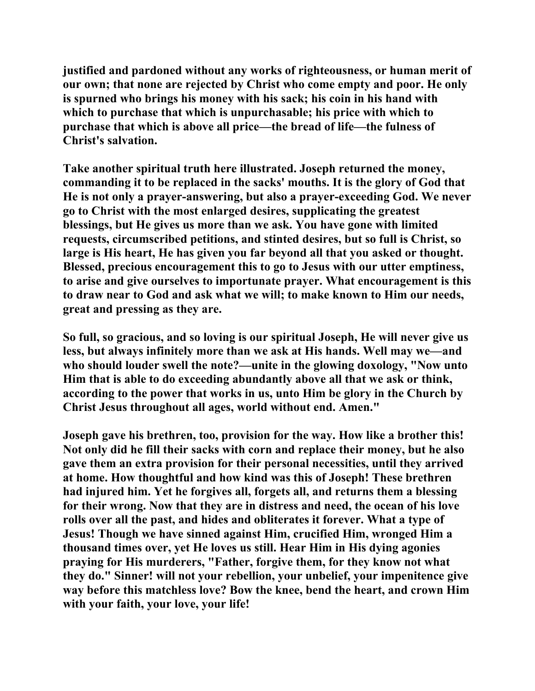**justified and pardoned without any works of righteousness, or human merit of our own; that none are rejected by Christ who come empty and poor. He only is spurned who brings his money with his sack; his coin in his hand with which to purchase that which is unpurchasable; his price with which to purchase that which is above all price—the bread of life—the fulness of Christ's salvation.** 

**Take another spiritual truth here illustrated. Joseph returned the money, commanding it to be replaced in the sacks' mouths. It is the glory of God that He is not only a prayer-answering, but also a prayer-exceeding God. We never go to Christ with the most enlarged desires, supplicating the greatest blessings, but He gives us more than we ask. You have gone with limited requests, circumscribed petitions, and stinted desires, but so full is Christ, so large is His heart, He has given you far beyond all that you asked or thought. Blessed, precious encouragement this to go to Jesus with our utter emptiness, to arise and give ourselves to importunate prayer. What encouragement is this to draw near to God and ask what we will; to make known to Him our needs, great and pressing as they are.** 

**So full, so gracious, and so loving is our spiritual Joseph, He will never give us less, but always infinitely more than we ask at His hands. Well may we—and who should louder swell the note?—unite in the glowing doxology, "Now unto Him that is able to do exceeding abundantly above all that we ask or think, according to the power that works in us, unto Him be glory in the Church by Christ Jesus throughout all ages, world without end. Amen."** 

**Joseph gave his brethren, too, provision for the way. How like a brother this! Not only did he fill their sacks with corn and replace their money, but he also gave them an extra provision for their personal necessities, until they arrived at home. How thoughtful and how kind was this of Joseph! These brethren had injured him. Yet he forgives all, forgets all, and returns them a blessing for their wrong. Now that they are in distress and need, the ocean of his love rolls over all the past, and hides and obliterates it forever. What a type of Jesus! Though we have sinned against Him, crucified Him, wronged Him a thousand times over, yet He loves us still. Hear Him in His dying agonies praying for His murderers, "Father, forgive them, for they know not what they do." Sinner! will not your rebellion, your unbelief, your impenitence give way before this matchless love? Bow the knee, bend the heart, and crown Him with your faith, your love, your life!**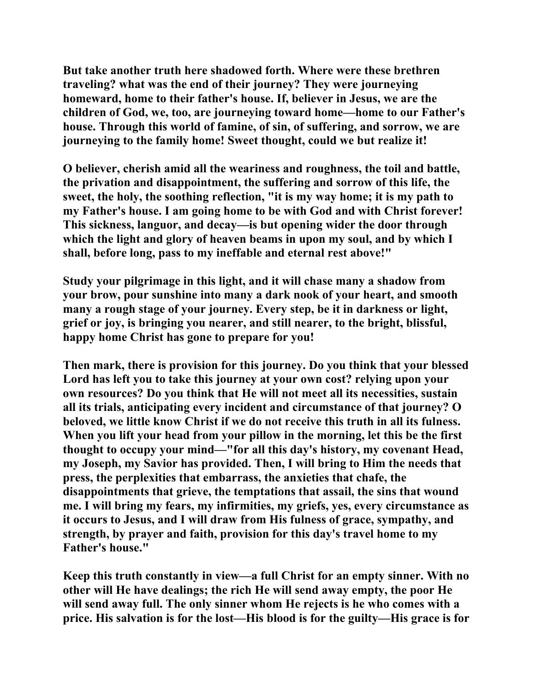**But take another truth here shadowed forth. Where were these brethren traveling? what was the end of their journey? They were journeying homeward, home to their father's house. If, believer in Jesus, we are the children of God, we, too, are journeying toward home—home to our Father's house. Through this world of famine, of sin, of suffering, and sorrow, we are journeying to the family home! Sweet thought, could we but realize it!** 

**O believer, cherish amid all the weariness and roughness, the toil and battle, the privation and disappointment, the suffering and sorrow of this life, the sweet, the holy, the soothing reflection, "it is my way home; it is my path to my Father's house. I am going home to be with God and with Christ forever! This sickness, languor, and decay—is but opening wider the door through which the light and glory of heaven beams in upon my soul, and by which I shall, before long, pass to my ineffable and eternal rest above!"** 

**Study your pilgrimage in this light, and it will chase many a shadow from your brow, pour sunshine into many a dark nook of your heart, and smooth many a rough stage of your journey. Every step, be it in darkness or light, grief or joy, is bringing you nearer, and still nearer, to the bright, blissful, happy home Christ has gone to prepare for you!** 

**Then mark, there is provision for this journey. Do you think that your blessed Lord has left you to take this journey at your own cost? relying upon your own resources? Do you think that He will not meet all its necessities, sustain all its trials, anticipating every incident and circumstance of that journey? O beloved, we little know Christ if we do not receive this truth in all its fulness. When you lift your head from your pillow in the morning, let this be the first thought to occupy your mind—"for all this day's history, my covenant Head, my Joseph, my Savior has provided. Then, I will bring to Him the needs that press, the perplexities that embarrass, the anxieties that chafe, the disappointments that grieve, the temptations that assail, the sins that wound me. I will bring my fears, my infirmities, my griefs, yes, every circumstance as it occurs to Jesus, and I will draw from His fulness of grace, sympathy, and strength, by prayer and faith, provision for this day's travel home to my Father's house."** 

**Keep this truth constantly in view—a full Christ for an empty sinner. With no other will He have dealings; the rich He will send away empty, the poor He will send away full. The only sinner whom He rejects is he who comes with a price. His salvation is for the lost—His blood is for the guilty—His grace is for**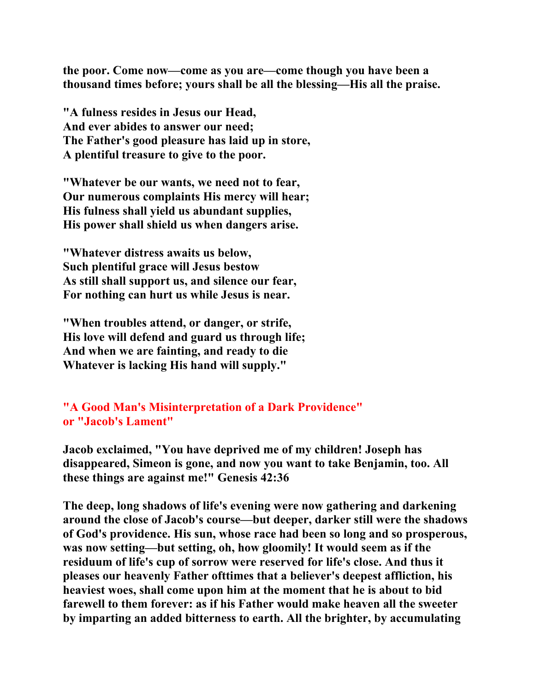**the poor. Come now—come as you are—come though you have been a thousand times before; yours shall be all the blessing—His all the praise.** 

**"A fulness resides in Jesus our Head, And ever abides to answer our need; The Father's good pleasure has laid up in store, A plentiful treasure to give to the poor.** 

**"Whatever be our wants, we need not to fear, Our numerous complaints His mercy will hear; His fulness shall yield us abundant supplies, His power shall shield us when dangers arise.** 

**"Whatever distress awaits us below, Such plentiful grace will Jesus bestow As still shall support us, and silence our fear, For nothing can hurt us while Jesus is near.** 

**"When troubles attend, or danger, or strife, His love will defend and guard us through life; And when we are fainting, and ready to die Whatever is lacking His hand will supply."** 

**"A Good Man's Misinterpretation of a Dark Providence" or "Jacob's Lament"** 

**Jacob exclaimed, "You have deprived me of my children! Joseph has disappeared, Simeon is gone, and now you want to take Benjamin, too. All these things are against me!" Genesis 42:36** 

**The deep, long shadows of life's evening were now gathering and darkening around the close of Jacob's course—but deeper, darker still were the shadows of God's providence. His sun, whose race had been so long and so prosperous, was now setting—but setting, oh, how gloomily! It would seem as if the residuum of life's cup of sorrow were reserved for life's close. And thus it pleases our heavenly Father ofttimes that a believer's deepest affliction, his heaviest woes, shall come upon him at the moment that he is about to bid farewell to them forever: as if his Father would make heaven all the sweeter by imparting an added bitterness to earth. All the brighter, by accumulating**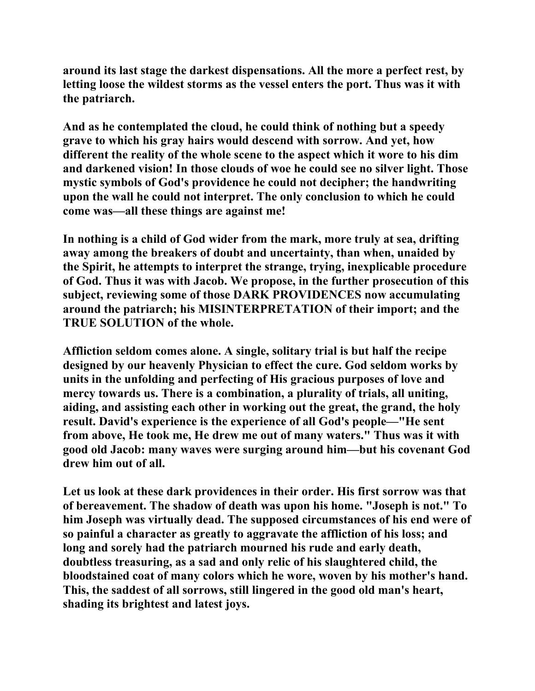**around its last stage the darkest dispensations. All the more a perfect rest, by letting loose the wildest storms as the vessel enters the port. Thus was it with the patriarch.** 

**And as he contemplated the cloud, he could think of nothing but a speedy grave to which his gray hairs would descend with sorrow. And yet, how different the reality of the whole scene to the aspect which it wore to his dim and darkened vision! In those clouds of woe he could see no silver light. Those mystic symbols of God's providence he could not decipher; the handwriting upon the wall he could not interpret. The only conclusion to which he could come was—all these things are against me!** 

**In nothing is a child of God wider from the mark, more truly at sea, drifting away among the breakers of doubt and uncertainty, than when, unaided by the Spirit, he attempts to interpret the strange, trying, inexplicable procedure of God. Thus it was with Jacob. We propose, in the further prosecution of this subject, reviewing some of those DARK PROVIDENCES now accumulating around the patriarch; his MISINTERPRETATION of their import; and the TRUE SOLUTION of the whole.** 

**Affliction seldom comes alone. A single, solitary trial is but half the recipe designed by our heavenly Physician to effect the cure. God seldom works by units in the unfolding and perfecting of His gracious purposes of love and mercy towards us. There is a combination, a plurality of trials, all uniting, aiding, and assisting each other in working out the great, the grand, the holy result. David's experience is the experience of all God's people—"He sent from above, He took me, He drew me out of many waters." Thus was it with good old Jacob: many waves were surging around him—but his covenant God drew him out of all.** 

**Let us look at these dark providences in their order. His first sorrow was that of bereavement. The shadow of death was upon his home. "Joseph is not." To him Joseph was virtually dead. The supposed circumstances of his end were of so painful a character as greatly to aggravate the affliction of his loss; and long and sorely had the patriarch mourned his rude and early death, doubtless treasuring, as a sad and only relic of his slaughtered child, the bloodstained coat of many colors which he wore, woven by his mother's hand. This, the saddest of all sorrows, still lingered in the good old man's heart, shading its brightest and latest joys.**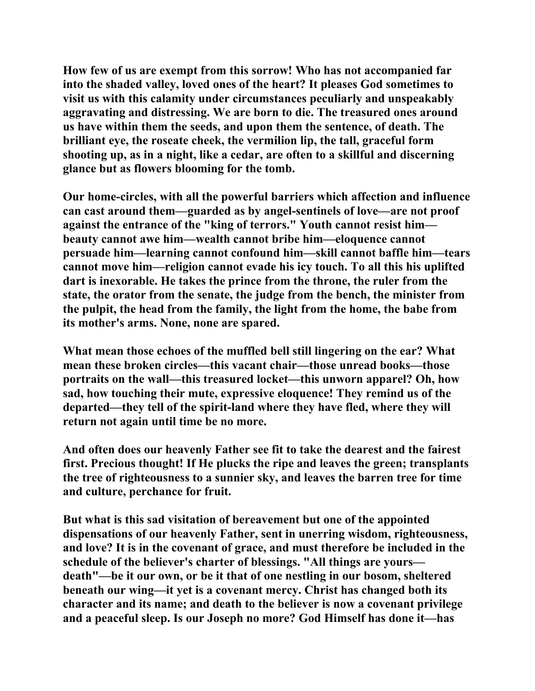**How few of us are exempt from this sorrow! Who has not accompanied far into the shaded valley, loved ones of the heart? It pleases God sometimes to visit us with this calamity under circumstances peculiarly and unspeakably aggravating and distressing. We are born to die. The treasured ones around us have within them the seeds, and upon them the sentence, of death. The brilliant eye, the roseate cheek, the vermilion lip, the tall, graceful form shooting up, as in a night, like a cedar, are often to a skillful and discerning glance but as flowers blooming for the tomb.** 

**Our home-circles, with all the powerful barriers which affection and influence can cast around them—guarded as by angel-sentinels of love—are not proof against the entrance of the "king of terrors." Youth cannot resist him beauty cannot awe him—wealth cannot bribe him—eloquence cannot persuade him—learning cannot confound him—skill cannot baffle him—tears cannot move him—religion cannot evade his icy touch. To all this his uplifted dart is inexorable. He takes the prince from the throne, the ruler from the state, the orator from the senate, the judge from the bench, the minister from the pulpit, the head from the family, the light from the home, the babe from its mother's arms. None, none are spared.** 

**What mean those echoes of the muffled bell still lingering on the ear? What mean these broken circles—this vacant chair—those unread books—those portraits on the wall—this treasured locket—this unworn apparel? Oh, how sad, how touching their mute, expressive eloquence! They remind us of the departed—they tell of the spirit-land where they have fled, where they will return not again until time be no more.** 

**And often does our heavenly Father see fit to take the dearest and the fairest first. Precious thought! If He plucks the ripe and leaves the green; transplants the tree of righteousness to a sunnier sky, and leaves the barren tree for time and culture, perchance for fruit.** 

**But what is this sad visitation of bereavement but one of the appointed dispensations of our heavenly Father, sent in unerring wisdom, righteousness, and love? It is in the covenant of grace, and must therefore be included in the schedule of the believer's charter of blessings. "All things are yours death"—be it our own, or be it that of one nestling in our bosom, sheltered beneath our wing—it yet is a covenant mercy. Christ has changed both its character and its name; and death to the believer is now a covenant privilege and a peaceful sleep. Is our Joseph no more? God Himself has done it—has**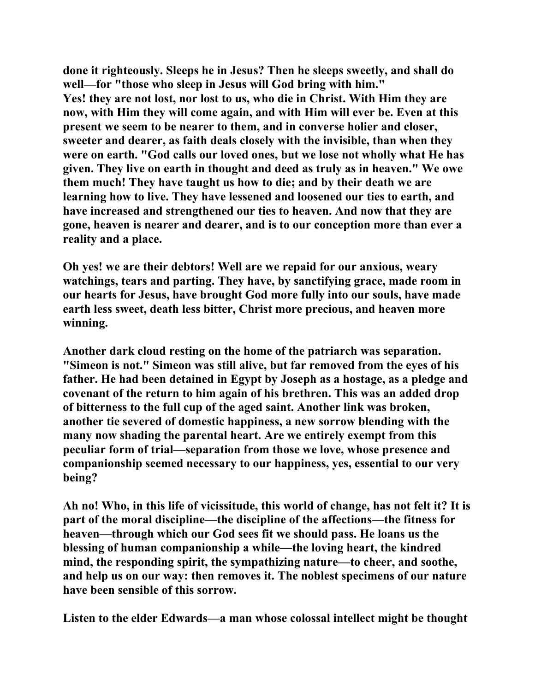**done it righteously. Sleeps he in Jesus? Then he sleeps sweetly, and shall do well—for "those who sleep in Jesus will God bring with him." Yes! they are not lost, nor lost to us, who die in Christ. With Him they are now, with Him they will come again, and with Him will ever be. Even at this present we seem to be nearer to them, and in converse holier and closer, sweeter and dearer, as faith deals closely with the invisible, than when they were on earth. "God calls our loved ones, but we lose not wholly what He has given. They live on earth in thought and deed as truly as in heaven." We owe them much! They have taught us how to die; and by their death we are learning how to live. They have lessened and loosened our ties to earth, and have increased and strengthened our ties to heaven. And now that they are gone, heaven is nearer and dearer, and is to our conception more than ever a reality and a place.** 

**Oh yes! we are their debtors! Well are we repaid for our anxious, weary watchings, tears and parting. They have, by sanctifying grace, made room in our hearts for Jesus, have brought God more fully into our souls, have made earth less sweet, death less bitter, Christ more precious, and heaven more winning.** 

**Another dark cloud resting on the home of the patriarch was separation. "Simeon is not." Simeon was still alive, but far removed from the eyes of his father. He had been detained in Egypt by Joseph as a hostage, as a pledge and covenant of the return to him again of his brethren. This was an added drop of bitterness to the full cup of the aged saint. Another link was broken, another tie severed of domestic happiness, a new sorrow blending with the many now shading the parental heart. Are we entirely exempt from this peculiar form of trial—separation from those we love, whose presence and companionship seemed necessary to our happiness, yes, essential to our very being?** 

**Ah no! Who, in this life of vicissitude, this world of change, has not felt it? It is part of the moral discipline—the discipline of the affections—the fitness for heaven—through which our God sees fit we should pass. He loans us the blessing of human companionship a while—the loving heart, the kindred mind, the responding spirit, the sympathizing nature—to cheer, and soothe, and help us on our way: then removes it. The noblest specimens of our nature have been sensible of this sorrow.** 

**Listen to the elder Edwards—a man whose colossal intellect might be thought**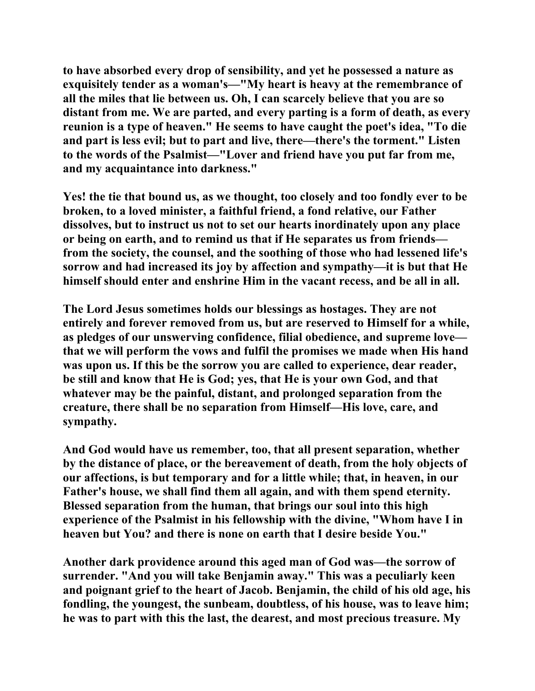**to have absorbed every drop of sensibility, and yet he possessed a nature as exquisitely tender as a woman's—"My heart is heavy at the remembrance of all the miles that lie between us. Oh, I can scarcely believe that you are so distant from me. We are parted, and every parting is a form of death, as every reunion is a type of heaven." He seems to have caught the poet's idea, "To die and part is less evil; but to part and live, there—there's the torment." Listen to the words of the Psalmist—"Lover and friend have you put far from me, and my acquaintance into darkness."** 

**Yes! the tie that bound us, as we thought, too closely and too fondly ever to be broken, to a loved minister, a faithful friend, a fond relative, our Father dissolves, but to instruct us not to set our hearts inordinately upon any place or being on earth, and to remind us that if He separates us from friends from the society, the counsel, and the soothing of those who had lessened life's sorrow and had increased its joy by affection and sympathy—it is but that He himself should enter and enshrine Him in the vacant recess, and be all in all.** 

**The Lord Jesus sometimes holds our blessings as hostages. They are not entirely and forever removed from us, but are reserved to Himself for a while, as pledges of our unswerving confidence, filial obedience, and supreme love that we will perform the vows and fulfil the promises we made when His hand was upon us. If this be the sorrow you are called to experience, dear reader, be still and know that He is God; yes, that He is your own God, and that whatever may be the painful, distant, and prolonged separation from the creature, there shall be no separation from Himself—His love, care, and sympathy.** 

**And God would have us remember, too, that all present separation, whether by the distance of place, or the bereavement of death, from the holy objects of our affections, is but temporary and for a little while; that, in heaven, in our Father's house, we shall find them all again, and with them spend eternity. Blessed separation from the human, that brings our soul into this high experience of the Psalmist in his fellowship with the divine, "Whom have I in heaven but You? and there is none on earth that I desire beside You."** 

**Another dark providence around this aged man of God was—the sorrow of surrender. "And you will take Benjamin away." This was a peculiarly keen and poignant grief to the heart of Jacob. Benjamin, the child of his old age, his fondling, the youngest, the sunbeam, doubtless, of his house, was to leave him; he was to part with this the last, the dearest, and most precious treasure. My**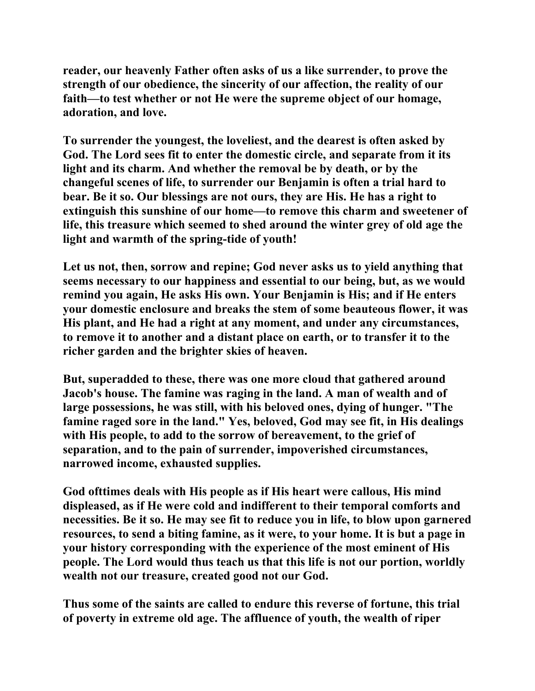**reader, our heavenly Father often asks of us a like surrender, to prove the strength of our obedience, the sincerity of our affection, the reality of our faith—to test whether or not He were the supreme object of our homage, adoration, and love.** 

**To surrender the youngest, the loveliest, and the dearest is often asked by God. The Lord sees fit to enter the domestic circle, and separate from it its light and its charm. And whether the removal be by death, or by the changeful scenes of life, to surrender our Benjamin is often a trial hard to bear. Be it so. Our blessings are not ours, they are His. He has a right to extinguish this sunshine of our home—to remove this charm and sweetener of life, this treasure which seemed to shed around the winter grey of old age the light and warmth of the spring-tide of youth!** 

**Let us not, then, sorrow and repine; God never asks us to yield anything that seems necessary to our happiness and essential to our being, but, as we would remind you again, He asks His own. Your Benjamin is His; and if He enters your domestic enclosure and breaks the stem of some beauteous flower, it was His plant, and He had a right at any moment, and under any circumstances, to remove it to another and a distant place on earth, or to transfer it to the richer garden and the brighter skies of heaven.** 

**But, superadded to these, there was one more cloud that gathered around Jacob's house. The famine was raging in the land. A man of wealth and of large possessions, he was still, with his beloved ones, dying of hunger. "The famine raged sore in the land." Yes, beloved, God may see fit, in His dealings with His people, to add to the sorrow of bereavement, to the grief of separation, and to the pain of surrender, impoverished circumstances, narrowed income, exhausted supplies.** 

**God ofttimes deals with His people as if His heart were callous, His mind displeased, as if He were cold and indifferent to their temporal comforts and necessities. Be it so. He may see fit to reduce you in life, to blow upon garnered resources, to send a biting famine, as it were, to your home. It is but a page in your history corresponding with the experience of the most eminent of His people. The Lord would thus teach us that this life is not our portion, worldly wealth not our treasure, created good not our God.** 

**Thus some of the saints are called to endure this reverse of fortune, this trial of poverty in extreme old age. The affluence of youth, the wealth of riper**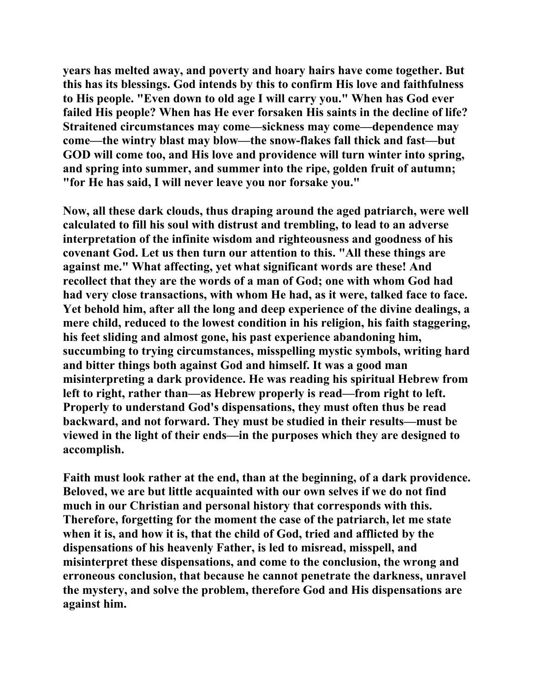**years has melted away, and poverty and hoary hairs have come together. But this has its blessings. God intends by this to confirm His love and faithfulness to His people. "Even down to old age I will carry you." When has God ever failed His people? When has He ever forsaken His saints in the decline of life? Straitened circumstances may come—sickness may come—dependence may come—the wintry blast may blow—the snow-flakes fall thick and fast—but GOD will come too, and His love and providence will turn winter into spring, and spring into summer, and summer into the ripe, golden fruit of autumn; "for He has said, I will never leave you nor forsake you."** 

**Now, all these dark clouds, thus draping around the aged patriarch, were well calculated to fill his soul with distrust and trembling, to lead to an adverse interpretation of the infinite wisdom and righteousness and goodness of his covenant God. Let us then turn our attention to this. "All these things are against me." What affecting, yet what significant words are these! And recollect that they are the words of a man of God; one with whom God had had very close transactions, with whom He had, as it were, talked face to face. Yet behold him, after all the long and deep experience of the divine dealings, a mere child, reduced to the lowest condition in his religion, his faith staggering, his feet sliding and almost gone, his past experience abandoning him, succumbing to trying circumstances, misspelling mystic symbols, writing hard and bitter things both against God and himself. It was a good man misinterpreting a dark providence. He was reading his spiritual Hebrew from left to right, rather than—as Hebrew properly is read—from right to left. Properly to understand God's dispensations, they must often thus be read backward, and not forward. They must be studied in their results—must be viewed in the light of their ends—in the purposes which they are designed to accomplish.** 

**Faith must look rather at the end, than at the beginning, of a dark providence. Beloved, we are but little acquainted with our own selves if we do not find much in our Christian and personal history that corresponds with this. Therefore, forgetting for the moment the case of the patriarch, let me state when it is, and how it is, that the child of God, tried and afflicted by the dispensations of his heavenly Father, is led to misread, misspell, and misinterpret these dispensations, and come to the conclusion, the wrong and erroneous conclusion, that because he cannot penetrate the darkness, unravel the mystery, and solve the problem, therefore God and His dispensations are against him.**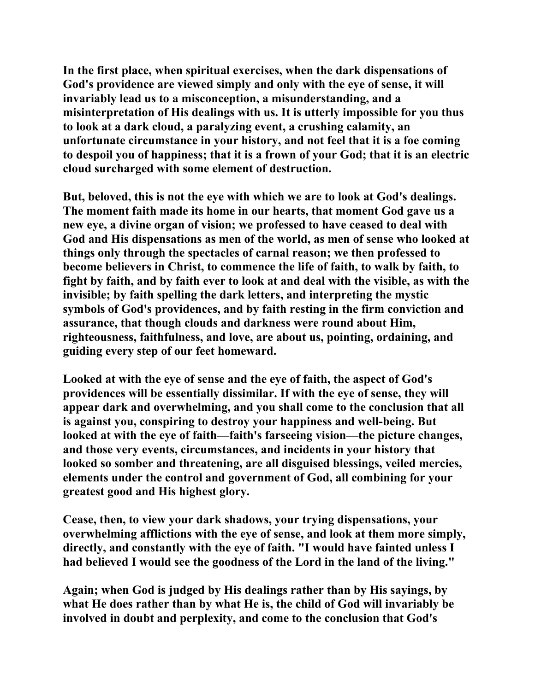**In the first place, when spiritual exercises, when the dark dispensations of God's providence are viewed simply and only with the eye of sense, it will invariably lead us to a misconception, a misunderstanding, and a misinterpretation of His dealings with us. It is utterly impossible for you thus to look at a dark cloud, a paralyzing event, a crushing calamity, an unfortunate circumstance in your history, and not feel that it is a foe coming to despoil you of happiness; that it is a frown of your God; that it is an electric cloud surcharged with some element of destruction.** 

**But, beloved, this is not the eye with which we are to look at God's dealings. The moment faith made its home in our hearts, that moment God gave us a new eye, a divine organ of vision; we professed to have ceased to deal with God and His dispensations as men of the world, as men of sense who looked at things only through the spectacles of carnal reason; we then professed to become believers in Christ, to commence the life of faith, to walk by faith, to fight by faith, and by faith ever to look at and deal with the visible, as with the invisible; by faith spelling the dark letters, and interpreting the mystic symbols of God's providences, and by faith resting in the firm conviction and assurance, that though clouds and darkness were round about Him, righteousness, faithfulness, and love, are about us, pointing, ordaining, and guiding every step of our feet homeward.** 

**Looked at with the eye of sense and the eye of faith, the aspect of God's providences will be essentially dissimilar. If with the eye of sense, they will appear dark and overwhelming, and you shall come to the conclusion that all is against you, conspiring to destroy your happiness and well-being. But looked at with the eye of faith—faith's farseeing vision—the picture changes, and those very events, circumstances, and incidents in your history that looked so somber and threatening, are all disguised blessings, veiled mercies, elements under the control and government of God, all combining for your greatest good and His highest glory.** 

**Cease, then, to view your dark shadows, your trying dispensations, your overwhelming afflictions with the eye of sense, and look at them more simply, directly, and constantly with the eye of faith. "I would have fainted unless I had believed I would see the goodness of the Lord in the land of the living."** 

**Again; when God is judged by His dealings rather than by His sayings, by what He does rather than by what He is, the child of God will invariably be involved in doubt and perplexity, and come to the conclusion that God's**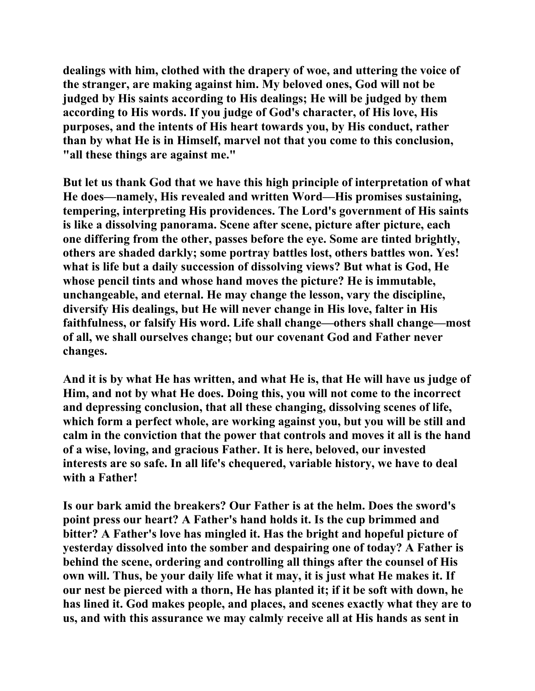**dealings with him, clothed with the drapery of woe, and uttering the voice of the stranger, are making against him. My beloved ones, God will not be judged by His saints according to His dealings; He will be judged by them according to His words. If you judge of God's character, of His love, His purposes, and the intents of His heart towards you, by His conduct, rather than by what He is in Himself, marvel not that you come to this conclusion, "all these things are against me."** 

**But let us thank God that we have this high principle of interpretation of what He does—namely, His revealed and written Word—His promises sustaining, tempering, interpreting His providences. The Lord's government of His saints is like a dissolving panorama. Scene after scene, picture after picture, each one differing from the other, passes before the eye. Some are tinted brightly, others are shaded darkly; some portray battles lost, others battles won. Yes! what is life but a daily succession of dissolving views? But what is God, He whose pencil tints and whose hand moves the picture? He is immutable, unchangeable, and eternal. He may change the lesson, vary the discipline, diversify His dealings, but He will never change in His love, falter in His faithfulness, or falsify His word. Life shall change—others shall change—most of all, we shall ourselves change; but our covenant God and Father never changes.** 

**And it is by what He has written, and what He is, that He will have us judge of Him, and not by what He does. Doing this, you will not come to the incorrect and depressing conclusion, that all these changing, dissolving scenes of life, which form a perfect whole, are working against you, but you will be still and calm in the conviction that the power that controls and moves it all is the hand of a wise, loving, and gracious Father. It is here, beloved, our invested interests are so safe. In all life's chequered, variable history, we have to deal with a Father!** 

**Is our bark amid the breakers? Our Father is at the helm. Does the sword's point press our heart? A Father's hand holds it. Is the cup brimmed and bitter? A Father's love has mingled it. Has the bright and hopeful picture of yesterday dissolved into the somber and despairing one of today? A Father is behind the scene, ordering and controlling all things after the counsel of His own will. Thus, be your daily life what it may, it is just what He makes it. If our nest be pierced with a thorn, He has planted it; if it be soft with down, he has lined it. God makes people, and places, and scenes exactly what they are to us, and with this assurance we may calmly receive all at His hands as sent in**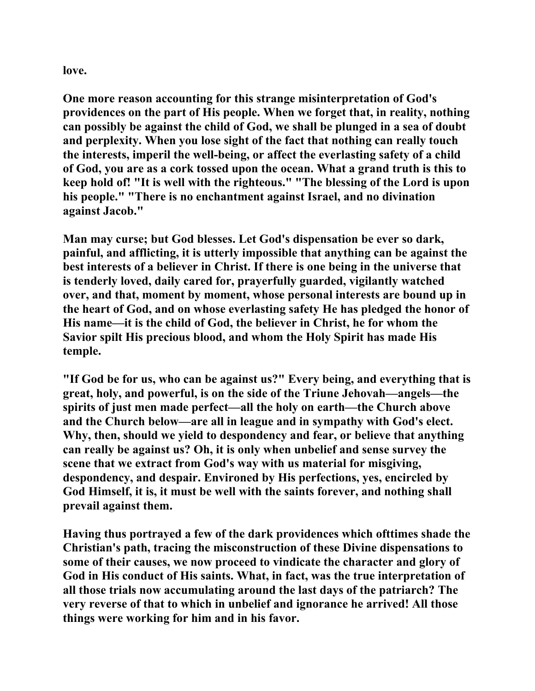**love.** 

**One more reason accounting for this strange misinterpretation of God's providences on the part of His people. When we forget that, in reality, nothing can possibly be against the child of God, we shall be plunged in a sea of doubt and perplexity. When you lose sight of the fact that nothing can really touch the interests, imperil the well-being, or affect the everlasting safety of a child of God, you are as a cork tossed upon the ocean. What a grand truth is this to keep hold of! "It is well with the righteous." "The blessing of the Lord is upon his people." "There is no enchantment against Israel, and no divination against Jacob."** 

**Man may curse; but God blesses. Let God's dispensation be ever so dark, painful, and afflicting, it is utterly impossible that anything can be against the best interests of a believer in Christ. If there is one being in the universe that is tenderly loved, daily cared for, prayerfully guarded, vigilantly watched over, and that, moment by moment, whose personal interests are bound up in the heart of God, and on whose everlasting safety He has pledged the honor of His name—it is the child of God, the believer in Christ, he for whom the Savior spilt His precious blood, and whom the Holy Spirit has made His temple.** 

**"If God be for us, who can be against us?" Every being, and everything that is great, holy, and powerful, is on the side of the Triune Jehovah—angels—the spirits of just men made perfect—all the holy on earth—the Church above and the Church below—are all in league and in sympathy with God's elect. Why, then, should we yield to despondency and fear, or believe that anything can really be against us? Oh, it is only when unbelief and sense survey the scene that we extract from God's way with us material for misgiving, despondency, and despair. Environed by His perfections, yes, encircled by God Himself, it is, it must be well with the saints forever, and nothing shall prevail against them.** 

**Having thus portrayed a few of the dark providences which ofttimes shade the Christian's path, tracing the misconstruction of these Divine dispensations to some of their causes, we now proceed to vindicate the character and glory of God in His conduct of His saints. What, in fact, was the true interpretation of all those trials now accumulating around the last days of the patriarch? The very reverse of that to which in unbelief and ignorance he arrived! All those things were working for him and in his favor.**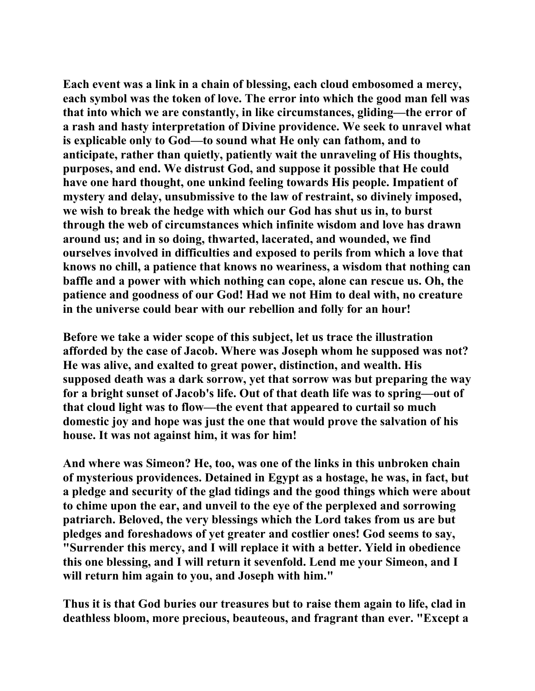**Each event was a link in a chain of blessing, each cloud embosomed a mercy, each symbol was the token of love. The error into which the good man fell was that into which we are constantly, in like circumstances, gliding—the error of a rash and hasty interpretation of Divine providence. We seek to unravel what is explicable only to God—to sound what He only can fathom, and to anticipate, rather than quietly, patiently wait the unraveling of His thoughts, purposes, and end. We distrust God, and suppose it possible that He could have one hard thought, one unkind feeling towards His people. Impatient of mystery and delay, unsubmissive to the law of restraint, so divinely imposed, we wish to break the hedge with which our God has shut us in, to burst through the web of circumstances which infinite wisdom and love has drawn around us; and in so doing, thwarted, lacerated, and wounded, we find ourselves involved in difficulties and exposed to perils from which a love that knows no chill, a patience that knows no weariness, a wisdom that nothing can baffle and a power with which nothing can cope, alone can rescue us. Oh, the patience and goodness of our God! Had we not Him to deal with, no creature in the universe could bear with our rebellion and folly for an hour!** 

**Before we take a wider scope of this subject, let us trace the illustration afforded by the case of Jacob. Where was Joseph whom he supposed was not? He was alive, and exalted to great power, distinction, and wealth. His supposed death was a dark sorrow, yet that sorrow was but preparing the way for a bright sunset of Jacob's life. Out of that death life was to spring—out of that cloud light was to flow—the event that appeared to curtail so much domestic joy and hope was just the one that would prove the salvation of his house. It was not against him, it was for him!** 

**And where was Simeon? He, too, was one of the links in this unbroken chain of mysterious providences. Detained in Egypt as a hostage, he was, in fact, but a pledge and security of the glad tidings and the good things which were about to chime upon the ear, and unveil to the eye of the perplexed and sorrowing patriarch. Beloved, the very blessings which the Lord takes from us are but pledges and foreshadows of yet greater and costlier ones! God seems to say, "Surrender this mercy, and I will replace it with a better. Yield in obedience this one blessing, and I will return it sevenfold. Lend me your Simeon, and I will return him again to you, and Joseph with him."** 

**Thus it is that God buries our treasures but to raise them again to life, clad in deathless bloom, more precious, beauteous, and fragrant than ever. "Except a**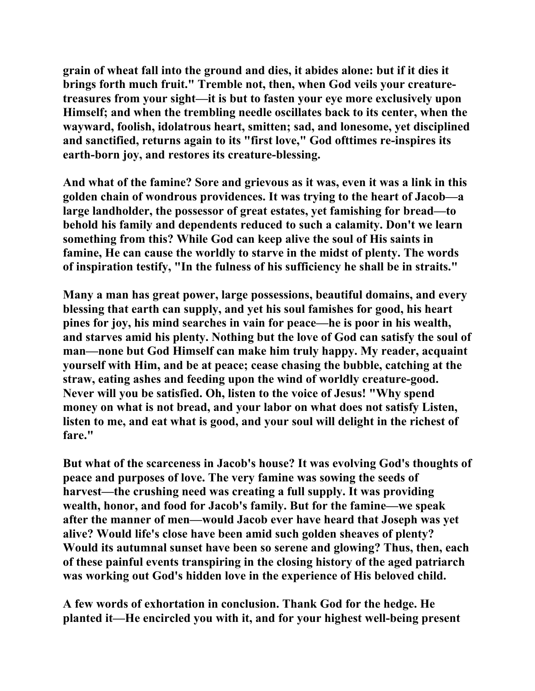**grain of wheat fall into the ground and dies, it abides alone: but if it dies it brings forth much fruit." Tremble not, then, when God veils your creaturetreasures from your sight—it is but to fasten your eye more exclusively upon Himself; and when the trembling needle oscillates back to its center, when the wayward, foolish, idolatrous heart, smitten; sad, and lonesome, yet disciplined and sanctified, returns again to its "first love," God ofttimes re-inspires its earth-born joy, and restores its creature-blessing.** 

**And what of the famine? Sore and grievous as it was, even it was a link in this golden chain of wondrous providences. It was trying to the heart of Jacob—a large landholder, the possessor of great estates, yet famishing for bread—to behold his family and dependents reduced to such a calamity. Don't we learn something from this? While God can keep alive the soul of His saints in famine, He can cause the worldly to starve in the midst of plenty. The words of inspiration testify, "In the fulness of his sufficiency he shall be in straits."** 

**Many a man has great power, large possessions, beautiful domains, and every blessing that earth can supply, and yet his soul famishes for good, his heart pines for joy, his mind searches in vain for peace—he is poor in his wealth, and starves amid his plenty. Nothing but the love of God can satisfy the soul of man—none but God Himself can make him truly happy. My reader, acquaint yourself with Him, and be at peace; cease chasing the bubble, catching at the straw, eating ashes and feeding upon the wind of worldly creature-good. Never will you be satisfied. Oh, listen to the voice of Jesus! "Why spend money on what is not bread, and your labor on what does not satisfy Listen, listen to me, and eat what is good, and your soul will delight in the richest of fare."** 

**But what of the scarceness in Jacob's house? It was evolving God's thoughts of peace and purposes of love. The very famine was sowing the seeds of harvest—the crushing need was creating a full supply. It was providing wealth, honor, and food for Jacob's family. But for the famine—we speak after the manner of men—would Jacob ever have heard that Joseph was yet alive? Would life's close have been amid such golden sheaves of plenty? Would its autumnal sunset have been so serene and glowing? Thus, then, each of these painful events transpiring in the closing history of the aged patriarch was working out God's hidden love in the experience of His beloved child.** 

**A few words of exhortation in conclusion. Thank God for the hedge. He planted it—He encircled you with it, and for your highest well-being present**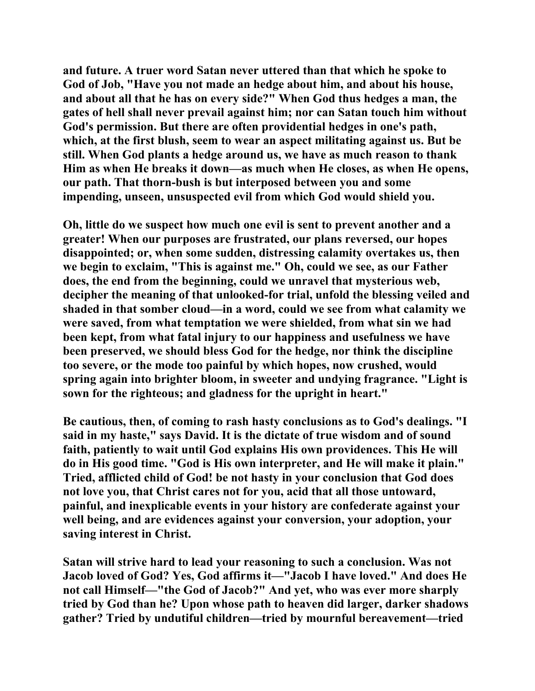**and future. A truer word Satan never uttered than that which he spoke to God of Job, "Have you not made an hedge about him, and about his house, and about all that he has on every side?" When God thus hedges a man, the gates of hell shall never prevail against him; nor can Satan touch him without God's permission. But there are often providential hedges in one's path, which, at the first blush, seem to wear an aspect militating against us. But be still. When God plants a hedge around us, we have as much reason to thank Him as when He breaks it down—as much when He closes, as when He opens, our path. That thorn-bush is but interposed between you and some impending, unseen, unsuspected evil from which God would shield you.** 

**Oh, little do we suspect how much one evil is sent to prevent another and a greater! When our purposes are frustrated, our plans reversed, our hopes disappointed; or, when some sudden, distressing calamity overtakes us, then we begin to exclaim, "This is against me." Oh, could we see, as our Father does, the end from the beginning, could we unravel that mysterious web, decipher the meaning of that unlooked-for trial, unfold the blessing veiled and shaded in that somber cloud—in a word, could we see from what calamity we were saved, from what temptation we were shielded, from what sin we had been kept, from what fatal injury to our happiness and usefulness we have been preserved, we should bless God for the hedge, nor think the discipline too severe, or the mode too painful by which hopes, now crushed, would spring again into brighter bloom, in sweeter and undying fragrance. "Light is sown for the righteous; and gladness for the upright in heart."** 

**Be cautious, then, of coming to rash hasty conclusions as to God's dealings. "I said in my haste," says David. It is the dictate of true wisdom and of sound faith, patiently to wait until God explains His own providences. This He will do in His good time. "God is His own interpreter, and He will make it plain." Tried, afflicted child of God! be not hasty in your conclusion that God does not love you, that Christ cares not for you, acid that all those untoward, painful, and inexplicable events in your history are confederate against your well being, and are evidences against your conversion, your adoption, your saving interest in Christ.** 

**Satan will strive hard to lead your reasoning to such a conclusion. Was not Jacob loved of God? Yes, God affirms it—"Jacob I have loved." And does He not call Himself—"the God of Jacob?" And yet, who was ever more sharply tried by God than he? Upon whose path to heaven did larger, darker shadows gather? Tried by undutiful children—tried by mournful bereavement—tried**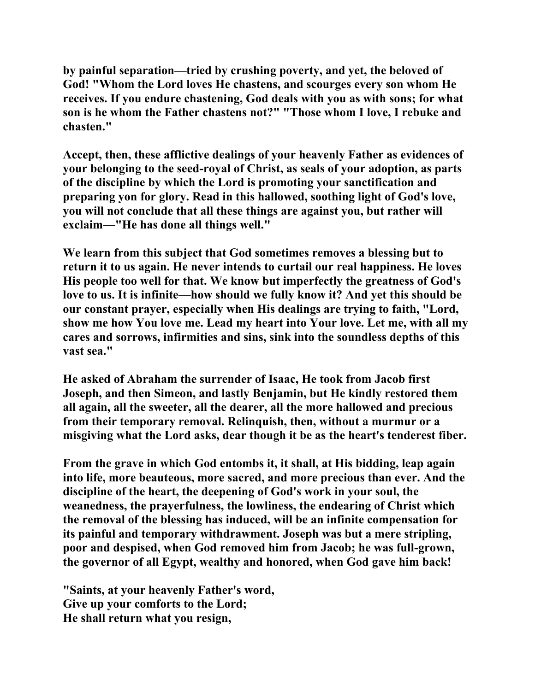**by painful separation—tried by crushing poverty, and yet, the beloved of God! "Whom the Lord loves He chastens, and scourges every son whom He receives. If you endure chastening, God deals with you as with sons; for what son is he whom the Father chastens not?" "Those whom I love, I rebuke and chasten."** 

**Accept, then, these afflictive dealings of your heavenly Father as evidences of your belonging to the seed-royal of Christ, as seals of your adoption, as parts of the discipline by which the Lord is promoting your sanctification and preparing yon for glory. Read in this hallowed, soothing light of God's love, you will not conclude that all these things are against you, but rather will exclaim—"He has done all things well."** 

**We learn from this subject that God sometimes removes a blessing but to return it to us again. He never intends to curtail our real happiness. He loves His people too well for that. We know but imperfectly the greatness of God's love to us. It is infinite—how should we fully know it? And yet this should be our constant prayer, especially when His dealings are trying to faith, "Lord, show me how You love me. Lead my heart into Your love. Let me, with all my cares and sorrows, infirmities and sins, sink into the soundless depths of this vast sea."** 

**He asked of Abraham the surrender of Isaac, He took from Jacob first Joseph, and then Simeon, and lastly Benjamin, but He kindly restored them all again, all the sweeter, all the dearer, all the more hallowed and precious from their temporary removal. Relinquish, then, without a murmur or a misgiving what the Lord asks, dear though it be as the heart's tenderest fiber.** 

**From the grave in which God entombs it, it shall, at His bidding, leap again into life, more beauteous, more sacred, and more precious than ever. And the discipline of the heart, the deepening of God's work in your soul, the weanedness, the prayerfulness, the lowliness, the endearing of Christ which the removal of the blessing has induced, will be an infinite compensation for its painful and temporary withdrawment. Joseph was but a mere stripling, poor and despised, when God removed him from Jacob; he was full-grown, the governor of all Egypt, wealthy and honored, when God gave him back!** 

**"Saints, at your heavenly Father's word, Give up your comforts to the Lord; He shall return what you resign,**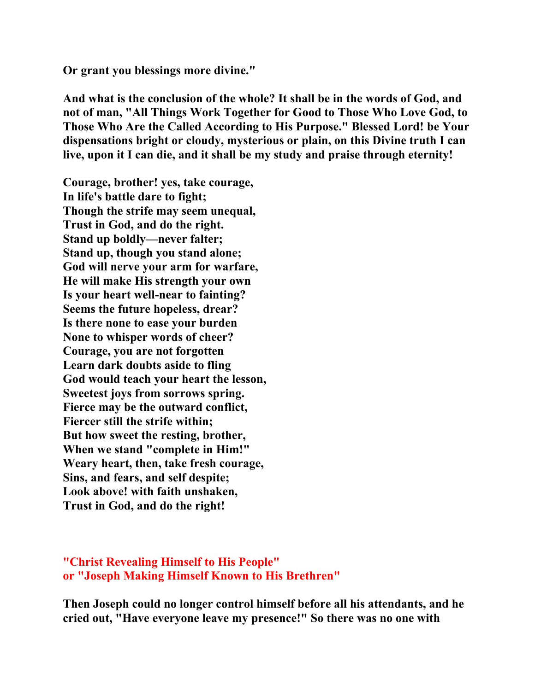**Or grant you blessings more divine."** 

**And what is the conclusion of the whole? It shall be in the words of God, and not of man, "All Things Work Together for Good to Those Who Love God, to Those Who Are the Called According to His Purpose." Blessed Lord! be Your dispensations bright or cloudy, mysterious or plain, on this Divine truth I can live, upon it I can die, and it shall be my study and praise through eternity!** 

**Courage, brother! yes, take courage, In life's battle dare to fight; Though the strife may seem unequal, Trust in God, and do the right. Stand up boldly—never falter; Stand up, though you stand alone; God will nerve your arm for warfare, He will make His strength your own Is your heart well-near to fainting? Seems the future hopeless, drear? Is there none to ease your burden None to whisper words of cheer? Courage, you are not forgotten Learn dark doubts aside to fling God would teach your heart the lesson, Sweetest joys from sorrows spring. Fierce may be the outward conflict, Fiercer still the strife within; But how sweet the resting, brother, When we stand "complete in Him!" Weary heart, then, take fresh courage, Sins, and fears, and self despite; Look above! with faith unshaken, Trust in God, and do the right!** 

**"Christ Revealing Himself to His People" or "Joseph Making Himself Known to His Brethren"** 

**Then Joseph could no longer control himself before all his attendants, and he cried out, "Have everyone leave my presence!" So there was no one with**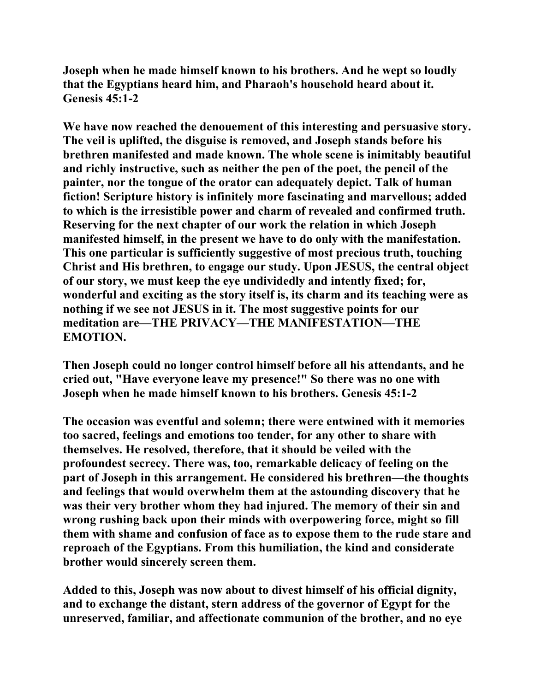**Joseph when he made himself known to his brothers. And he wept so loudly that the Egyptians heard him, and Pharaoh's household heard about it. Genesis 45:1-2** 

**We have now reached the denouement of this interesting and persuasive story. The veil is uplifted, the disguise is removed, and Joseph stands before his brethren manifested and made known. The whole scene is inimitably beautiful and richly instructive, such as neither the pen of the poet, the pencil of the painter, nor the tongue of the orator can adequately depict. Talk of human fiction! Scripture history is infinitely more fascinating and marvellous; added to which is the irresistible power and charm of revealed and confirmed truth. Reserving for the next chapter of our work the relation in which Joseph manifested himself, in the present we have to do only with the manifestation. This one particular is sufficiently suggestive of most precious truth, touching Christ and His brethren, to engage our study. Upon JESUS, the central object of our story, we must keep the eye undividedly and intently fixed; for, wonderful and exciting as the story itself is, its charm and its teaching were as nothing if we see not JESUS in it. The most suggestive points for our meditation are—THE PRIVACY—THE MANIFESTATION—THE EMOTION.** 

**Then Joseph could no longer control himself before all his attendants, and he cried out, "Have everyone leave my presence!" So there was no one with Joseph when he made himself known to his brothers. Genesis 45:1-2** 

**The occasion was eventful and solemn; there were entwined with it memories too sacred, feelings and emotions too tender, for any other to share with themselves. He resolved, therefore, that it should be veiled with the profoundest secrecy. There was, too, remarkable delicacy of feeling on the part of Joseph in this arrangement. He considered his brethren—the thoughts and feelings that would overwhelm them at the astounding discovery that he was their very brother whom they had injured. The memory of their sin and wrong rushing back upon their minds with overpowering force, might so fill them with shame and confusion of face as to expose them to the rude stare and reproach of the Egyptians. From this humiliation, the kind and considerate brother would sincerely screen them.** 

**Added to this, Joseph was now about to divest himself of his official dignity, and to exchange the distant, stern address of the governor of Egypt for the unreserved, familiar, and affectionate communion of the brother, and no eye**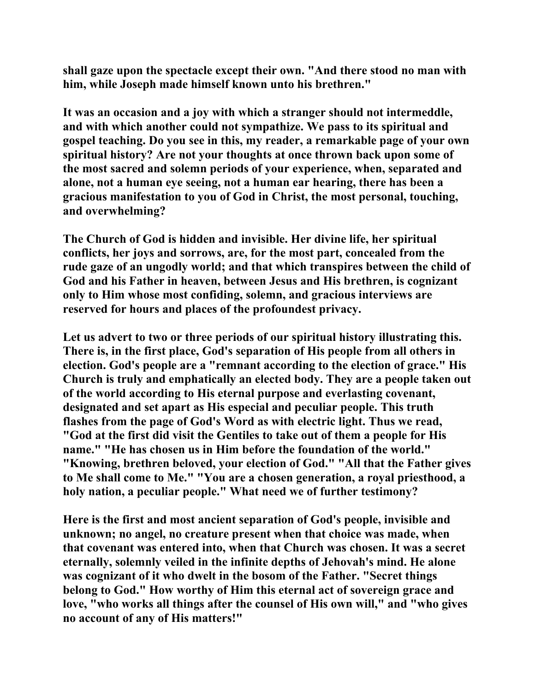**shall gaze upon the spectacle except their own. "And there stood no man with him, while Joseph made himself known unto his brethren."** 

**It was an occasion and a joy with which a stranger should not intermeddle, and with which another could not sympathize. We pass to its spiritual and gospel teaching. Do you see in this, my reader, a remarkable page of your own spiritual history? Are not your thoughts at once thrown back upon some of the most sacred and solemn periods of your experience, when, separated and alone, not a human eye seeing, not a human ear hearing, there has been a gracious manifestation to you of God in Christ, the most personal, touching, and overwhelming?** 

**The Church of God is hidden and invisible. Her divine life, her spiritual conflicts, her joys and sorrows, are, for the most part, concealed from the rude gaze of an ungodly world; and that which transpires between the child of God and his Father in heaven, between Jesus and His brethren, is cognizant only to Him whose most confiding, solemn, and gracious interviews are reserved for hours and places of the profoundest privacy.** 

**Let us advert to two or three periods of our spiritual history illustrating this. There is, in the first place, God's separation of His people from all others in election. God's people are a "remnant according to the election of grace." His Church is truly and emphatically an elected body. They are a people taken out of the world according to His eternal purpose and everlasting covenant, designated and set apart as His especial and peculiar people. This truth flashes from the page of God's Word as with electric light. Thus we read, "God at the first did visit the Gentiles to take out of them a people for His name." "He has chosen us in Him before the foundation of the world." "Knowing, brethren beloved, your election of God." "All that the Father gives to Me shall come to Me." "You are a chosen generation, a royal priesthood, a holy nation, a peculiar people." What need we of further testimony?** 

**Here is the first and most ancient separation of God's people, invisible and unknown; no angel, no creature present when that choice was made, when that covenant was entered into, when that Church was chosen. It was a secret eternally, solemnly veiled in the infinite depths of Jehovah's mind. He alone was cognizant of it who dwelt in the bosom of the Father. "Secret things belong to God." How worthy of Him this eternal act of sovereign grace and love, "who works all things after the counsel of His own will," and "who gives no account of any of His matters!"**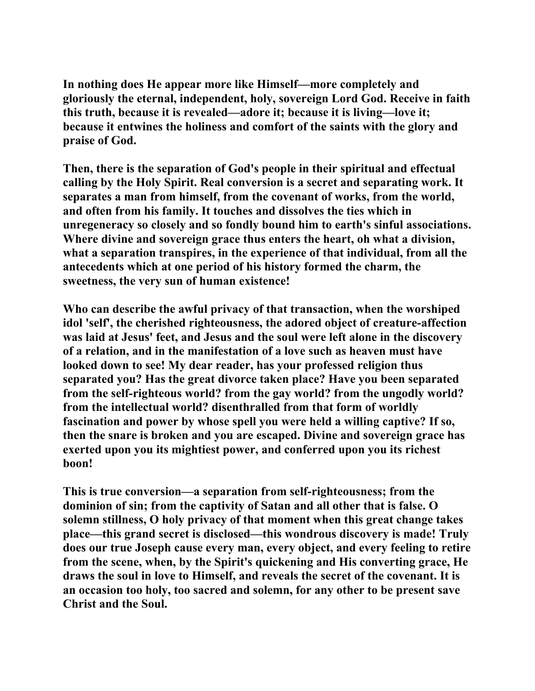**In nothing does He appear more like Himself—more completely and gloriously the eternal, independent, holy, sovereign Lord God. Receive in faith this truth, because it is revealed—adore it; because it is living—love it; because it entwines the holiness and comfort of the saints with the glory and praise of God.** 

**Then, there is the separation of God's people in their spiritual and effectual calling by the Holy Spirit. Real conversion is a secret and separating work. It separates a man from himself, from the covenant of works, from the world, and often from his family. It touches and dissolves the ties which in unregeneracy so closely and so fondly bound him to earth's sinful associations. Where divine and sovereign grace thus enters the heart, oh what a division, what a separation transpires, in the experience of that individual, from all the antecedents which at one period of his history formed the charm, the sweetness, the very sun of human existence!** 

**Who can describe the awful privacy of that transaction, when the worshiped idol 'self', the cherished righteousness, the adored object of creature-affection was laid at Jesus' feet, and Jesus and the soul were left alone in the discovery of a relation, and in the manifestation of a love such as heaven must have looked down to see! My dear reader, has your professed religion thus separated you? Has the great divorce taken place? Have you been separated from the self-righteous world? from the gay world? from the ungodly world? from the intellectual world? disenthralled from that form of worldly fascination and power by whose spell you were held a willing captive? If so, then the snare is broken and you are escaped. Divine and sovereign grace has exerted upon you its mightiest power, and conferred upon you its richest boon!** 

**This is true conversion—a separation from self-righteousness; from the dominion of sin; from the captivity of Satan and all other that is false. O solemn stillness, O holy privacy of that moment when this great change takes place—this grand secret is disclosed—this wondrous discovery is made! Truly does our true Joseph cause every man, every object, and every feeling to retire from the scene, when, by the Spirit's quickening and His converting grace, He draws the soul in love to Himself, and reveals the secret of the covenant. It is an occasion too holy, too sacred and solemn, for any other to be present save Christ and the Soul.**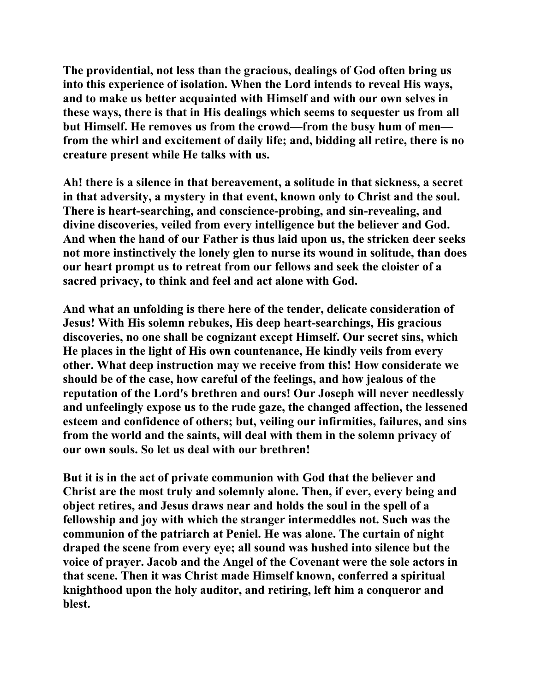**The providential, not less than the gracious, dealings of God often bring us into this experience of isolation. When the Lord intends to reveal His ways, and to make us better acquainted with Himself and with our own selves in these ways, there is that in His dealings which seems to sequester us from all but Himself. He removes us from the crowd—from the busy hum of men from the whirl and excitement of daily life; and, bidding all retire, there is no creature present while He talks with us.** 

**Ah! there is a silence in that bereavement, a solitude in that sickness, a secret in that adversity, a mystery in that event, known only to Christ and the soul. There is heart-searching, and conscience-probing, and sin-revealing, and divine discoveries, veiled from every intelligence but the believer and God. And when the hand of our Father is thus laid upon us, the stricken deer seeks not more instinctively the lonely glen to nurse its wound in solitude, than does our heart prompt us to retreat from our fellows and seek the cloister of a sacred privacy, to think and feel and act alone with God.** 

**And what an unfolding is there here of the tender, delicate consideration of Jesus! With His solemn rebukes, His deep heart-searchings, His gracious discoveries, no one shall be cognizant except Himself. Our secret sins, which He places in the light of His own countenance, He kindly veils from every other. What deep instruction may we receive from this! How considerate we should be of the case, how careful of the feelings, and how jealous of the reputation of the Lord's brethren and ours! Our Joseph will never needlessly and unfeelingly expose us to the rude gaze, the changed affection, the lessened esteem and confidence of others; but, veiling our infirmities, failures, and sins from the world and the saints, will deal with them in the solemn privacy of our own souls. So let us deal with our brethren!** 

**But it is in the act of private communion with God that the believer and Christ are the most truly and solemnly alone. Then, if ever, every being and object retires, and Jesus draws near and holds the soul in the spell of a fellowship and joy with which the stranger intermeddles not. Such was the communion of the patriarch at Peniel. He was alone. The curtain of night draped the scene from every eye; all sound was hushed into silence but the voice of prayer. Jacob and the Angel of the Covenant were the sole actors in that scene. Then it was Christ made Himself known, conferred a spiritual knighthood upon the holy auditor, and retiring, left him a conqueror and blest.**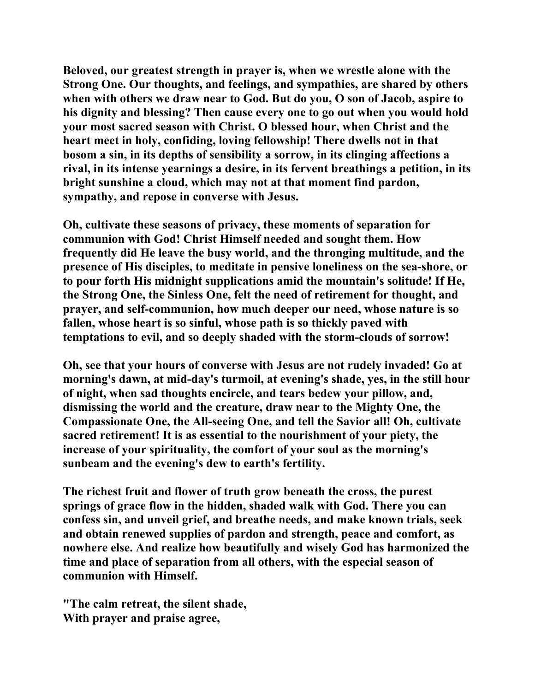**Beloved, our greatest strength in prayer is, when we wrestle alone with the Strong One. Our thoughts, and feelings, and sympathies, are shared by others when with others we draw near to God. But do you, O son of Jacob, aspire to his dignity and blessing? Then cause every one to go out when you would hold your most sacred season with Christ. O blessed hour, when Christ and the heart meet in holy, confiding, loving fellowship! There dwells not in that bosom a sin, in its depths of sensibility a sorrow, in its clinging affections a rival, in its intense yearnings a desire, in its fervent breathings a petition, in its bright sunshine a cloud, which may not at that moment find pardon, sympathy, and repose in converse with Jesus.** 

**Oh, cultivate these seasons of privacy, these moments of separation for communion with God! Christ Himself needed and sought them. How frequently did He leave the busy world, and the thronging multitude, and the presence of His disciples, to meditate in pensive loneliness on the sea-shore, or to pour forth His midnight supplications amid the mountain's solitude! If He, the Strong One, the Sinless One, felt the need of retirement for thought, and prayer, and self-communion, how much deeper our need, whose nature is so fallen, whose heart is so sinful, whose path is so thickly paved with temptations to evil, and so deeply shaded with the storm-clouds of sorrow!** 

**Oh, see that your hours of converse with Jesus are not rudely invaded! Go at morning's dawn, at mid-day's turmoil, at evening's shade, yes, in the still hour of night, when sad thoughts encircle, and tears bedew your pillow, and, dismissing the world and the creature, draw near to the Mighty One, the Compassionate One, the All-seeing One, and tell the Savior all! Oh, cultivate sacred retirement! It is as essential to the nourishment of your piety, the increase of your spirituality, the comfort of your soul as the morning's sunbeam and the evening's dew to earth's fertility.** 

**The richest fruit and flower of truth grow beneath the cross, the purest springs of grace flow in the hidden, shaded walk with God. There you can confess sin, and unveil grief, and breathe needs, and make known trials, seek and obtain renewed supplies of pardon and strength, peace and comfort, as nowhere else. And realize how beautifully and wisely God has harmonized the time and place of separation from all others, with the especial season of communion with Himself.** 

**"The calm retreat, the silent shade, With prayer and praise agree,**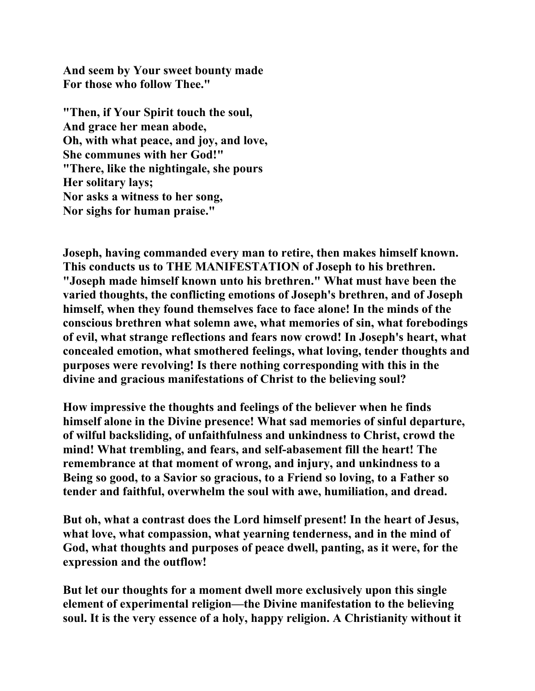**And seem by Your sweet bounty made For those who follow Thee."** 

**"Then, if Your Spirit touch the soul, And grace her mean abode, Oh, with what peace, and joy, and love, She communes with her God!" "There, like the nightingale, she pours Her solitary lays; Nor asks a witness to her song, Nor sighs for human praise."** 

**Joseph, having commanded every man to retire, then makes himself known. This conducts us to THE MANIFESTATION of Joseph to his brethren. "Joseph made himself known unto his brethren." What must have been the varied thoughts, the conflicting emotions of Joseph's brethren, and of Joseph himself, when they found themselves face to face alone! In the minds of the conscious brethren what solemn awe, what memories of sin, what forebodings of evil, what strange reflections and fears now crowd! In Joseph's heart, what concealed emotion, what smothered feelings, what loving, tender thoughts and purposes were revolving! Is there nothing corresponding with this in the divine and gracious manifestations of Christ to the believing soul?** 

**How impressive the thoughts and feelings of the believer when he finds himself alone in the Divine presence! What sad memories of sinful departure, of wilful backsliding, of unfaithfulness and unkindness to Christ, crowd the mind! What trembling, and fears, and self-abasement fill the heart! The remembrance at that moment of wrong, and injury, and unkindness to a Being so good, to a Savior so gracious, to a Friend so loving, to a Father so tender and faithful, overwhelm the soul with awe, humiliation, and dread.** 

**But oh, what a contrast does the Lord himself present! In the heart of Jesus, what love, what compassion, what yearning tenderness, and in the mind of God, what thoughts and purposes of peace dwell, panting, as it were, for the expression and the outflow!** 

**But let our thoughts for a moment dwell more exclusively upon this single element of experimental religion—the Divine manifestation to the believing soul. It is the very essence of a holy, happy religion. A Christianity without it**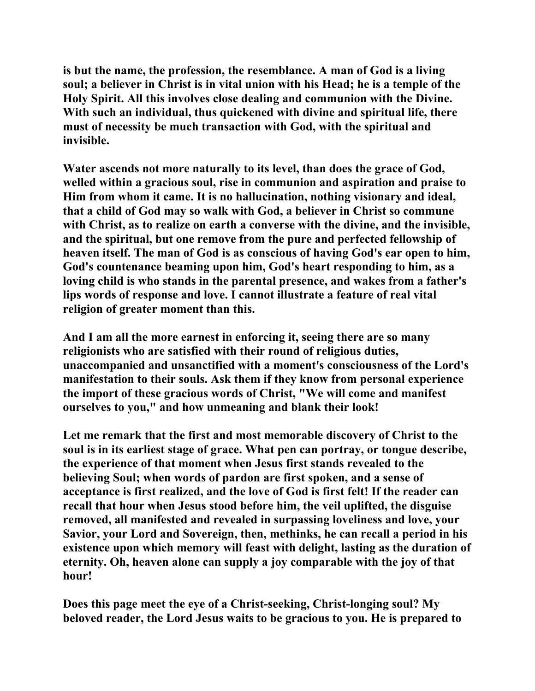**is but the name, the profession, the resemblance. A man of God is a living soul; a believer in Christ is in vital union with his Head; he is a temple of the Holy Spirit. All this involves close dealing and communion with the Divine. With such an individual, thus quickened with divine and spiritual life, there must of necessity be much transaction with God, with the spiritual and invisible.** 

**Water ascends not more naturally to its level, than does the grace of God, welled within a gracious soul, rise in communion and aspiration and praise to Him from whom it came. It is no hallucination, nothing visionary and ideal, that a child of God may so walk with God, a believer in Christ so commune with Christ, as to realize on earth a converse with the divine, and the invisible, and the spiritual, but one remove from the pure and perfected fellowship of heaven itself. The man of God is as conscious of having God's ear open to him, God's countenance beaming upon him, God's heart responding to him, as a loving child is who stands in the parental presence, and wakes from a father's lips words of response and love. I cannot illustrate a feature of real vital religion of greater moment than this.** 

**And I am all the more earnest in enforcing it, seeing there are so many religionists who are satisfied with their round of religious duties, unaccompanied and unsanctified with a moment's consciousness of the Lord's manifestation to their souls. Ask them if they know from personal experience the import of these gracious words of Christ, "We will come and manifest ourselves to you," and how unmeaning and blank their look!** 

**Let me remark that the first and most memorable discovery of Christ to the soul is in its earliest stage of grace. What pen can portray, or tongue describe, the experience of that moment when Jesus first stands revealed to the believing Soul; when words of pardon are first spoken, and a sense of acceptance is first realized, and the love of God is first felt! If the reader can recall that hour when Jesus stood before him, the veil uplifted, the disguise removed, all manifested and revealed in surpassing loveliness and love, your Savior, your Lord and Sovereign, then, methinks, he can recall a period in his existence upon which memory will feast with delight, lasting as the duration of eternity. Oh, heaven alone can supply a joy comparable with the joy of that hour!** 

**Does this page meet the eye of a Christ-seeking, Christ-longing soul? My beloved reader, the Lord Jesus waits to be gracious to you. He is prepared to**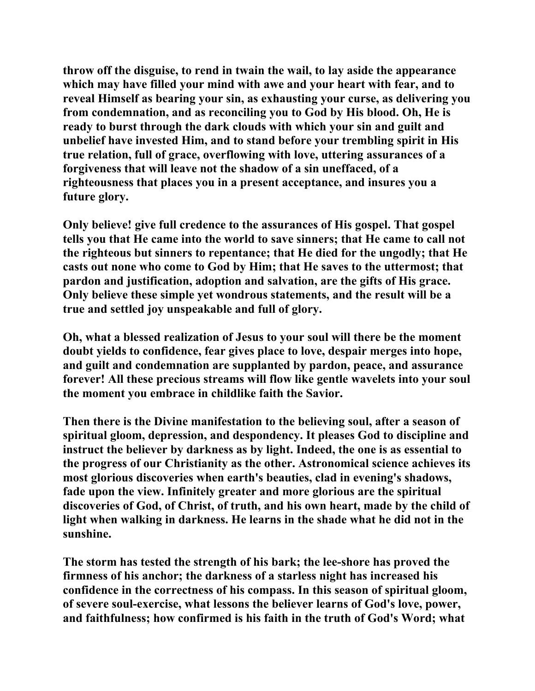**throw off the disguise, to rend in twain the wail, to lay aside the appearance which may have filled your mind with awe and your heart with fear, and to reveal Himself as bearing your sin, as exhausting your curse, as delivering you from condemnation, and as reconciling you to God by His blood. Oh, He is ready to burst through the dark clouds with which your sin and guilt and unbelief have invested Him, and to stand before your trembling spirit in His true relation, full of grace, overflowing with love, uttering assurances of a forgiveness that will leave not the shadow of a sin uneffaced, of a righteousness that places you in a present acceptance, and insures you a future glory.** 

**Only believe! give full credence to the assurances of His gospel. That gospel tells you that He came into the world to save sinners; that He came to call not the righteous but sinners to repentance; that He died for the ungodly; that He casts out none who come to God by Him; that He saves to the uttermost; that pardon and justification, adoption and salvation, are the gifts of His grace. Only believe these simple yet wondrous statements, and the result will be a true and settled joy unspeakable and full of glory.** 

**Oh, what a blessed realization of Jesus to your soul will there be the moment doubt yields to confidence, fear gives place to love, despair merges into hope, and guilt and condemnation are supplanted by pardon, peace, and assurance forever! All these precious streams will flow like gentle wavelets into your soul the moment you embrace in childlike faith the Savior.** 

**Then there is the Divine manifestation to the believing soul, after a season of spiritual gloom, depression, and despondency. It pleases God to discipline and instruct the believer by darkness as by light. Indeed, the one is as essential to the progress of our Christianity as the other. Astronomical science achieves its most glorious discoveries when earth's beauties, clad in evening's shadows, fade upon the view. Infinitely greater and more glorious are the spiritual discoveries of God, of Christ, of truth, and his own heart, made by the child of light when walking in darkness. He learns in the shade what he did not in the sunshine.** 

**The storm has tested the strength of his bark; the lee-shore has proved the firmness of his anchor; the darkness of a starless night has increased his confidence in the correctness of his compass. In this season of spiritual gloom, of severe soul-exercise, what lessons the believer learns of God's love, power, and faithfulness; how confirmed is his faith in the truth of God's Word; what**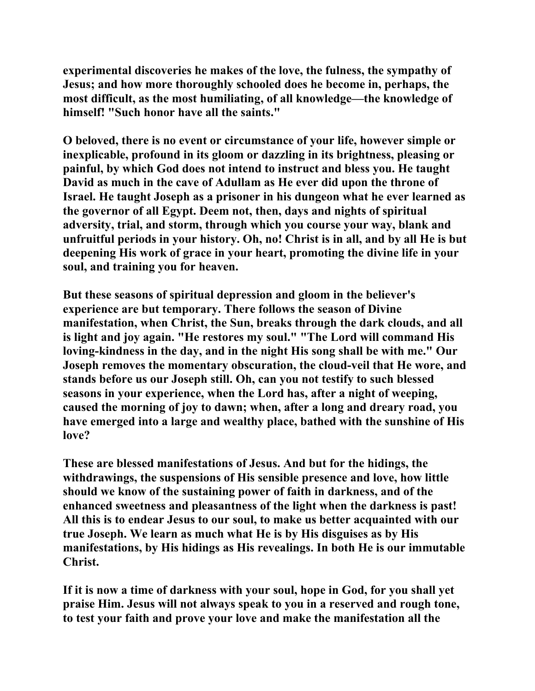**experimental discoveries he makes of the love, the fulness, the sympathy of Jesus; and how more thoroughly schooled does he become in, perhaps, the most difficult, as the most humiliating, of all knowledge—the knowledge of himself! "Such honor have all the saints."** 

**O beloved, there is no event or circumstance of your life, however simple or inexplicable, profound in its gloom or dazzling in its brightness, pleasing or painful, by which God does not intend to instruct and bless you. He taught David as much in the cave of Adullam as He ever did upon the throne of Israel. He taught Joseph as a prisoner in his dungeon what he ever learned as the governor of all Egypt. Deem not, then, days and nights of spiritual adversity, trial, and storm, through which you course your way, blank and unfruitful periods in your history. Oh, no! Christ is in all, and by all He is but deepening His work of grace in your heart, promoting the divine life in your soul, and training you for heaven.** 

**But these seasons of spiritual depression and gloom in the believer's experience are but temporary. There follows the season of Divine manifestation, when Christ, the Sun, breaks through the dark clouds, and all is light and joy again. "He restores my soul." "The Lord will command His loving-kindness in the day, and in the night His song shall be with me." Our Joseph removes the momentary obscuration, the cloud-veil that He wore, and stands before us our Joseph still. Oh, can you not testify to such blessed seasons in your experience, when the Lord has, after a night of weeping, caused the morning of joy to dawn; when, after a long and dreary road, you have emerged into a large and wealthy place, bathed with the sunshine of His love?** 

**These are blessed manifestations of Jesus. And but for the hidings, the withdrawings, the suspensions of His sensible presence and love, how little should we know of the sustaining power of faith in darkness, and of the enhanced sweetness and pleasantness of the light when the darkness is past! All this is to endear Jesus to our soul, to make us better acquainted with our true Joseph. We learn as much what He is by His disguises as by His manifestations, by His hidings as His revealings. In both He is our immutable Christ.** 

**If it is now a time of darkness with your soul, hope in God, for you shall yet praise Him. Jesus will not always speak to you in a reserved and rough tone, to test your faith and prove your love and make the manifestation all the**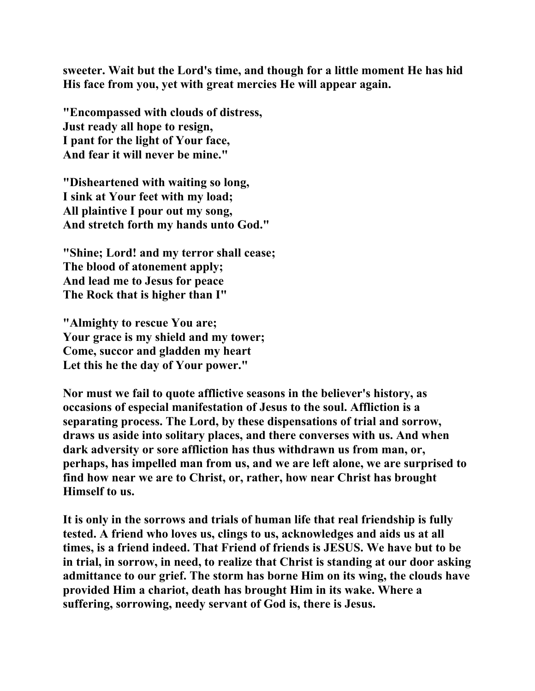**sweeter. Wait but the Lord's time, and though for a little moment He has hid His face from you, yet with great mercies He will appear again.** 

**"Encompassed with clouds of distress, Just ready all hope to resign, I pant for the light of Your face, And fear it will never be mine."** 

**"Disheartened with waiting so long, I sink at Your feet with my load; All plaintive I pour out my song, And stretch forth my hands unto God."** 

**"Shine; Lord! and my terror shall cease; The blood of atonement apply; And lead me to Jesus for peace The Rock that is higher than I"** 

**"Almighty to rescue You are; Your grace is my shield and my tower; Come, succor and gladden my heart Let this he the day of Your power."** 

**Nor must we fail to quote afflictive seasons in the believer's history, as occasions of especial manifestation of Jesus to the soul. Affliction is a separating process. The Lord, by these dispensations of trial and sorrow, draws us aside into solitary places, and there converses with us. And when dark adversity or sore affliction has thus withdrawn us from man, or, perhaps, has impelled man from us, and we are left alone, we are surprised to find how near we are to Christ, or, rather, how near Christ has brought Himself to us.** 

**It is only in the sorrows and trials of human life that real friendship is fully tested. A friend who loves us, clings to us, acknowledges and aids us at all times, is a friend indeed. That Friend of friends is JESUS. We have but to be in trial, in sorrow, in need, to realize that Christ is standing at our door asking admittance to our grief. The storm has borne Him on its wing, the clouds have provided Him a chariot, death has brought Him in its wake. Where a suffering, sorrowing, needy servant of God is, there is Jesus.**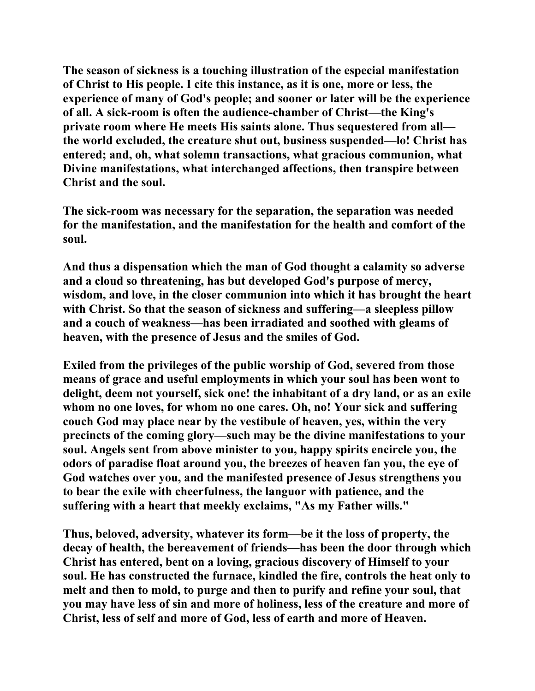**The season of sickness is a touching illustration of the especial manifestation of Christ to His people. I cite this instance, as it is one, more or less, the experience of many of God's people; and sooner or later will be the experience of all. A sick-room is often the audience-chamber of Christ—the King's private room where He meets His saints alone. Thus sequestered from all the world excluded, the creature shut out, business suspended—lo! Christ has entered; and, oh, what solemn transactions, what gracious communion, what Divine manifestations, what interchanged affections, then transpire between Christ and the soul.** 

**The sick-room was necessary for the separation, the separation was needed for the manifestation, and the manifestation for the health and comfort of the soul.** 

**And thus a dispensation which the man of God thought a calamity so adverse and a cloud so threatening, has but developed God's purpose of mercy, wisdom, and love, in the closer communion into which it has brought the heart with Christ. So that the season of sickness and suffering—a sleepless pillow and a couch of weakness—has been irradiated and soothed with gleams of heaven, with the presence of Jesus and the smiles of God.** 

**Exiled from the privileges of the public worship of God, severed from those means of grace and useful employments in which your soul has been wont to delight, deem not yourself, sick one! the inhabitant of a dry land, or as an exile whom no one loves, for whom no one cares. Oh, no! Your sick and suffering couch God may place near by the vestibule of heaven, yes, within the very precincts of the coming glory—such may be the divine manifestations to your soul. Angels sent from above minister to you, happy spirits encircle you, the odors of paradise float around you, the breezes of heaven fan you, the eye of God watches over you, and the manifested presence of Jesus strengthens you to bear the exile with cheerfulness, the languor with patience, and the suffering with a heart that meekly exclaims, "As my Father wills."** 

**Thus, beloved, adversity, whatever its form—be it the loss of property, the decay of health, the bereavement of friends—has been the door through which Christ has entered, bent on a loving, gracious discovery of Himself to your soul. He has constructed the furnace, kindled the fire, controls the heat only to melt and then to mold, to purge and then to purify and refine your soul, that you may have less of sin and more of holiness, less of the creature and more of Christ, less of self and more of God, less of earth and more of Heaven.**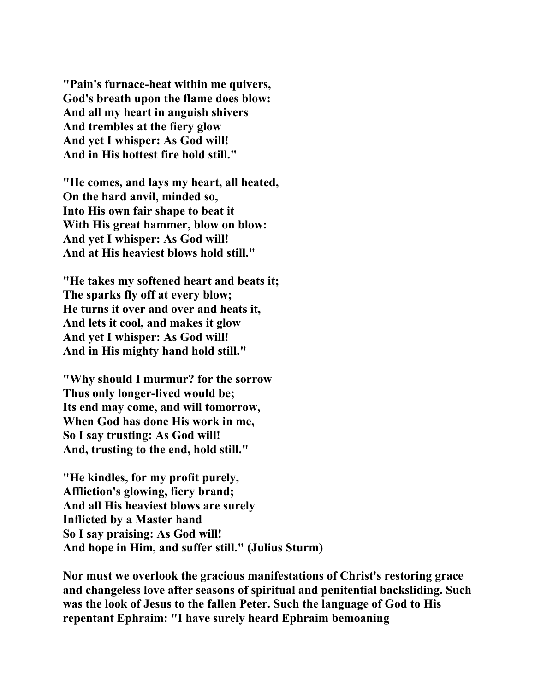**"Pain's furnace-heat within me quivers, God's breath upon the flame does blow: And all my heart in anguish shivers And trembles at the fiery glow And yet I whisper: As God will! And in His hottest fire hold still."** 

**"He comes, and lays my heart, all heated, On the hard anvil, minded so, Into His own fair shape to beat it With His great hammer, blow on blow: And yet I whisper: As God will! And at His heaviest blows hold still."** 

**"He takes my softened heart and beats it; The sparks fly off at every blow; He turns it over and over and heats it, And lets it cool, and makes it glow And yet I whisper: As God will! And in His mighty hand hold still."** 

**"Why should I murmur? for the sorrow Thus only longer-lived would be; Its end may come, and will tomorrow, When God has done His work in me, So I say trusting: As God will! And, trusting to the end, hold still."** 

**"He kindles, for my profit purely, Affliction's glowing, fiery brand; And all His heaviest blows are surely Inflicted by a Master hand So I say praising: As God will! And hope in Him, and suffer still." (Julius Sturm)** 

**Nor must we overlook the gracious manifestations of Christ's restoring grace and changeless love after seasons of spiritual and penitential backsliding. Such was the look of Jesus to the fallen Peter. Such the language of God to His repentant Ephraim: "I have surely heard Ephraim bemoaning**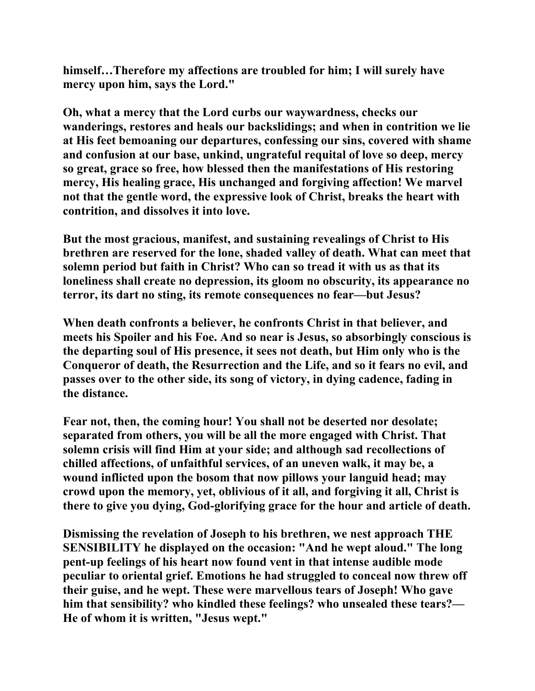**himself…Therefore my affections are troubled for him; I will surely have mercy upon him, says the Lord."** 

**Oh, what a mercy that the Lord curbs our waywardness, checks our wanderings, restores and heals our backslidings; and when in contrition we lie at His feet bemoaning our departures, confessing our sins, covered with shame and confusion at our base, unkind, ungrateful requital of love so deep, mercy so great, grace so free, how blessed then the manifestations of His restoring mercy, His healing grace, His unchanged and forgiving affection! We marvel not that the gentle word, the expressive look of Christ, breaks the heart with contrition, and dissolves it into love.** 

**But the most gracious, manifest, and sustaining revealings of Christ to His brethren are reserved for the lone, shaded valley of death. What can meet that solemn period but faith in Christ? Who can so tread it with us as that its loneliness shall create no depression, its gloom no obscurity, its appearance no terror, its dart no sting, its remote consequences no fear—but Jesus?** 

**When death confronts a believer, he confronts Christ in that believer, and meets his Spoiler and his Foe. And so near is Jesus, so absorbingly conscious is the departing soul of His presence, it sees not death, but Him only who is the Conqueror of death, the Resurrection and the Life, and so it fears no evil, and passes over to the other side, its song of victory, in dying cadence, fading in the distance.** 

**Fear not, then, the coming hour! You shall not be deserted nor desolate; separated from others, you will be all the more engaged with Christ. That solemn crisis will find Him at your side; and although sad recollections of chilled affections, of unfaithful services, of an uneven walk, it may be, a wound inflicted upon the bosom that now pillows your languid head; may crowd upon the memory, yet, oblivious of it all, and forgiving it all, Christ is there to give you dying, God-glorifying grace for the hour and article of death.** 

**Dismissing the revelation of Joseph to his brethren, we nest approach THE SENSIBILITY he displayed on the occasion: "And he wept aloud." The long pent-up feelings of his heart now found vent in that intense audible mode peculiar to oriental grief. Emotions he had struggled to conceal now threw off their guise, and he wept. These were marvellous tears of Joseph! Who gave him that sensibility? who kindled these feelings? who unsealed these tears?— He of whom it is written, "Jesus wept."**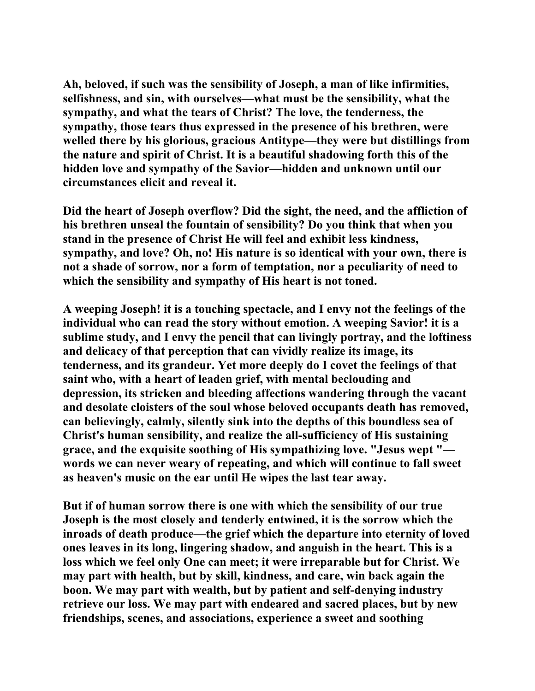**Ah, beloved, if such was the sensibility of Joseph, a man of like infirmities, selfishness, and sin, with ourselves—what must be the sensibility, what the sympathy, and what the tears of Christ? The love, the tenderness, the sympathy, those tears thus expressed in the presence of his brethren, were welled there by his glorious, gracious Antitype—they were but distillings from the nature and spirit of Christ. It is a beautiful shadowing forth this of the hidden love and sympathy of the Savior—hidden and unknown until our circumstances elicit and reveal it.** 

**Did the heart of Joseph overflow? Did the sight, the need, and the affliction of his brethren unseal the fountain of sensibility? Do you think that when you stand in the presence of Christ He will feel and exhibit less kindness, sympathy, and love? Oh, no! His nature is so identical with your own, there is not a shade of sorrow, nor a form of temptation, nor a peculiarity of need to which the sensibility and sympathy of His heart is not toned.** 

**A weeping Joseph! it is a touching spectacle, and I envy not the feelings of the individual who can read the story without emotion. A weeping Savior! it is a sublime study, and I envy the pencil that can livingly portray, and the loftiness and delicacy of that perception that can vividly realize its image, its tenderness, and its grandeur. Yet more deeply do I covet the feelings of that saint who, with a heart of leaden grief, with mental beclouding and depression, its stricken and bleeding affections wandering through the vacant and desolate cloisters of the soul whose beloved occupants death has removed, can believingly, calmly, silently sink into the depths of this boundless sea of Christ's human sensibility, and realize the all-sufficiency of His sustaining grace, and the exquisite soothing of His sympathizing love. "Jesus wept " words we can never weary of repeating, and which will continue to fall sweet as heaven's music on the ear until He wipes the last tear away.** 

**But if of human sorrow there is one with which the sensibility of our true Joseph is the most closely and tenderly entwined, it is the sorrow which the inroads of death produce—the grief which the departure into eternity of loved ones leaves in its long, lingering shadow, and anguish in the heart. This is a loss which we feel only One can meet; it were irreparable but for Christ. We may part with health, but by skill, kindness, and care, win back again the boon. We may part with wealth, but by patient and self-denying industry retrieve our loss. We may part with endeared and sacred places, but by new friendships, scenes, and associations, experience a sweet and soothing**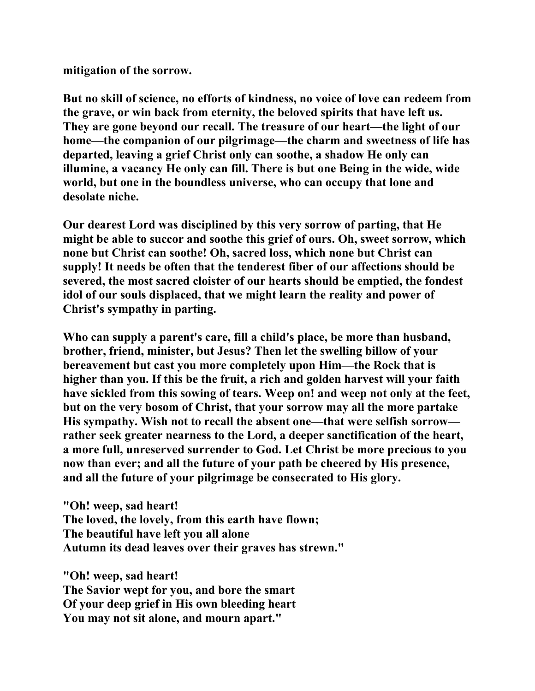**mitigation of the sorrow.** 

**But no skill of science, no efforts of kindness, no voice of love can redeem from the grave, or win back from eternity, the beloved spirits that have left us. They are gone beyond our recall. The treasure of our heart—the light of our home—the companion of our pilgrimage—the charm and sweetness of life has departed, leaving a grief Christ only can soothe, a shadow He only can illumine, a vacancy He only can fill. There is but one Being in the wide, wide world, but one in the boundless universe, who can occupy that lone and desolate niche.** 

**Our dearest Lord was disciplined by this very sorrow of parting, that He might be able to succor and soothe this grief of ours. Oh, sweet sorrow, which none but Christ can soothe! Oh, sacred loss, which none but Christ can supply! It needs be often that the tenderest fiber of our affections should be severed, the most sacred cloister of our hearts should be emptied, the fondest idol of our souls displaced, that we might learn the reality and power of Christ's sympathy in parting.** 

**Who can supply a parent's care, fill a child's place, be more than husband, brother, friend, minister, but Jesus? Then let the swelling billow of your bereavement but cast you more completely upon Him—the Rock that is higher than you. If this be the fruit, a rich and golden harvest will your faith have sickled from this sowing of tears. Weep on! and weep not only at the feet, but on the very bosom of Christ, that your sorrow may all the more partake His sympathy. Wish not to recall the absent one—that were selfish sorrow rather seek greater nearness to the Lord, a deeper sanctification of the heart, a more full, unreserved surrender to God. Let Christ be more precious to you now than ever; and all the future of your path be cheered by His presence, and all the future of your pilgrimage be consecrated to His glory.** 

**"Oh! weep, sad heart! The loved, the lovely, from this earth have flown; The beautiful have left you all alone Autumn its dead leaves over their graves has strewn."** 

**"Oh! weep, sad heart! The Savior wept for you, and bore the smart Of your deep grief in His own bleeding heart You may not sit alone, and mourn apart."**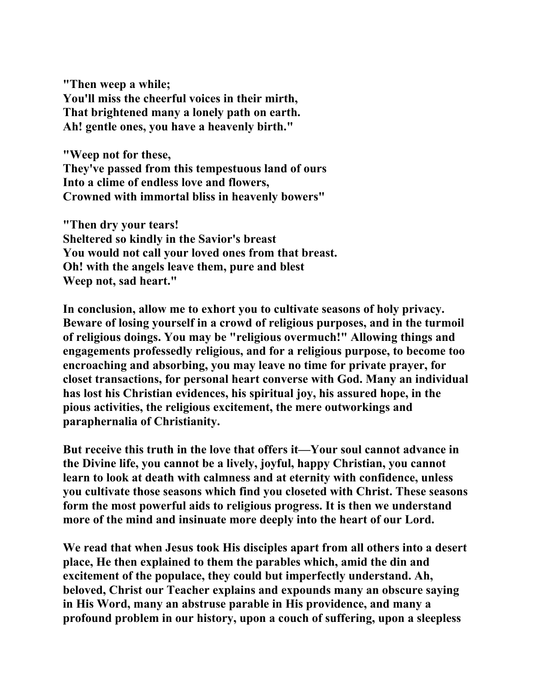**"Then weep a while; You'll miss the cheerful voices in their mirth, That brightened many a lonely path on earth. Ah! gentle ones, you have a heavenly birth."** 

**"Weep not for these, They've passed from this tempestuous land of ours Into a clime of endless love and flowers, Crowned with immortal bliss in heavenly bowers"** 

**"Then dry your tears! Sheltered so kindly in the Savior's breast You would not call your loved ones from that breast. Oh! with the angels leave them, pure and blest Weep not, sad heart."** 

**In conclusion, allow me to exhort you to cultivate seasons of holy privacy. Beware of losing yourself in a crowd of religious purposes, and in the turmoil of religious doings. You may be "religious overmuch!" Allowing things and engagements professedly religious, and for a religious purpose, to become too encroaching and absorbing, you may leave no time for private prayer, for closet transactions, for personal heart converse with God. Many an individual has lost his Christian evidences, his spiritual joy, his assured hope, in the pious activities, the religious excitement, the mere outworkings and paraphernalia of Christianity.** 

**But receive this truth in the love that offers it—Your soul cannot advance in the Divine life, you cannot be a lively, joyful, happy Christian, you cannot learn to look at death with calmness and at eternity with confidence, unless you cultivate those seasons which find you closeted with Christ. These seasons form the most powerful aids to religious progress. It is then we understand more of the mind and insinuate more deeply into the heart of our Lord.** 

**We read that when Jesus took His disciples apart from all others into a desert place, He then explained to them the parables which, amid the din and excitement of the populace, they could but imperfectly understand. Ah, beloved, Christ our Teacher explains and expounds many an obscure saying in His Word, many an abstruse parable in His providence, and many a profound problem in our history, upon a couch of suffering, upon a sleepless**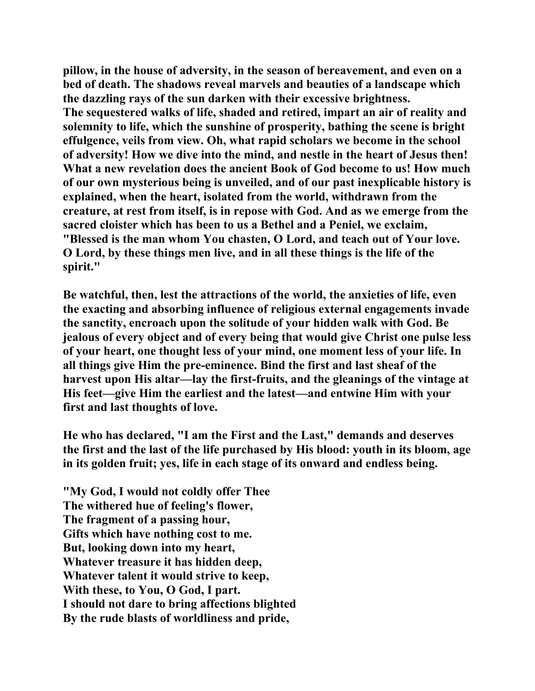**pillow, in the house of adversity, in the season of bereavement, and even on a bed of death. The shadows reveal marvels and beauties of a landscape which the dazzling rays of the sun darken with their excessive brightness. The sequestered walks of life, shaded and retired, impart an air of reality and solemnity to life, which the sunshine of prosperity, bathing the scene is bright effulgence, veils from view. Oh, what rapid scholars we become in the school of adversity! How we dive into the mind, and nestle in the heart of Jesus then! What a new revelation does the ancient Book of God become to us! How much of our own mysterious being is unveiled, and of our past inexplicable history is explained, when the heart, isolated from the world, withdrawn from the creature, at rest from itself, is in repose with God. And as we emerge from the sacred cloister which has been to us a Bethel and a Peniel, we exclaim, "Blessed is the man whom You chasten, O Lord, and teach out of Your love. O Lord, by these things men live, and in all these things is the life of the spirit."** 

**Be watchful, then, lest the attractions of the world, the anxieties of life, even the exacting and absorbing influence of religious external engagements invade the sanctity, encroach upon the solitude of your hidden walk with God. Be jealous of every object and of every being that would give Christ one pulse less of your heart, one thought less of your mind, one moment less of your life. In all things give Him the pre-eminence. Bind the first and last sheaf of the harvest upon His altar—lay the first-fruits, and the gleanings of the vintage at His feet—give Him the earliest and the latest—and entwine Him with your first and last thoughts of love.** 

**He who has declared, "I am the First and the Last," demands and deserves the first and the last of the life purchased by His blood: youth in its bloom, age in its golden fruit; yes, life in each stage of its onward and endless being.** 

**"My God, I would not coldly offer Thee The withered hue of feeling's flower, The fragment of a passing hour, Gifts which have nothing cost to me. But, looking down into my heart, Whatever treasure it has hidden deep, Whatever talent it would strive to keep, With these, to You, O God, I part. I should not dare to bring affections blighted By the rude blasts of worldliness and pride,**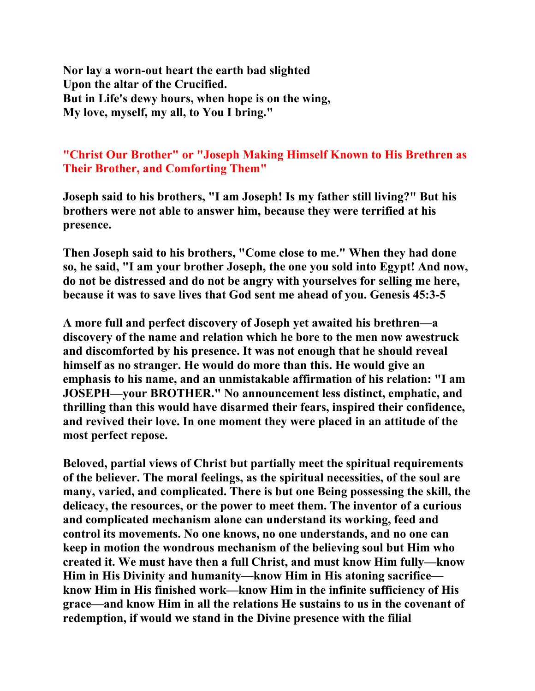**Nor lay a worn-out heart the earth bad slighted Upon the altar of the Crucified. But in Life's dewy hours, when hope is on the wing, My love, myself, my all, to You I bring."** 

## **"Christ Our Brother" or "Joseph Making Himself Known to His Brethren as Their Brother, and Comforting Them"**

**Joseph said to his brothers, "I am Joseph! Is my father still living?" But his brothers were not able to answer him, because they were terrified at his presence.** 

**Then Joseph said to his brothers, "Come close to me." When they had done so, he said, "I am your brother Joseph, the one you sold into Egypt! And now, do not be distressed and do not be angry with yourselves for selling me here, because it was to save lives that God sent me ahead of you. Genesis 45:3-5** 

**A more full and perfect discovery of Joseph yet awaited his brethren—a discovery of the name and relation which he bore to the men now awestruck and discomforted by his presence. It was not enough that he should reveal himself as no stranger. He would do more than this. He would give an emphasis to his name, and an unmistakable affirmation of his relation: "I am JOSEPH—your BROTHER." No announcement less distinct, emphatic, and thrilling than this would have disarmed their fears, inspired their confidence, and revived their love. In one moment they were placed in an attitude of the most perfect repose.** 

**Beloved, partial views of Christ but partially meet the spiritual requirements of the believer. The moral feelings, as the spiritual necessities, of the soul are many, varied, and complicated. There is but one Being possessing the skill, the delicacy, the resources, or the power to meet them. The inventor of a curious and complicated mechanism alone can understand its working, feed and control its movements. No one knows, no one understands, and no one can keep in motion the wondrous mechanism of the believing soul but Him who created it. We must have then a full Christ, and must know Him fully—know Him in His Divinity and humanity—know Him in His atoning sacrifice know Him in His finished work—know Him in the infinite sufficiency of His grace—and know Him in all the relations He sustains to us in the covenant of redemption, if would we stand in the Divine presence with the filial**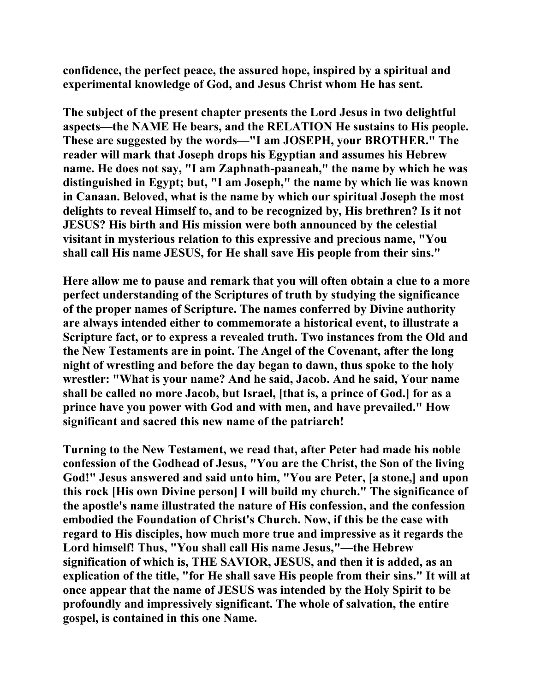**confidence, the perfect peace, the assured hope, inspired by a spiritual and experimental knowledge of God, and Jesus Christ whom He has sent.** 

**The subject of the present chapter presents the Lord Jesus in two delightful aspects—the NAME He bears, and the RELATION He sustains to His people. These are suggested by the words—"I am JOSEPH, your BROTHER." The reader will mark that Joseph drops his Egyptian and assumes his Hebrew name. He does not say, "I am Zaphnath-paaneah," the name by which he was distinguished in Egypt; but, "I am Joseph," the name by which lie was known in Canaan. Beloved, what is the name by which our spiritual Joseph the most delights to reveal Himself to, and to be recognized by, His brethren? Is it not JESUS? His birth and His mission were both announced by the celestial visitant in mysterious relation to this expressive and precious name, "You shall call His name JESUS, for He shall save His people from their sins."** 

**Here allow me to pause and remark that you will often obtain a clue to a more perfect understanding of the Scriptures of truth by studying the significance of the proper names of Scripture. The names conferred by Divine authority are always intended either to commemorate a historical event, to illustrate a Scripture fact, or to express a revealed truth. Two instances from the Old and the New Testaments are in point. The Angel of the Covenant, after the long night of wrestling and before the day began to dawn, thus spoke to the holy wrestler: "What is your name? And he said, Jacob. And he said, Your name shall be called no more Jacob, but Israel, [that is, a prince of God.] for as a prince have you power with God and with men, and have prevailed." How significant and sacred this new name of the patriarch!** 

**Turning to the New Testament, we read that, after Peter had made his noble confession of the Godhead of Jesus, "You are the Christ, the Son of the living God!" Jesus answered and said unto him, "You are Peter, [a stone,] and upon this rock [His own Divine person] I will build my church." The significance of the apostle's name illustrated the nature of His confession, and the confession embodied the Foundation of Christ's Church. Now, if this be the case with regard to His disciples, how much more true and impressive as it regards the Lord himself! Thus, "You shall call His name Jesus,"—the Hebrew signification of which is, THE SAVIOR, JESUS, and then it is added, as an explication of the title, "for He shall save His people from their sins." It will at once appear that the name of JESUS was intended by the Holy Spirit to be profoundly and impressively significant. The whole of salvation, the entire gospel, is contained in this one Name.**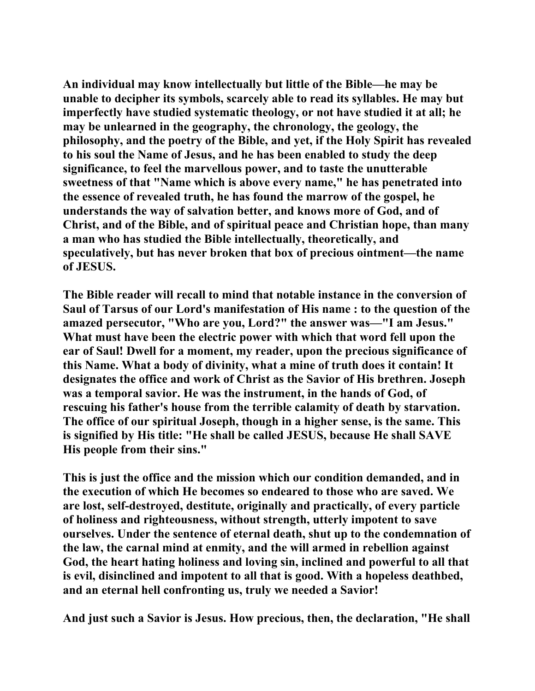**An individual may know intellectually but little of the Bible—he may be unable to decipher its symbols, scarcely able to read its syllables. He may but imperfectly have studied systematic theology, or not have studied it at all; he may be unlearned in the geography, the chronology, the geology, the philosophy, and the poetry of the Bible, and yet, if the Holy Spirit has revealed to his soul the Name of Jesus, and he has been enabled to study the deep significance, to feel the marvellous power, and to taste the unutterable sweetness of that "Name which is above every name," he has penetrated into the essence of revealed truth, he has found the marrow of the gospel, he understands the way of salvation better, and knows more of God, and of Christ, and of the Bible, and of spiritual peace and Christian hope, than many a man who has studied the Bible intellectually, theoretically, and speculatively, but has never broken that box of precious ointment—the name of JESUS.** 

**The Bible reader will recall to mind that notable instance in the conversion of Saul of Tarsus of our Lord's manifestation of His name : to the question of the amazed persecutor, "Who are you, Lord?" the answer was—"I am Jesus." What must have been the electric power with which that word fell upon the ear of Saul! Dwell for a moment, my reader, upon the precious significance of this Name. What a body of divinity, what a mine of truth does it contain! It designates the office and work of Christ as the Savior of His brethren. Joseph was a temporal savior. He was the instrument, in the hands of God, of rescuing his father's house from the terrible calamity of death by starvation. The office of our spiritual Joseph, though in a higher sense, is the same. This is signified by His title: "He shall be called JESUS, because He shall SAVE His people from their sins."** 

**This is just the office and the mission which our condition demanded, and in the execution of which He becomes so endeared to those who are saved. We are lost, self-destroyed, destitute, originally and practically, of every particle of holiness and righteousness, without strength, utterly impotent to save ourselves. Under the sentence of eternal death, shut up to the condemnation of the law, the carnal mind at enmity, and the will armed in rebellion against God, the heart hating holiness and loving sin, inclined and powerful to all that is evil, disinclined and impotent to all that is good. With a hopeless deathbed, and an eternal hell confronting us, truly we needed a Savior!** 

**And just such a Savior is Jesus. How precious, then, the declaration, "He shall**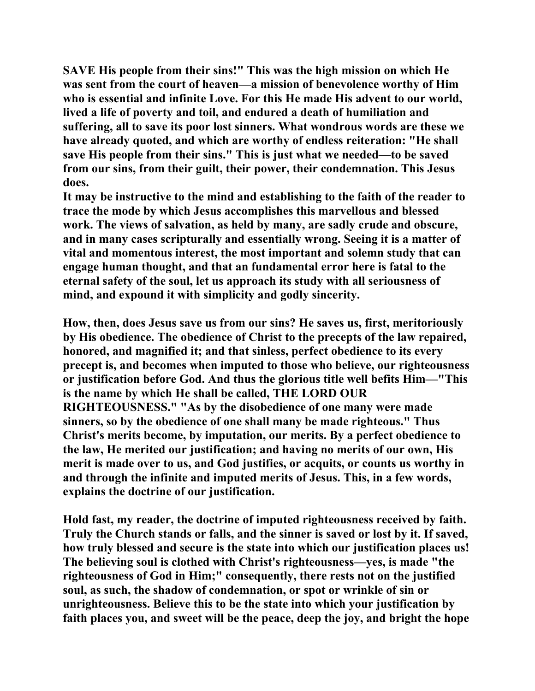**SAVE His people from their sins!" This was the high mission on which He was sent from the court of heaven—a mission of benevolence worthy of Him who is essential and infinite Love. For this He made His advent to our world, lived a life of poverty and toil, and endured a death of humiliation and suffering, all to save its poor lost sinners. What wondrous words are these we have already quoted, and which are worthy of endless reiteration: "He shall save His people from their sins." This is just what we needed—to be saved from our sins, from their guilt, their power, their condemnation. This Jesus does.** 

**It may be instructive to the mind and establishing to the faith of the reader to trace the mode by which Jesus accomplishes this marvellous and blessed work. The views of salvation, as held by many, are sadly crude and obscure, and in many cases scripturally and essentially wrong. Seeing it is a matter of vital and momentous interest, the most important and solemn study that can engage human thought, and that an fundamental error here is fatal to the eternal safety of the soul, let us approach its study with all seriousness of mind, and expound it with simplicity and godly sincerity.** 

**How, then, does Jesus save us from our sins? He saves us, first, meritoriously by His obedience. The obedience of Christ to the precepts of the law repaired, honored, and magnified it; and that sinless, perfect obedience to its every precept is, and becomes when imputed to those who believe, our righteousness or justification before God. And thus the glorious title well befits Him—"This is the name by which He shall be called, THE LORD OUR RIGHTEOUSNESS." "As by the disobedience of one many were made sinners, so by the obedience of one shall many be made righteous." Thus Christ's merits become, by imputation, our merits. By a perfect obedience to the law, He merited our justification; and having no merits of our own, His merit is made over to us, and God justifies, or acquits, or counts us worthy in and through the infinite and imputed merits of Jesus. This, in a few words, explains the doctrine of our justification.** 

**Hold fast, my reader, the doctrine of imputed righteousness received by faith. Truly the Church stands or falls, and the sinner is saved or lost by it. If saved, how truly blessed and secure is the state into which our justification places us! The believing soul is clothed with Christ's righteousness—yes, is made "the righteousness of God in Him;" consequently, there rests not on the justified soul, as such, the shadow of condemnation, or spot or wrinkle of sin or unrighteousness. Believe this to be the state into which your justification by faith places you, and sweet will be the peace, deep the joy, and bright the hope**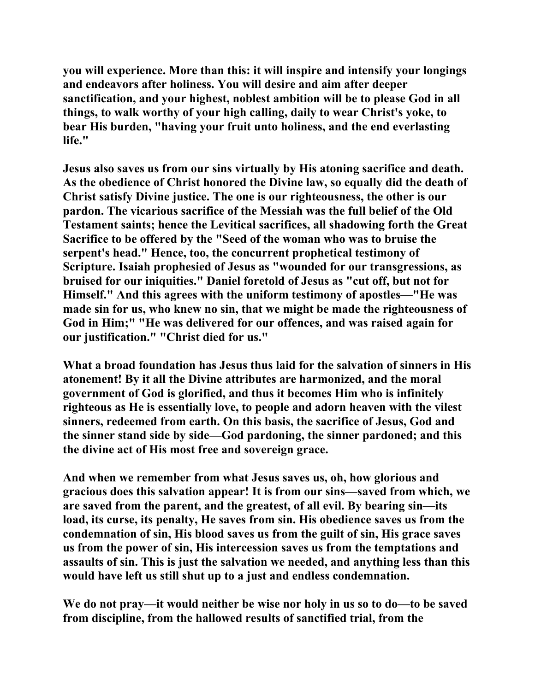**you will experience. More than this: it will inspire and intensify your longings and endeavors after holiness. You will desire and aim after deeper sanctification, and your highest, noblest ambition will be to please God in all things, to walk worthy of your high calling, daily to wear Christ's yoke, to bear His burden, "having your fruit unto holiness, and the end everlasting life."** 

**Jesus also saves us from our sins virtually by His atoning sacrifice and death. As the obedience of Christ honored the Divine law, so equally did the death of Christ satisfy Divine justice. The one is our righteousness, the other is our pardon. The vicarious sacrifice of the Messiah was the full belief of the Old Testament saints; hence the Levitical sacrifices, all shadowing forth the Great Sacrifice to be offered by the "Seed of the woman who was to bruise the serpent's head." Hence, too, the concurrent prophetical testimony of Scripture. Isaiah prophesied of Jesus as "wounded for our transgressions, as bruised for our iniquities." Daniel foretold of Jesus as "cut off, but not for Himself." And this agrees with the uniform testimony of apostles—"He was made sin for us, who knew no sin, that we might be made the righteousness of God in Him;" "He was delivered for our offences, and was raised again for our justification." "Christ died for us."** 

**What a broad foundation has Jesus thus laid for the salvation of sinners in His atonement! By it all the Divine attributes are harmonized, and the moral government of God is glorified, and thus it becomes Him who is infinitely righteous as He is essentially love, to people and adorn heaven with the vilest sinners, redeemed from earth. On this basis, the sacrifice of Jesus, God and the sinner stand side by side—God pardoning, the sinner pardoned; and this the divine act of His most free and sovereign grace.** 

**And when we remember from what Jesus saves us, oh, how glorious and gracious does this salvation appear! It is from our sins—saved from which, we are saved from the parent, and the greatest, of all evil. By bearing sin—its load, its curse, its penalty, He saves from sin. His obedience saves us from the condemnation of sin, His blood saves us from the guilt of sin, His grace saves us from the power of sin, His intercession saves us from the temptations and assaults of sin. This is just the salvation we needed, and anything less than this would have left us still shut up to a just and endless condemnation.** 

**We do not pray—it would neither be wise nor holy in us so to do—to be saved from discipline, from the hallowed results of sanctified trial, from the**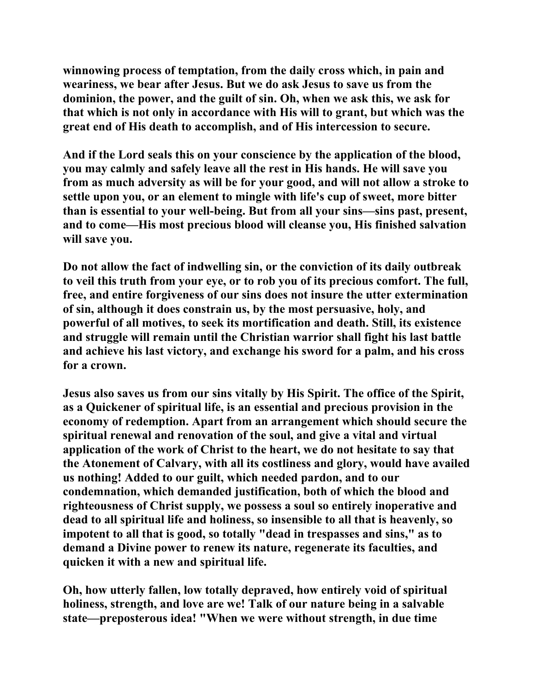**winnowing process of temptation, from the daily cross which, in pain and weariness, we bear after Jesus. But we do ask Jesus to save us from the dominion, the power, and the guilt of sin. Oh, when we ask this, we ask for that which is not only in accordance with His will to grant, but which was the great end of His death to accomplish, and of His intercession to secure.** 

**And if the Lord seals this on your conscience by the application of the blood, you may calmly and safely leave all the rest in His hands. He will save you from as much adversity as will be for your good, and will not allow a stroke to settle upon you, or an element to mingle with life's cup of sweet, more bitter than is essential to your well-being. But from all your sins—sins past, present, and to come—His most precious blood will cleanse you, His finished salvation will save you.** 

**Do not allow the fact of indwelling sin, or the conviction of its daily outbreak to veil this truth from your eye, or to rob you of its precious comfort. The full, free, and entire forgiveness of our sins does not insure the utter extermination of sin, although it does constrain us, by the most persuasive, holy, and powerful of all motives, to seek its mortification and death. Still, its existence and struggle will remain until the Christian warrior shall fight his last battle and achieve his last victory, and exchange his sword for a palm, and his cross for a crown.** 

**Jesus also saves us from our sins vitally by His Spirit. The office of the Spirit, as a Quickener of spiritual life, is an essential and precious provision in the economy of redemption. Apart from an arrangement which should secure the spiritual renewal and renovation of the soul, and give a vital and virtual application of the work of Christ to the heart, we do not hesitate to say that the Atonement of Calvary, with all its costliness and glory, would have availed us nothing! Added to our guilt, which needed pardon, and to our condemnation, which demanded justification, both of which the blood and righteousness of Christ supply, we possess a soul so entirely inoperative and dead to all spiritual life and holiness, so insensible to all that is heavenly, so impotent to all that is good, so totally "dead in trespasses and sins," as to demand a Divine power to renew its nature, regenerate its faculties, and quicken it with a new and spiritual life.** 

**Oh, how utterly fallen, low totally depraved, how entirely void of spiritual holiness, strength, and love are we! Talk of our nature being in a salvable state—preposterous idea! "When we were without strength, in due time**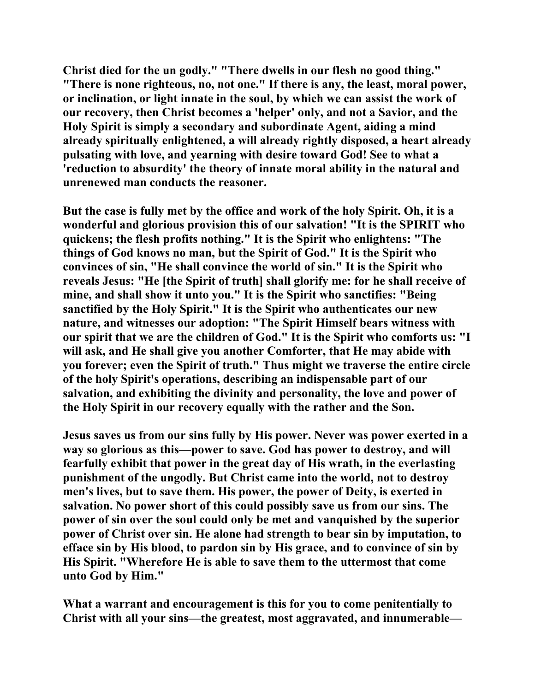**Christ died for the un godly." "There dwells in our flesh no good thing." "There is none righteous, no, not one." If there is any, the least, moral power, or inclination, or light innate in the soul, by which we can assist the work of our recovery, then Christ becomes a 'helper' only, and not a Savior, and the Holy Spirit is simply a secondary and subordinate Agent, aiding a mind already spiritually enlightened, a will already rightly disposed, a heart already pulsating with love, and yearning with desire toward God! See to what a 'reduction to absurdity' the theory of innate moral ability in the natural and unrenewed man conducts the reasoner.** 

**But the case is fully met by the office and work of the holy Spirit. Oh, it is a wonderful and glorious provision this of our salvation! "It is the SPIRIT who quickens; the flesh profits nothing." It is the Spirit who enlightens: "The things of God knows no man, but the Spirit of God." It is the Spirit who convinces of sin, "He shall convince the world of sin." It is the Spirit who reveals Jesus: "He [the Spirit of truth] shall glorify me: for he shall receive of mine, and shall show it unto you." It is the Spirit who sanctifies: "Being sanctified by the Holy Spirit." It is the Spirit who authenticates our new nature, and witnesses our adoption: "The Spirit Himself bears witness with our spirit that we are the children of God." It is the Spirit who comforts us: "I will ask, and He shall give you another Comforter, that He may abide with you forever; even the Spirit of truth." Thus might we traverse the entire circle of the holy Spirit's operations, describing an indispensable part of our salvation, and exhibiting the divinity and personality, the love and power of the Holy Spirit in our recovery equally with the rather and the Son.** 

**Jesus saves us from our sins fully by His power. Never was power exerted in a way so glorious as this—power to save. God has power to destroy, and will fearfully exhibit that power in the great day of His wrath, in the everlasting punishment of the ungodly. But Christ came into the world, not to destroy men's lives, but to save them. His power, the power of Deity, is exerted in salvation. No power short of this could possibly save us from our sins. The power of sin over the soul could only be met and vanquished by the superior power of Christ over sin. He alone had strength to bear sin by imputation, to efface sin by His blood, to pardon sin by His grace, and to convince of sin by His Spirit. "Wherefore He is able to save them to the uttermost that come unto God by Him."** 

**What a warrant and encouragement is this for you to come penitentially to Christ with all your sins—the greatest, most aggravated, and innumerable—**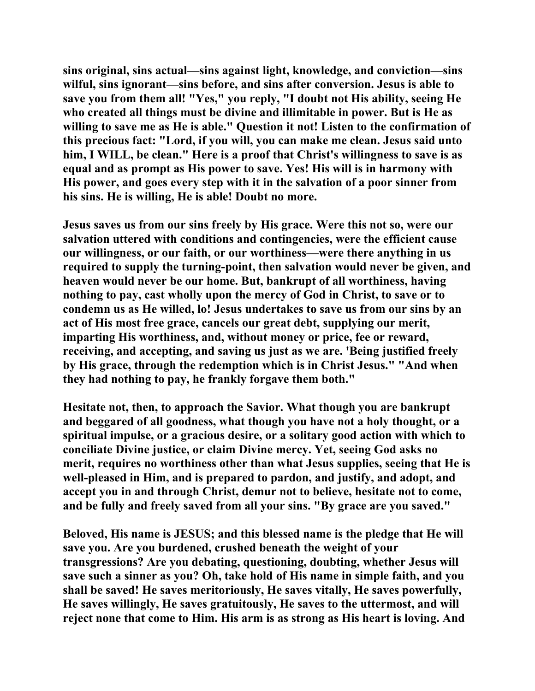**sins original, sins actual—sins against light, knowledge, and conviction—sins wilful, sins ignorant—sins before, and sins after conversion. Jesus is able to save you from them all! "Yes," you reply, "I doubt not His ability, seeing He who created all things must be divine and illimitable in power. But is He as willing to save me as He is able." Question it not! Listen to the confirmation of this precious fact: "Lord, if you will, you can make me clean. Jesus said unto him, I WILL, be clean." Here is a proof that Christ's willingness to save is as equal and as prompt as His power to save. Yes! His will is in harmony with His power, and goes every step with it in the salvation of a poor sinner from his sins. He is willing, He is able! Doubt no more.** 

**Jesus saves us from our sins freely by His grace. Were this not so, were our salvation uttered with conditions and contingencies, were the efficient cause our willingness, or our faith, or our worthiness—were there anything in us required to supply the turning-point, then salvation would never be given, and heaven would never be our home. But, bankrupt of all worthiness, having nothing to pay, cast wholly upon the mercy of God in Christ, to save or to condemn us as He willed, lo! Jesus undertakes to save us from our sins by an act of His most free grace, cancels our great debt, supplying our merit, imparting His worthiness, and, without money or price, fee or reward, receiving, and accepting, and saving us just as we are. 'Being justified freely by His grace, through the redemption which is in Christ Jesus." "And when they had nothing to pay, he frankly forgave them both."** 

**Hesitate not, then, to approach the Savior. What though you are bankrupt and beggared of all goodness, what though you have not a holy thought, or a spiritual impulse, or a gracious desire, or a solitary good action with which to conciliate Divine justice, or claim Divine mercy. Yet, seeing God asks no merit, requires no worthiness other than what Jesus supplies, seeing that He is well-pleased in Him, and is prepared to pardon, and justify, and adopt, and accept you in and through Christ, demur not to believe, hesitate not to come, and be fully and freely saved from all your sins. "By grace are you saved."** 

**Beloved, His name is JESUS; and this blessed name is the pledge that He will save you. Are you burdened, crushed beneath the weight of your transgressions? Are you debating, questioning, doubting, whether Jesus will save such a sinner as you? Oh, take hold of His name in simple faith, and you shall be saved! He saves meritoriously, He saves vitally, He saves powerfully, He saves willingly, He saves gratuitously, He saves to the uttermost, and will reject none that come to Him. His arm is as strong as His heart is loving. And**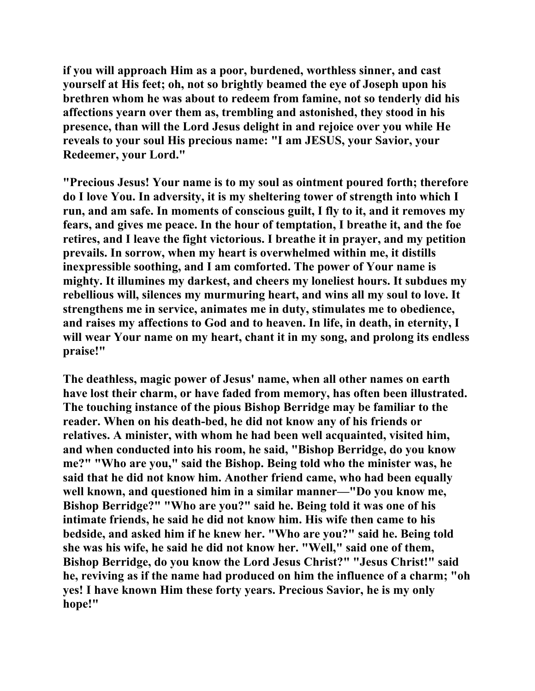**if you will approach Him as a poor, burdened, worthless sinner, and cast yourself at His feet; oh, not so brightly beamed the eye of Joseph upon his brethren whom he was about to redeem from famine, not so tenderly did his affections yearn over them as, trembling and astonished, they stood in his presence, than will the Lord Jesus delight in and rejoice over you while He reveals to your soul His precious name: "I am JESUS, your Savior, your Redeemer, your Lord."** 

**"Precious Jesus! Your name is to my soul as ointment poured forth; therefore do I love You. In adversity, it is my sheltering tower of strength into which I run, and am safe. In moments of conscious guilt, I fly to it, and it removes my fears, and gives me peace. In the hour of temptation, I breathe it, and the foe retires, and I leave the fight victorious. I breathe it in prayer, and my petition prevails. In sorrow, when my heart is overwhelmed within me, it distills inexpressible soothing, and I am comforted. The power of Your name is mighty. It illumines my darkest, and cheers my loneliest hours. It subdues my rebellious will, silences my murmuring heart, and wins all my soul to love. It strengthens me in service, animates me in duty, stimulates me to obedience, and raises my affections to God and to heaven. In life, in death, in eternity, I will wear Your name on my heart, chant it in my song, and prolong its endless praise!"** 

**The deathless, magic power of Jesus' name, when all other names on earth have lost their charm, or have faded from memory, has often been illustrated. The touching instance of the pious Bishop Berridge may be familiar to the reader. When on his death-bed, he did not know any of his friends or relatives. A minister, with whom he had been well acquainted, visited him, and when conducted into his room, he said, "Bishop Berridge, do you know me?" "Who are you," said the Bishop. Being told who the minister was, he said that he did not know him. Another friend came, who had been equally well known, and questioned him in a similar manner—"Do you know me, Bishop Berridge?" "Who are you?" said he. Being told it was one of his intimate friends, he said he did not know him. His wife then came to his bedside, and asked him if he knew her. "Who are you?" said he. Being told she was his wife, he said he did not know her. "Well," said one of them, Bishop Berridge, do you know the Lord Jesus Christ?" "Jesus Christ!" said he, reviving as if the name had produced on him the influence of a charm; "oh yes! I have known Him these forty years. Precious Savior, he is my only hope!"**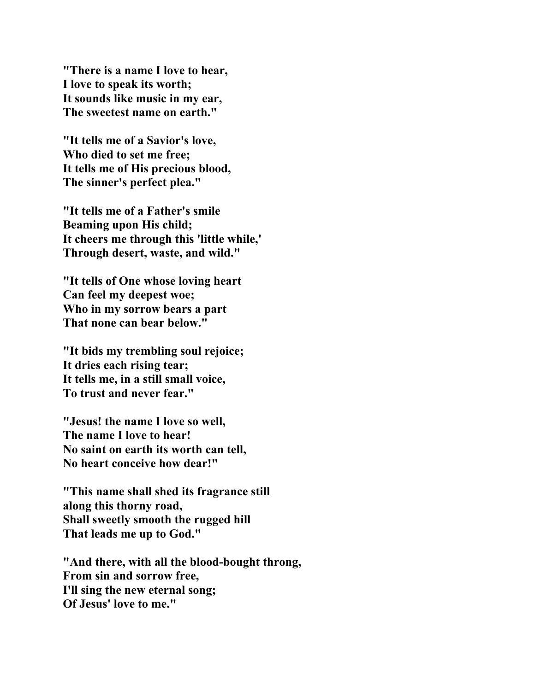**"There is a name I love to hear, I love to speak its worth; It sounds like music in my ear, The sweetest name on earth."** 

**"It tells me of a Savior's love, Who died to set me free; It tells me of His precious blood, The sinner's perfect plea."** 

**"It tells me of a Father's smile Beaming upon His child; It cheers me through this 'little while,' Through desert, waste, and wild."** 

**"It tells of One whose loving heart Can feel my deepest woe; Who in my sorrow bears a part That none can bear below."** 

**"It bids my trembling soul rejoice; It dries each rising tear; It tells me, in a still small voice, To trust and never fear."** 

**"Jesus! the name I love so well, The name I love to hear! No saint on earth its worth can tell, No heart conceive how dear!"** 

**"This name shall shed its fragrance still along this thorny road, Shall sweetly smooth the rugged hill That leads me up to God."** 

**"And there, with all the blood-bought throng, From sin and sorrow free, I'll sing the new eternal song; Of Jesus' love to me."**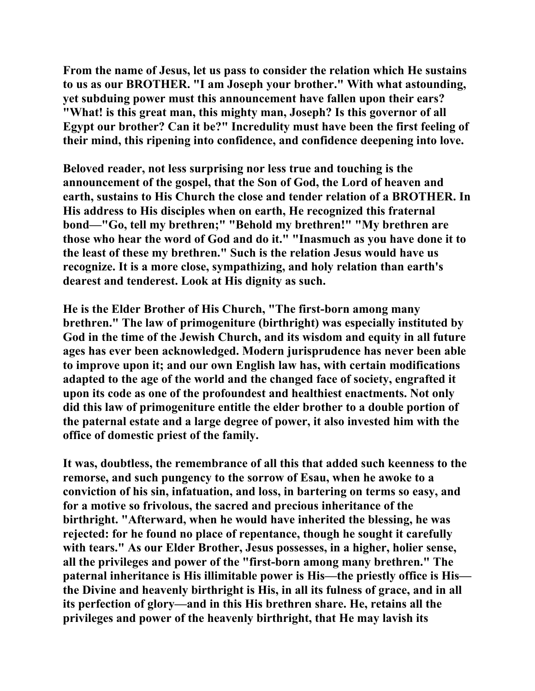**From the name of Jesus, let us pass to consider the relation which He sustains to us as our BROTHER. "I am Joseph your brother." With what astounding, yet subduing power must this announcement have fallen upon their ears? "What! is this great man, this mighty man, Joseph? Is this governor of all Egypt our brother? Can it be?" Incredulity must have been the first feeling of their mind, this ripening into confidence, and confidence deepening into love.** 

**Beloved reader, not less surprising nor less true and touching is the announcement of the gospel, that the Son of God, the Lord of heaven and earth, sustains to His Church the close and tender relation of a BROTHER. In His address to His disciples when on earth, He recognized this fraternal bond—"Go, tell my brethren;" "Behold my brethren!" "My brethren are those who hear the word of God and do it." "Inasmuch as you have done it to the least of these my brethren." Such is the relation Jesus would have us recognize. It is a more close, sympathizing, and holy relation than earth's dearest and tenderest. Look at His dignity as such.** 

**He is the Elder Brother of His Church, "The first-born among many brethren." The law of primogeniture (birthright) was especially instituted by God in the time of the Jewish Church, and its wisdom and equity in all future ages has ever been acknowledged. Modern jurisprudence has never been able to improve upon it; and our own English law has, with certain modifications adapted to the age of the world and the changed face of society, engrafted it upon its code as one of the profoundest and healthiest enactments. Not only did this law of primogeniture entitle the elder brother to a double portion of the paternal estate and a large degree of power, it also invested him with the office of domestic priest of the family.** 

**It was, doubtless, the remembrance of all this that added such keenness to the remorse, and such pungency to the sorrow of Esau, when he awoke to a conviction of his sin, infatuation, and loss, in bartering on terms so easy, and for a motive so frivolous, the sacred and precious inheritance of the birthright. "Afterward, when he would have inherited the blessing, he was rejected: for he found no place of repentance, though he sought it carefully with tears." As our Elder Brother, Jesus possesses, in a higher, holier sense, all the privileges and power of the "first-born among many brethren." The paternal inheritance is His illimitable power is His—the priestly office is His the Divine and heavenly birthright is His, in all its fulness of grace, and in all its perfection of glory—and in this His brethren share. He, retains all the privileges and power of the heavenly birthright, that He may lavish its**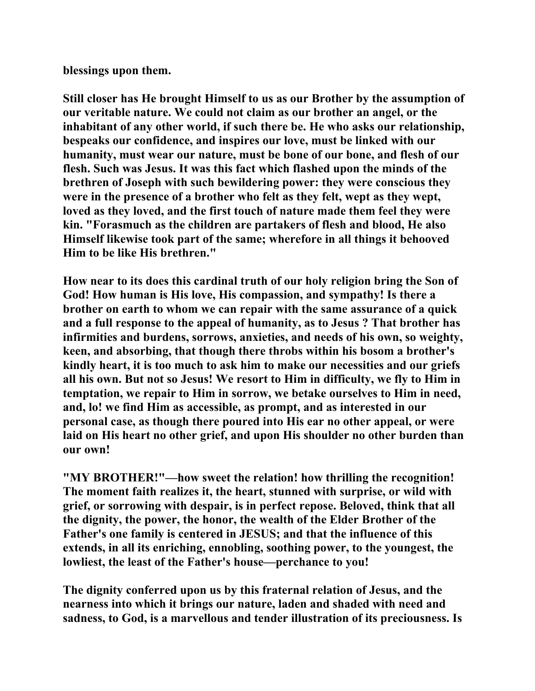**blessings upon them.** 

**Still closer has He brought Himself to us as our Brother by the assumption of our veritable nature. We could not claim as our brother an angel, or the inhabitant of any other world, if such there be. He who asks our relationship, bespeaks our confidence, and inspires our love, must be linked with our humanity, must wear our nature, must be bone of our bone, and flesh of our flesh. Such was Jesus. It was this fact which flashed upon the minds of the brethren of Joseph with such bewildering power: they were conscious they were in the presence of a brother who felt as they felt, wept as they wept, loved as they loved, and the first touch of nature made them feel they were kin. "Forasmuch as the children are partakers of flesh and blood, He also Himself likewise took part of the same; wherefore in all things it behooved Him to be like His brethren."** 

**How near to its does this cardinal truth of our holy religion bring the Son of God! How human is His love, His compassion, and sympathy! Is there a brother on earth to whom we can repair with the same assurance of a quick and a full response to the appeal of humanity, as to Jesus ? That brother has infirmities and burdens, sorrows, anxieties, and needs of his own, so weighty, keen, and absorbing, that though there throbs within his bosom a brother's kindly heart, it is too much to ask him to make our necessities and our griefs all his own. But not so Jesus! We resort to Him in difficulty, we fly to Him in temptation, we repair to Him in sorrow, we betake ourselves to Him in need, and, lo! we find Him as accessible, as prompt, and as interested in our personal case, as though there poured into His ear no other appeal, or were laid on His heart no other grief, and upon His shoulder no other burden than our own!** 

**"MY BROTHER!"—how sweet the relation! how thrilling the recognition! The moment faith realizes it, the heart, stunned with surprise, or wild with grief, or sorrowing with despair, is in perfect repose. Beloved, think that all the dignity, the power, the honor, the wealth of the Elder Brother of the Father's one family is centered in JESUS; and that the influence of this extends, in all its enriching, ennobling, soothing power, to the youngest, the lowliest, the least of the Father's house—perchance to you!** 

**The dignity conferred upon us by this fraternal relation of Jesus, and the nearness into which it brings our nature, laden and shaded with need and sadness, to God, is a marvellous and tender illustration of its preciousness. Is**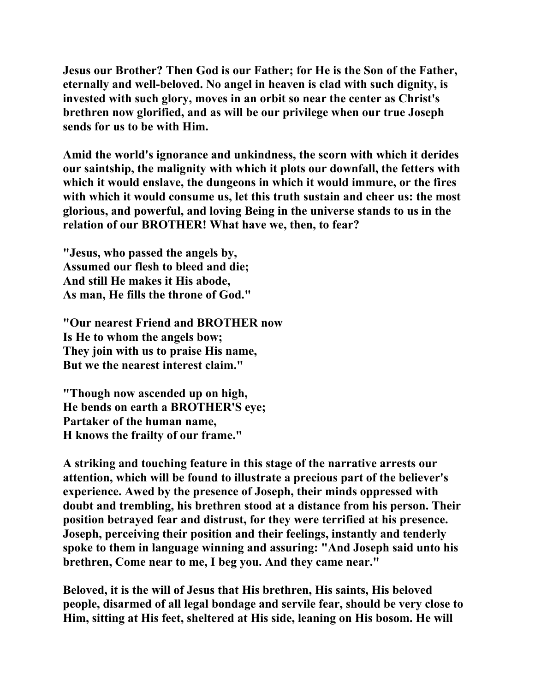**Jesus our Brother? Then God is our Father; for He is the Son of the Father, eternally and well-beloved. No angel in heaven is clad with such dignity, is invested with such glory, moves in an orbit so near the center as Christ's brethren now glorified, and as will be our privilege when our true Joseph sends for us to be with Him.** 

**Amid the world's ignorance and unkindness, the scorn with which it derides our saintship, the malignity with which it plots our downfall, the fetters with which it would enslave, the dungeons in which it would immure, or the fires with which it would consume us, let this truth sustain and cheer us: the most glorious, and powerful, and loving Being in the universe stands to us in the relation of our BROTHER! What have we, then, to fear?** 

**"Jesus, who passed the angels by, Assumed our flesh to bleed and die; And still He makes it His abode, As man, He fills the throne of God."** 

**"Our nearest Friend and BROTHER now Is He to whom the angels bow; They join with us to praise His name, But we the nearest interest claim."** 

**"Though now ascended up on high, He bends on earth a BROTHER'S eye; Partaker of the human name, H knows the frailty of our frame."** 

**A striking and touching feature in this stage of the narrative arrests our attention, which will be found to illustrate a precious part of the believer's experience. Awed by the presence of Joseph, their minds oppressed with doubt and trembling, his brethren stood at a distance from his person. Their position betrayed fear and distrust, for they were terrified at his presence. Joseph, perceiving their position and their feelings, instantly and tenderly spoke to them in language winning and assuring: "And Joseph said unto his brethren, Come near to me, I beg you. And they came near."** 

**Beloved, it is the will of Jesus that His brethren, His saints, His beloved people, disarmed of all legal bondage and servile fear, should be very close to Him, sitting at His feet, sheltered at His side, leaning on His bosom. He will**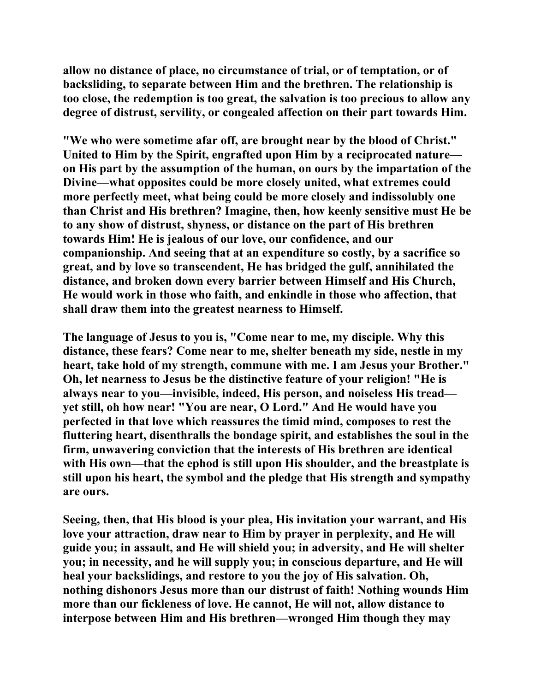**allow no distance of place, no circumstance of trial, or of temptation, or of backsliding, to separate between Him and the brethren. The relationship is too close, the redemption is too great, the salvation is too precious to allow any degree of distrust, servility, or congealed affection on their part towards Him.** 

**"We who were sometime afar off, are brought near by the blood of Christ." United to Him by the Spirit, engrafted upon Him by a reciprocated nature on His part by the assumption of the human, on ours by the impartation of the Divine—what opposites could be more closely united, what extremes could more perfectly meet, what being could be more closely and indissolubly one than Christ and His brethren? Imagine, then, how keenly sensitive must He be to any show of distrust, shyness, or distance on the part of His brethren towards Him! He is jealous of our love, our confidence, and our companionship. And seeing that at an expenditure so costly, by a sacrifice so great, and by love so transcendent, He has bridged the gulf, annihilated the distance, and broken down every barrier between Himself and His Church, He would work in those who faith, and enkindle in those who affection, that shall draw them into the greatest nearness to Himself.** 

**The language of Jesus to you is, "Come near to me, my disciple. Why this distance, these fears? Come near to me, shelter beneath my side, nestle in my heart, take hold of my strength, commune with me. I am Jesus your Brother." Oh, let nearness to Jesus be the distinctive feature of your religion! "He is always near to you—invisible, indeed, His person, and noiseless His tread yet still, oh how near! "You are near, O Lord." And He would have you perfected in that love which reassures the timid mind, composes to rest the fluttering heart, disenthralls the bondage spirit, and establishes the soul in the firm, unwavering conviction that the interests of His brethren are identical with His own—that the ephod is still upon His shoulder, and the breastplate is still upon his heart, the symbol and the pledge that His strength and sympathy are ours.** 

**Seeing, then, that His blood is your plea, His invitation your warrant, and His love your attraction, draw near to Him by prayer in perplexity, and He will guide you; in assault, and He will shield you; in adversity, and He will shelter you; in necessity, and he will supply you; in conscious departure, and He will heal your backslidings, and restore to you the joy of His salvation. Oh, nothing dishonors Jesus more than our distrust of faith! Nothing wounds Him more than our fickleness of love. He cannot, He will not, allow distance to interpose between Him and His brethren—wronged Him though they may**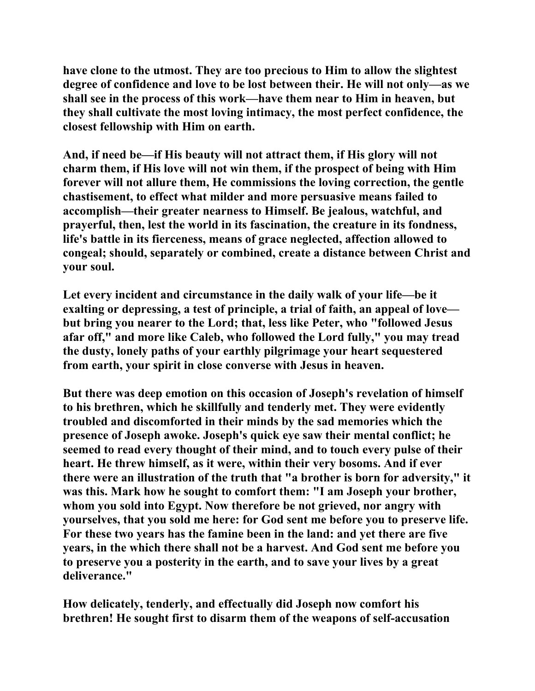**have clone to the utmost. They are too precious to Him to allow the slightest degree of confidence and love to be lost between their. He will not only—as we shall see in the process of this work—have them near to Him in heaven, but they shall cultivate the most loving intimacy, the most perfect confidence, the closest fellowship with Him on earth.** 

**And, if need be—if His beauty will not attract them, if His glory will not charm them, if His love will not win them, if the prospect of being with Him forever will not allure them, He commissions the loving correction, the gentle chastisement, to effect what milder and more persuasive means failed to accomplish—their greater nearness to Himself. Be jealous, watchful, and prayerful, then, lest the world in its fascination, the creature in its fondness, life's battle in its fierceness, means of grace neglected, affection allowed to congeal; should, separately or combined, create a distance between Christ and your soul.** 

**Let every incident and circumstance in the daily walk of your life—be it exalting or depressing, a test of principle, a trial of faith, an appeal of love but bring you nearer to the Lord; that, less like Peter, who "followed Jesus afar off," and more like Caleb, who followed the Lord fully," you may tread the dusty, lonely paths of your earthly pilgrimage your heart sequestered from earth, your spirit in close converse with Jesus in heaven.** 

**But there was deep emotion on this occasion of Joseph's revelation of himself to his brethren, which he skillfully and tenderly met. They were evidently troubled and discomforted in their minds by the sad memories which the presence of Joseph awoke. Joseph's quick eye saw their mental conflict; he seemed to read every thought of their mind, and to touch every pulse of their heart. He threw himself, as it were, within their very bosoms. And if ever there were an illustration of the truth that "a brother is born for adversity," it was this. Mark how he sought to comfort them: "I am Joseph your brother, whom you sold into Egypt. Now therefore be not grieved, nor angry with yourselves, that you sold me here: for God sent me before you to preserve life. For these two years has the famine been in the land: and yet there are five years, in the which there shall not be a harvest. And God sent me before you to preserve you a posterity in the earth, and to save your lives by a great deliverance."** 

**How delicately, tenderly, and effectually did Joseph now comfort his brethren! He sought first to disarm them of the weapons of self-accusation**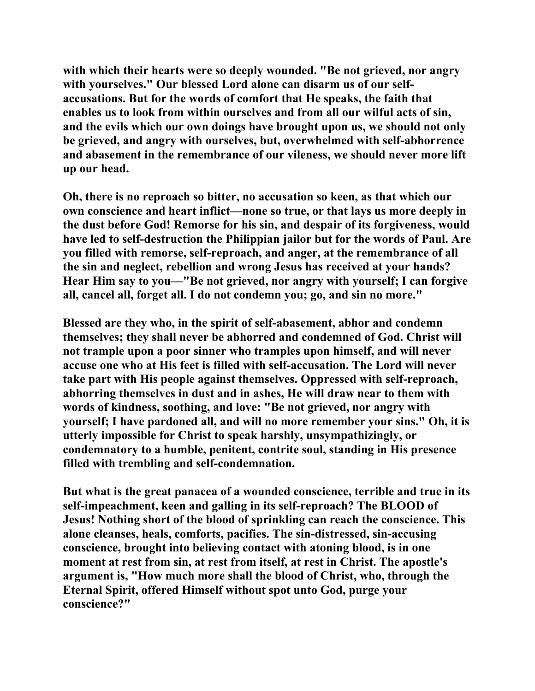**with which their hearts were so deeply wounded. "Be not grieved, nor angry with yourselves." Our blessed Lord alone can disarm us of our selfaccusations. But for the words of comfort that He speaks, the faith that enables us to look from within ourselves and from all our wilful acts of sin, and the evils which our own doings have brought upon us, we should not only be grieved, and angry with ourselves, but, overwhelmed with self-abhorrence and abasement in the remembrance of our vileness, we should never more lift up our head.** 

**Oh, there is no reproach so bitter, no accusation so keen, as that which our own conscience and heart inflict—none so true, or that lays us more deeply in the dust before God! Remorse for his sin, and despair of its forgiveness, would have led to self-destruction the Philippian jailor but for the words of Paul. Are you filled with remorse, self-reproach, and anger, at the remembrance of all the sin and neglect, rebellion and wrong Jesus has received at your hands? Hear Him say to you—"Be not grieved, nor angry with yourself; I can forgive all, cancel all, forget all. I do not condemn you; go, and sin no more."** 

**Blessed are they who, in the spirit of self-abasement, abhor and condemn themselves; they shall never be abhorred and condemned of God. Christ will not trample upon a poor sinner who tramples upon himself, and will never accuse one who at His feet is filled with self-accusation. The Lord will never take part with His people against themselves. Oppressed with self-reproach, abhorring themselves in dust and in ashes, He will draw near to them with words of kindness, soothing, and love: "Be not grieved, nor angry with yourself; I have pardoned all, and will no more remember your sins." Oh, it is utterly impossible for Christ to speak harshly, unsympathizingly, or condemnatory to a humble, penitent, contrite soul, standing in His presence filled with trembling and self-condemnation.** 

**But what is the great panacea of a wounded conscience, terrible and true in its self-impeachment, keen and galling in its self-reproach? The BLOOD of Jesus! Nothing short of the blood of sprinkling can reach the conscience. This alone cleanses, heals, comforts, pacifies. The sin-distressed, sin-accusing conscience, brought into believing contact with atoning blood, is in one moment at rest from sin, at rest from itself, at rest in Christ. The apostle's argument is, "How much more shall the blood of Christ, who, through the Eternal Spirit, offered Himself without spot unto God, purge your conscience?"**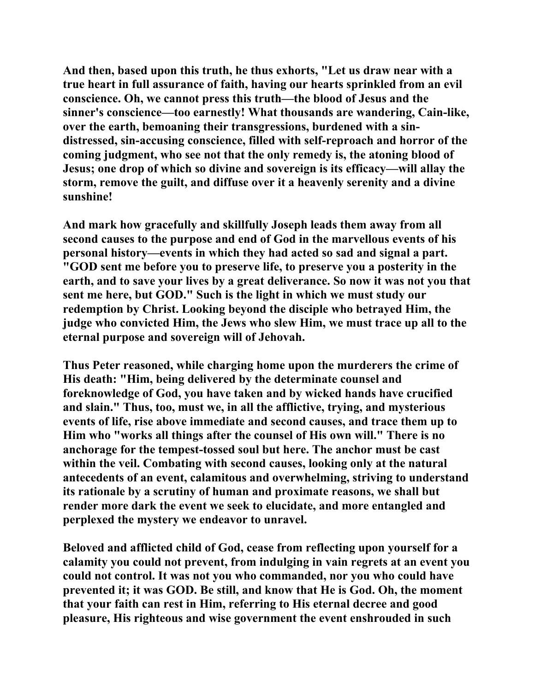**And then, based upon this truth, he thus exhorts, "Let us draw near with a true heart in full assurance of faith, having our hearts sprinkled from an evil conscience. Oh, we cannot press this truth—the blood of Jesus and the sinner's conscience—too earnestly! What thousands are wandering, Cain-like, over the earth, bemoaning their transgressions, burdened with a sindistressed, sin-accusing conscience, filled with self-reproach and horror of the coming judgment, who see not that the only remedy is, the atoning blood of Jesus; one drop of which so divine and sovereign is its efficacy—will allay the storm, remove the guilt, and diffuse over it a heavenly serenity and a divine sunshine!** 

**And mark how gracefully and skillfully Joseph leads them away from all second causes to the purpose and end of God in the marvellous events of his personal history—events in which they had acted so sad and signal a part. "GOD sent me before you to preserve life, to preserve you a posterity in the earth, and to save your lives by a great deliverance. So now it was not you that sent me here, but GOD." Such is the light in which we must study our redemption by Christ. Looking beyond the disciple who betrayed Him, the judge who convicted Him, the Jews who slew Him, we must trace up all to the eternal purpose and sovereign will of Jehovah.** 

**Thus Peter reasoned, while charging home upon the murderers the crime of His death: "Him, being delivered by the determinate counsel and foreknowledge of God, you have taken and by wicked hands have crucified and slain." Thus, too, must we, in all the afflictive, trying, and mysterious events of life, rise above immediate and second causes, and trace them up to Him who "works all things after the counsel of His own will." There is no anchorage for the tempest-tossed soul but here. The anchor must be cast within the veil. Combating with second causes, looking only at the natural antecedents of an event, calamitous and overwhelming, striving to understand its rationale by a scrutiny of human and proximate reasons, we shall but render more dark the event we seek to elucidate, and more entangled and perplexed the mystery we endeavor to unravel.** 

**Beloved and afflicted child of God, cease from reflecting upon yourself for a calamity you could not prevent, from indulging in vain regrets at an event you could not control. It was not you who commanded, nor you who could have prevented it; it was GOD. Be still, and know that He is God. Oh, the moment that your faith can rest in Him, referring to His eternal decree and good pleasure, His righteous and wise government the event enshrouded in such**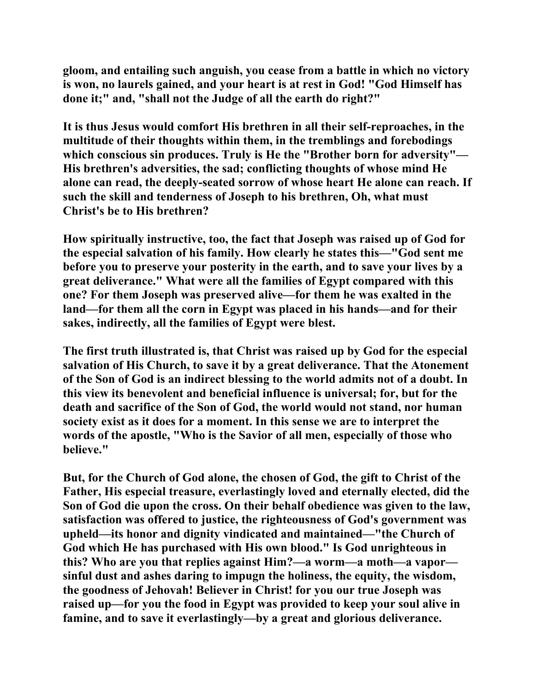**gloom, and entailing such anguish, you cease from a battle in which no victory is won, no laurels gained, and your heart is at rest in God! "God Himself has done it;" and, "shall not the Judge of all the earth do right?"** 

**It is thus Jesus would comfort His brethren in all their self-reproaches, in the multitude of their thoughts within them, in the tremblings and forebodings which conscious sin produces. Truly is He the "Brother born for adversity"— His brethren's adversities, the sad; conflicting thoughts of whose mind He alone can read, the deeply-seated sorrow of whose heart He alone can reach. If such the skill and tenderness of Joseph to his brethren, Oh, what must Christ's be to His brethren?** 

**How spiritually instructive, too, the fact that Joseph was raised up of God for the especial salvation of his family. How clearly he states this—"God sent me before you to preserve your posterity in the earth, and to save your lives by a great deliverance." What were all the families of Egypt compared with this one? For them Joseph was preserved alive—for them he was exalted in the land—for them all the corn in Egypt was placed in his hands—and for their sakes, indirectly, all the families of Egypt were blest.** 

**The first truth illustrated is, that Christ was raised up by God for the especial salvation of His Church, to save it by a great deliverance. That the Atonement of the Son of God is an indirect blessing to the world admits not of a doubt. In this view its benevolent and beneficial influence is universal; for, but for the death and sacrifice of the Son of God, the world would not stand, nor human society exist as it does for a moment. In this sense we are to interpret the words of the apostle, "Who is the Savior of all men, especially of those who believe."** 

**But, for the Church of God alone, the chosen of God, the gift to Christ of the Father, His especial treasure, everlastingly loved and eternally elected, did the Son of God die upon the cross. On their behalf obedience was given to the law, satisfaction was offered to justice, the righteousness of God's government was upheld—its honor and dignity vindicated and maintained—"the Church of God which He has purchased with His own blood." Is God unrighteous in this? Who are you that replies against Him?—a worm—a moth—a vapor sinful dust and ashes daring to impugn the holiness, the equity, the wisdom, the goodness of Jehovah! Believer in Christ! for you our true Joseph was raised up—for you the food in Egypt was provided to keep your soul alive in famine, and to save it everlastingly—by a great and glorious deliverance.**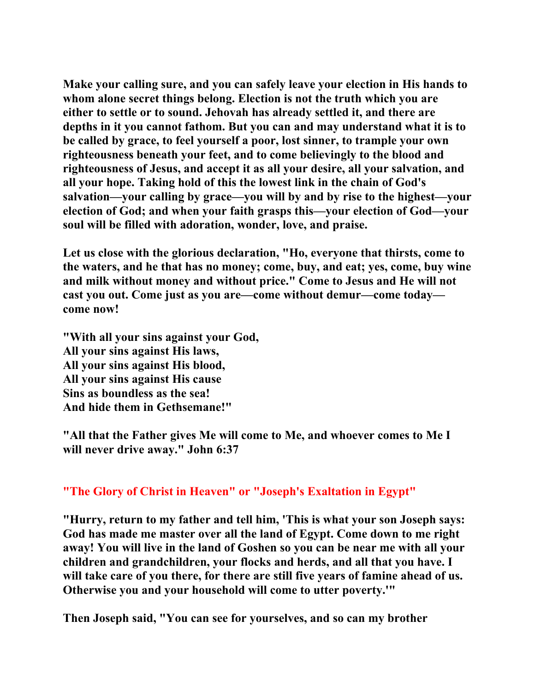**Make your calling sure, and you can safely leave your election in His hands to whom alone secret things belong. Election is not the truth which you are either to settle or to sound. Jehovah has already settled it, and there are depths in it you cannot fathom. But you can and may understand what it is to be called by grace, to feel yourself a poor, lost sinner, to trample your own righteousness beneath your feet, and to come believingly to the blood and righteousness of Jesus, and accept it as all your desire, all your salvation, and all your hope. Taking hold of this the lowest link in the chain of God's salvation—your calling by grace—you will by and by rise to the highest—your election of God; and when your faith grasps this—your election of God—your soul will be filled with adoration, wonder, love, and praise.** 

**Let us close with the glorious declaration, "Ho, everyone that thirsts, come to the waters, and he that has no money; come, buy, and eat; yes, come, buy wine and milk without money and without price." Come to Jesus and He will not cast you out. Come just as you are—come without demur—come today come now!** 

**"With all your sins against your God, All your sins against His laws, All your sins against His blood, All your sins against His cause Sins as boundless as the sea! And hide them in Gethsemane!"** 

**"All that the Father gives Me will come to Me, and whoever comes to Me I will never drive away." John 6:37** 

## **"The Glory of Christ in Heaven" or "Joseph's Exaltation in Egypt"**

**"Hurry, return to my father and tell him, 'This is what your son Joseph says: God has made me master over all the land of Egypt. Come down to me right away! You will live in the land of Goshen so you can be near me with all your children and grandchildren, your flocks and herds, and all that you have. I will take care of you there, for there are still five years of famine ahead of us. Otherwise you and your household will come to utter poverty.'"** 

**Then Joseph said, "You can see for yourselves, and so can my brother**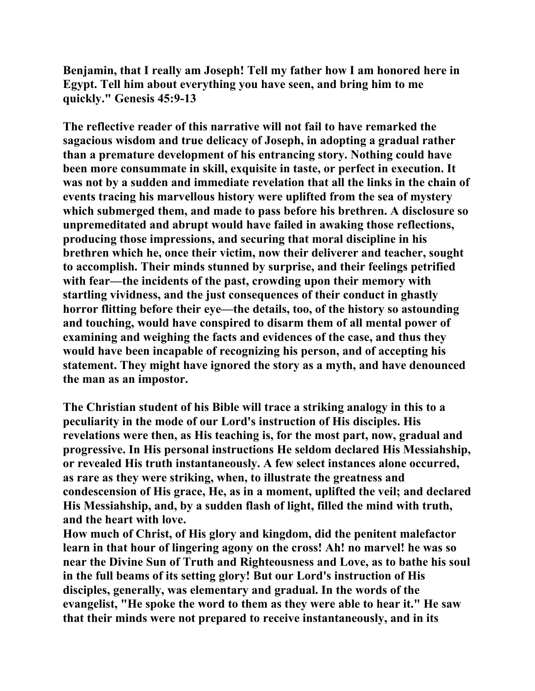**Benjamin, that I really am Joseph! Tell my father how I am honored here in Egypt. Tell him about everything you have seen, and bring him to me quickly." Genesis 45:9-13** 

**The reflective reader of this narrative will not fail to have remarked the sagacious wisdom and true delicacy of Joseph, in adopting a gradual rather than a premature development of his entrancing story. Nothing could have been more consummate in skill, exquisite in taste, or perfect in execution. It was not by a sudden and immediate revelation that all the links in the chain of events tracing his marvellous history were uplifted from the sea of mystery which submerged them, and made to pass before his brethren. A disclosure so unpremeditated and abrupt would have failed in awaking those reflections, producing those impressions, and securing that moral discipline in his brethren which he, once their victim, now their deliverer and teacher, sought to accomplish. Their minds stunned by surprise, and their feelings petrified with fear—the incidents of the past, crowding upon their memory with startling vividness, and the just consequences of their conduct in ghastly horror flitting before their eye—the details, too, of the history so astounding and touching, would have conspired to disarm them of all mental power of examining and weighing the facts and evidences of the case, and thus they would have been incapable of recognizing his person, and of accepting his statement. They might have ignored the story as a myth, and have denounced the man as an impostor.** 

**The Christian student of his Bible will trace a striking analogy in this to a peculiarity in the mode of our Lord's instruction of His disciples. His revelations were then, as His teaching is, for the most part, now, gradual and progressive. In His personal instructions He seldom declared His Messiahship, or revealed His truth instantaneously. A few select instances alone occurred, as rare as they were striking, when, to illustrate the greatness and condescension of His grace, He, as in a moment, uplifted the veil; and declared His Messiahship, and, by a sudden flash of light, filled the mind with truth, and the heart with love.** 

**How much of Christ, of His glory and kingdom, did the penitent malefactor learn in that hour of lingering agony on the cross! Ah! no marvel! he was so near the Divine Sun of Truth and Righteousness and Love, as to bathe his soul in the full beams of its setting glory! But our Lord's instruction of His disciples, generally, was elementary and gradual. In the words of the evangelist, "He spoke the word to them as they were able to hear it." He saw that their minds were not prepared to receive instantaneously, and in its**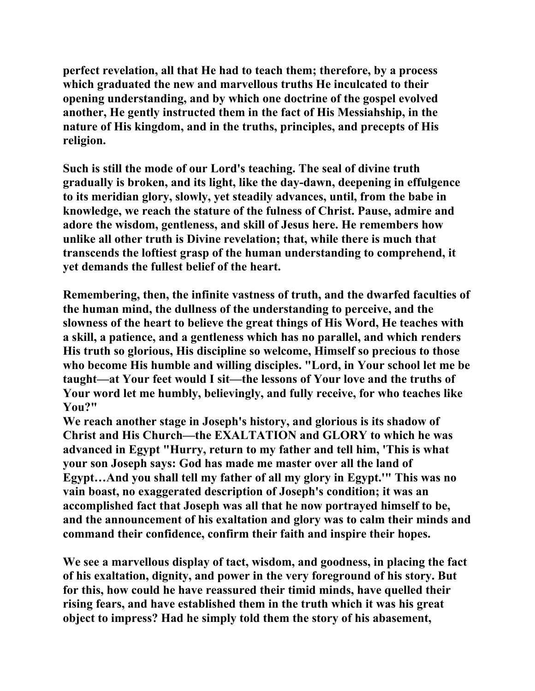**perfect revelation, all that He had to teach them; therefore, by a process which graduated the new and marvellous truths He inculcated to their opening understanding, and by which one doctrine of the gospel evolved another, He gently instructed them in the fact of His Messiahship, in the nature of His kingdom, and in the truths, principles, and precepts of His religion.** 

**Such is still the mode of our Lord's teaching. The seal of divine truth gradually is broken, and its light, like the day-dawn, deepening in effulgence to its meridian glory, slowly, yet steadily advances, until, from the babe in knowledge, we reach the stature of the fulness of Christ. Pause, admire and adore the wisdom, gentleness, and skill of Jesus here. He remembers how unlike all other truth is Divine revelation; that, while there is much that transcends the loftiest grasp of the human understanding to comprehend, it yet demands the fullest belief of the heart.** 

**Remembering, then, the infinite vastness of truth, and the dwarfed faculties of the human mind, the dullness of the understanding to perceive, and the slowness of the heart to believe the great things of His Word, He teaches with a skill, a patience, and a gentleness which has no parallel, and which renders His truth so glorious, His discipline so welcome, Himself so precious to those who become His humble and willing disciples. "Lord, in Your school let me be taught—at Your feet would I sit—the lessons of Your love and the truths of Your word let me humbly, believingly, and fully receive, for who teaches like You?"** 

**We reach another stage in Joseph's history, and glorious is its shadow of Christ and His Church—the EXALTATION and GLORY to which he was advanced in Egypt "Hurry, return to my father and tell him, 'This is what your son Joseph says: God has made me master over all the land of Egypt…And you shall tell my father of all my glory in Egypt.'" This was no vain boast, no exaggerated description of Joseph's condition; it was an accomplished fact that Joseph was all that he now portrayed himself to be, and the announcement of his exaltation and glory was to calm their minds and command their confidence, confirm their faith and inspire their hopes.** 

**We see a marvellous display of tact, wisdom, and goodness, in placing the fact of his exaltation, dignity, and power in the very foreground of his story. But for this, how could he have reassured their timid minds, have quelled their rising fears, and have established them in the truth which it was his great object to impress? Had he simply told them the story of his abasement,**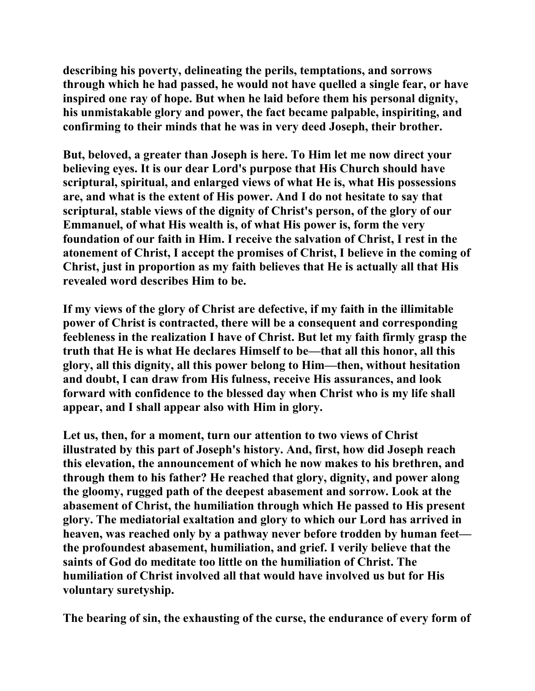**describing his poverty, delineating the perils, temptations, and sorrows through which he had passed, he would not have quelled a single fear, or have inspired one ray of hope. But when he laid before them his personal dignity, his unmistakable glory and power, the fact became palpable, inspiriting, and confirming to their minds that he was in very deed Joseph, their brother.** 

**But, beloved, a greater than Joseph is here. To Him let me now direct your believing eyes. It is our dear Lord's purpose that His Church should have scriptural, spiritual, and enlarged views of what He is, what His possessions are, and what is the extent of His power. And I do not hesitate to say that scriptural, stable views of the dignity of Christ's person, of the glory of our Emmanuel, of what His wealth is, of what His power is, form the very foundation of our faith in Him. I receive the salvation of Christ, I rest in the atonement of Christ, I accept the promises of Christ, I believe in the coming of Christ, just in proportion as my faith believes that He is actually all that His revealed word describes Him to be.** 

**If my views of the glory of Christ are defective, if my faith in the illimitable power of Christ is contracted, there will be a consequent and corresponding feebleness in the realization I have of Christ. But let my faith firmly grasp the truth that He is what He declares Himself to be—that all this honor, all this glory, all this dignity, all this power belong to Him—then, without hesitation and doubt, I can draw from His fulness, receive His assurances, and look forward with confidence to the blessed day when Christ who is my life shall appear, and I shall appear also with Him in glory.** 

**Let us, then, for a moment, turn our attention to two views of Christ illustrated by this part of Joseph's history. And, first, how did Joseph reach this elevation, the announcement of which he now makes to his brethren, and through them to his father? He reached that glory, dignity, and power along the gloomy, rugged path of the deepest abasement and sorrow. Look at the abasement of Christ, the humiliation through which He passed to His present glory. The mediatorial exaltation and glory to which our Lord has arrived in heaven, was reached only by a pathway never before trodden by human feet the profoundest abasement, humiliation, and grief. I verily believe that the saints of God do meditate too little on the humiliation of Christ. The humiliation of Christ involved all that would have involved us but for His voluntary suretyship.** 

**The bearing of sin, the exhausting of the curse, the endurance of every form of**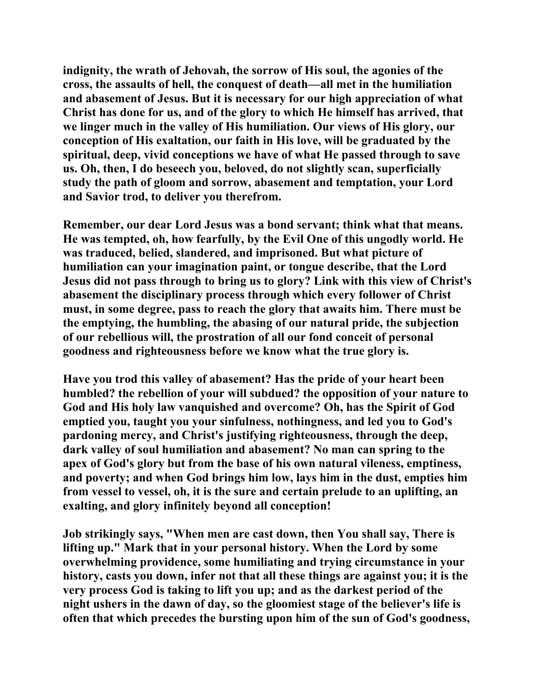**indignity, the wrath of Jehovah, the sorrow of His soul, the agonies of the cross, the assaults of hell, the conquest of death—all met in the humiliation and abasement of Jesus. But it is necessary for our high appreciation of what Christ has done for us, and of the glory to which He himself has arrived, that we linger much in the valley of His humiliation. Our views of His glory, our conception of His exaltation, our faith in His love, will be graduated by the spiritual, deep, vivid conceptions we have of what He passed through to save us. Oh, then, I do beseech you, beloved, do not slightly scan, superficially study the path of gloom and sorrow, abasement and temptation, your Lord and Savior trod, to deliver you therefrom.** 

**Remember, our dear Lord Jesus was a bond servant; think what that means. He was tempted, oh, how fearfully, by the Evil One of this ungodly world. He was traduced, belied, slandered, and imprisoned. But what picture of humiliation can your imagination paint, or tongue describe, that the Lord Jesus did not pass through to bring us to glory? Link with this view of Christ's abasement the disciplinary process through which every follower of Christ must, in some degree, pass to reach the glory that awaits him. There must be the emptying, the humbling, the abasing of our natural pride, the subjection of our rebellious will, the prostration of all our fond conceit of personal goodness and righteousness before we know what the true glory is.** 

**Have you trod this valley of abasement? Has the pride of your heart been humbled? the rebellion of your will subdued? the opposition of your nature to God and His holy law vanquished and overcome? Oh, has the Spirit of God emptied you, taught you your sinfulness, nothingness, and led you to God's pardoning mercy, and Christ's justifying righteousness, through the deep, dark valley of soul humiliation and abasement? No man can spring to the apex of God's glory but from the base of his own natural vileness, emptiness, and poverty; and when God brings him low, lays him in the dust, empties him from vessel to vessel, oh, it is the sure and certain prelude to an uplifting, an exalting, and glory infinitely beyond all conception!** 

**Job strikingly says, "When men are cast down, then You shall say, There is lifting up." Mark that in your personal history. When the Lord by some overwhelming providence, some humiliating and trying circumstance in your history, casts you down, infer not that all these things are against you; it is the very process God is taking to lift you up; and as the darkest period of the night ushers in the dawn of day, so the gloomiest stage of the believer's life is often that which precedes the bursting upon him of the sun of God's goodness,**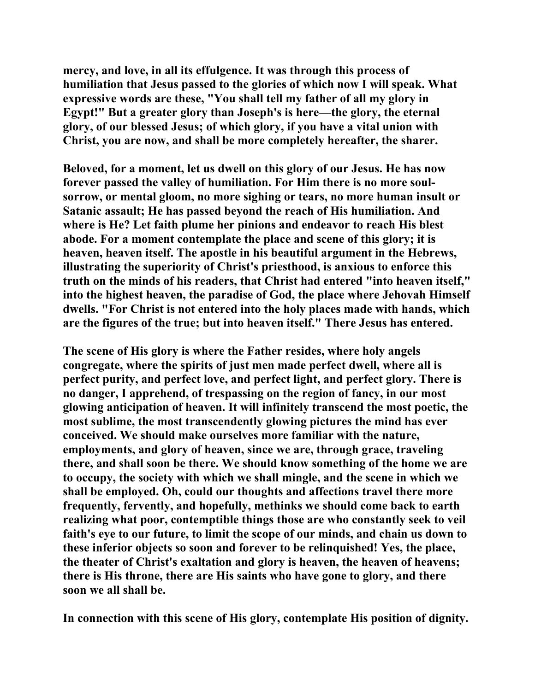**mercy, and love, in all its effulgence. It was through this process of humiliation that Jesus passed to the glories of which now I will speak. What expressive words are these, "You shall tell my father of all my glory in Egypt!" But a greater glory than Joseph's is here—the glory, the eternal glory, of our blessed Jesus; of which glory, if you have a vital union with Christ, you are now, and shall be more completely hereafter, the sharer.** 

**Beloved, for a moment, let us dwell on this glory of our Jesus. He has now forever passed the valley of humiliation. For Him there is no more soulsorrow, or mental gloom, no more sighing or tears, no more human insult or Satanic assault; He has passed beyond the reach of His humiliation. And where is He? Let faith plume her pinions and endeavor to reach His blest abode. For a moment contemplate the place and scene of this glory; it is heaven, heaven itself. The apostle in his beautiful argument in the Hebrews, illustrating the superiority of Christ's priesthood, is anxious to enforce this truth on the minds of his readers, that Christ had entered "into heaven itself," into the highest heaven, the paradise of God, the place where Jehovah Himself dwells. "For Christ is not entered into the holy places made with hands, which are the figures of the true; but into heaven itself." There Jesus has entered.** 

**The scene of His glory is where the Father resides, where holy angels congregate, where the spirits of just men made perfect dwell, where all is perfect purity, and perfect love, and perfect light, and perfect glory. There is no danger, I apprehend, of trespassing on the region of fancy, in our most glowing anticipation of heaven. It will infinitely transcend the most poetic, the most sublime, the most transcendently glowing pictures the mind has ever conceived. We should make ourselves more familiar with the nature, employments, and glory of heaven, since we are, through grace, traveling there, and shall soon be there. We should know something of the home we are to occupy, the society with which we shall mingle, and the scene in which we shall be employed. Oh, could our thoughts and affections travel there more frequently, fervently, and hopefully, methinks we should come back to earth realizing what poor, contemptible things those are who constantly seek to veil faith's eye to our future, to limit the scope of our minds, and chain us down to these inferior objects so soon and forever to be relinquished! Yes, the place, the theater of Christ's exaltation and glory is heaven, the heaven of heavens; there is His throne, there are His saints who have gone to glory, and there soon we all shall be.** 

**In connection with this scene of His glory, contemplate His position of dignity.**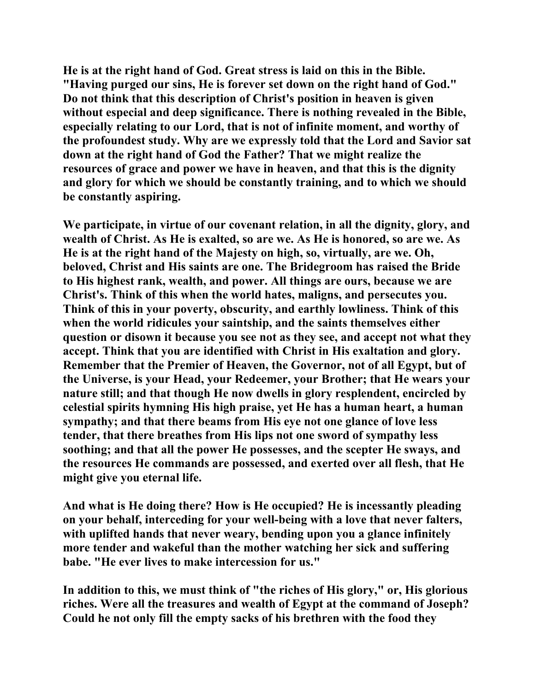**He is at the right hand of God. Great stress is laid on this in the Bible. "Having purged our sins, He is forever set down on the right hand of God." Do not think that this description of Christ's position in heaven is given without especial and deep significance. There is nothing revealed in the Bible, especially relating to our Lord, that is not of infinite moment, and worthy of the profoundest study. Why are we expressly told that the Lord and Savior sat down at the right hand of God the Father? That we might realize the resources of grace and power we have in heaven, and that this is the dignity and glory for which we should be constantly training, and to which we should be constantly aspiring.** 

**We participate, in virtue of our covenant relation, in all the dignity, glory, and wealth of Christ. As He is exalted, so are we. As He is honored, so are we. As He is at the right hand of the Majesty on high, so, virtually, are we. Oh, beloved, Christ and His saints are one. The Bridegroom has raised the Bride to His highest rank, wealth, and power. All things are ours, because we are Christ's. Think of this when the world hates, maligns, and persecutes you. Think of this in your poverty, obscurity, and earthly lowliness. Think of this when the world ridicules your saintship, and the saints themselves either question or disown it because you see not as they see, and accept not what they accept. Think that you are identified with Christ in His exaltation and glory. Remember that the Premier of Heaven, the Governor, not of all Egypt, but of the Universe, is your Head, your Redeemer, your Brother; that He wears your nature still; and that though He now dwells in glory resplendent, encircled by celestial spirits hymning His high praise, yet He has a human heart, a human sympathy; and that there beams from His eye not one glance of love less tender, that there breathes from His lips not one sword of sympathy less soothing; and that all the power He possesses, and the scepter He sways, and the resources He commands are possessed, and exerted over all flesh, that He might give you eternal life.** 

**And what is He doing there? How is He occupied? He is incessantly pleading on your behalf, interceding for your well-being with a love that never falters, with uplifted hands that never weary, bending upon you a glance infinitely more tender and wakeful than the mother watching her sick and suffering babe. "He ever lives to make intercession for us."** 

**In addition to this, we must think of "the riches of His glory," or, His glorious riches. Were all the treasures and wealth of Egypt at the command of Joseph? Could he not only fill the empty sacks of his brethren with the food they**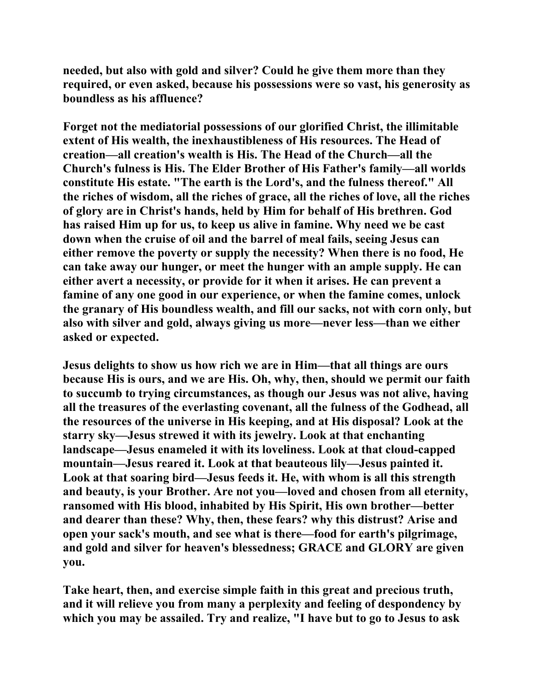**needed, but also with gold and silver? Could he give them more than they required, or even asked, because his possessions were so vast, his generosity as boundless as his affluence?** 

**Forget not the mediatorial possessions of our glorified Christ, the illimitable extent of His wealth, the inexhaustibleness of His resources. The Head of creation—all creation's wealth is His. The Head of the Church—all the Church's fulness is His. The Elder Brother of His Father's family—all worlds constitute His estate. "The earth is the Lord's, and the fulness thereof." All the riches of wisdom, all the riches of grace, all the riches of love, all the riches of glory are in Christ's hands, held by Him for behalf of His brethren. God has raised Him up for us, to keep us alive in famine. Why need we be cast down when the cruise of oil and the barrel of meal fails, seeing Jesus can either remove the poverty or supply the necessity? When there is no food, He can take away our hunger, or meet the hunger with an ample supply. He can either avert a necessity, or provide for it when it arises. He can prevent a famine of any one good in our experience, or when the famine comes, unlock the granary of His boundless wealth, and fill our sacks, not with corn only, but also with silver and gold, always giving us more—never less—than we either asked or expected.** 

**Jesus delights to show us how rich we are in Him—that all things are ours because His is ours, and we are His. Oh, why, then, should we permit our faith to succumb to trying circumstances, as though our Jesus was not alive, having all the treasures of the everlasting covenant, all the fulness of the Godhead, all the resources of the universe in His keeping, and at His disposal? Look at the starry sky—Jesus strewed it with its jewelry. Look at that enchanting landscape—Jesus enameled it with its loveliness. Look at that cloud-capped mountain—Jesus reared it. Look at that beauteous lily—Jesus painted it. Look at that soaring bird—Jesus feeds it. He, with whom is all this strength and beauty, is your Brother. Are not you—loved and chosen from all eternity, ransomed with His blood, inhabited by His Spirit, His own brother—better and dearer than these? Why, then, these fears? why this distrust? Arise and open your sack's mouth, and see what is there—food for earth's pilgrimage, and gold and silver for heaven's blessedness; GRACE and GLORY are given you.** 

**Take heart, then, and exercise simple faith in this great and precious truth, and it will relieve you from many a perplexity and feeling of despondency by which you may be assailed. Try and realize, "I have but to go to Jesus to ask**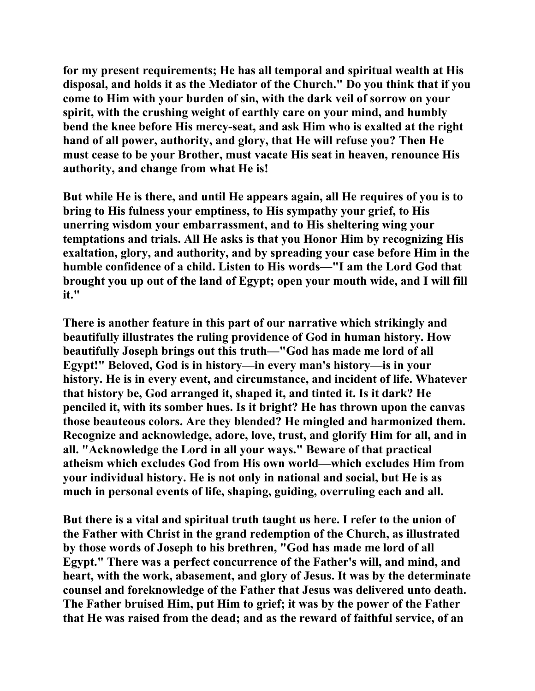**for my present requirements; He has all temporal and spiritual wealth at His disposal, and holds it as the Mediator of the Church." Do you think that if you come to Him with your burden of sin, with the dark veil of sorrow on your spirit, with the crushing weight of earthly care on your mind, and humbly bend the knee before His mercy-seat, and ask Him who is exalted at the right hand of all power, authority, and glory, that He will refuse you? Then He must cease to be your Brother, must vacate His seat in heaven, renounce His authority, and change from what He is!** 

**But while He is there, and until He appears again, all He requires of you is to bring to His fulness your emptiness, to His sympathy your grief, to His unerring wisdom your embarrassment, and to His sheltering wing your temptations and trials. All He asks is that you Honor Him by recognizing His exaltation, glory, and authority, and by spreading your case before Him in the humble confidence of a child. Listen to His words—"I am the Lord God that brought you up out of the land of Egypt; open your mouth wide, and I will fill it."** 

**There is another feature in this part of our narrative which strikingly and beautifully illustrates the ruling providence of God in human history. How beautifully Joseph brings out this truth—"God has made me lord of all Egypt!" Beloved, God is in history—in every man's history—is in your history. He is in every event, and circumstance, and incident of life. Whatever that history be, God arranged it, shaped it, and tinted it. Is it dark? He penciled it, with its somber hues. Is it bright? He has thrown upon the canvas those beauteous colors. Are they blended? He mingled and harmonized them. Recognize and acknowledge, adore, love, trust, and glorify Him for all, and in all. "Acknowledge the Lord in all your ways." Beware of that practical atheism which excludes God from His own world—which excludes Him from your individual history. He is not only in national and social, but He is as much in personal events of life, shaping, guiding, overruling each and all.** 

**But there is a vital and spiritual truth taught us here. I refer to the union of the Father with Christ in the grand redemption of the Church, as illustrated by those words of Joseph to his brethren, "God has made me lord of all Egypt." There was a perfect concurrence of the Father's will, and mind, and heart, with the work, abasement, and glory of Jesus. It was by the determinate counsel and foreknowledge of the Father that Jesus was delivered unto death. The Father bruised Him, put Him to grief; it was by the power of the Father that He was raised from the dead; and as the reward of faithful service, of an**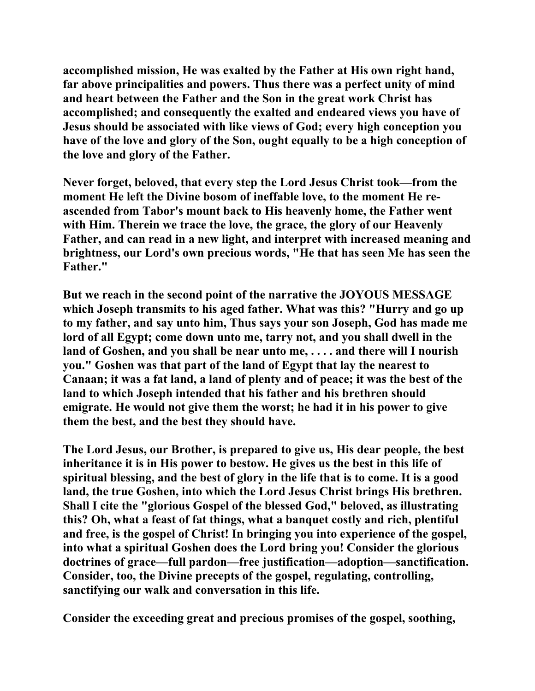**accomplished mission, He was exalted by the Father at His own right hand, far above principalities and powers. Thus there was a perfect unity of mind and heart between the Father and the Son in the great work Christ has accomplished; and consequently the exalted and endeared views you have of Jesus should be associated with like views of God; every high conception you have of the love and glory of the Son, ought equally to be a high conception of the love and glory of the Father.** 

**Never forget, beloved, that every step the Lord Jesus Christ took—from the moment He left the Divine bosom of ineffable love, to the moment He reascended from Tabor's mount back to His heavenly home, the Father went with Him. Therein we trace the love, the grace, the glory of our Heavenly Father, and can read in a new light, and interpret with increased meaning and brightness, our Lord's own precious words, "He that has seen Me has seen the Father."** 

**But we reach in the second point of the narrative the JOYOUS MESSAGE which Joseph transmits to his aged father. What was this? "Hurry and go up to my father, and say unto him, Thus says your son Joseph, God has made me lord of all Egypt; come down unto me, tarry not, and you shall dwell in the land of Goshen, and you shall be near unto me, . . . . and there will I nourish you." Goshen was that part of the land of Egypt that lay the nearest to Canaan; it was a fat land, a land of plenty and of peace; it was the best of the land to which Joseph intended that his father and his brethren should emigrate. He would not give them the worst; he had it in his power to give them the best, and the best they should have.** 

**The Lord Jesus, our Brother, is prepared to give us, His dear people, the best inheritance it is in His power to bestow. He gives us the best in this life of spiritual blessing, and the best of glory in the life that is to come. It is a good land, the true Goshen, into which the Lord Jesus Christ brings His brethren. Shall I cite the "glorious Gospel of the blessed God," beloved, as illustrating this? Oh, what a feast of fat things, what a banquet costly and rich, plentiful and free, is the gospel of Christ! In bringing you into experience of the gospel, into what a spiritual Goshen does the Lord bring you! Consider the glorious doctrines of grace—full pardon—free justification—adoption—sanctification. Consider, too, the Divine precepts of the gospel, regulating, controlling, sanctifying our walk and conversation in this life.** 

**Consider the exceeding great and precious promises of the gospel, soothing,**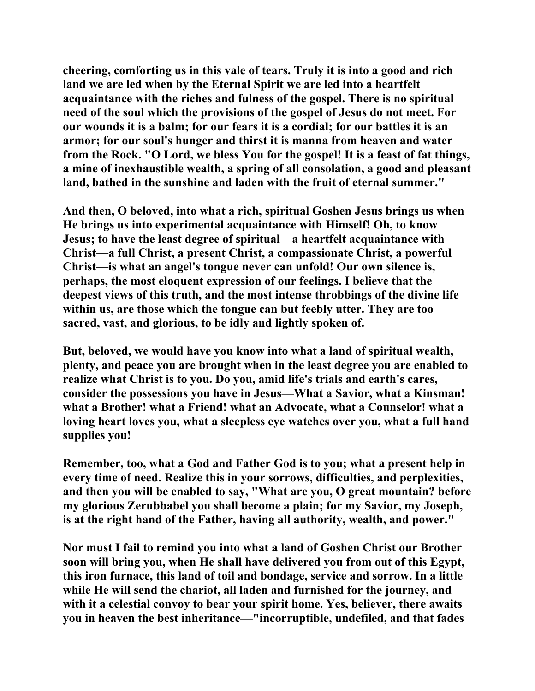**cheering, comforting us in this vale of tears. Truly it is into a good and rich land we are led when by the Eternal Spirit we are led into a heartfelt acquaintance with the riches and fulness of the gospel. There is no spiritual need of the soul which the provisions of the gospel of Jesus do not meet. For our wounds it is a balm; for our fears it is a cordial; for our battles it is an armor; for our soul's hunger and thirst it is manna from heaven and water from the Rock. "O Lord, we bless You for the gospel! It is a feast of fat things, a mine of inexhaustible wealth, a spring of all consolation, a good and pleasant land, bathed in the sunshine and laden with the fruit of eternal summer."** 

**And then, O beloved, into what a rich, spiritual Goshen Jesus brings us when He brings us into experimental acquaintance with Himself! Oh, to know Jesus; to have the least degree of spiritual—a heartfelt acquaintance with Christ—a full Christ, a present Christ, a compassionate Christ, a powerful Christ—is what an angel's tongue never can unfold! Our own silence is, perhaps, the most eloquent expression of our feelings. I believe that the deepest views of this truth, and the most intense throbbings of the divine life within us, are those which the tongue can but feebly utter. They are too sacred, vast, and glorious, to be idly and lightly spoken of.** 

**But, beloved, we would have you know into what a land of spiritual wealth, plenty, and peace you are brought when in the least degree you are enabled to realize what Christ is to you. Do you, amid life's trials and earth's cares, consider the possessions you have in Jesus—What a Savior, what a Kinsman! what a Brother! what a Friend! what an Advocate, what a Counselor! what a loving heart loves you, what a sleepless eye watches over you, what a full hand supplies you!** 

**Remember, too, what a God and Father God is to you; what a present help in every time of need. Realize this in your sorrows, difficulties, and perplexities, and then you will be enabled to say, "What are you, O great mountain? before my glorious Zerubbabel you shall become a plain; for my Savior, my Joseph, is at the right hand of the Father, having all authority, wealth, and power."** 

**Nor must I fail to remind you into what a land of Goshen Christ our Brother soon will bring you, when He shall have delivered you from out of this Egypt, this iron furnace, this land of toil and bondage, service and sorrow. In a little while He will send the chariot, all laden and furnished for the journey, and with it a celestial convoy to bear your spirit home. Yes, believer, there awaits you in heaven the best inheritance—"incorruptible, undefiled, and that fades**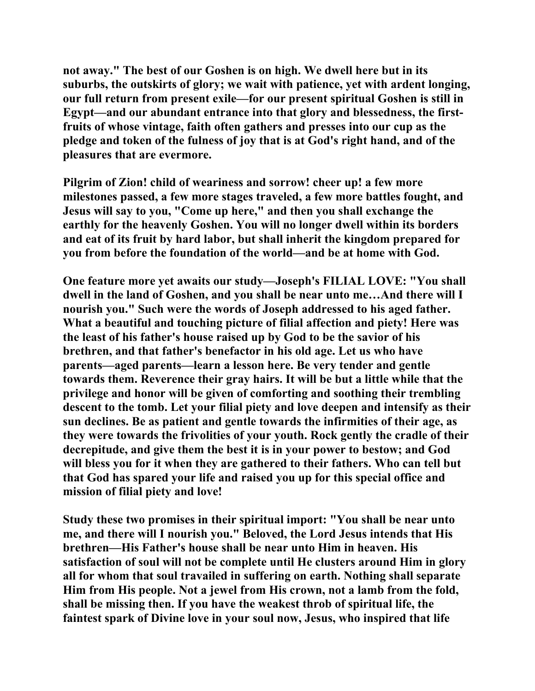**not away." The best of our Goshen is on high. We dwell here but in its suburbs, the outskirts of glory; we wait with patience, yet with ardent longing, our full return from present exile—for our present spiritual Goshen is still in Egypt—and our abundant entrance into that glory and blessedness, the firstfruits of whose vintage, faith often gathers and presses into our cup as the pledge and token of the fulness of joy that is at God's right hand, and of the pleasures that are evermore.** 

**Pilgrim of Zion! child of weariness and sorrow! cheer up! a few more milestones passed, a few more stages traveled, a few more battles fought, and Jesus will say to you, "Come up here," and then you shall exchange the earthly for the heavenly Goshen. You will no longer dwell within its borders and eat of its fruit by hard labor, but shall inherit the kingdom prepared for you from before the foundation of the world—and be at home with God.** 

**One feature more yet awaits our study—Joseph's FILIAL LOVE: "You shall dwell in the land of Goshen, and you shall be near unto me…And there will I nourish you." Such were the words of Joseph addressed to his aged father. What a beautiful and touching picture of filial affection and piety! Here was the least of his father's house raised up by God to be the savior of his brethren, and that father's benefactor in his old age. Let us who have parents—aged parents—learn a lesson here. Be very tender and gentle towards them. Reverence their gray hairs. It will be but a little while that the privilege and honor will be given of comforting and soothing their trembling descent to the tomb. Let your filial piety and love deepen and intensify as their sun declines. Be as patient and gentle towards the infirmities of their age, as they were towards the frivolities of your youth. Rock gently the cradle of their decrepitude, and give them the best it is in your power to bestow; and God will bless you for it when they are gathered to their fathers. Who can tell but that God has spared your life and raised you up for this special office and mission of filial piety and love!** 

**Study these two promises in their spiritual import: "You shall be near unto me, and there will I nourish you." Beloved, the Lord Jesus intends that His brethren—His Father's house shall be near unto Him in heaven. His satisfaction of soul will not be complete until He clusters around Him in glory all for whom that soul travailed in suffering on earth. Nothing shall separate Him from His people. Not a jewel from His crown, not a lamb from the fold, shall be missing then. If you have the weakest throb of spiritual life, the faintest spark of Divine love in your soul now, Jesus, who inspired that life**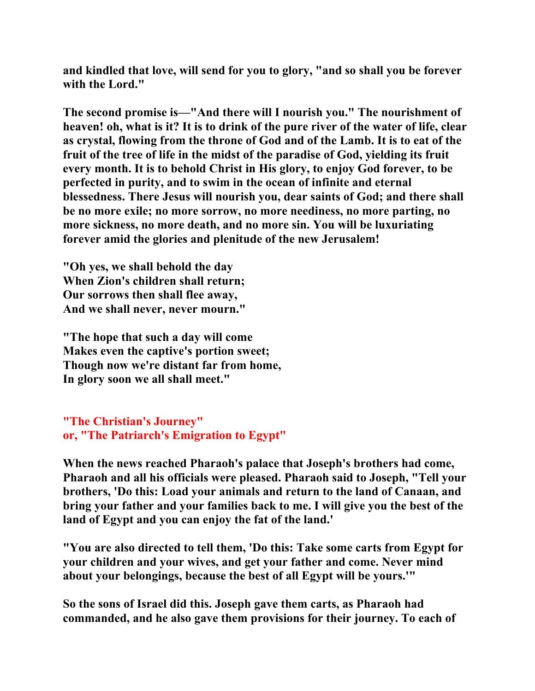**and kindled that love, will send for you to glory, "and so shall you be forever with the Lord."** 

**The second promise is—"And there will I nourish you." The nourishment of heaven! oh, what is it? It is to drink of the pure river of the water of life, clear as crystal, flowing from the throne of God and of the Lamb. It is to eat of the fruit of the tree of life in the midst of the paradise of God, yielding its fruit every month. It is to behold Christ in His glory, to enjoy God forever, to be perfected in purity, and to swim in the ocean of infinite and eternal blessedness. There Jesus will nourish you, dear saints of God; and there shall be no more exile; no more sorrow, no more neediness, no more parting, no more sickness, no more death, and no more sin. You will be luxuriating forever amid the glories and plenitude of the new Jerusalem!** 

**"Oh yes, we shall behold the day When Zion's children shall return; Our sorrows then shall flee away, And we shall never, never mourn."** 

**"The hope that such a day will come Makes even the captive's portion sweet; Though now we're distant far from home, In glory soon we all shall meet."** 

**"The Christian's Journey" or, "The Patriarch's Emigration to Egypt"** 

**When the news reached Pharaoh's palace that Joseph's brothers had come, Pharaoh and all his officials were pleased. Pharaoh said to Joseph, "Tell your brothers, 'Do this: Load your animals and return to the land of Canaan, and bring your father and your families back to me. I will give you the best of the land of Egypt and you can enjoy the fat of the land.'** 

**"You are also directed to tell them, 'Do this: Take some carts from Egypt for your children and your wives, and get your father and come. Never mind about your belongings, because the best of all Egypt will be yours.'"** 

**So the sons of Israel did this. Joseph gave them carts, as Pharaoh had commanded, and he also gave them provisions for their journey. To each of**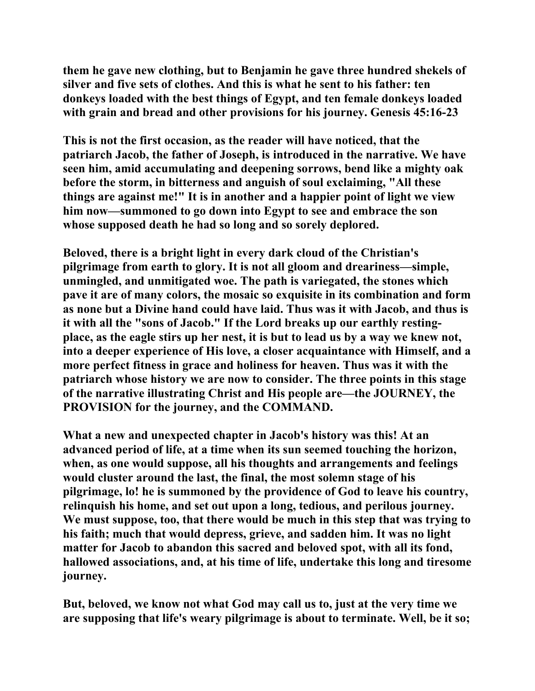**them he gave new clothing, but to Benjamin he gave three hundred shekels of silver and five sets of clothes. And this is what he sent to his father: ten donkeys loaded with the best things of Egypt, and ten female donkeys loaded with grain and bread and other provisions for his journey. Genesis 45:16-23** 

**This is not the first occasion, as the reader will have noticed, that the patriarch Jacob, the father of Joseph, is introduced in the narrative. We have seen him, amid accumulating and deepening sorrows, bend like a mighty oak before the storm, in bitterness and anguish of soul exclaiming, "All these things are against me!" It is in another and a happier point of light we view him now—summoned to go down into Egypt to see and embrace the son whose supposed death he had so long and so sorely deplored.** 

**Beloved, there is a bright light in every dark cloud of the Christian's pilgrimage from earth to glory. It is not all gloom and dreariness—simple, unmingled, and unmitigated woe. The path is variegated, the stones which pave it are of many colors, the mosaic so exquisite in its combination and form as none but a Divine hand could have laid. Thus was it with Jacob, and thus is it with all the "sons of Jacob." If the Lord breaks up our earthly restingplace, as the eagle stirs up her nest, it is but to lead us by a way we knew not, into a deeper experience of His love, a closer acquaintance with Himself, and a more perfect fitness in grace and holiness for heaven. Thus was it with the patriarch whose history we are now to consider. The three points in this stage of the narrative illustrating Christ and His people are—the JOURNEY, the PROVISION for the journey, and the COMMAND.** 

**What a new and unexpected chapter in Jacob's history was this! At an advanced period of life, at a time when its sun seemed touching the horizon, when, as one would suppose, all his thoughts and arrangements and feelings would cluster around the last, the final, the most solemn stage of his pilgrimage, lo! he is summoned by the providence of God to leave his country, relinquish his home, and set out upon a long, tedious, and perilous journey. We must suppose, too, that there would be much in this step that was trying to his faith; much that would depress, grieve, and sadden him. It was no light matter for Jacob to abandon this sacred and beloved spot, with all its fond, hallowed associations, and, at his time of life, undertake this long and tiresome journey.** 

**But, beloved, we know not what God may call us to, just at the very time we are supposing that life's weary pilgrimage is about to terminate. Well, be it so;**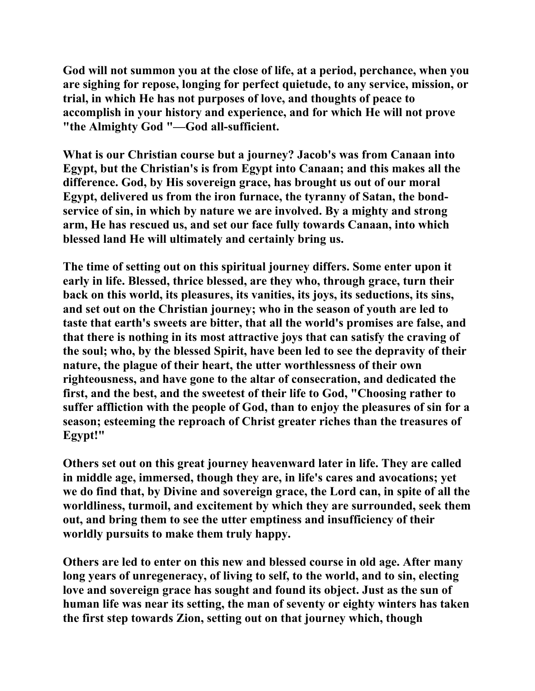**God will not summon you at the close of life, at a period, perchance, when you are sighing for repose, longing for perfect quietude, to any service, mission, or trial, in which He has not purposes of love, and thoughts of peace to accomplish in your history and experience, and for which He will not prove "the Almighty God "—God all-sufficient.** 

**What is our Christian course but a journey? Jacob's was from Canaan into Egypt, but the Christian's is from Egypt into Canaan; and this makes all the difference. God, by His sovereign grace, has brought us out of our moral Egypt, delivered us from the iron furnace, the tyranny of Satan, the bondservice of sin, in which by nature we are involved. By a mighty and strong arm, He has rescued us, and set our face fully towards Canaan, into which blessed land He will ultimately and certainly bring us.** 

**The time of setting out on this spiritual journey differs. Some enter upon it early in life. Blessed, thrice blessed, are they who, through grace, turn their back on this world, its pleasures, its vanities, its joys, its seductions, its sins, and set out on the Christian journey; who in the season of youth are led to taste that earth's sweets are bitter, that all the world's promises are false, and that there is nothing in its most attractive joys that can satisfy the craving of the soul; who, by the blessed Spirit, have been led to see the depravity of their nature, the plague of their heart, the utter worthlessness of their own righteousness, and have gone to the altar of consecration, and dedicated the first, and the best, and the sweetest of their life to God, "Choosing rather to suffer affliction with the people of God, than to enjoy the pleasures of sin for a season; esteeming the reproach of Christ greater riches than the treasures of Egypt!"** 

**Others set out on this great journey heavenward later in life. They are called in middle age, immersed, though they are, in life's cares and avocations; yet we do find that, by Divine and sovereign grace, the Lord can, in spite of all the worldliness, turmoil, and excitement by which they are surrounded, seek them out, and bring them to see the utter emptiness and insufficiency of their worldly pursuits to make them truly happy.** 

**Others are led to enter on this new and blessed course in old age. After many long years of unregeneracy, of living to self, to the world, and to sin, electing love and sovereign grace has sought and found its object. Just as the sun of human life was near its setting, the man of seventy or eighty winters has taken the first step towards Zion, setting out on that journey which, though**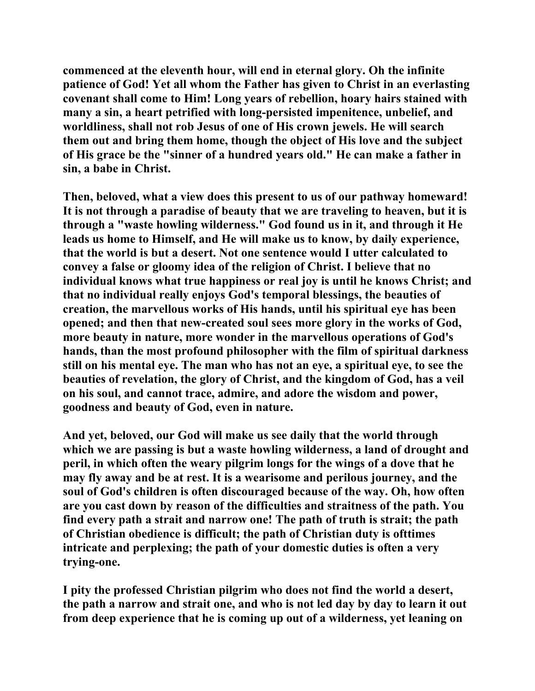**commenced at the eleventh hour, will end in eternal glory. Oh the infinite patience of God! Yet all whom the Father has given to Christ in an everlasting covenant shall come to Him! Long years of rebellion, hoary hairs stained with many a sin, a heart petrified with long-persisted impenitence, unbelief, and worldliness, shall not rob Jesus of one of His crown jewels. He will search them out and bring them home, though the object of His love and the subject of His grace be the "sinner of a hundred years old." He can make a father in sin, a babe in Christ.** 

**Then, beloved, what a view does this present to us of our pathway homeward! It is not through a paradise of beauty that we are traveling to heaven, but it is through a "waste howling wilderness." God found us in it, and through it He leads us home to Himself, and He will make us to know, by daily experience, that the world is but a desert. Not one sentence would I utter calculated to convey a false or gloomy idea of the religion of Christ. I believe that no individual knows what true happiness or real joy is until he knows Christ; and that no individual really enjoys God's temporal blessings, the beauties of creation, the marvellous works of His hands, until his spiritual eye has been opened; and then that new-created soul sees more glory in the works of God, more beauty in nature, more wonder in the marvellous operations of God's hands, than the most profound philosopher with the film of spiritual darkness still on his mental eye. The man who has not an eye, a spiritual eye, to see the beauties of revelation, the glory of Christ, and the kingdom of God, has a veil on his soul, and cannot trace, admire, and adore the wisdom and power, goodness and beauty of God, even in nature.** 

**And yet, beloved, our God will make us see daily that the world through which we are passing is but a waste howling wilderness, a land of drought and peril, in which often the weary pilgrim longs for the wings of a dove that he may fly away and be at rest. It is a wearisome and perilous journey, and the soul of God's children is often discouraged because of the way. Oh, how often are you cast down by reason of the difficulties and straitness of the path. You find every path a strait and narrow one! The path of truth is strait; the path of Christian obedience is difficult; the path of Christian duty is ofttimes intricate and perplexing; the path of your domestic duties is often a very trying-one.** 

**I pity the professed Christian pilgrim who does not find the world a desert, the path a narrow and strait one, and who is not led day by day to learn it out from deep experience that he is coming up out of a wilderness, yet leaning on**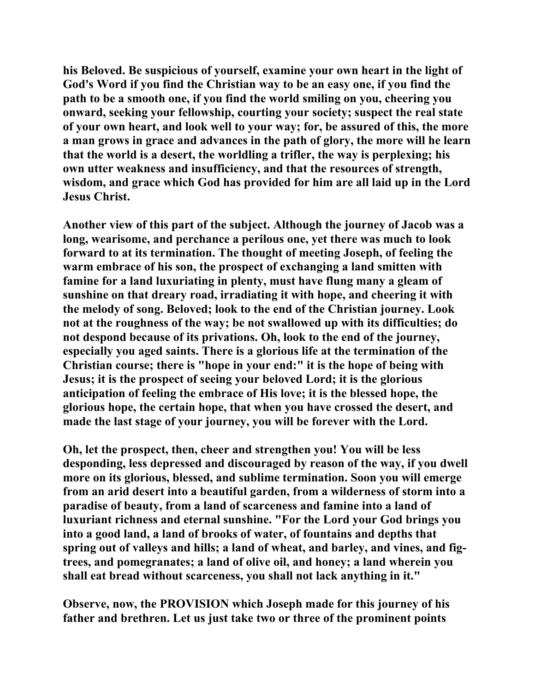**his Beloved. Be suspicious of yourself, examine your own heart in the light of God's Word if you find the Christian way to be an easy one, if you find the path to be a smooth one, if you find the world smiling on you, cheering you onward, seeking your fellowship, courting your society; suspect the real state of your own heart, and look well to your way; for, be assured of this, the more a man grows in grace and advances in the path of glory, the more will he learn that the world is a desert, the worldling a trifler, the way is perplexing; his own utter weakness and insufficiency, and that the resources of strength, wisdom, and grace which God has provided for him are all laid up in the Lord Jesus Christ.** 

**Another view of this part of the subject. Although the journey of Jacob was a long, wearisome, and perchance a perilous one, yet there was much to look forward to at its termination. The thought of meeting Joseph, of feeling the warm embrace of his son, the prospect of exchanging a land smitten with famine for a land luxuriating in plenty, must have flung many a gleam of sunshine on that dreary road, irradiating it with hope, and cheering it with the melody of song. Beloved; look to the end of the Christian journey. Look not at the roughness of the way; be not swallowed up with its difficulties; do not despond because of its privations. Oh, look to the end of the journey, especially you aged saints. There is a glorious life at the termination of the Christian course; there is "hope in your end:" it is the hope of being with Jesus; it is the prospect of seeing your beloved Lord; it is the glorious anticipation of feeling the embrace of His love; it is the blessed hope, the glorious hope, the certain hope, that when you have crossed the desert, and made the last stage of your journey, you will be forever with the Lord.** 

**Oh, let the prospect, then, cheer and strengthen you! You will be less desponding, less depressed and discouraged by reason of the way, if you dwell more on its glorious, blessed, and sublime termination. Soon you will emerge from an arid desert into a beautiful garden, from a wilderness of storm into a paradise of beauty, from a land of scarceness and famine into a land of luxuriant richness and eternal sunshine. "For the Lord your God brings you into a good land, a land of brooks of water, of fountains and depths that spring out of valleys and hills; a land of wheat, and barley, and vines, and figtrees, and pomegranates; a land of olive oil, and honey; a land wherein you shall eat bread without scarceness, you shall not lack anything in it."** 

**Observe, now, the PROVISION which Joseph made for this journey of his father and brethren. Let us just take two or three of the prominent points**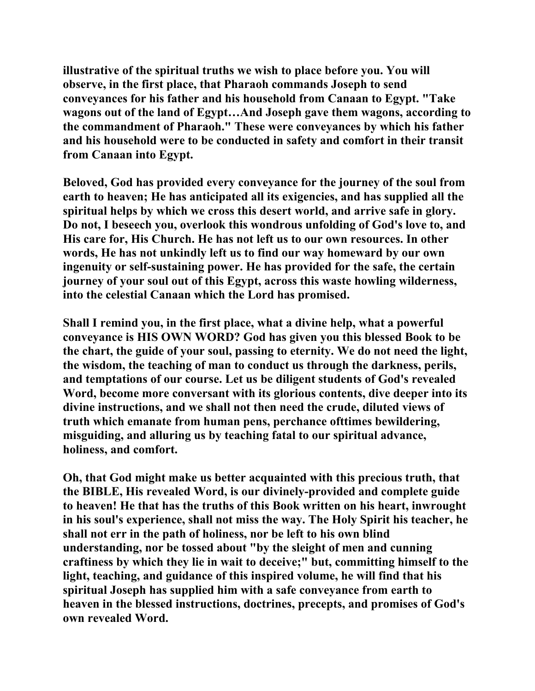**illustrative of the spiritual truths we wish to place before you. You will observe, in the first place, that Pharaoh commands Joseph to send conveyances for his father and his household from Canaan to Egypt. "Take wagons out of the land of Egypt…And Joseph gave them wagons, according to the commandment of Pharaoh." These were conveyances by which his father and his household were to be conducted in safety and comfort in their transit from Canaan into Egypt.** 

**Beloved, God has provided every conveyance for the journey of the soul from earth to heaven; He has anticipated all its exigencies, and has supplied all the spiritual helps by which we cross this desert world, and arrive safe in glory. Do not, I beseech you, overlook this wondrous unfolding of God's love to, and His care for, His Church. He has not left us to our own resources. In other words, He has not unkindly left us to find our way homeward by our own ingenuity or self-sustaining power. He has provided for the safe, the certain journey of your soul out of this Egypt, across this waste howling wilderness, into the celestial Canaan which the Lord has promised.** 

**Shall I remind you, in the first place, what a divine help, what a powerful conveyance is HIS OWN WORD? God has given you this blessed Book to be the chart, the guide of your soul, passing to eternity. We do not need the light, the wisdom, the teaching of man to conduct us through the darkness, perils, and temptations of our course. Let us be diligent students of God's revealed Word, become more conversant with its glorious contents, dive deeper into its divine instructions, and we shall not then need the crude, diluted views of truth which emanate from human pens, perchance ofttimes bewildering, misguiding, and alluring us by teaching fatal to our spiritual advance, holiness, and comfort.** 

**Oh, that God might make us better acquainted with this precious truth, that the BIBLE, His revealed Word, is our divinely-provided and complete guide to heaven! He that has the truths of this Book written on his heart, inwrought in his soul's experience, shall not miss the way. The Holy Spirit his teacher, he shall not err in the path of holiness, nor be left to his own blind understanding, nor be tossed about "by the sleight of men and cunning craftiness by which they lie in wait to deceive;" but, committing himself to the light, teaching, and guidance of this inspired volume, he will find that his spiritual Joseph has supplied him with a safe conveyance from earth to heaven in the blessed instructions, doctrines, precepts, and promises of God's own revealed Word.**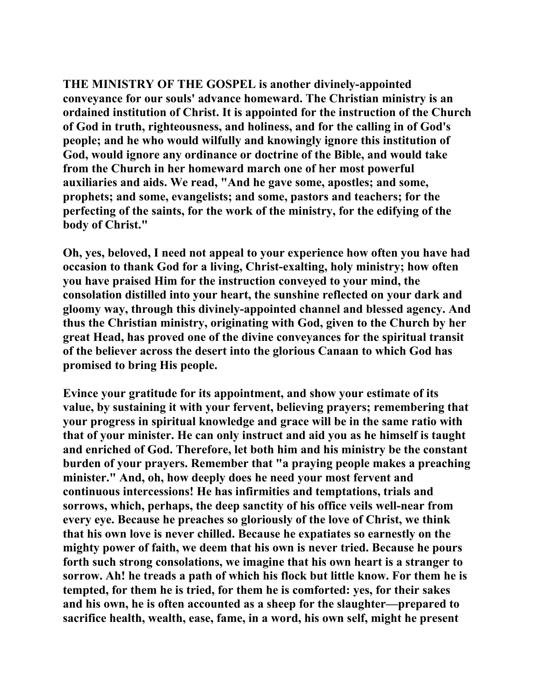**THE MINISTRY OF THE GOSPEL is another divinely-appointed conveyance for our souls' advance homeward. The Christian ministry is an ordained institution of Christ. It is appointed for the instruction of the Church of God in truth, righteousness, and holiness, and for the calling in of God's people; and he who would wilfully and knowingly ignore this institution of God, would ignore any ordinance or doctrine of the Bible, and would take from the Church in her homeward march one of her most powerful auxiliaries and aids. We read, "And he gave some, apostles; and some, prophets; and some, evangelists; and some, pastors and teachers; for the perfecting of the saints, for the work of the ministry, for the edifying of the body of Christ."** 

**Oh, yes, beloved, I need not appeal to your experience how often you have had occasion to thank God for a living, Christ-exalting, holy ministry; how often you have praised Him for the instruction conveyed to your mind, the consolation distilled into your heart, the sunshine reflected on your dark and gloomy way, through this divinely-appointed channel and blessed agency. And thus the Christian ministry, originating with God, given to the Church by her great Head, has proved one of the divine conveyances for the spiritual transit of the believer across the desert into the glorious Canaan to which God has promised to bring His people.** 

**Evince your gratitude for its appointment, and show your estimate of its value, by sustaining it with your fervent, believing prayers; remembering that your progress in spiritual knowledge and grace will be in the same ratio with that of your minister. He can only instruct and aid you as he himself is taught and enriched of God. Therefore, let both him and his ministry be the constant burden of your prayers. Remember that "a praying people makes a preaching minister." And, oh, how deeply does he need your most fervent and continuous intercessions! He has infirmities and temptations, trials and sorrows, which, perhaps, the deep sanctity of his office veils well-near from every eye. Because he preaches so gloriously of the love of Christ, we think that his own love is never chilled. Because he expatiates so earnestly on the mighty power of faith, we deem that his own is never tried. Because he pours forth such strong consolations, we imagine that his own heart is a stranger to sorrow. Ah! he treads a path of which his flock but little know. For them he is tempted, for them he is tried, for them he is comforted: yes, for their sakes and his own, he is often accounted as a sheep for the slaughter—prepared to sacrifice health, wealth, ease, fame, in a word, his own self, might he present**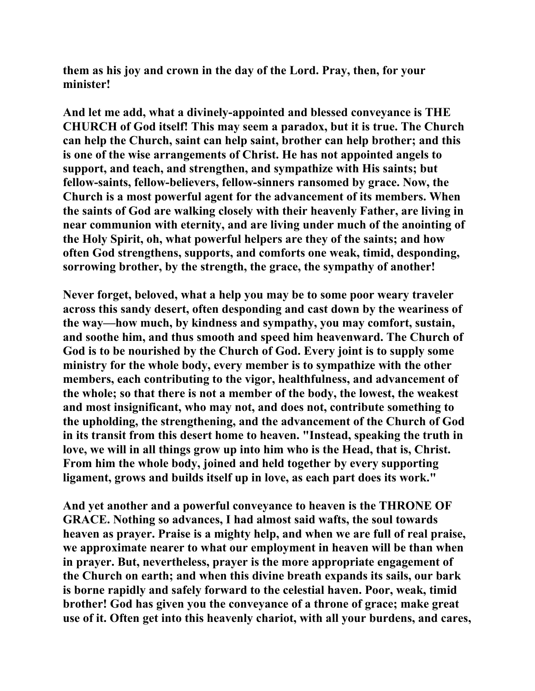**them as his joy and crown in the day of the Lord. Pray, then, for your minister!** 

**And let me add, what a divinely-appointed and blessed conveyance is THE CHURCH of God itself! This may seem a paradox, but it is true. The Church can help the Church, saint can help saint, brother can help brother; and this is one of the wise arrangements of Christ. He has not appointed angels to support, and teach, and strengthen, and sympathize with His saints; but fellow-saints, fellow-believers, fellow-sinners ransomed by grace. Now, the Church is a most powerful agent for the advancement of its members. When the saints of God are walking closely with their heavenly Father, are living in near communion with eternity, and are living under much of the anointing of the Holy Spirit, oh, what powerful helpers are they of the saints; and how often God strengthens, supports, and comforts one weak, timid, desponding, sorrowing brother, by the strength, the grace, the sympathy of another!** 

**Never forget, beloved, what a help you may be to some poor weary traveler across this sandy desert, often desponding and cast down by the weariness of the way—how much, by kindness and sympathy, you may comfort, sustain, and soothe him, and thus smooth and speed him heavenward. The Church of God is to be nourished by the Church of God. Every joint is to supply some ministry for the whole body, every member is to sympathize with the other members, each contributing to the vigor, healthfulness, and advancement of the whole; so that there is not a member of the body, the lowest, the weakest and most insignificant, who may not, and does not, contribute something to the upholding, the strengthening, and the advancement of the Church of God in its transit from this desert home to heaven. "Instead, speaking the truth in love, we will in all things grow up into him who is the Head, that is, Christ. From him the whole body, joined and held together by every supporting ligament, grows and builds itself up in love, as each part does its work."** 

**And yet another and a powerful conveyance to heaven is the THRONE OF GRACE. Nothing so advances, I had almost said wafts, the soul towards heaven as prayer. Praise is a mighty help, and when we are full of real praise, we approximate nearer to what our employment in heaven will be than when in prayer. But, nevertheless, prayer is the more appropriate engagement of the Church on earth; and when this divine breath expands its sails, our bark is borne rapidly and safely forward to the celestial haven. Poor, weak, timid brother! God has given you the conveyance of a throne of grace; make great use of it. Often get into this heavenly chariot, with all your burdens, and cares,**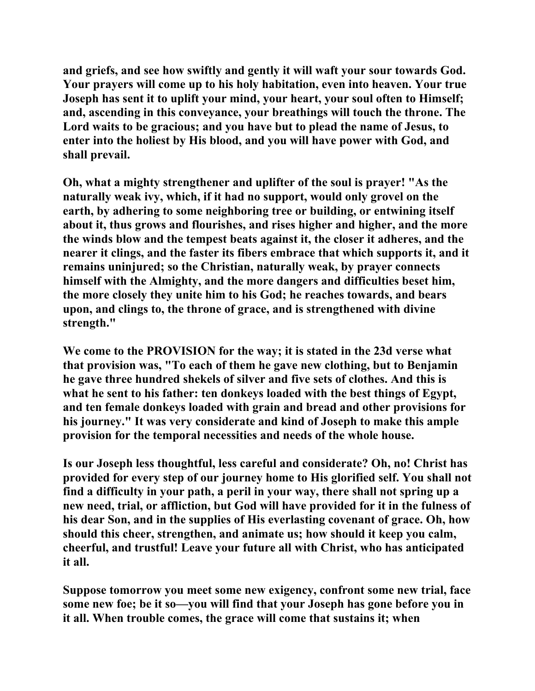**and griefs, and see how swiftly and gently it will waft your sour towards God. Your prayers will come up to his holy habitation, even into heaven. Your true Joseph has sent it to uplift your mind, your heart, your soul often to Himself; and, ascending in this conveyance, your breathings will touch the throne. The Lord waits to be gracious; and you have but to plead the name of Jesus, to enter into the holiest by His blood, and you will have power with God, and shall prevail.** 

**Oh, what a mighty strengthener and uplifter of the soul is prayer! "As the naturally weak ivy, which, if it had no support, would only grovel on the earth, by adhering to some neighboring tree or building, or entwining itself about it, thus grows and flourishes, and rises higher and higher, and the more the winds blow and the tempest beats against it, the closer it adheres, and the nearer it clings, and the faster its fibers embrace that which supports it, and it remains uninjured; so the Christian, naturally weak, by prayer connects himself with the Almighty, and the more dangers and difficulties beset him, the more closely they unite him to his God; he reaches towards, and bears upon, and clings to, the throne of grace, and is strengthened with divine strength."** 

**We come to the PROVISION for the way; it is stated in the 23d verse what that provision was, "To each of them he gave new clothing, but to Benjamin he gave three hundred shekels of silver and five sets of clothes. And this is what he sent to his father: ten donkeys loaded with the best things of Egypt, and ten female donkeys loaded with grain and bread and other provisions for his journey." It was very considerate and kind of Joseph to make this ample provision for the temporal necessities and needs of the whole house.** 

**Is our Joseph less thoughtful, less careful and considerate? Oh, no! Christ has provided for every step of our journey home to His glorified self. You shall not find a difficulty in your path, a peril in your way, there shall not spring up a new need, trial, or affliction, but God will have provided for it in the fulness of his dear Son, and in the supplies of His everlasting covenant of grace. Oh, how should this cheer, strengthen, and animate us; how should it keep you calm, cheerful, and trustful! Leave your future all with Christ, who has anticipated it all.** 

**Suppose tomorrow you meet some new exigency, confront some new trial, face some new foe; be it so—you will find that your Joseph has gone before you in it all. When trouble comes, the grace will come that sustains it; when**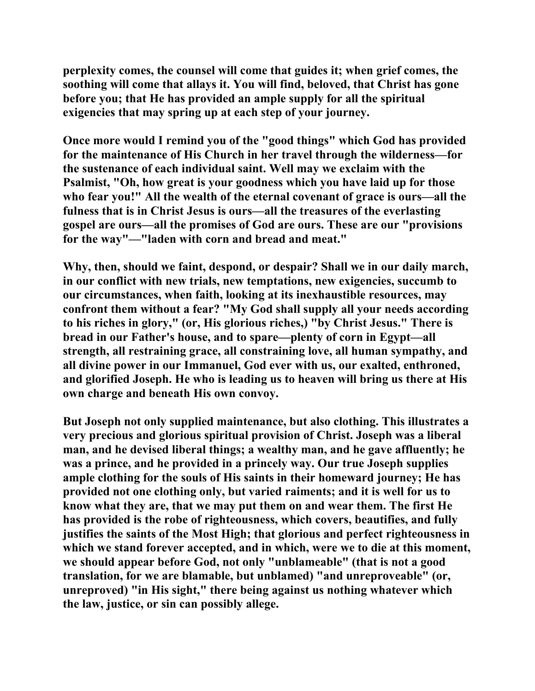**perplexity comes, the counsel will come that guides it; when grief comes, the soothing will come that allays it. You will find, beloved, that Christ has gone before you; that He has provided an ample supply for all the spiritual exigencies that may spring up at each step of your journey.** 

**Once more would I remind you of the "good things" which God has provided for the maintenance of His Church in her travel through the wilderness—for the sustenance of each individual saint. Well may we exclaim with the Psalmist, "Oh, how great is your goodness which you have laid up for those who fear you!" All the wealth of the eternal covenant of grace is ours—all the fulness that is in Christ Jesus is ours—all the treasures of the everlasting gospel are ours—all the promises of God are ours. These are our "provisions for the way"—"laden with corn and bread and meat."** 

**Why, then, should we faint, despond, or despair? Shall we in our daily march, in our conflict with new trials, new temptations, new exigencies, succumb to our circumstances, when faith, looking at its inexhaustible resources, may confront them without a fear? "My God shall supply all your needs according to his riches in glory," (or, His glorious riches,) "by Christ Jesus." There is bread in our Father's house, and to spare—plenty of corn in Egypt—all strength, all restraining grace, all constraining love, all human sympathy, and all divine power in our Immanuel, God ever with us, our exalted, enthroned, and glorified Joseph. He who is leading us to heaven will bring us there at His own charge and beneath His own convoy.** 

**But Joseph not only supplied maintenance, but also clothing. This illustrates a very precious and glorious spiritual provision of Christ. Joseph was a liberal man, and he devised liberal things; a wealthy man, and he gave affluently; he was a prince, and he provided in a princely way. Our true Joseph supplies ample clothing for the souls of His saints in their homeward journey; He has provided not one clothing only, but varied raiments; and it is well for us to know what they are, that we may put them on and wear them. The first He has provided is the robe of righteousness, which covers, beautifies, and fully justifies the saints of the Most High; that glorious and perfect righteousness in which we stand forever accepted, and in which, were we to die at this moment, we should appear before God, not only "unblameable" (that is not a good translation, for we are blamable, but unblamed) "and unreproveable" (or, unreproved) "in His sight," there being against us nothing whatever which the law, justice, or sin can possibly allege.**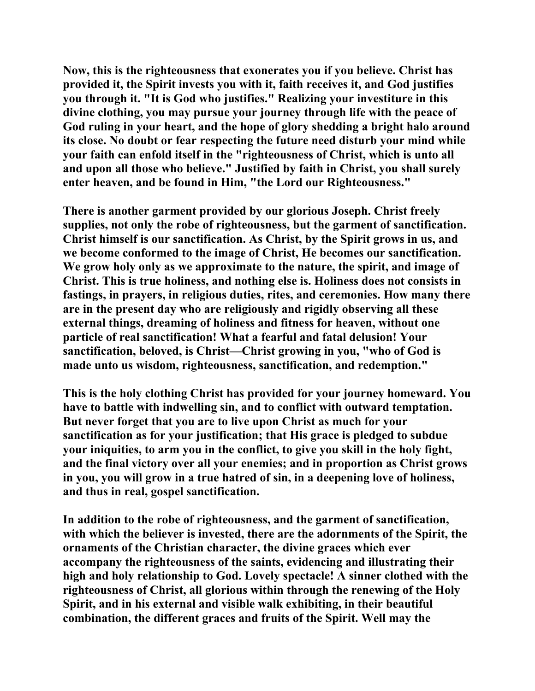**Now, this is the righteousness that exonerates you if you believe. Christ has provided it, the Spirit invests you with it, faith receives it, and God justifies you through it. "It is God who justifies." Realizing your investiture in this divine clothing, you may pursue your journey through life with the peace of God ruling in your heart, and the hope of glory shedding a bright halo around its close. No doubt or fear respecting the future need disturb your mind while your faith can enfold itself in the "righteousness of Christ, which is unto all and upon all those who believe." Justified by faith in Christ, you shall surely enter heaven, and be found in Him, "the Lord our Righteousness."** 

**There is another garment provided by our glorious Joseph. Christ freely supplies, not only the robe of righteousness, but the garment of sanctification. Christ himself is our sanctification. As Christ, by the Spirit grows in us, and we become conformed to the image of Christ, He becomes our sanctification. We grow holy only as we approximate to the nature, the spirit, and image of Christ. This is true holiness, and nothing else is. Holiness does not consists in fastings, in prayers, in religious duties, rites, and ceremonies. How many there are in the present day who are religiously and rigidly observing all these external things, dreaming of holiness and fitness for heaven, without one particle of real sanctification! What a fearful and fatal delusion! Your sanctification, beloved, is Christ—Christ growing in you, "who of God is made unto us wisdom, righteousness, sanctification, and redemption."** 

**This is the holy clothing Christ has provided for your journey homeward. You have to battle with indwelling sin, and to conflict with outward temptation. But never forget that you are to live upon Christ as much for your sanctification as for your justification; that His grace is pledged to subdue your iniquities, to arm you in the conflict, to give you skill in the holy fight, and the final victory over all your enemies; and in proportion as Christ grows in you, you will grow in a true hatred of sin, in a deepening love of holiness, and thus in real, gospel sanctification.** 

**In addition to the robe of righteousness, and the garment of sanctification, with which the believer is invested, there are the adornments of the Spirit, the ornaments of the Christian character, the divine graces which ever accompany the righteousness of the saints, evidencing and illustrating their high and holy relationship to God. Lovely spectacle! A sinner clothed with the righteousness of Christ, all glorious within through the renewing of the Holy Spirit, and in his external and visible walk exhibiting, in their beautiful combination, the different graces and fruits of the Spirit. Well may the**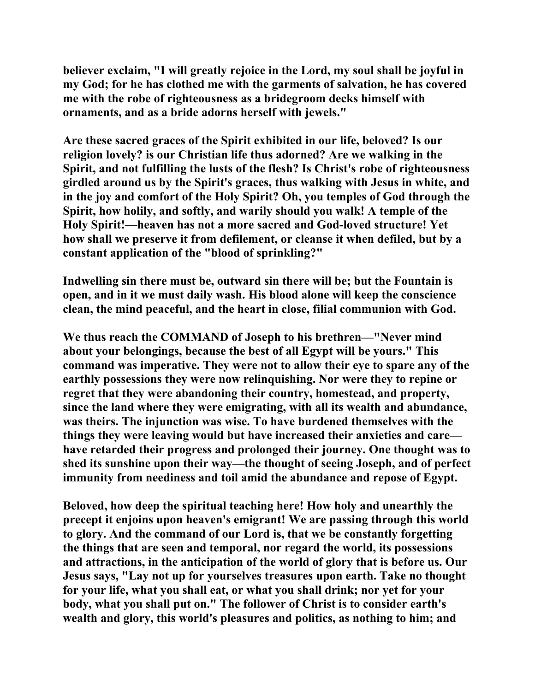**believer exclaim, "I will greatly rejoice in the Lord, my soul shall be joyful in my God; for he has clothed me with the garments of salvation, he has covered me with the robe of righteousness as a bridegroom decks himself with ornaments, and as a bride adorns herself with jewels."** 

**Are these sacred graces of the Spirit exhibited in our life, beloved? Is our religion lovely? is our Christian life thus adorned? Are we walking in the Spirit, and not fulfilling the lusts of the flesh? Is Christ's robe of righteousness girdled around us by the Spirit's graces, thus walking with Jesus in white, and in the joy and comfort of the Holy Spirit? Oh, you temples of God through the Spirit, how holily, and softly, and warily should you walk! A temple of the Holy Spirit!—heaven has not a more sacred and God-loved structure! Yet how shall we preserve it from defilement, or cleanse it when defiled, but by a constant application of the "blood of sprinkling?"** 

**Indwelling sin there must be, outward sin there will be; but the Fountain is open, and in it we must daily wash. His blood alone will keep the conscience clean, the mind peaceful, and the heart in close, filial communion with God.** 

**We thus reach the COMMAND of Joseph to his brethren—"Never mind about your belongings, because the best of all Egypt will be yours." This command was imperative. They were not to allow their eye to spare any of the earthly possessions they were now relinquishing. Nor were they to repine or regret that they were abandoning their country, homestead, and property, since the land where they were emigrating, with all its wealth and abundance, was theirs. The injunction was wise. To have burdened themselves with the things they were leaving would but have increased their anxieties and care have retarded their progress and prolonged their journey. One thought was to shed its sunshine upon their way—the thought of seeing Joseph, and of perfect immunity from neediness and toil amid the abundance and repose of Egypt.** 

**Beloved, how deep the spiritual teaching here! How holy and unearthly the precept it enjoins upon heaven's emigrant! We are passing through this world to glory. And the command of our Lord is, that we be constantly forgetting the things that are seen and temporal, nor regard the world, its possessions and attractions, in the anticipation of the world of glory that is before us. Our Jesus says, "Lay not up for yourselves treasures upon earth. Take no thought for your life, what you shall eat, or what you shall drink; nor yet for your body, what you shall put on." The follower of Christ is to consider earth's wealth and glory, this world's pleasures and politics, as nothing to him; and**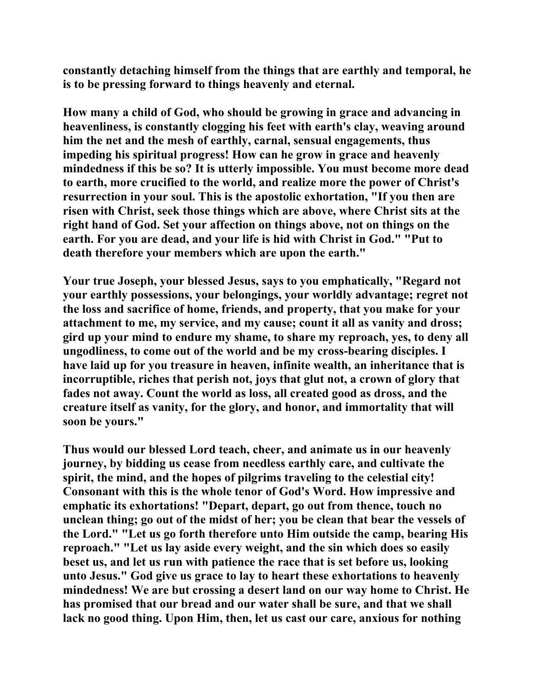**constantly detaching himself from the things that are earthly and temporal, he is to be pressing forward to things heavenly and eternal.** 

**How many a child of God, who should be growing in grace and advancing in heavenliness, is constantly clogging his feet with earth's clay, weaving around him the net and the mesh of earthly, carnal, sensual engagements, thus impeding his spiritual progress! How can he grow in grace and heavenly mindedness if this be so? It is utterly impossible. You must become more dead to earth, more crucified to the world, and realize more the power of Christ's resurrection in your soul. This is the apostolic exhortation, "If you then are risen with Christ, seek those things which are above, where Christ sits at the right hand of God. Set your affection on things above, not on things on the earth. For you are dead, and your life is hid with Christ in God." "Put to death therefore your members which are upon the earth."** 

**Your true Joseph, your blessed Jesus, says to you emphatically, "Regard not your earthly possessions, your belongings, your worldly advantage; regret not the loss and sacrifice of home, friends, and property, that you make for your attachment to me, my service, and my cause; count it all as vanity and dross; gird up your mind to endure my shame, to share my reproach, yes, to deny all ungodliness, to come out of the world and be my cross-bearing disciples. I have laid up for you treasure in heaven, infinite wealth, an inheritance that is incorruptible, riches that perish not, joys that glut not, a crown of glory that fades not away. Count the world as loss, all created good as dross, and the creature itself as vanity, for the glory, and honor, and immortality that will soon be yours."** 

**Thus would our blessed Lord teach, cheer, and animate us in our heavenly journey, by bidding us cease from needless earthly care, and cultivate the spirit, the mind, and the hopes of pilgrims traveling to the celestial city! Consonant with this is the whole tenor of God's Word. How impressive and emphatic its exhortations! "Depart, depart, go out from thence, touch no unclean thing; go out of the midst of her; you be clean that bear the vessels of the Lord." "Let us go forth therefore unto Him outside the camp, bearing His reproach." "Let us lay aside every weight, and the sin which does so easily beset us, and let us run with patience the race that is set before us, looking unto Jesus." God give us grace to lay to heart these exhortations to heavenly mindedness! We are but crossing a desert land on our way home to Christ. He has promised that our bread and our water shall be sure, and that we shall lack no good thing. Upon Him, then, let us cast our care, anxious for nothing**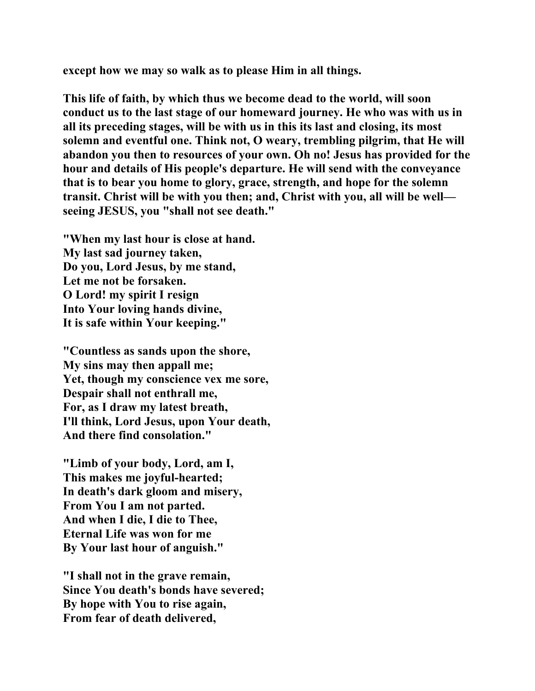**except how we may so walk as to please Him in all things.** 

**This life of faith, by which thus we become dead to the world, will soon conduct us to the last stage of our homeward journey. He who was with us in all its preceding stages, will be with us in this its last and closing, its most solemn and eventful one. Think not, O weary, trembling pilgrim, that He will abandon you then to resources of your own. Oh no! Jesus has provided for the hour and details of His people's departure. He will send with the conveyance that is to bear you home to glory, grace, strength, and hope for the solemn transit. Christ will be with you then; and, Christ with you, all will be well seeing JESUS, you "shall not see death."** 

**"When my last hour is close at hand. My last sad journey taken, Do you, Lord Jesus, by me stand, Let me not be forsaken. O Lord! my spirit I resign Into Your loving hands divine, It is safe within Your keeping."** 

**"Countless as sands upon the shore, My sins may then appall me; Yet, though my conscience vex me sore, Despair shall not enthrall me, For, as I draw my latest breath, I'll think, Lord Jesus, upon Your death, And there find consolation."** 

**"Limb of your body, Lord, am I, This makes me joyful-hearted; In death's dark gloom and misery, From You I am not parted. And when I die, I die to Thee, Eternal Life was won for me By Your last hour of anguish."** 

**"I shall not in the grave remain, Since You death's bonds have severed; By hope with You to rise again, From fear of death delivered,**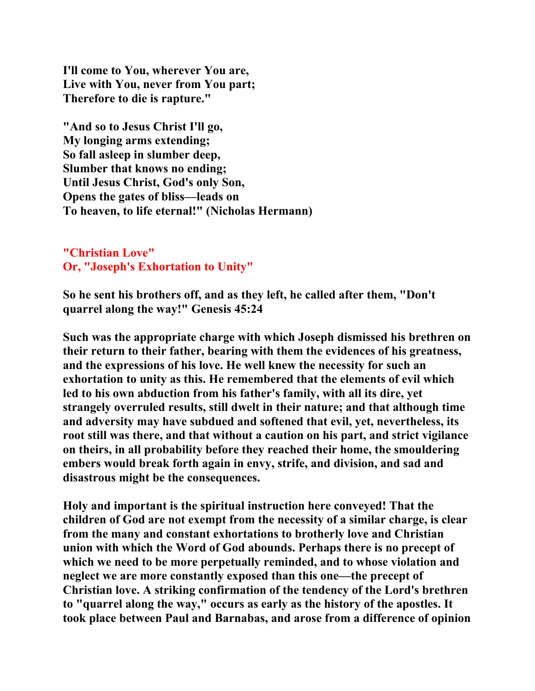**I'll come to You, wherever You are, Live with You, never from You part; Therefore to die is rapture."** 

**"And so to Jesus Christ I'll go, My longing arms extending; So fall asleep in slumber deep, Slumber that knows no ending; Until Jesus Christ, God's only Son, Opens the gates of bliss—leads on To heaven, to life eternal!" (Nicholas Hermann)** 

**"Christian Love" Or, "Joseph's Exhortation to Unity"** 

**So he sent his brothers off, and as they left, he called after them, "Don't quarrel along the way!" Genesis 45:24** 

**Such was the appropriate charge with which Joseph dismissed his brethren on their return to their father, bearing with them the evidences of his greatness, and the expressions of his love. He well knew the necessity for such an exhortation to unity as this. He remembered that the elements of evil which led to his own abduction from his father's family, with all its dire, yet strangely overruled results, still dwelt in their nature; and that although time and adversity may have subdued and softened that evil, yet, nevertheless, its root still was there, and that without a caution on his part, and strict vigilance on theirs, in all probability before they reached their home, the smouldering embers would break forth again in envy, strife, and division, and sad and disastrous might be the consequences.** 

**Holy and important is the spiritual instruction here conveyed! That the children of God are not exempt from the necessity of a similar charge, is clear from the many and constant exhortations to brotherly love and Christian union with which the Word of God abounds. Perhaps there is no precept of which we need to be more perpetually reminded, and to whose violation and neglect we are more constantly exposed than this one—the precept of Christian love. A striking confirmation of the tendency of the Lord's brethren to "quarrel along the way," occurs as early as the history of the apostles. It took place between Paul and Barnabas, and arose from a difference of opinion**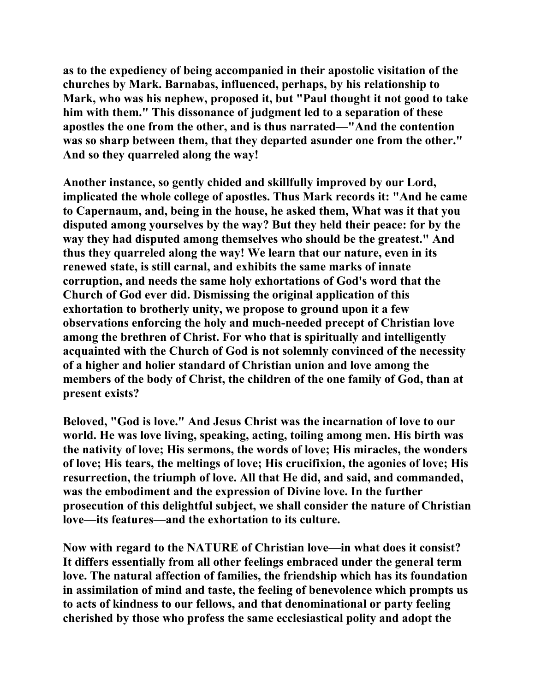**as to the expediency of being accompanied in their apostolic visitation of the churches by Mark. Barnabas, influenced, perhaps, by his relationship to Mark, who was his nephew, proposed it, but "Paul thought it not good to take him with them." This dissonance of judgment led to a separation of these apostles the one from the other, and is thus narrated—"And the contention was so sharp between them, that they departed asunder one from the other." And so they quarreled along the way!** 

**Another instance, so gently chided and skillfully improved by our Lord, implicated the whole college of apostles. Thus Mark records it: "And he came to Capernaum, and, being in the house, he asked them, What was it that you disputed among yourselves by the way? But they held their peace: for by the way they had disputed among themselves who should be the greatest." And thus they quarreled along the way! We learn that our nature, even in its renewed state, is still carnal, and exhibits the same marks of innate corruption, and needs the same holy exhortations of God's word that the Church of God ever did. Dismissing the original application of this exhortation to brotherly unity, we propose to ground upon it a few observations enforcing the holy and much-needed precept of Christian love among the brethren of Christ. For who that is spiritually and intelligently acquainted with the Church of God is not solemnly convinced of the necessity of a higher and holier standard of Christian union and love among the members of the body of Christ, the children of the one family of God, than at present exists?** 

**Beloved, "God is love." And Jesus Christ was the incarnation of love to our world. He was love living, speaking, acting, toiling among men. His birth was the nativity of love; His sermons, the words of love; His miracles, the wonders of love; His tears, the meltings of love; His crucifixion, the agonies of love; His resurrection, the triumph of love. All that He did, and said, and commanded, was the embodiment and the expression of Divine love. In the further prosecution of this delightful subject, we shall consider the nature of Christian love—its features—and the exhortation to its culture.** 

**Now with regard to the NATURE of Christian love—in what does it consist? It differs essentially from all other feelings embraced under the general term love. The natural affection of families, the friendship which has its foundation in assimilation of mind and taste, the feeling of benevolence which prompts us to acts of kindness to our fellows, and that denominational or party feeling cherished by those who profess the same ecclesiastical polity and adopt the**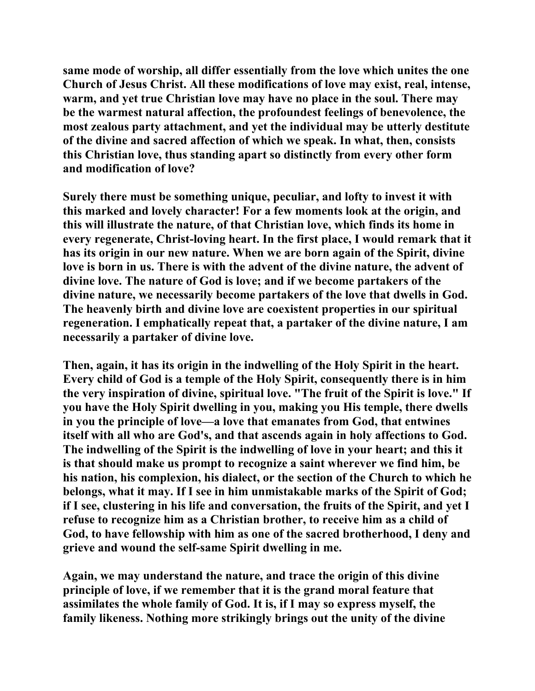**same mode of worship, all differ essentially from the love which unites the one Church of Jesus Christ. All these modifications of love may exist, real, intense, warm, and yet true Christian love may have no place in the soul. There may be the warmest natural affection, the profoundest feelings of benevolence, the most zealous party attachment, and yet the individual may be utterly destitute of the divine and sacred affection of which we speak. In what, then, consists this Christian love, thus standing apart so distinctly from every other form and modification of love?** 

**Surely there must be something unique, peculiar, and lofty to invest it with this marked and lovely character! For a few moments look at the origin, and this will illustrate the nature, of that Christian love, which finds its home in every regenerate, Christ-loving heart. In the first place, I would remark that it has its origin in our new nature. When we are born again of the Spirit, divine love is born in us. There is with the advent of the divine nature, the advent of divine love. The nature of God is love; and if we become partakers of the divine nature, we necessarily become partakers of the love that dwells in God. The heavenly birth and divine love are coexistent properties in our spiritual regeneration. I emphatically repeat that, a partaker of the divine nature, I am necessarily a partaker of divine love.** 

**Then, again, it has its origin in the indwelling of the Holy Spirit in the heart. Every child of God is a temple of the Holy Spirit, consequently there is in him the very inspiration of divine, spiritual love. "The fruit of the Spirit is love." If you have the Holy Spirit dwelling in you, making you His temple, there dwells in you the principle of love—a love that emanates from God, that entwines itself with all who are God's, and that ascends again in holy affections to God. The indwelling of the Spirit is the indwelling of love in your heart; and this it is that should make us prompt to recognize a saint wherever we find him, be his nation, his complexion, his dialect, or the section of the Church to which he belongs, what it may. If I see in him unmistakable marks of the Spirit of God; if I see, clustering in his life and conversation, the fruits of the Spirit, and yet I refuse to recognize him as a Christian brother, to receive him as a child of God, to have fellowship with him as one of the sacred brotherhood, I deny and grieve and wound the self-same Spirit dwelling in me.** 

**Again, we may understand the nature, and trace the origin of this divine principle of love, if we remember that it is the grand moral feature that assimilates the whole family of God. It is, if I may so express myself, the family likeness. Nothing more strikingly brings out the unity of the divine**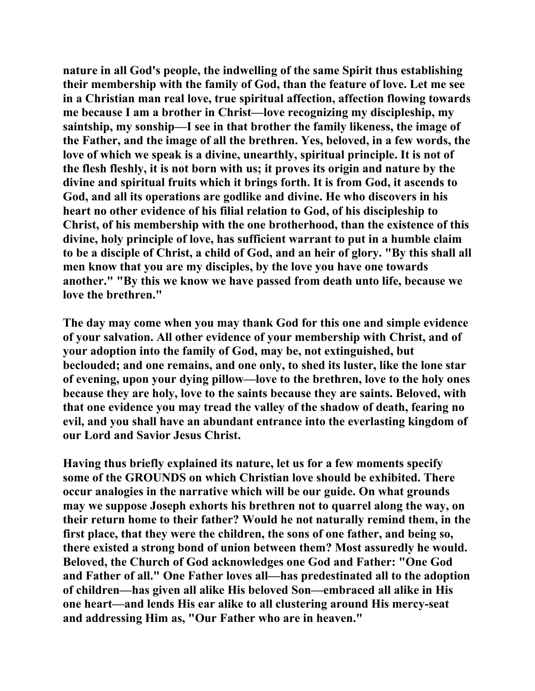**nature in all God's people, the indwelling of the same Spirit thus establishing their membership with the family of God, than the feature of love. Let me see in a Christian man real love, true spiritual affection, affection flowing towards me because I am a brother in Christ—love recognizing my discipleship, my saintship, my sonship—I see in that brother the family likeness, the image of the Father, and the image of all the brethren. Yes, beloved, in a few words, the love of which we speak is a divine, unearthly, spiritual principle. It is not of the flesh fleshly, it is not born with us; it proves its origin and nature by the divine and spiritual fruits which it brings forth. It is from God, it ascends to God, and all its operations are godlike and divine. He who discovers in his heart no other evidence of his filial relation to God, of his discipleship to Christ, of his membership with the one brotherhood, than the existence of this divine, holy principle of love, has sufficient warrant to put in a humble claim to be a disciple of Christ, a child of God, and an heir of glory. "By this shall all men know that you are my disciples, by the love you have one towards another." "By this we know we have passed from death unto life, because we love the brethren."** 

**The day may come when you may thank God for this one and simple evidence of your salvation. All other evidence of your membership with Christ, and of your adoption into the family of God, may be, not extinguished, but beclouded; and one remains, and one only, to shed its luster, like the lone star of evening, upon your dying pillow—love to the brethren, love to the holy ones because they are holy, love to the saints because they are saints. Beloved, with that one evidence you may tread the valley of the shadow of death, fearing no evil, and you shall have an abundant entrance into the everlasting kingdom of our Lord and Savior Jesus Christ.** 

**Having thus briefly explained its nature, let us for a few moments specify some of the GROUNDS on which Christian love should be exhibited. There occur analogies in the narrative which will be our guide. On what grounds may we suppose Joseph exhorts his brethren not to quarrel along the way, on their return home to their father? Would he not naturally remind them, in the first place, that they were the children, the sons of one father, and being so, there existed a strong bond of union between them? Most assuredly he would. Beloved, the Church of God acknowledges one God and Father: "One God and Father of all." One Father loves all—has predestinated all to the adoption of children—has given all alike His beloved Son—embraced all alike in His one heart—and lends His ear alike to all clustering around His mercy-seat and addressing Him as, "Our Father who are in heaven."**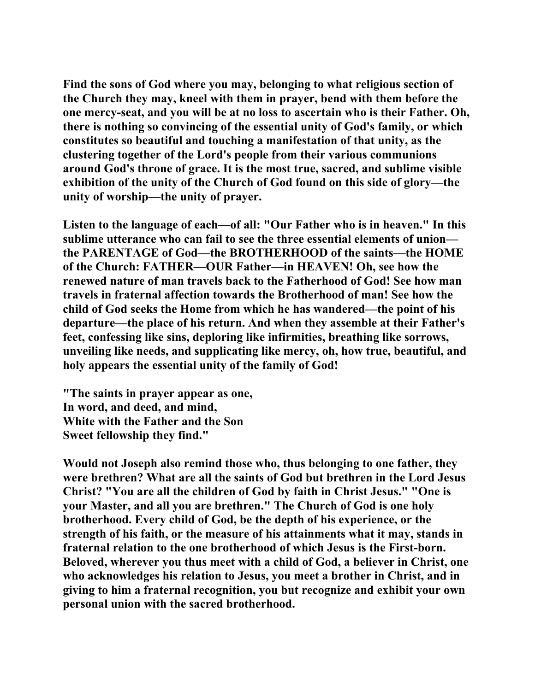**Find the sons of God where you may, belonging to what religious section of the Church they may, kneel with them in prayer, bend with them before the one mercy-seat, and you will be at no loss to ascertain who is their Father. Oh, there is nothing so convincing of the essential unity of God's family, or which constitutes so beautiful and touching a manifestation of that unity, as the clustering together of the Lord's people from their various communions around God's throne of grace. It is the most true, sacred, and sublime visible exhibition of the unity of the Church of God found on this side of glory—the unity of worship—the unity of prayer.** 

**Listen to the language of each—of all: "Our Father who is in heaven." In this sublime utterance who can fail to see the three essential elements of union the PARENTAGE of God—the BROTHERHOOD of the saints—the HOME of the Church: FATHER—OUR Father—in HEAVEN! Oh, see how the renewed nature of man travels back to the Fatherhood of God! See how man travels in fraternal affection towards the Brotherhood of man! See how the child of God seeks the Home from which he has wandered—the point of his departure—the place of his return. And when they assemble at their Father's feet, confessing like sins, deploring like infirmities, breathing like sorrows, unveiling like needs, and supplicating like mercy, oh, how true, beautiful, and holy appears the essential unity of the family of God!** 

**"The saints in prayer appear as one, In word, and deed, and mind, White with the Father and the Son Sweet fellowship they find."** 

**Would not Joseph also remind those who, thus belonging to one father, they were brethren? What are all the saints of God but brethren in the Lord Jesus Christ? "You are all the children of God by faith in Christ Jesus." "One is your Master, and all you are brethren." The Church of God is one holy brotherhood. Every child of God, be the depth of his experience, or the strength of his faith, or the measure of his attainments what it may, stands in fraternal relation to the one brotherhood of which Jesus is the First-born. Beloved, wherever you thus meet with a child of God, a believer in Christ, one who acknowledges his relation to Jesus, you meet a brother in Christ, and in giving to him a fraternal recognition, you but recognize and exhibit your own personal union with the sacred brotherhood.**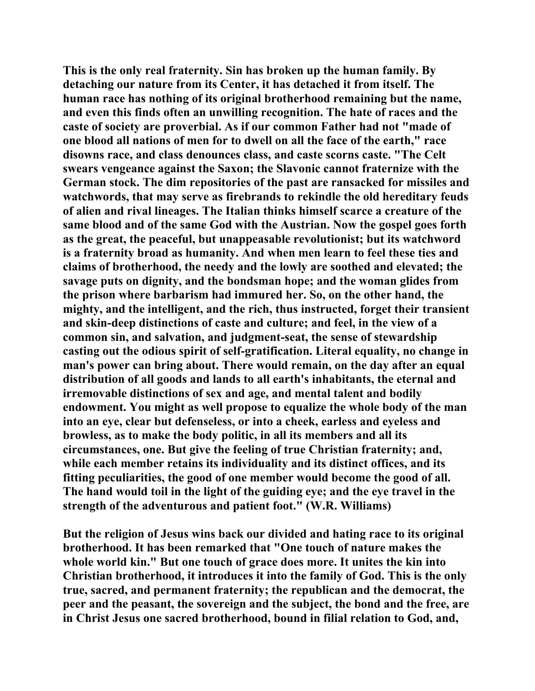**This is the only real fraternity. Sin has broken up the human family. By detaching our nature from its Center, it has detached it from itself. The human race has nothing of its original brotherhood remaining but the name, and even this finds often an unwilling recognition. The hate of races and the caste of society are proverbial. As if our common Father had not "made of one blood all nations of men for to dwell on all the face of the earth," race disowns race, and class denounces class, and caste scorns caste. "The Celt swears vengeance against the Saxon; the Slavonic cannot fraternize with the German stock. The dim repositories of the past are ransacked for missiles and watchwords, that may serve as firebrands to rekindle the old hereditary feuds of alien and rival lineages. The Italian thinks himself scarce a creature of the same blood and of the same God with the Austrian. Now the gospel goes forth as the great, the peaceful, but unappeasable revolutionist; but its watchword is a fraternity broad as humanity. And when men learn to feel these ties and claims of brotherhood, the needy and the lowly are soothed and elevated; the savage puts on dignity, and the bondsman hope; and the woman glides from the prison where barbarism had immured her. So, on the other hand, the mighty, and the intelligent, and the rich, thus instructed, forget their transient and skin-deep distinctions of caste and culture; and feel, in the view of a common sin, and salvation, and judgment-seat, the sense of stewardship casting out the odious spirit of self-gratification. Literal equality, no change in man's power can bring about. There would remain, on the day after an equal distribution of all goods and lands to all earth's inhabitants, the eternal and irremovable distinctions of sex and age, and mental talent and bodily endowment. You might as well propose to equalize the whole body of the man into an eye, clear but defenseless, or into a cheek, earless and eyeless and browless, as to make the body politic, in all its members and all its circumstances, one. But give the feeling of true Christian fraternity; and, while each member retains its individuality and its distinct offices, and its fitting peculiarities, the good of one member would become the good of all. The hand would toil in the light of the guiding eye; and the eye travel in the strength of the adventurous and patient foot." (W.R. Williams)** 

**But the religion of Jesus wins back our divided and hating race to its original brotherhood. It has been remarked that "One touch of nature makes the whole world kin." But one touch of grace does more. It unites the kin into Christian brotherhood, it introduces it into the family of God. This is the only true, sacred, and permanent fraternity; the republican and the democrat, the peer and the peasant, the sovereign and the subject, the bond and the free, are in Christ Jesus one sacred brotherhood, bound in filial relation to God, and,**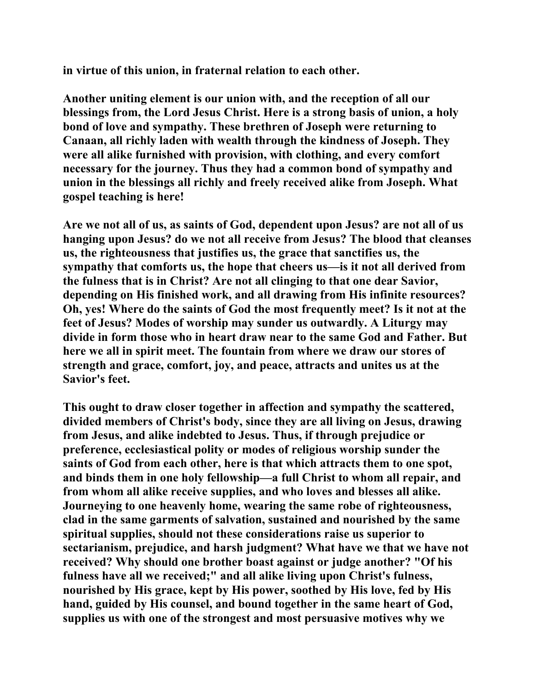**in virtue of this union, in fraternal relation to each other.** 

**Another uniting element is our union with, and the reception of all our blessings from, the Lord Jesus Christ. Here is a strong basis of union, a holy bond of love and sympathy. These brethren of Joseph were returning to Canaan, all richly laden with wealth through the kindness of Joseph. They were all alike furnished with provision, with clothing, and every comfort necessary for the journey. Thus they had a common bond of sympathy and union in the blessings all richly and freely received alike from Joseph. What gospel teaching is here!** 

**Are we not all of us, as saints of God, dependent upon Jesus? are not all of us hanging upon Jesus? do we not all receive from Jesus? The blood that cleanses us, the righteousness that justifies us, the grace that sanctifies us, the sympathy that comforts us, the hope that cheers us—is it not all derived from the fulness that is in Christ? Are not all clinging to that one dear Savior, depending on His finished work, and all drawing from His infinite resources? Oh, yes! Where do the saints of God the most frequently meet? Is it not at the feet of Jesus? Modes of worship may sunder us outwardly. A Liturgy may divide in form those who in heart draw near to the same God and Father. But here we all in spirit meet. The fountain from where we draw our stores of strength and grace, comfort, joy, and peace, attracts and unites us at the Savior's feet.** 

**This ought to draw closer together in affection and sympathy the scattered, divided members of Christ's body, since they are all living on Jesus, drawing from Jesus, and alike indebted to Jesus. Thus, if through prejudice or preference, ecclesiastical polity or modes of religious worship sunder the saints of God from each other, here is that which attracts them to one spot, and binds them in one holy fellowship—a full Christ to whom all repair, and from whom all alike receive supplies, and who loves and blesses all alike. Journeying to one heavenly home, wearing the same robe of righteousness, clad in the same garments of salvation, sustained and nourished by the same spiritual supplies, should not these considerations raise us superior to sectarianism, prejudice, and harsh judgment? What have we that we have not received? Why should one brother boast against or judge another? "Of his fulness have all we received;" and all alike living upon Christ's fulness, nourished by His grace, kept by His power, soothed by His love, fed by His hand, guided by His counsel, and bound together in the same heart of God, supplies us with one of the strongest and most persuasive motives why we**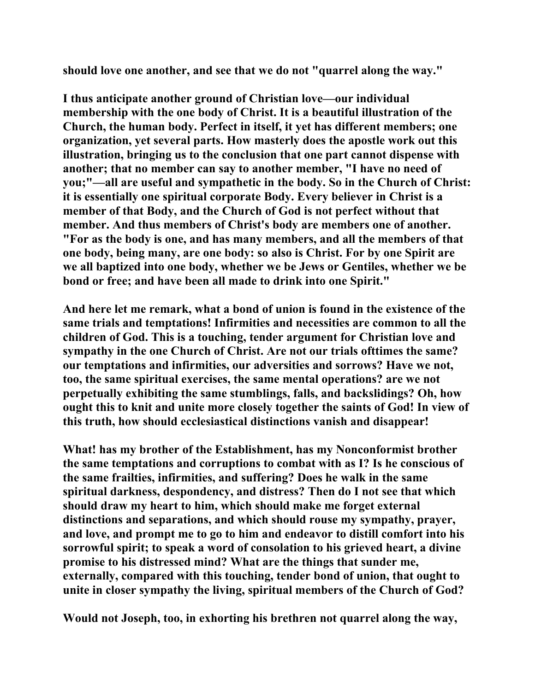**should love one another, and see that we do not "quarrel along the way."** 

**I thus anticipate another ground of Christian love—our individual membership with the one body of Christ. It is a beautiful illustration of the Church, the human body. Perfect in itself, it yet has different members; one organization, yet several parts. How masterly does the apostle work out this illustration, bringing us to the conclusion that one part cannot dispense with another; that no member can say to another member, "I have no need of you;"—all are useful and sympathetic in the body. So in the Church of Christ: it is essentially one spiritual corporate Body. Every believer in Christ is a member of that Body, and the Church of God is not perfect without that member. And thus members of Christ's body are members one of another. "For as the body is one, and has many members, and all the members of that one body, being many, are one body: so also is Christ. For by one Spirit are we all baptized into one body, whether we be Jews or Gentiles, whether we be bond or free; and have been all made to drink into one Spirit."** 

**And here let me remark, what a bond of union is found in the existence of the same trials and temptations! Infirmities and necessities are common to all the children of God. This is a touching, tender argument for Christian love and sympathy in the one Church of Christ. Are not our trials ofttimes the same? our temptations and infirmities, our adversities and sorrows? Have we not, too, the same spiritual exercises, the same mental operations? are we not perpetually exhibiting the same stumblings, falls, and backslidings? Oh, how ought this to knit and unite more closely together the saints of God! In view of this truth, how should ecclesiastical distinctions vanish and disappear!** 

**What! has my brother of the Establishment, has my Nonconformist brother the same temptations and corruptions to combat with as I? Is he conscious of the same frailties, infirmities, and suffering? Does he walk in the same spiritual darkness, despondency, and distress? Then do I not see that which should draw my heart to him, which should make me forget external distinctions and separations, and which should rouse my sympathy, prayer, and love, and prompt me to go to him and endeavor to distill comfort into his sorrowful spirit; to speak a word of consolation to his grieved heart, a divine promise to his distressed mind? What are the things that sunder me, externally, compared with this touching, tender bond of union, that ought to unite in closer sympathy the living, spiritual members of the Church of God?** 

**Would not Joseph, too, in exhorting his brethren not quarrel along the way,**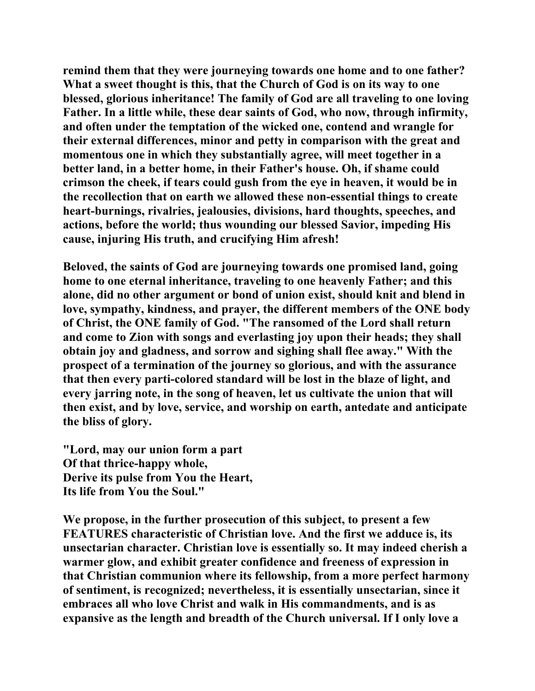**remind them that they were journeying towards one home and to one father? What a sweet thought is this, that the Church of God is on its way to one blessed, glorious inheritance! The family of God are all traveling to one loving Father. In a little while, these dear saints of God, who now, through infirmity, and often under the temptation of the wicked one, contend and wrangle for their external differences, minor and petty in comparison with the great and momentous one in which they substantially agree, will meet together in a better land, in a better home, in their Father's house. Oh, if shame could crimson the cheek, if tears could gush from the eye in heaven, it would be in the recollection that on earth we allowed these non-essential things to create heart-burnings, rivalries, jealousies, divisions, hard thoughts, speeches, and actions, before the world; thus wounding our blessed Savior, impeding His cause, injuring His truth, and crucifying Him afresh!** 

**Beloved, the saints of God are journeying towards one promised land, going home to one eternal inheritance, traveling to one heavenly Father; and this alone, did no other argument or bond of union exist, should knit and blend in love, sympathy, kindness, and prayer, the different members of the ONE body of Christ, the ONE family of God. "The ransomed of the Lord shall return and come to Zion with songs and everlasting joy upon their heads; they shall obtain joy and gladness, and sorrow and sighing shall flee away." With the prospect of a termination of the journey so glorious, and with the assurance that then every parti-colored standard will be lost in the blaze of light, and every jarring note, in the song of heaven, let us cultivate the union that will then exist, and by love, service, and worship on earth, antedate and anticipate the bliss of glory.** 

**"Lord, may our union form a part Of that thrice-happy whole, Derive its pulse from You the Heart, Its life from You the Soul."** 

**We propose, in the further prosecution of this subject, to present a few FEATURES characteristic of Christian love. And the first we adduce is, its unsectarian character. Christian love is essentially so. It may indeed cherish a warmer glow, and exhibit greater confidence and freeness of expression in that Christian communion where its fellowship, from a more perfect harmony of sentiment, is recognized; nevertheless, it is essentially unsectarian, since it embraces all who love Christ and walk in His commandments, and is as expansive as the length and breadth of the Church universal. If I only love a**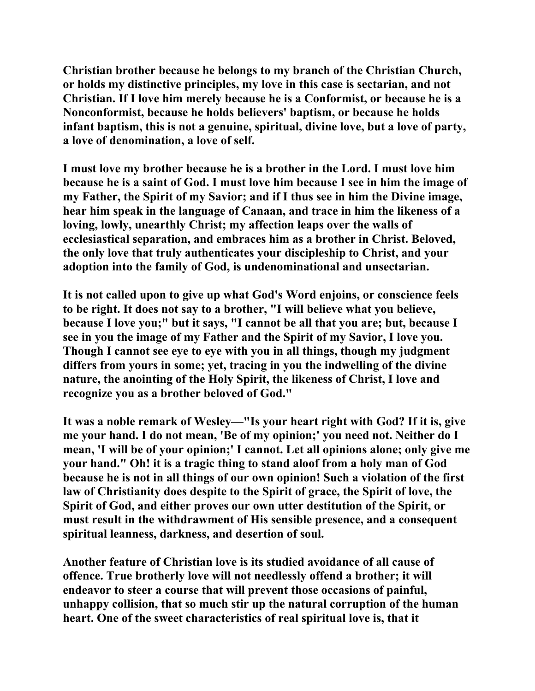**Christian brother because he belongs to my branch of the Christian Church, or holds my distinctive principles, my love in this case is sectarian, and not Christian. If I love him merely because he is a Conformist, or because he is a Nonconformist, because he holds believers' baptism, or because he holds infant baptism, this is not a genuine, spiritual, divine love, but a love of party, a love of denomination, a love of self.** 

**I must love my brother because he is a brother in the Lord. I must love him because he is a saint of God. I must love him because I see in him the image of my Father, the Spirit of my Savior; and if I thus see in him the Divine image, hear him speak in the language of Canaan, and trace in him the likeness of a loving, lowly, unearthly Christ; my affection leaps over the walls of ecclesiastical separation, and embraces him as a brother in Christ. Beloved, the only love that truly authenticates your discipleship to Christ, and your adoption into the family of God, is undenominational and unsectarian.** 

**It is not called upon to give up what God's Word enjoins, or conscience feels to be right. It does not say to a brother, "I will believe what you believe, because I love you;" but it says, "I cannot be all that you are; but, because I see in you the image of my Father and the Spirit of my Savior, I love you. Though I cannot see eye to eye with you in all things, though my judgment differs from yours in some; yet, tracing in you the indwelling of the divine nature, the anointing of the Holy Spirit, the likeness of Christ, I love and recognize you as a brother beloved of God."** 

**It was a noble remark of Wesley—"Is your heart right with God? If it is, give me your hand. I do not mean, 'Be of my opinion;' you need not. Neither do I mean, 'I will be of your opinion;' I cannot. Let all opinions alone; only give me your hand." Oh! it is a tragic thing to stand aloof from a holy man of God because he is not in all things of our own opinion! Such a violation of the first law of Christianity does despite to the Spirit of grace, the Spirit of love, the Spirit of God, and either proves our own utter destitution of the Spirit, or must result in the withdrawment of His sensible presence, and a consequent spiritual leanness, darkness, and desertion of soul.** 

**Another feature of Christian love is its studied avoidance of all cause of offence. True brotherly love will not needlessly offend a brother; it will endeavor to steer a course that will prevent those occasions of painful, unhappy collision, that so much stir up the natural corruption of the human heart. One of the sweet characteristics of real spiritual love is, that it**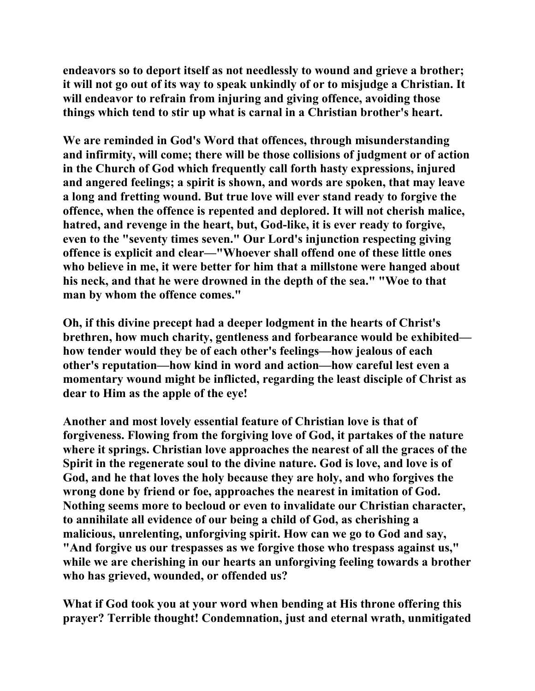**endeavors so to deport itself as not needlessly to wound and grieve a brother; it will not go out of its way to speak unkindly of or to misjudge a Christian. It will endeavor to refrain from injuring and giving offence, avoiding those things which tend to stir up what is carnal in a Christian brother's heart.** 

**We are reminded in God's Word that offences, through misunderstanding and infirmity, will come; there will be those collisions of judgment or of action in the Church of God which frequently call forth hasty expressions, injured and angered feelings; a spirit is shown, and words are spoken, that may leave a long and fretting wound. But true love will ever stand ready to forgive the offence, when the offence is repented and deplored. It will not cherish malice, hatred, and revenge in the heart, but, God-like, it is ever ready to forgive, even to the "seventy times seven." Our Lord's injunction respecting giving offence is explicit and clear—"Whoever shall offend one of these little ones who believe in me, it were better for him that a millstone were hanged about his neck, and that he were drowned in the depth of the sea." "Woe to that man by whom the offence comes."** 

**Oh, if this divine precept had a deeper lodgment in the hearts of Christ's brethren, how much charity, gentleness and forbearance would be exhibited how tender would they be of each other's feelings—how jealous of each other's reputation—how kind in word and action—how careful lest even a momentary wound might be inflicted, regarding the least disciple of Christ as dear to Him as the apple of the eye!** 

**Another and most lovely essential feature of Christian love is that of forgiveness. Flowing from the forgiving love of God, it partakes of the nature where it springs. Christian love approaches the nearest of all the graces of the Spirit in the regenerate soul to the divine nature. God is love, and love is of God, and he that loves the holy because they are holy, and who forgives the wrong done by friend or foe, approaches the nearest in imitation of God. Nothing seems more to becloud or even to invalidate our Christian character, to annihilate all evidence of our being a child of God, as cherishing a malicious, unrelenting, unforgiving spirit. How can we go to God and say, "And forgive us our trespasses as we forgive those who trespass against us," while we are cherishing in our hearts an unforgiving feeling towards a brother who has grieved, wounded, or offended us?** 

**What if God took you at your word when bending at His throne offering this prayer? Terrible thought! Condemnation, just and eternal wrath, unmitigated**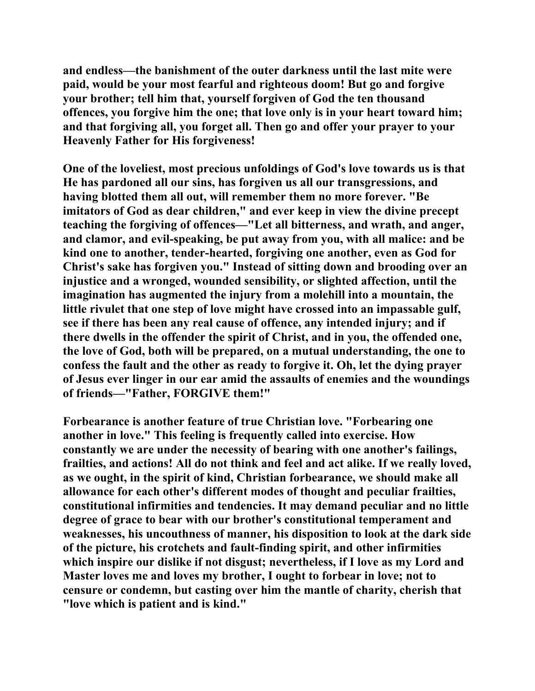**and endless—the banishment of the outer darkness until the last mite were paid, would be your most fearful and righteous doom! But go and forgive your brother; tell him that, yourself forgiven of God the ten thousand offences, you forgive him the one; that love only is in your heart toward him; and that forgiving all, you forget all. Then go and offer your prayer to your Heavenly Father for His forgiveness!** 

**One of the loveliest, most precious unfoldings of God's love towards us is that He has pardoned all our sins, has forgiven us all our transgressions, and having blotted them all out, will remember them no more forever. "Be imitators of God as dear children," and ever keep in view the divine precept teaching the forgiving of offences—"Let all bitterness, and wrath, and anger, and clamor, and evil-speaking, be put away from you, with all malice: and be kind one to another, tender-hearted, forgiving one another, even as God for Christ's sake has forgiven you." Instead of sitting down and brooding over an injustice and a wronged, wounded sensibility, or slighted affection, until the imagination has augmented the injury from a molehill into a mountain, the little rivulet that one step of love might have crossed into an impassable gulf, see if there has been any real cause of offence, any intended injury; and if there dwells in the offender the spirit of Christ, and in you, the offended one, the love of God, both will be prepared, on a mutual understanding, the one to confess the fault and the other as ready to forgive it. Oh, let the dying prayer of Jesus ever linger in our ear amid the assaults of enemies and the woundings of friends—"Father, FORGIVE them!"** 

**Forbearance is another feature of true Christian love. "Forbearing one another in love." This feeling is frequently called into exercise. How constantly we are under the necessity of bearing with one another's failings, frailties, and actions! All do not think and feel and act alike. If we really loved, as we ought, in the spirit of kind, Christian forbearance, we should make all allowance for each other's different modes of thought and peculiar frailties, constitutional infirmities and tendencies. It may demand peculiar and no little degree of grace to bear with our brother's constitutional temperament and weaknesses, his uncouthness of manner, his disposition to look at the dark side of the picture, his crotchets and fault-finding spirit, and other infirmities which inspire our dislike if not disgust; nevertheless, if I love as my Lord and Master loves me and loves my brother, I ought to forbear in love; not to censure or condemn, but casting over him the mantle of charity, cherish that "love which is patient and is kind."**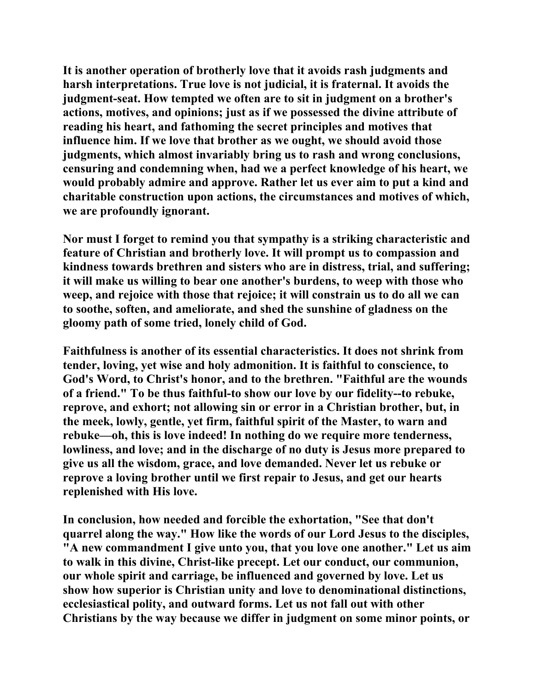**It is another operation of brotherly love that it avoids rash judgments and harsh interpretations. True love is not judicial, it is fraternal. It avoids the judgment-seat. How tempted we often are to sit in judgment on a brother's actions, motives, and opinions; just as if we possessed the divine attribute of reading his heart, and fathoming the secret principles and motives that influence him. If we love that brother as we ought, we should avoid those judgments, which almost invariably bring us to rash and wrong conclusions, censuring and condemning when, had we a perfect knowledge of his heart, we would probably admire and approve. Rather let us ever aim to put a kind and charitable construction upon actions, the circumstances and motives of which, we are profoundly ignorant.** 

**Nor must I forget to remind you that sympathy is a striking characteristic and feature of Christian and brotherly love. It will prompt us to compassion and kindness towards brethren and sisters who are in distress, trial, and suffering; it will make us willing to bear one another's burdens, to weep with those who weep, and rejoice with those that rejoice; it will constrain us to do all we can to soothe, soften, and ameliorate, and shed the sunshine of gladness on the gloomy path of some tried, lonely child of God.** 

**Faithfulness is another of its essential characteristics. It does not shrink from tender, loving, yet wise and holy admonition. It is faithful to conscience, to God's Word, to Christ's honor, and to the brethren. "Faithful are the wounds of a friend." To be thus faithful-to show our love by our fidelity--to rebuke, reprove, and exhort; not allowing sin or error in a Christian brother, but, in the meek, lowly, gentle, yet firm, faithful spirit of the Master, to warn and rebuke—oh, this is love indeed! In nothing do we require more tenderness, lowliness, and love; and in the discharge of no duty is Jesus more prepared to give us all the wisdom, grace, and love demanded. Never let us rebuke or reprove a loving brother until we first repair to Jesus, and get our hearts replenished with His love.** 

**In conclusion, how needed and forcible the exhortation, "See that don't quarrel along the way." How like the words of our Lord Jesus to the disciples, "A new commandment I give unto you, that you love one another." Let us aim to walk in this divine, Christ-like precept. Let our conduct, our communion, our whole spirit and carriage, be influenced and governed by love. Let us show how superior is Christian unity and love to denominational distinctions, ecclesiastical polity, and outward forms. Let us not fall out with other Christians by the way because we differ in judgment on some minor points, or**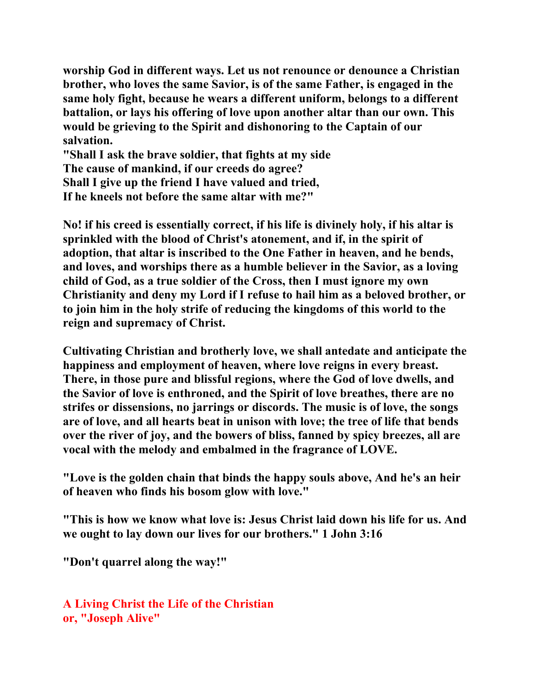**worship God in different ways. Let us not renounce or denounce a Christian brother, who loves the same Savior, is of the same Father, is engaged in the same holy fight, because he wears a different uniform, belongs to a different battalion, or lays his offering of love upon another altar than our own. This would be grieving to the Spirit and dishonoring to the Captain of our salvation.** 

**"Shall I ask the brave soldier, that fights at my side The cause of mankind, if our creeds do agree? Shall I give up the friend I have valued and tried, If he kneels not before the same altar with me?"** 

**No! if his creed is essentially correct, if his life is divinely holy, if his altar is sprinkled with the blood of Christ's atonement, and if, in the spirit of adoption, that altar is inscribed to the One Father in heaven, and he bends, and loves, and worships there as a humble believer in the Savior, as a loving child of God, as a true soldier of the Cross, then I must ignore my own Christianity and deny my Lord if I refuse to hail him as a beloved brother, or to join him in the holy strife of reducing the kingdoms of this world to the reign and supremacy of Christ.** 

**Cultivating Christian and brotherly love, we shall antedate and anticipate the happiness and employment of heaven, where love reigns in every breast. There, in those pure and blissful regions, where the God of love dwells, and the Savior of love is enthroned, and the Spirit of love breathes, there are no strifes or dissensions, no jarrings or discords. The music is of love, the songs are of love, and all hearts beat in unison with love; the tree of life that bends over the river of joy, and the bowers of bliss, fanned by spicy breezes, all are vocal with the melody and embalmed in the fragrance of LOVE.** 

**"Love is the golden chain that binds the happy souls above, And he's an heir of heaven who finds his bosom glow with love."** 

**"This is how we know what love is: Jesus Christ laid down his life for us. And we ought to lay down our lives for our brothers." 1 John 3:16** 

**"Don't quarrel along the way!"** 

**A Living Christ the Life of the Christian or, "Joseph Alive"**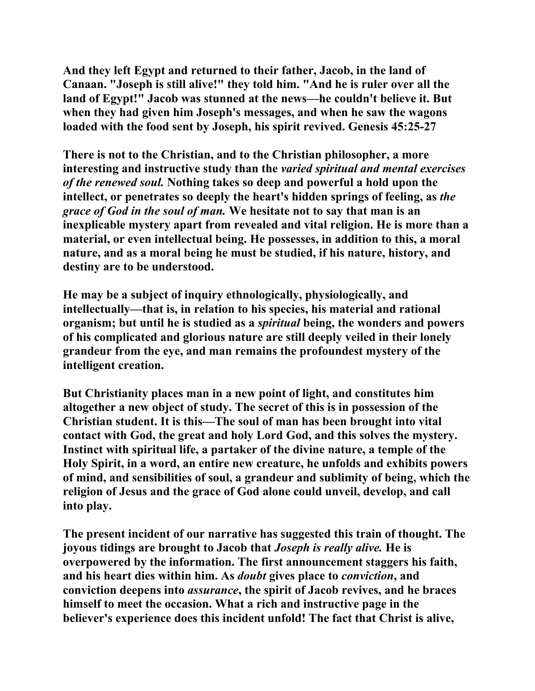**And they left Egypt and returned to their father, Jacob, in the land of Canaan. "Joseph is still alive!" they told him. "And he is ruler over all the land of Egypt!" Jacob was stunned at the news—he couldn't believe it. But when they had given him Joseph's messages, and when he saw the wagons loaded with the food sent by Joseph, his spirit revived. Genesis 45:25-27** 

**There is not to the Christian, and to the Christian philosopher, a more interesting and instructive study than the** *varied spiritual and mental exercises of the renewed soul.* **Nothing takes so deep and powerful a hold upon the intellect, or penetrates so deeply the heart's hidden springs of feeling, as** *the grace of God in the soul of man.* **We hesitate not to say that man is an inexplicable mystery apart from revealed and vital religion. He is more than a material, or even intellectual being. He possesses, in addition to this, a moral nature, and as a moral being he must be studied, if his nature, history, and destiny are to be understood.** 

**He may be a subject of inquiry ethnologically, physiologically, and intellectually—that is, in relation to his species, his material and rational organism; but until he is studied as a** *spiritual* **being, the wonders and powers of his complicated and glorious nature are still deeply veiled in their lonely grandeur from the eye, and man remains the profoundest mystery of the intelligent creation.** 

**But Christianity places man in a new point of light, and constitutes him altogether a new object of study. The secret of this is in possession of the Christian student. It is this—The soul of man has been brought into vital contact with God, the great and holy Lord God, and this solves the mystery. Instinct with spiritual life, a partaker of the divine nature, a temple of the Holy Spirit, in a word, an entire new creature, he unfolds and exhibits powers of mind, and sensibilities of soul, a grandeur and sublimity of being, which the religion of Jesus and the grace of God alone could unveil, develop, and call into play.** 

**The present incident of our narrative has suggested this train of thought. The joyous tidings are brought to Jacob that** *Joseph is really alive.* **He is overpowered by the information. The first announcement staggers his faith, and his heart dies within him. As** *doubt* **gives place to** *conviction***, and conviction deepens into** *assurance***, the spirit of Jacob revives, and he braces himself to meet the occasion. What a rich and instructive page in the believer's experience does this incident unfold! The fact that Christ is alive,**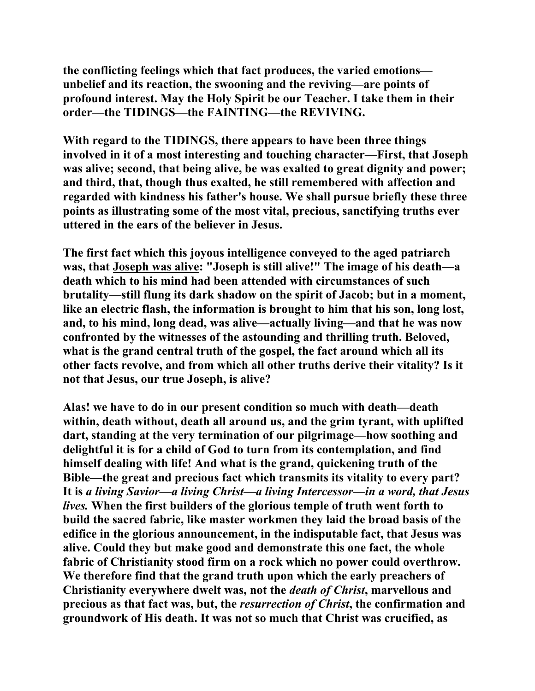**the conflicting feelings which that fact produces, the varied emotions unbelief and its reaction, the swooning and the reviving—are points of profound interest. May the Holy Spirit be our Teacher. I take them in their order—the TIDINGS—the FAINTING—the REVIVING.** 

**With regard to the TIDINGS, there appears to have been three things involved in it of a most interesting and touching character—First, that Joseph was alive; second, that being alive, be was exalted to great dignity and power; and third, that, though thus exalted, he still remembered with affection and regarded with kindness his father's house. We shall pursue briefly these three points as illustrating some of the most vital, precious, sanctifying truths ever uttered in the ears of the believer in Jesus.** 

**The first fact which this joyous intelligence conveyed to the aged patriarch was, that Joseph was alive: "Joseph is still alive!" The image of his death—a death which to his mind had been attended with circumstances of such brutality—still flung its dark shadow on the spirit of Jacob; but in a moment, like an electric flash, the information is brought to him that his son, long lost, and, to his mind, long dead, was alive—actually living—and that he was now confronted by the witnesses of the astounding and thrilling truth. Beloved, what is the grand central truth of the gospel, the fact around which all its other facts revolve, and from which all other truths derive their vitality? Is it not that Jesus, our true Joseph, is alive?** 

**Alas! we have to do in our present condition so much with death—death within, death without, death all around us, and the grim tyrant, with uplifted dart, standing at the very termination of our pilgrimage—how soothing and delightful it is for a child of God to turn from its contemplation, and find himself dealing with life! And what is the grand, quickening truth of the Bible—the great and precious fact which transmits its vitality to every part? It is** *a living Savior—a living Christ—a living Intercessor—in a word, that Jesus lives.* **When the first builders of the glorious temple of truth went forth to build the sacred fabric, like master workmen they laid the broad basis of the edifice in the glorious announcement, in the indisputable fact, that Jesus was alive. Could they but make good and demonstrate this one fact, the whole fabric of Christianity stood firm on a rock which no power could overthrow. We therefore find that the grand truth upon which the early preachers of Christianity everywhere dwelt was, not the** *death of Christ***, marvellous and precious as that fact was, but, the** *resurrection of Christ***, the confirmation and groundwork of His death. It was not so much that Christ was crucified, as**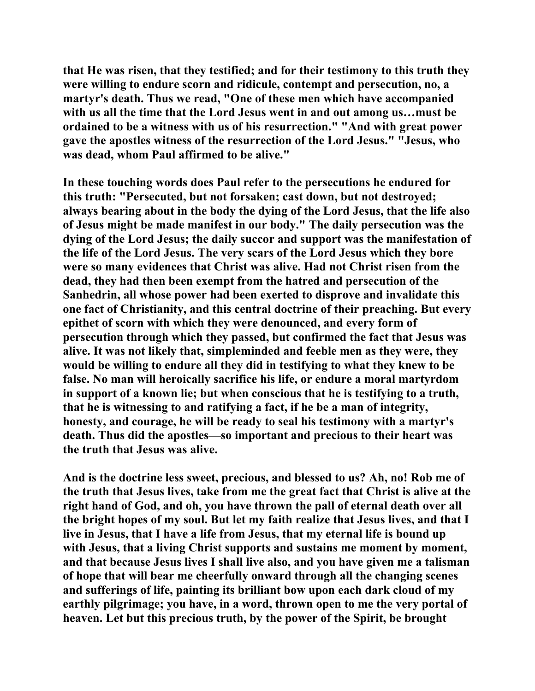**that He was risen, that they testified; and for their testimony to this truth they were willing to endure scorn and ridicule, contempt and persecution, no, a martyr's death. Thus we read, "One of these men which have accompanied with us all the time that the Lord Jesus went in and out among us…must be ordained to be a witness with us of his resurrection." "And with great power gave the apostles witness of the resurrection of the Lord Jesus." "Jesus, who was dead, whom Paul affirmed to be alive."** 

**In these touching words does Paul refer to the persecutions he endured for this truth: "Persecuted, but not forsaken; cast down, but not destroyed; always bearing about in the body the dying of the Lord Jesus, that the life also of Jesus might be made manifest in our body." The daily persecution was the dying of the Lord Jesus; the daily succor and support was the manifestation of the life of the Lord Jesus. The very scars of the Lord Jesus which they bore were so many evidences that Christ was alive. Had not Christ risen from the dead, they had then been exempt from the hatred and persecution of the Sanhedrin, all whose power had been exerted to disprove and invalidate this one fact of Christianity, and this central doctrine of their preaching. But every epithet of scorn with which they were denounced, and every form of persecution through which they passed, but confirmed the fact that Jesus was alive. It was not likely that, simpleminded and feeble men as they were, they would be willing to endure all they did in testifying to what they knew to be false. No man will heroically sacrifice his life, or endure a moral martyrdom in support of a known lie; but when conscious that he is testifying to a truth, that he is witnessing to and ratifying a fact, if he be a man of integrity, honesty, and courage, he will be ready to seal his testimony with a martyr's death. Thus did the apostles—so important and precious to their heart was the truth that Jesus was alive.** 

**And is the doctrine less sweet, precious, and blessed to us? Ah, no! Rob me of the truth that Jesus lives, take from me the great fact that Christ is alive at the right hand of God, and oh, you have thrown the pall of eternal death over all the bright hopes of my soul. But let my faith realize that Jesus lives, and that I live in Jesus, that I have a life from Jesus, that my eternal life is bound up**  with Jesus, that a living Christ supports and sustains me moment by moment, **and that because Jesus lives I shall live also, and you have given me a talisman of hope that will bear me cheerfully onward through all the changing scenes and sufferings of life, painting its brilliant bow upon each dark cloud of my earthly pilgrimage; you have, in a word, thrown open to me the very portal of heaven. Let but this precious truth, by the power of the Spirit, be brought**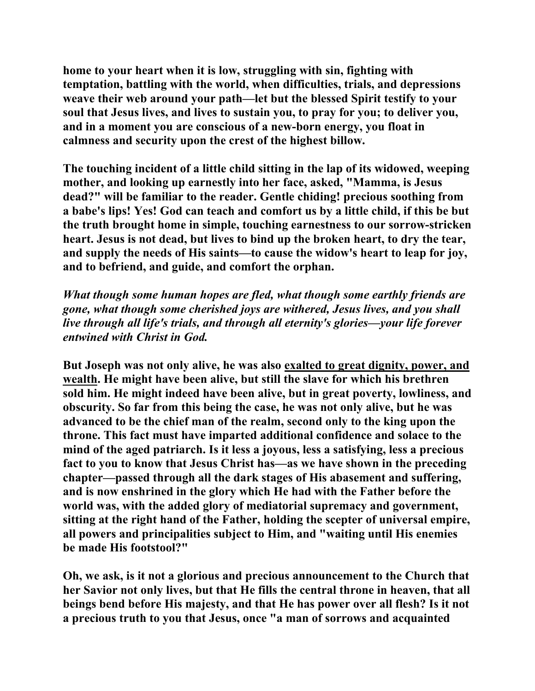**home to your heart when it is low, struggling with sin, fighting with temptation, battling with the world, when difficulties, trials, and depressions weave their web around your path—let but the blessed Spirit testify to your soul that Jesus lives, and lives to sustain you, to pray for you; to deliver you, and in a moment you are conscious of a new-born energy, you float in calmness and security upon the crest of the highest billow.** 

**The touching incident of a little child sitting in the lap of its widowed, weeping mother, and looking up earnestly into her face, asked, "Mamma, is Jesus dead?" will be familiar to the reader. Gentle chiding! precious soothing from a babe's lips! Yes! God can teach and comfort us by a little child, if this be but the truth brought home in simple, touching earnestness to our sorrow-stricken heart. Jesus is not dead, but lives to bind up the broken heart, to dry the tear, and supply the needs of His saints—to cause the widow's heart to leap for joy, and to befriend, and guide, and comfort the orphan.** 

*What though some human hopes are fled, what though some earthly friends are gone, what though some cherished joys are withered, Jesus lives, and you shall live through all life's trials, and through all eternity's glories—your life forever entwined with Christ in God.* 

**But Joseph was not only alive, he was also exalted to great dignity, power, and wealth. He might have been alive, but still the slave for which his brethren sold him. He might indeed have been alive, but in great poverty, lowliness, and obscurity. So far from this being the case, he was not only alive, but he was advanced to be the chief man of the realm, second only to the king upon the throne. This fact must have imparted additional confidence and solace to the mind of the aged patriarch. Is it less a joyous, less a satisfying, less a precious fact to you to know that Jesus Christ has—as we have shown in the preceding chapter—passed through all the dark stages of His abasement and suffering, and is now enshrined in the glory which He had with the Father before the world was, with the added glory of mediatorial supremacy and government, sitting at the right hand of the Father, holding the scepter of universal empire, all powers and principalities subject to Him, and "waiting until His enemies be made His footstool?"** 

**Oh, we ask, is it not a glorious and precious announcement to the Church that her Savior not only lives, but that He fills the central throne in heaven, that all beings bend before His majesty, and that He has power over all flesh? Is it not a precious truth to you that Jesus, once "a man of sorrows and acquainted**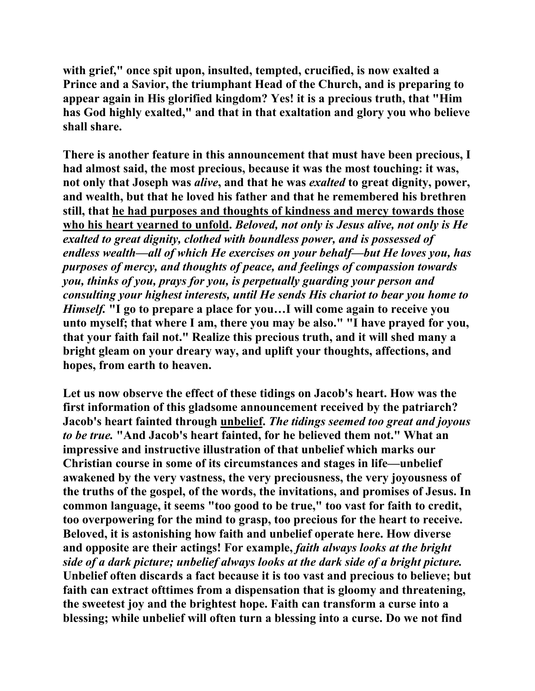**with grief," once spit upon, insulted, tempted, crucified, is now exalted a Prince and a Savior, the triumphant Head of the Church, and is preparing to appear again in His glorified kingdom? Yes! it is a precious truth, that "Him has God highly exalted," and that in that exaltation and glory you who believe shall share.** 

**There is another feature in this announcement that must have been precious, I had almost said, the most precious, because it was the most touching: it was, not only that Joseph was** *alive***, and that he was** *exalted* **to great dignity, power, and wealth, but that he loved his father and that he remembered his brethren still, that he had purposes and thoughts of kindness and mercy towards those who his heart yearned to unfold.** *Beloved, not only is Jesus alive, not only is He exalted to great dignity, clothed with boundless power, and is possessed of endless wealth—all of which He exercises on your behalf—but He loves you, has purposes of mercy, and thoughts of peace, and feelings of compassion towards you, thinks of you, prays for you, is perpetually guarding your person and consulting your highest interests, until He sends His chariot to bear you home to Himself.* **"I go to prepare a place for you…I will come again to receive you unto myself; that where I am, there you may be also." "I have prayed for you, that your faith fail not." Realize this precious truth, and it will shed many a bright gleam on your dreary way, and uplift your thoughts, affections, and hopes, from earth to heaven.** 

**Let us now observe the effect of these tidings on Jacob's heart. How was the first information of this gladsome announcement received by the patriarch? Jacob's heart fainted through unbelief.** *The tidings seemed too great and joyous to be true.* **"And Jacob's heart fainted, for he believed them not." What an impressive and instructive illustration of that unbelief which marks our Christian course in some of its circumstances and stages in life—unbelief awakened by the very vastness, the very preciousness, the very joyousness of the truths of the gospel, of the words, the invitations, and promises of Jesus. In common language, it seems "too good to be true," too vast for faith to credit, too overpowering for the mind to grasp, too precious for the heart to receive. Beloved, it is astonishing how faith and unbelief operate here. How diverse and opposite are their actings! For example,** *faith always looks at the bright side of a dark picture; unbelief always looks at the dark side of a bright picture.* **Unbelief often discards a fact because it is too vast and precious to believe; but faith can extract ofttimes from a dispensation that is gloomy and threatening, the sweetest joy and the brightest hope. Faith can transform a curse into a blessing; while unbelief will often turn a blessing into a curse. Do we not find**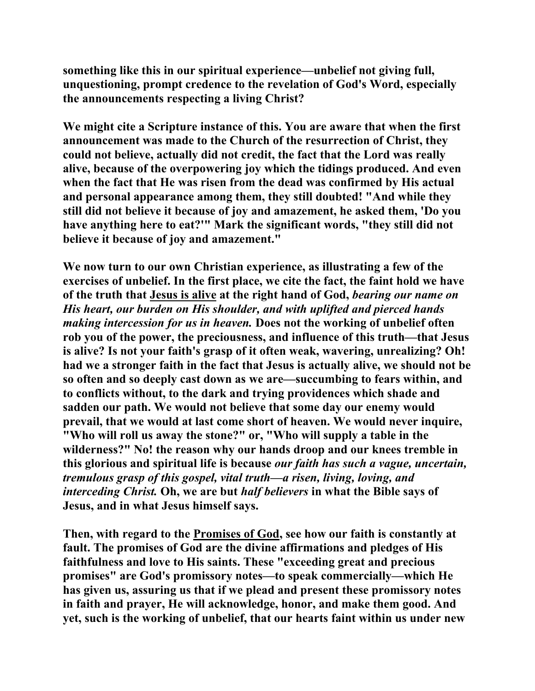**something like this in our spiritual experience—unbelief not giving full, unquestioning, prompt credence to the revelation of God's Word, especially the announcements respecting a living Christ?** 

**We might cite a Scripture instance of this. You are aware that when the first announcement was made to the Church of the resurrection of Christ, they could not believe, actually did not credit, the fact that the Lord was really alive, because of the overpowering joy which the tidings produced. And even when the fact that He was risen from the dead was confirmed by His actual and personal appearance among them, they still doubted! "And while they still did not believe it because of joy and amazement, he asked them, 'Do you have anything here to eat?'" Mark the significant words, "they still did not believe it because of joy and amazement."** 

**We now turn to our own Christian experience, as illustrating a few of the exercises of unbelief. In the first place, we cite the fact, the faint hold we have of the truth that Jesus is alive at the right hand of God,** *bearing our name on His heart, our burden on His shoulder, and with uplifted and pierced hands making intercession for us in heaven.* **Does not the working of unbelief often rob you of the power, the preciousness, and influence of this truth—that Jesus is alive? Is not your faith's grasp of it often weak, wavering, unrealizing? Oh! had we a stronger faith in the fact that Jesus is actually alive, we should not be so often and so deeply cast down as we are—succumbing to fears within, and to conflicts without, to the dark and trying providences which shade and sadden our path. We would not believe that some day our enemy would prevail, that we would at last come short of heaven. We would never inquire, "Who will roll us away the stone?" or, "Who will supply a table in the wilderness?" No! the reason why our hands droop and our knees tremble in this glorious and spiritual life is because** *our faith has such a vague, uncertain, tremulous grasp of this gospel, vital truth—a risen, living, loving, and interceding Christ.* **Oh, we are but** *half believers* **in what the Bible says of Jesus, and in what Jesus himself says.** 

**Then, with regard to the Promises of God, see how our faith is constantly at fault. The promises of God are the divine affirmations and pledges of His faithfulness and love to His saints. These "exceeding great and precious promises" are God's promissory notes—to speak commercially—which He has given us, assuring us that if we plead and present these promissory notes in faith and prayer, He will acknowledge, honor, and make them good. And yet, such is the working of unbelief, that our hearts faint within us under new**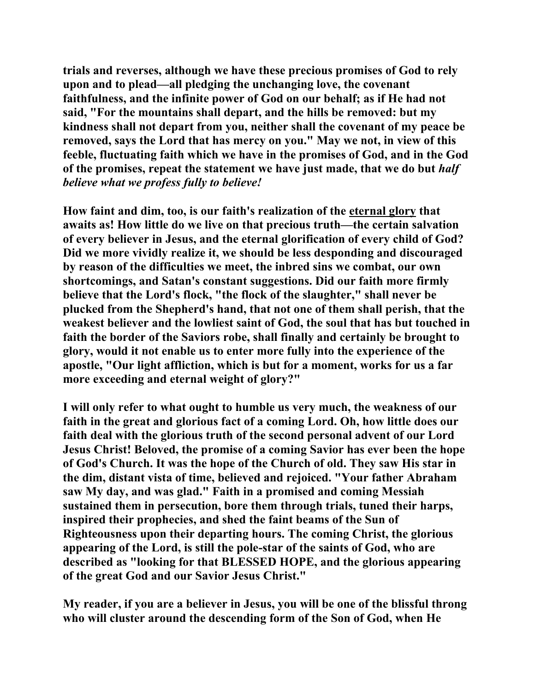**trials and reverses, although we have these precious promises of God to rely upon and to plead—all pledging the unchanging love, the covenant faithfulness, and the infinite power of God on our behalf; as if He had not said, "For the mountains shall depart, and the hills be removed: but my kindness shall not depart from you, neither shall the covenant of my peace be removed, says the Lord that has mercy on you." May we not, in view of this feeble, fluctuating faith which we have in the promises of God, and in the God of the promises, repeat the statement we have just made, that we do but** *half believe what we profess fully to believe!*

**How faint and dim, too, is our faith's realization of the eternal glory that awaits as! How little do we live on that precious truth—the certain salvation of every believer in Jesus, and the eternal glorification of every child of God? Did we more vividly realize it, we should be less desponding and discouraged by reason of the difficulties we meet, the inbred sins we combat, our own shortcomings, and Satan's constant suggestions. Did our faith more firmly believe that the Lord's flock, "the flock of the slaughter," shall never be plucked from the Shepherd's hand, that not one of them shall perish, that the weakest believer and the lowliest saint of God, the soul that has but touched in faith the border of the Saviors robe, shall finally and certainly be brought to glory, would it not enable us to enter more fully into the experience of the apostle, "Our light affliction, which is but for a moment, works for us a far more exceeding and eternal weight of glory?"** 

**I will only refer to what ought to humble us very much, the weakness of our faith in the great and glorious fact of a coming Lord. Oh, how little does our faith deal with the glorious truth of the second personal advent of our Lord Jesus Christ! Beloved, the promise of a coming Savior has ever been the hope of God's Church. It was the hope of the Church of old. They saw His star in the dim, distant vista of time, believed and rejoiced. "Your father Abraham saw My day, and was glad." Faith in a promised and coming Messiah sustained them in persecution, bore them through trials, tuned their harps, inspired their prophecies, and shed the faint beams of the Sun of Righteousness upon their departing hours. The coming Christ, the glorious appearing of the Lord, is still the pole-star of the saints of God, who are described as "looking for that BLESSED HOPE, and the glorious appearing of the great God and our Savior Jesus Christ."** 

**My reader, if you are a believer in Jesus, you will be one of the blissful throng who will cluster around the descending form of the Son of God, when He**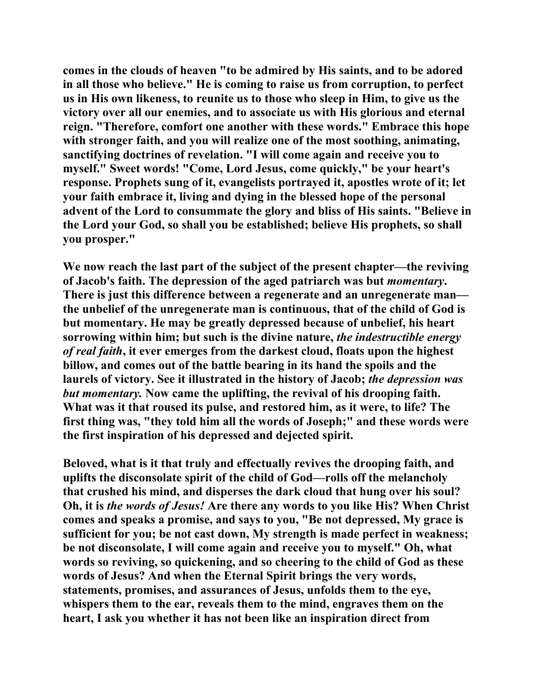**comes in the clouds of heaven "to be admired by His saints, and to be adored in all those who believe." He is coming to raise us from corruption, to perfect us in His own likeness, to reunite us to those who sleep in Him, to give us the victory over all our enemies, and to associate us with His glorious and eternal reign. "Therefore, comfort one another with these words." Embrace this hope with stronger faith, and you will realize one of the most soothing, animating, sanctifying doctrines of revelation. "I will come again and receive you to myself." Sweet words! "Come, Lord Jesus, come quickly," be your heart's response. Prophets sung of it, evangelists portrayed it, apostles wrote of it; let your faith embrace it, living and dying in the blessed hope of the personal advent of the Lord to consummate the glory and bliss of His saints. "Believe in the Lord your God, so shall you be established; believe His prophets, so shall you prosper."** 

**We now reach the last part of the subject of the present chapter—the reviving of Jacob's faith. The depression of the aged patriarch was but** *momentary***. There is just this difference between a regenerate and an unregenerate man the unbelief of the unregenerate man is continuous, that of the child of God is but momentary. He may be greatly depressed because of unbelief, his heart sorrowing within him; but such is the divine nature,** *the indestructible energy of real faith***, it ever emerges from the darkest cloud, floats upon the highest billow, and comes out of the battle bearing in its hand the spoils and the laurels of victory. See it illustrated in the history of Jacob;** *the depression was but momentary.* **Now came the uplifting, the revival of his drooping faith. What was it that roused its pulse, and restored him, as it were, to life? The first thing was, "they told him all the words of Joseph;" and these words were the first inspiration of his depressed and dejected spirit.** 

**Beloved, what is it that truly and effectually revives the drooping faith, and uplifts the disconsolate spirit of the child of God—rolls off the melancholy that crushed his mind, and disperses the dark cloud that hung over his soul? Oh, it is** *the words of Jesus!* **Are there any words to you like His? When Christ comes and speaks a promise, and says to you, "Be not depressed, My grace is sufficient for you; be not cast down, My strength is made perfect in weakness; be not disconsolate, I will come again and receive you to myself." Oh, what words so reviving, so quickening, and so cheering to the child of God as these words of Jesus? And when the Eternal Spirit brings the very words, statements, promises, and assurances of Jesus, unfolds them to the eye, whispers them to the ear, reveals them to the mind, engraves them on the heart, I ask you whether it has not been like an inspiration direct from**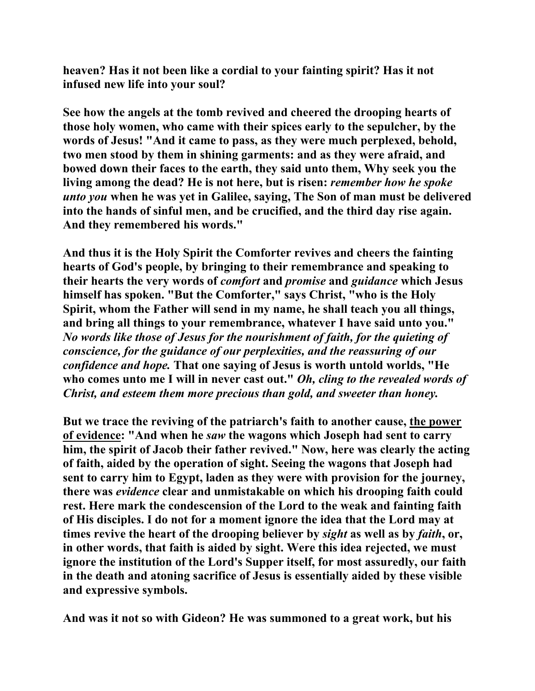**heaven? Has it not been like a cordial to your fainting spirit? Has it not infused new life into your soul?** 

**See how the angels at the tomb revived and cheered the drooping hearts of those holy women, who came with their spices early to the sepulcher, by the words of Jesus! "And it came to pass, as they were much perplexed, behold, two men stood by them in shining garments: and as they were afraid, and bowed down their faces to the earth, they said unto them, Why seek you the living among the dead? He is not here, but is risen:** *remember how he spoke unto you* **when he was yet in Galilee, saying, The Son of man must be delivered into the hands of sinful men, and be crucified, and the third day rise again. And they remembered his words."** 

**And thus it is the Holy Spirit the Comforter revives and cheers the fainting hearts of God's people, by bringing to their remembrance and speaking to their hearts the very words of** *comfort* **and** *promise* **and** *guidance* **which Jesus himself has spoken. "But the Comforter," says Christ, "who is the Holy Spirit, whom the Father will send in my name, he shall teach you all things, and bring all things to your remembrance, whatever I have said unto you."** *No words like those of Jesus for the nourishment of faith, for the quieting of conscience, for the guidance of our perplexities, and the reassuring of our confidence and hope.* **That one saying of Jesus is worth untold worlds, "He who comes unto me I will in never cast out."** *Oh, cling to the revealed words of Christ, and esteem them more precious than gold, and sweeter than honey.* 

**But we trace the reviving of the patriarch's faith to another cause, the power of evidence: "And when he** *saw* **the wagons which Joseph had sent to carry him, the spirit of Jacob their father revived." Now, here was clearly the acting of faith, aided by the operation of sight. Seeing the wagons that Joseph had sent to carry him to Egypt, laden as they were with provision for the journey, there was** *evidence* **clear and unmistakable on which his drooping faith could rest. Here mark the condescension of the Lord to the weak and fainting faith of His disciples. I do not for a moment ignore the idea that the Lord may at times revive the heart of the drooping believer by** *sight* **as well as by** *faith***, or, in other words, that faith is aided by sight. Were this idea rejected, we must ignore the institution of the Lord's Supper itself, for most assuredly, our faith in the death and atoning sacrifice of Jesus is essentially aided by these visible and expressive symbols.** 

**And was it not so with Gideon? He was summoned to a great work, but his**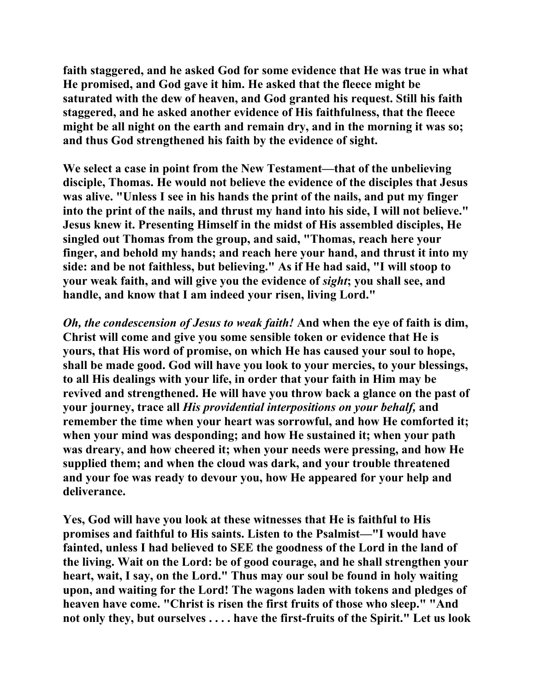**faith staggered, and he asked God for some evidence that He was true in what He promised, and God gave it him. He asked that the fleece might be saturated with the dew of heaven, and God granted his request. Still his faith staggered, and he asked another evidence of His faithfulness, that the fleece might be all night on the earth and remain dry, and in the morning it was so; and thus God strengthened his faith by the evidence of sight.** 

**We select a case in point from the New Testament—that of the unbelieving disciple, Thomas. He would not believe the evidence of the disciples that Jesus was alive. "Unless I see in his hands the print of the nails, and put my finger into the print of the nails, and thrust my hand into his side, I will not believe." Jesus knew it. Presenting Himself in the midst of His assembled disciples, He singled out Thomas from the group, and said, "Thomas, reach here your finger, and behold my hands; and reach here your hand, and thrust it into my side: and be not faithless, but believing." As if He had said, "I will stoop to your weak faith, and will give you the evidence of** *sight***; you shall see, and handle, and know that I am indeed your risen, living Lord."** 

*Oh, the condescension of Jesus to weak faith!* **And when the eye of faith is dim, Christ will come and give you some sensible token or evidence that He is yours, that His word of promise, on which He has caused your soul to hope, shall be made good. God will have you look to your mercies, to your blessings, to all His dealings with your life, in order that your faith in Him may be revived and strengthened. He will have you throw back a glance on the past of your journey, trace all** *His providential interpositions on your behalf,* **and remember the time when your heart was sorrowful, and how He comforted it; when your mind was desponding; and how He sustained it; when your path was dreary, and how cheered it; when your needs were pressing, and how He supplied them; and when the cloud was dark, and your trouble threatened and your foe was ready to devour you, how He appeared for your help and deliverance.** 

**Yes, God will have you look at these witnesses that He is faithful to His promises and faithful to His saints. Listen to the Psalmist—"I would have fainted, unless I had believed to SEE the goodness of the Lord in the land of the living. Wait on the Lord: be of good courage, and he shall strengthen your heart, wait, I say, on the Lord." Thus may our soul be found in holy waiting upon, and waiting for the Lord! The wagons laden with tokens and pledges of heaven have come. "Christ is risen the first fruits of those who sleep." "And not only they, but ourselves . . . . have the first-fruits of the Spirit." Let us look**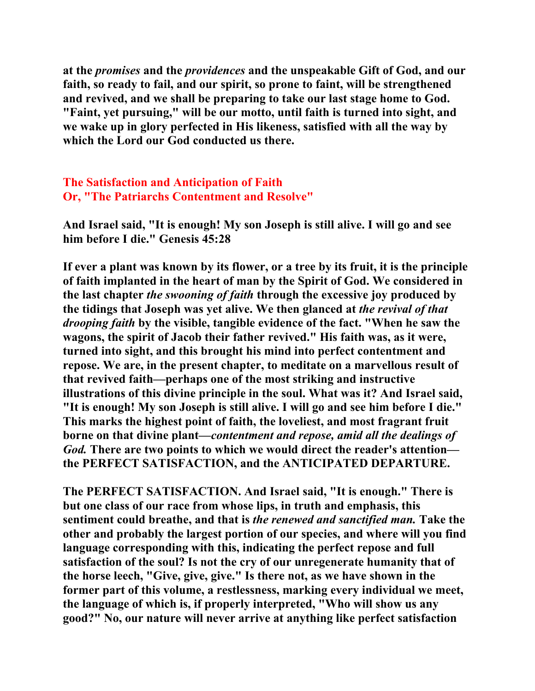**at the** *promises* **and the** *providences* **and the unspeakable Gift of God, and our faith, so ready to fail, and our spirit, so prone to faint, will be strengthened and revived, and we shall be preparing to take our last stage home to God. "Faint, yet pursuing," will be our motto, until faith is turned into sight, and we wake up in glory perfected in His likeness, satisfied with all the way by which the Lord our God conducted us there.** 

#### **The Satisfaction and Anticipation of Faith Or, "The Patriarchs Contentment and Resolve"**

**And Israel said, "It is enough! My son Joseph is still alive. I will go and see him before I die." Genesis 45:28** 

**If ever a plant was known by its flower, or a tree by its fruit, it is the principle of faith implanted in the heart of man by the Spirit of God. We considered in the last chapter** *the swooning of faith* **through the excessive joy produced by the tidings that Joseph was yet alive. We then glanced at** *the revival of that drooping faith* **by the visible, tangible evidence of the fact. "When he saw the wagons, the spirit of Jacob their father revived." His faith was, as it were, turned into sight, and this brought his mind into perfect contentment and repose. We are, in the present chapter, to meditate on a marvellous result of that revived faith—perhaps one of the most striking and instructive illustrations of this divine principle in the soul. What was it? And Israel said, "It is enough! My son Joseph is still alive. I will go and see him before I die." This marks the highest point of faith, the loveliest, and most fragrant fruit borne on that divine plant—***contentment and repose, amid all the dealings of God.* **There are two points to which we would direct the reader's attention the PERFECT SATISFACTION, and the ANTICIPATED DEPARTURE.** 

**The PERFECT SATISFACTION. And Israel said, "It is enough." There is but one class of our race from whose lips, in truth and emphasis, this sentiment could breathe, and that is** *the renewed and sanctified man.* **Take the other and probably the largest portion of our species, and where will you find language corresponding with this, indicating the perfect repose and full satisfaction of the soul? Is not the cry of our unregenerate humanity that of the horse leech, "Give, give, give." Is there not, as we have shown in the former part of this volume, a restlessness, marking every individual we meet, the language of which is, if properly interpreted, "Who will show us any good?" No, our nature will never arrive at anything like perfect satisfaction**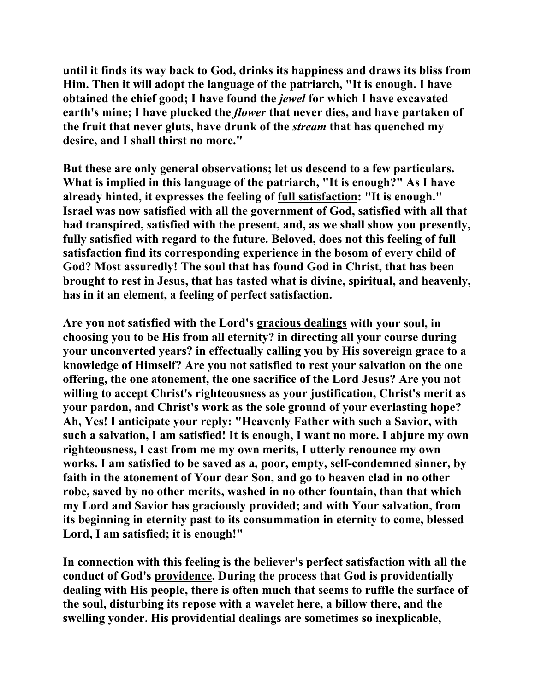**until it finds its way back to God, drinks its happiness and draws its bliss from Him. Then it will adopt the language of the patriarch, "It is enough. I have obtained the chief good; I have found the** *jewel* **for which I have excavated earth's mine; I have plucked the** *flower* **that never dies, and have partaken of the fruit that never gluts, have drunk of the** *stream* **that has quenched my desire, and I shall thirst no more."** 

**But these are only general observations; let us descend to a few particulars. What is implied in this language of the patriarch, "It is enough?" As I have already hinted, it expresses the feeling of full satisfaction: "It is enough." Israel was now satisfied with all the government of God, satisfied with all that had transpired, satisfied with the present, and, as we shall show you presently, fully satisfied with regard to the future. Beloved, does not this feeling of full satisfaction find its corresponding experience in the bosom of every child of God? Most assuredly! The soul that has found God in Christ, that has been brought to rest in Jesus, that has tasted what is divine, spiritual, and heavenly, has in it an element, a feeling of perfect satisfaction.** 

**Are you not satisfied with the Lord's gracious dealings with your soul, in choosing you to be His from all eternity? in directing all your course during your unconverted years? in effectually calling you by His sovereign grace to a knowledge of Himself? Are you not satisfied to rest your salvation on the one offering, the one atonement, the one sacrifice of the Lord Jesus? Are you not willing to accept Christ's righteousness as your justification, Christ's merit as your pardon, and Christ's work as the sole ground of your everlasting hope? Ah, Yes! I anticipate your reply: "Heavenly Father with such a Savior, with such a salvation, I am satisfied! It is enough, I want no more. I abjure my own righteousness, I cast from me my own merits, I utterly renounce my own works. I am satisfied to be saved as a, poor, empty, self-condemned sinner, by faith in the atonement of Your dear Son, and go to heaven clad in no other robe, saved by no other merits, washed in no other fountain, than that which my Lord and Savior has graciously provided; and with Your salvation, from its beginning in eternity past to its consummation in eternity to come, blessed Lord, I am satisfied; it is enough!"** 

**In connection with this feeling is the believer's perfect satisfaction with all the conduct of God's providence. During the process that God is providentially dealing with His people, there is often much that seems to ruffle the surface of the soul, disturbing its repose with a wavelet here, a billow there, and the swelling yonder. His providential dealings are sometimes so inexplicable,**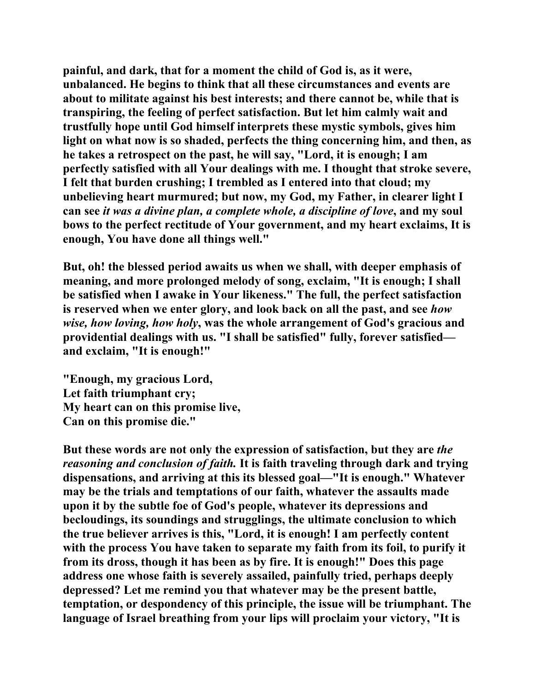**painful, and dark, that for a moment the child of God is, as it were, unbalanced. He begins to think that all these circumstances and events are about to militate against his best interests; and there cannot be, while that is transpiring, the feeling of perfect satisfaction. But let him calmly wait and trustfully hope until God himself interprets these mystic symbols, gives him light on what now is so shaded, perfects the thing concerning him, and then, as he takes a retrospect on the past, he will say, "Lord, it is enough; I am perfectly satisfied with all Your dealings with me. I thought that stroke severe, I felt that burden crushing; I trembled as I entered into that cloud; my unbelieving heart murmured; but now, my God, my Father, in clearer light I can see** *it was a divine plan, a complete whole, a discipline of love***, and my soul bows to the perfect rectitude of Your government, and my heart exclaims, It is enough, You have done all things well."** 

**But, oh! the blessed period awaits us when we shall, with deeper emphasis of meaning, and more prolonged melody of song, exclaim, "It is enough; I shall be satisfied when I awake in Your likeness." The full, the perfect satisfaction is reserved when we enter glory, and look back on all the past, and see** *how wise, how loving, how holy***, was the whole arrangement of God's gracious and providential dealings with us. "I shall be satisfied" fully, forever satisfied and exclaim, "It is enough!"** 

**"Enough, my gracious Lord, Let faith triumphant cry; My heart can on this promise live, Can on this promise die."** 

**But these words are not only the expression of satisfaction, but they are** *the reasoning and conclusion of faith.* **It is faith traveling through dark and trying dispensations, and arriving at this its blessed goal—"It is enough." Whatever may be the trials and temptations of our faith, whatever the assaults made upon it by the subtle foe of God's people, whatever its depressions and becloudings, its soundings and strugglings, the ultimate conclusion to which the true believer arrives is this, "Lord, it is enough! I am perfectly content with the process You have taken to separate my faith from its foil, to purify it from its dross, though it has been as by fire. It is enough!" Does this page address one whose faith is severely assailed, painfully tried, perhaps deeply depressed? Let me remind you that whatever may be the present battle, temptation, or despondency of this principle, the issue will be triumphant. The language of Israel breathing from your lips will proclaim your victory, "It is**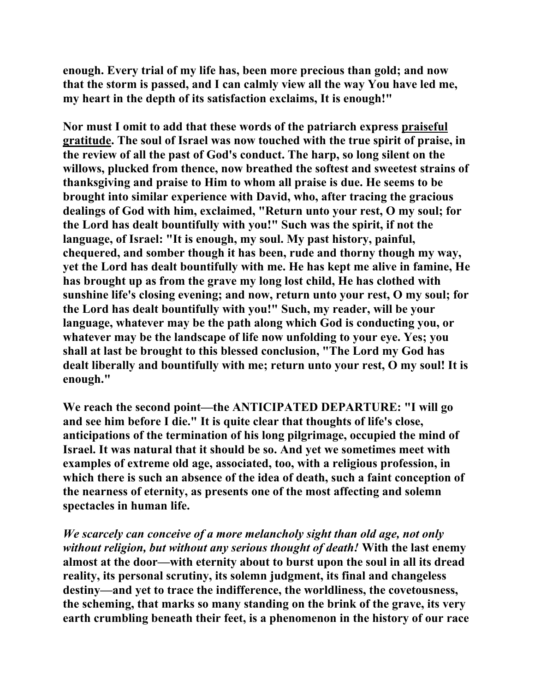**enough. Every trial of my life has, been more precious than gold; and now that the storm is passed, and I can calmly view all the way You have led me, my heart in the depth of its satisfaction exclaims, It is enough!"** 

**Nor must I omit to add that these words of the patriarch express praiseful gratitude. The soul of Israel was now touched with the true spirit of praise, in the review of all the past of God's conduct. The harp, so long silent on the willows, plucked from thence, now breathed the softest and sweetest strains of thanksgiving and praise to Him to whom all praise is due. He seems to be brought into similar experience with David, who, after tracing the gracious dealings of God with him, exclaimed, "Return unto your rest, O my soul; for the Lord has dealt bountifully with you!" Such was the spirit, if not the language, of Israel: "It is enough, my soul. My past history, painful, chequered, and somber though it has been, rude and thorny though my way, yet the Lord has dealt bountifully with me. He has kept me alive in famine, He has brought up as from the grave my long lost child, He has clothed with sunshine life's closing evening; and now, return unto your rest, O my soul; for the Lord has dealt bountifully with you!" Such, my reader, will be your language, whatever may be the path along which God is conducting you, or whatever may be the landscape of life now unfolding to your eye. Yes; you shall at last be brought to this blessed conclusion, "The Lord my God has dealt liberally and bountifully with me; return unto your rest, O my soul! It is enough."** 

**We reach the second point—the ANTICIPATED DEPARTURE: "I will go and see him before I die." It is quite clear that thoughts of life's close, anticipations of the termination of his long pilgrimage, occupied the mind of Israel. It was natural that it should be so. And yet we sometimes meet with examples of extreme old age, associated, too, with a religious profession, in which there is such an absence of the idea of death, such a faint conception of the nearness of eternity, as presents one of the most affecting and solemn spectacles in human life.** 

*We scarcely can conceive of a more melancholy sight than old age, not only without religion, but without any serious thought of death!* **With the last enemy almost at the door—with eternity about to burst upon the soul in all its dread reality, its personal scrutiny, its solemn judgment, its final and changeless destiny—and yet to trace the indifference, the worldliness, the covetousness, the scheming, that marks so many standing on the brink of the grave, its very earth crumbling beneath their feet, is a phenomenon in the history of our race**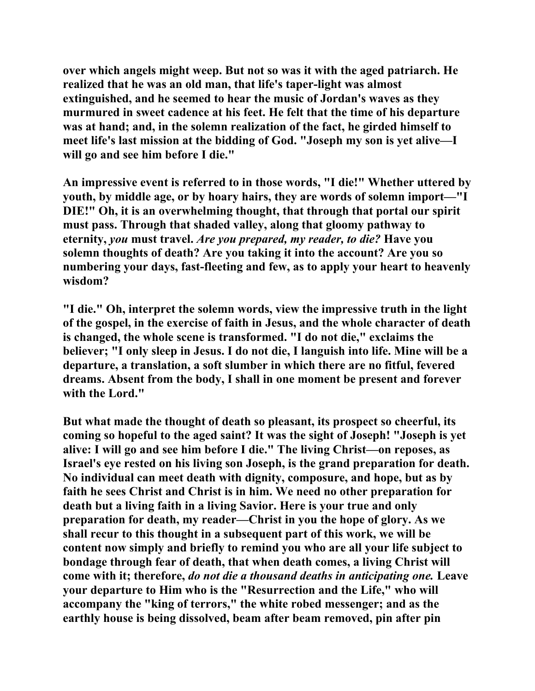**over which angels might weep. But not so was it with the aged patriarch. He realized that he was an old man, that life's taper-light was almost extinguished, and he seemed to hear the music of Jordan's waves as they murmured in sweet cadence at his feet. He felt that the time of his departure was at hand; and, in the solemn realization of the fact, he girded himself to meet life's last mission at the bidding of God. "Joseph my son is yet alive—I will go and see him before I die."** 

**An impressive event is referred to in those words, "I die!" Whether uttered by youth, by middle age, or by hoary hairs, they are words of solemn import—"I DIE!" Oh, it is an overwhelming thought, that through that portal our spirit must pass. Through that shaded valley, along that gloomy pathway to eternity,** *you* **must travel.** *Are you prepared, my reader, to die?* **Have you solemn thoughts of death? Are you taking it into the account? Are you so numbering your days, fast-fleeting and few, as to apply your heart to heavenly wisdom?** 

**"I die." Oh, interpret the solemn words, view the impressive truth in the light of the gospel, in the exercise of faith in Jesus, and the whole character of death is changed, the whole scene is transformed. "I do not die," exclaims the believer; "I only sleep in Jesus. I do not die, I languish into life. Mine will be a departure, a translation, a soft slumber in which there are no fitful, fevered dreams. Absent from the body, I shall in one moment be present and forever with the Lord."** 

**But what made the thought of death so pleasant, its prospect so cheerful, its coming so hopeful to the aged saint? It was the sight of Joseph! "Joseph is yet alive: I will go and see him before I die." The living Christ—on reposes, as Israel's eye rested on his living son Joseph, is the grand preparation for death. No individual can meet death with dignity, composure, and hope, but as by faith he sees Christ and Christ is in him. We need no other preparation for death but a living faith in a living Savior. Here is your true and only preparation for death, my reader—Christ in you the hope of glory. As we shall recur to this thought in a subsequent part of this work, we will be content now simply and briefly to remind you who are all your life subject to bondage through fear of death, that when death comes, a living Christ will come with it; therefore,** *do not die a thousand deaths in anticipating one.* **Leave your departure to Him who is the "Resurrection and the Life," who will accompany the "king of terrors," the white robed messenger; and as the earthly house is being dissolved, beam after beam removed, pin after pin**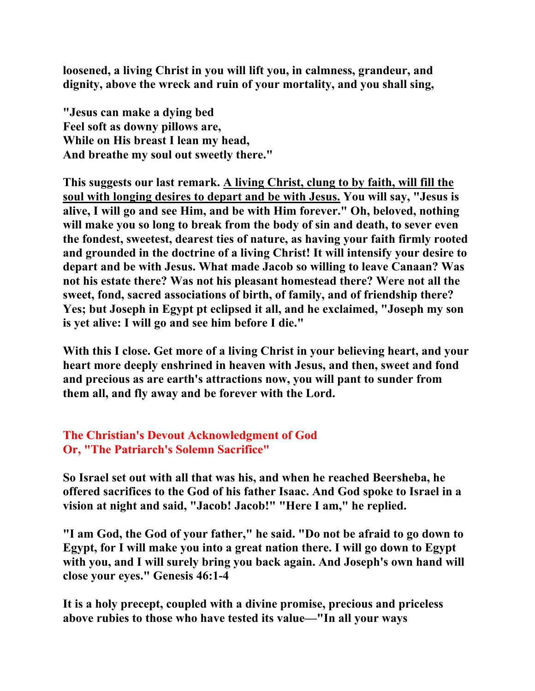**loosened, a living Christ in you will lift you, in calmness, grandeur, and dignity, above the wreck and ruin of your mortality, and you shall sing,** 

**"Jesus can make a dying bed Feel soft as downy pillows are, While on His breast I lean my head, And breathe my soul out sweetly there."** 

**This suggests our last remark. A living Christ, clung to by faith, will fill the soul with longing desires to depart and be with Jesus. You will say, "Jesus is alive, I will go and see Him, and be with Him forever." Oh, beloved, nothing will make you so long to break from the body of sin and death, to sever even the fondest, sweetest, dearest ties of nature, as having your faith firmly rooted and grounded in the doctrine of a living Christ! It will intensify your desire to depart and be with Jesus. What made Jacob so willing to leave Canaan? Was not his estate there? Was not his pleasant homestead there? Were not all the sweet, fond, sacred associations of birth, of family, and of friendship there? Yes; but Joseph in Egypt pt eclipsed it all, and he exclaimed, "Joseph my son is yet alive: I will go and see him before I die."** 

**With this I close. Get more of a living Christ in your believing heart, and your heart more deeply enshrined in heaven with Jesus, and then, sweet and fond and precious as are earth's attractions now, you will pant to sunder from them all, and fly away and be forever with the Lord.** 

## **The Christian's Devout Acknowledgment of God Or, "The Patriarch's Solemn Sacrifice"**

**So Israel set out with all that was his, and when he reached Beersheba, he offered sacrifices to the God of his father Isaac. And God spoke to Israel in a vision at night and said, "Jacob! Jacob!" "Here I am," he replied.** 

**"I am God, the God of your father," he said. "Do not be afraid to go down to Egypt, for I will make you into a great nation there. I will go down to Egypt with you, and I will surely bring you back again. And Joseph's own hand will close your eyes." Genesis 46:1-4** 

**It is a holy precept, coupled with a divine promise, precious and priceless above rubies to those who have tested its value—"In all your ways**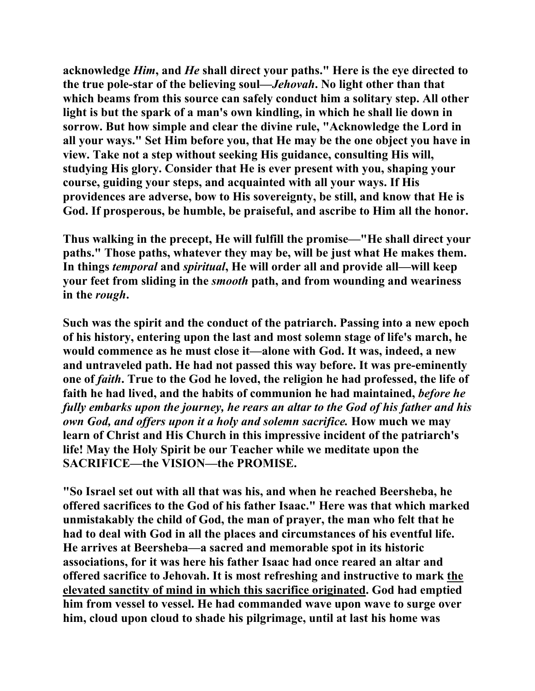**acknowledge** *Him***, and** *He* **shall direct your paths." Here is the eye directed to the true pole-star of the believing soul—***Jehovah***. No light other than that which beams from this source can safely conduct him a solitary step. All other light is but the spark of a man's own kindling, in which he shall lie down in sorrow. But how simple and clear the divine rule, "Acknowledge the Lord in all your ways." Set Him before you, that He may be the one object you have in view. Take not a step without seeking His guidance, consulting His will, studying His glory. Consider that He is ever present with you, shaping your course, guiding your steps, and acquainted with all your ways. If His providences are adverse, bow to His sovereignty, be still, and know that He is God. If prosperous, be humble, be praiseful, and ascribe to Him all the honor.** 

**Thus walking in the precept, He will fulfill the promise—"He shall direct your paths." Those paths, whatever they may be, will be just what He makes them. In things** *temporal* **and** *spiritual***, He will order all and provide all—will keep your feet from sliding in the** *smooth* **path, and from wounding and weariness in the** *rough***.** 

**Such was the spirit and the conduct of the patriarch. Passing into a new epoch of his history, entering upon the last and most solemn stage of life's march, he would commence as he must close it—alone with God. It was, indeed, a new and untraveled path. He had not passed this way before. It was pre-eminently one of** *faith***. True to the God he loved, the religion he had professed, the life of faith he had lived, and the habits of communion he had maintained,** *before he fully embarks upon the journey, he rears an altar to the God of his father and his own God, and offers upon it a holy and solemn sacrifice.* **How much we may learn of Christ and His Church in this impressive incident of the patriarch's life! May the Holy Spirit be our Teacher while we meditate upon the SACRIFICE—the VISION—the PROMISE.** 

**"So Israel set out with all that was his, and when he reached Beersheba, he offered sacrifices to the God of his father Isaac." Here was that which marked unmistakably the child of God, the man of prayer, the man who felt that he had to deal with God in all the places and circumstances of his eventful life. He arrives at Beersheba—a sacred and memorable spot in its historic associations, for it was here his father Isaac had once reared an altar and offered sacrifice to Jehovah. It is most refreshing and instructive to mark the elevated sanctity of mind in which this sacrifice originated. God had emptied him from vessel to vessel. He had commanded wave upon wave to surge over him, cloud upon cloud to shade his pilgrimage, until at last his home was**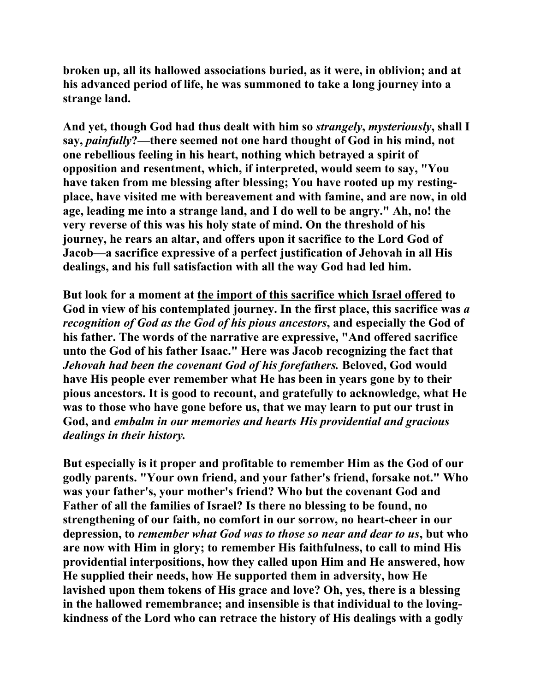**broken up, all its hallowed associations buried, as it were, in oblivion; and at his advanced period of life, he was summoned to take a long journey into a strange land.** 

**And yet, though God had thus dealt with him so** *strangely***,** *mysteriously***, shall I say,** *painfully***?—there seemed not one hard thought of God in his mind, not one rebellious feeling in his heart, nothing which betrayed a spirit of opposition and resentment, which, if interpreted, would seem to say, "You have taken from me blessing after blessing; You have rooted up my restingplace, have visited me with bereavement and with famine, and are now, in old age, leading me into a strange land, and I do well to be angry." Ah, no! the very reverse of this was his holy state of mind. On the threshold of his journey, he rears an altar, and offers upon it sacrifice to the Lord God of Jacob—a sacrifice expressive of a perfect justification of Jehovah in all His dealings, and his full satisfaction with all the way God had led him.** 

**But look for a moment at the import of this sacrifice which Israel offered to God in view of his contemplated journey. In the first place, this sacrifice was** *a recognition of God as the God of his pious ancestors***, and especially the God of his father. The words of the narrative are expressive, "And offered sacrifice unto the God of his father Isaac." Here was Jacob recognizing the fact that**  *Jehovah had been the covenant God of his forefathers.* **Beloved, God would have His people ever remember what He has been in years gone by to their pious ancestors. It is good to recount, and gratefully to acknowledge, what He was to those who have gone before us, that we may learn to put our trust in God, and** *embalm in our memories and hearts His providential and gracious dealings in their history.* 

**But especially is it proper and profitable to remember Him as the God of our godly parents. "Your own friend, and your father's friend, forsake not." Who was your father's, your mother's friend? Who but the covenant God and Father of all the families of Israel? Is there no blessing to be found, no strengthening of our faith, no comfort in our sorrow, no heart-cheer in our depression, to** *remember what God was to those so near and dear to us***, but who are now with Him in glory; to remember His faithfulness, to call to mind His providential interpositions, how they called upon Him and He answered, how He supplied their needs, how He supported them in adversity, how He lavished upon them tokens of His grace and love? Oh, yes, there is a blessing in the hallowed remembrance; and insensible is that individual to the lovingkindness of the Lord who can retrace the history of His dealings with a godly**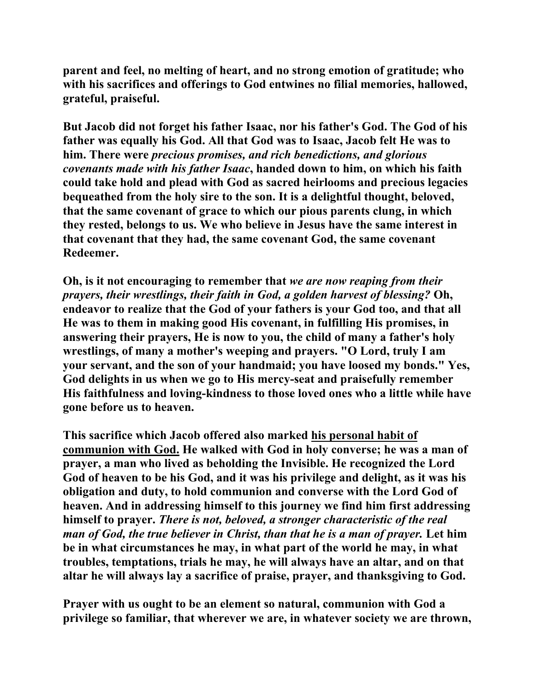**parent and feel, no melting of heart, and no strong emotion of gratitude; who with his sacrifices and offerings to God entwines no filial memories, hallowed, grateful, praiseful.** 

**But Jacob did not forget his father Isaac, nor his father's God. The God of his father was equally his God. All that God was to Isaac, Jacob felt He was to him. There were** *precious promises, and rich benedictions, and glorious covenants made with his father Isaac***, handed down to him, on which his faith could take hold and plead with God as sacred heirlooms and precious legacies bequeathed from the holy sire to the son. It is a delightful thought, beloved, that the same covenant of grace to which our pious parents clung, in which they rested, belongs to us. We who believe in Jesus have the same interest in that covenant that they had, the same covenant God, the same covenant Redeemer.** 

**Oh, is it not encouraging to remember that** *we are now reaping from their prayers, their wrestlings, their faith in God, a golden harvest of blessing?* **Oh, endeavor to realize that the God of your fathers is your God too, and that all He was to them in making good His covenant, in fulfilling His promises, in answering their prayers, He is now to you, the child of many a father's holy wrestlings, of many a mother's weeping and prayers. "O Lord, truly I am your servant, and the son of your handmaid; you have loosed my bonds." Yes, God delights in us when we go to His mercy-seat and praisefully remember His faithfulness and loving-kindness to those loved ones who a little while have gone before us to heaven.** 

**This sacrifice which Jacob offered also marked his personal habit of communion with God. He walked with God in holy converse; he was a man of prayer, a man who lived as beholding the Invisible. He recognized the Lord God of heaven to be his God, and it was his privilege and delight, as it was his obligation and duty, to hold communion and converse with the Lord God of heaven. And in addressing himself to this journey we find him first addressing himself to prayer.** *There is not, beloved, a stronger characteristic of the real man of God, the true believer in Christ, than that he is a man of prayer.* Let him **be in what circumstances he may, in what part of the world he may, in what troubles, temptations, trials he may, he will always have an altar, and on that altar he will always lay a sacrifice of praise, prayer, and thanksgiving to God.** 

**Prayer with us ought to be an element so natural, communion with God a privilege so familiar, that wherever we are, in whatever society we are thrown,**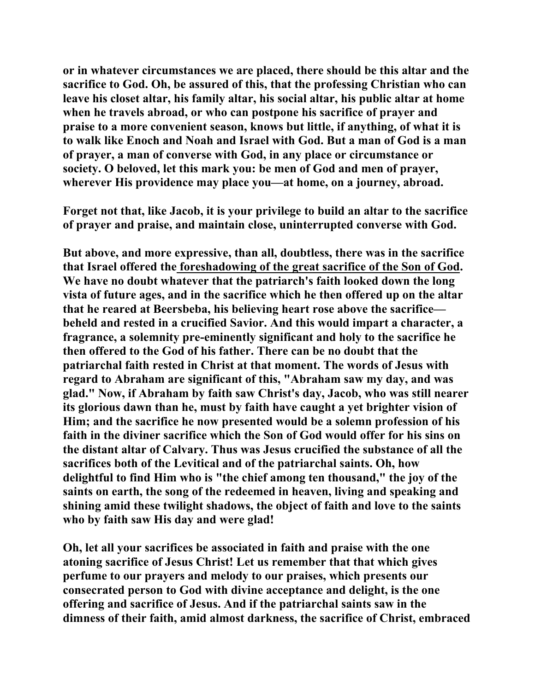**or in whatever circumstances we are placed, there should be this altar and the sacrifice to God. Oh, be assured of this, that the professing Christian who can leave his closet altar, his family altar, his social altar, his public altar at home when he travels abroad, or who can postpone his sacrifice of prayer and praise to a more convenient season, knows but little, if anything, of what it is to walk like Enoch and Noah and Israel with God. But a man of God is a man of prayer, a man of converse with God, in any place or circumstance or society. O beloved, let this mark you: be men of God and men of prayer, wherever His providence may place you—at home, on a journey, abroad.** 

**Forget not that, like Jacob, it is your privilege to build an altar to the sacrifice of prayer and praise, and maintain close, uninterrupted converse with God.** 

**But above, and more expressive, than all, doubtless, there was in the sacrifice that Israel offered the foreshadowing of the great sacrifice of the Son of God. We have no doubt whatever that the patriarch's faith looked down the long vista of future ages, and in the sacrifice which he then offered up on the altar that he reared at Beersbeba, his believing heart rose above the sacrifice beheld and rested in a crucified Savior. And this would impart a character, a fragrance, a solemnity pre-eminently significant and holy to the sacrifice he then offered to the God of his father. There can be no doubt that the patriarchal faith rested in Christ at that moment. The words of Jesus with regard to Abraham are significant of this, "Abraham saw my day, and was glad." Now, if Abraham by faith saw Christ's day, Jacob, who was still nearer its glorious dawn than he, must by faith have caught a yet brighter vision of Him; and the sacrifice he now presented would be a solemn profession of his faith in the diviner sacrifice which the Son of God would offer for his sins on the distant altar of Calvary. Thus was Jesus crucified the substance of all the sacrifices both of the Levitical and of the patriarchal saints. Oh, how delightful to find Him who is "the chief among ten thousand," the joy of the saints on earth, the song of the redeemed in heaven, living and speaking and shining amid these twilight shadows, the object of faith and love to the saints who by faith saw His day and were glad!** 

**Oh, let all your sacrifices be associated in faith and praise with the one atoning sacrifice of Jesus Christ! Let us remember that that which gives perfume to our prayers and melody to our praises, which presents our consecrated person to God with divine acceptance and delight, is the one offering and sacrifice of Jesus. And if the patriarchal saints saw in the dimness of their faith, amid almost darkness, the sacrifice of Christ, embraced**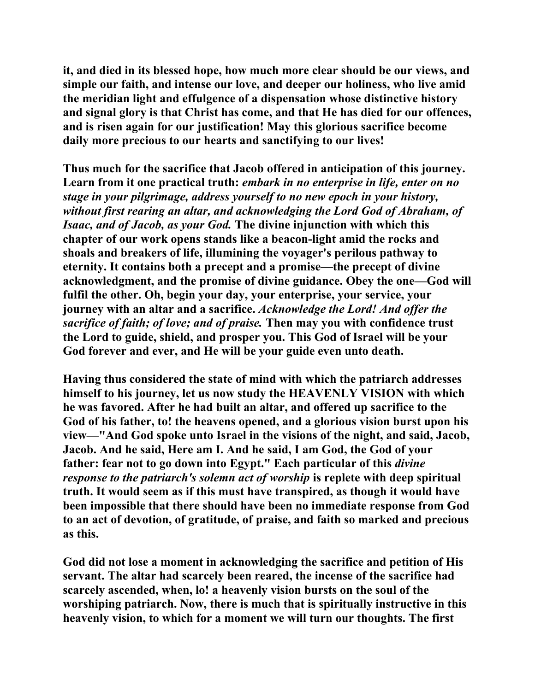**it, and died in its blessed hope, how much more clear should be our views, and simple our faith, and intense our love, and deeper our holiness, who live amid the meridian light and effulgence of a dispensation whose distinctive history and signal glory is that Christ has come, and that He has died for our offences, and is risen again for our justification! May this glorious sacrifice become daily more precious to our hearts and sanctifying to our lives!** 

**Thus much for the sacrifice that Jacob offered in anticipation of this journey. Learn from it one practical truth:** *embark in no enterprise in life, enter on no stage in your pilgrimage, address yourself to no new epoch in your history, without first rearing an altar, and acknowledging the Lord God of Abraham, of Isaac, and of Jacob, as your God.* **The divine injunction with which this chapter of our work opens stands like a beacon-light amid the rocks and shoals and breakers of life, illumining the voyager's perilous pathway to eternity. It contains both a precept and a promise—the precept of divine acknowledgment, and the promise of divine guidance. Obey the one—God will fulfil the other. Oh, begin your day, your enterprise, your service, your journey with an altar and a sacrifice.** *Acknowledge the Lord! And offer the sacrifice of faith; of love; and of praise.* **Then may you with confidence trust the Lord to guide, shield, and prosper you. This God of Israel will be your God forever and ever, and He will be your guide even unto death.** 

**Having thus considered the state of mind with which the patriarch addresses himself to his journey, let us now study the HEAVENLY VISION with which he was favored. After he had built an altar, and offered up sacrifice to the God of his father, to! the heavens opened, and a glorious vision burst upon his view—"And God spoke unto Israel in the visions of the night, and said, Jacob, Jacob. And he said, Here am I. And he said, I am God, the God of your father: fear not to go down into Egypt." Each particular of this** *divine response to the patriarch's solemn act of worship* **is replete with deep spiritual truth. It would seem as if this must have transpired, as though it would have been impossible that there should have been no immediate response from God to an act of devotion, of gratitude, of praise, and faith so marked and precious as this.** 

**God did not lose a moment in acknowledging the sacrifice and petition of His servant. The altar had scarcely been reared, the incense of the sacrifice had scarcely ascended, when, lo! a heavenly vision bursts on the soul of the worshiping patriarch. Now, there is much that is spiritually instructive in this heavenly vision, to which for a moment we will turn our thoughts. The first**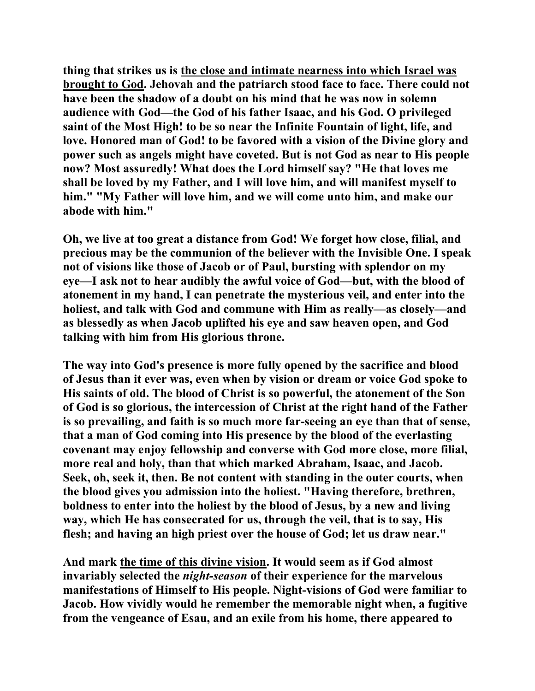**thing that strikes us is the close and intimate nearness into which Israel was brought to God. Jehovah and the patriarch stood face to face. There could not have been the shadow of a doubt on his mind that he was now in solemn audience with God—the God of his father Isaac, and his God. O privileged saint of the Most High! to be so near the Infinite Fountain of light, life, and love. Honored man of God! to be favored with a vision of the Divine glory and power such as angels might have coveted. But is not God as near to His people now? Most assuredly! What does the Lord himself say? "He that loves me shall be loved by my Father, and I will love him, and will manifest myself to him." "My Father will love him, and we will come unto him, and make our abode with him."** 

**Oh, we live at too great a distance from God! We forget how close, filial, and precious may be the communion of the believer with the Invisible One. I speak not of visions like those of Jacob or of Paul, bursting with splendor on my eye—I ask not to hear audibly the awful voice of God—but, with the blood of atonement in my hand, I can penetrate the mysterious veil, and enter into the holiest, and talk with God and commune with Him as really—as closely—and as blessedly as when Jacob uplifted his eye and saw heaven open, and God talking with him from His glorious throne.** 

**The way into God's presence is more fully opened by the sacrifice and blood of Jesus than it ever was, even when by vision or dream or voice God spoke to His saints of old. The blood of Christ is so powerful, the atonement of the Son of God is so glorious, the intercession of Christ at the right hand of the Father is so prevailing, and faith is so much more far-seeing an eye than that of sense, that a man of God coming into His presence by the blood of the everlasting covenant may enjoy fellowship and converse with God more close, more filial, more real and holy, than that which marked Abraham, Isaac, and Jacob. Seek, oh, seek it, then. Be not content with standing in the outer courts, when the blood gives you admission into the holiest. "Having therefore, brethren, boldness to enter into the holiest by the blood of Jesus, by a new and living way, which He has consecrated for us, through the veil, that is to say, His flesh; and having an high priest over the house of God; let us draw near."** 

**And mark the time of this divine vision. It would seem as if God almost invariably selected the** *night-season* **of their experience for the marvelous manifestations of Himself to His people. Night-visions of God were familiar to Jacob. How vividly would he remember the memorable night when, a fugitive from the vengeance of Esau, and an exile from his home, there appeared to**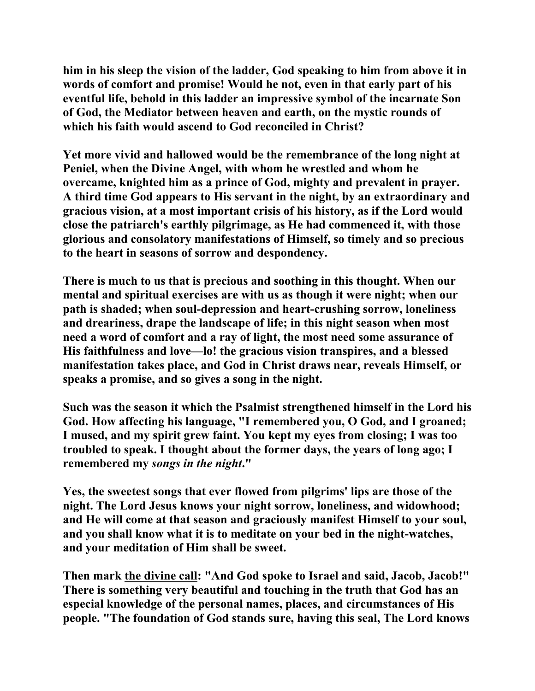**him in his sleep the vision of the ladder, God speaking to him from above it in words of comfort and promise! Would he not, even in that early part of his eventful life, behold in this ladder an impressive symbol of the incarnate Son of God, the Mediator between heaven and earth, on the mystic rounds of which his faith would ascend to God reconciled in Christ?** 

**Yet more vivid and hallowed would be the remembrance of the long night at Peniel, when the Divine Angel, with whom he wrestled and whom he overcame, knighted him as a prince of God, mighty and prevalent in prayer. A third time God appears to His servant in the night, by an extraordinary and gracious vision, at a most important crisis of his history, as if the Lord would close the patriarch's earthly pilgrimage, as He had commenced it, with those glorious and consolatory manifestations of Himself, so timely and so precious to the heart in seasons of sorrow and despondency.** 

**There is much to us that is precious and soothing in this thought. When our mental and spiritual exercises are with us as though it were night; when our path is shaded; when soul-depression and heart-crushing sorrow, loneliness and dreariness, drape the landscape of life; in this night season when most need a word of comfort and a ray of light, the most need some assurance of His faithfulness and love—lo! the gracious vision transpires, and a blessed manifestation takes place, and God in Christ draws near, reveals Himself, or speaks a promise, and so gives a song in the night.** 

**Such was the season it which the Psalmist strengthened himself in the Lord his God. How affecting his language, "I remembered you, O God, and I groaned; I mused, and my spirit grew faint. You kept my eyes from closing; I was too troubled to speak. I thought about the former days, the years of long ago; I remembered my** *songs in the night***."** 

**Yes, the sweetest songs that ever flowed from pilgrims' lips are those of the night. The Lord Jesus knows your night sorrow, loneliness, and widowhood; and He will come at that season and graciously manifest Himself to your soul, and you shall know what it is to meditate on your bed in the night-watches, and your meditation of Him shall be sweet.** 

**Then mark the divine call: "And God spoke to Israel and said, Jacob, Jacob!" There is something very beautiful and touching in the truth that God has an especial knowledge of the personal names, places, and circumstances of His people. "The foundation of God stands sure, having this seal, The Lord knows**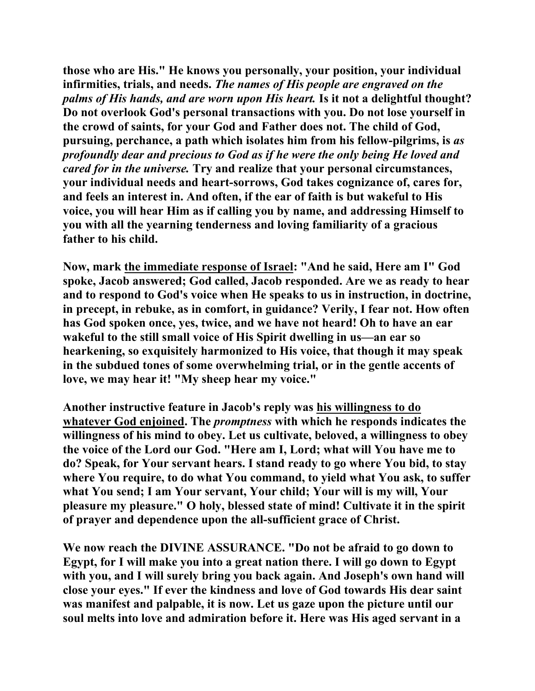**those who are His." He knows you personally, your position, your individual infirmities, trials, and needs.** *The names of His people are engraved on the palms of His hands, and are worn upon His heart.* **Is it not a delightful thought? Do not overlook God's personal transactions with you. Do not lose yourself in the crowd of saints, for your God and Father does not. The child of God, pursuing, perchance, a path which isolates him from his fellow-pilgrims, is** *as profoundly dear and precious to God as if he were the only being He loved and cared for in the universe.* **Try and realize that your personal circumstances, your individual needs and heart-sorrows, God takes cognizance of, cares for, and feels an interest in. And often, if the ear of faith is but wakeful to His voice, you will hear Him as if calling you by name, and addressing Himself to you with all the yearning tenderness and loving familiarity of a gracious father to his child.** 

**Now, mark the immediate response of Israel: "And he said, Here am I" God spoke, Jacob answered; God called, Jacob responded. Are we as ready to hear and to respond to God's voice when He speaks to us in instruction, in doctrine, in precept, in rebuke, as in comfort, in guidance? Verily, I fear not. How often has God spoken once, yes, twice, and we have not heard! Oh to have an ear wakeful to the still small voice of His Spirit dwelling in us—an ear so hearkening, so exquisitely harmonized to His voice, that though it may speak in the subdued tones of some overwhelming trial, or in the gentle accents of love, we may hear it! "My sheep hear my voice."** 

**Another instructive feature in Jacob's reply was his willingness to do whatever God enjoined. The** *promptness* **with which he responds indicates the willingness of his mind to obey. Let us cultivate, beloved, a willingness to obey the voice of the Lord our God. "Here am I, Lord; what will You have me to do? Speak, for Your servant hears. I stand ready to go where You bid, to stay where You require, to do what You command, to yield what You ask, to suffer what You send; I am Your servant, Your child; Your will is my will, Your pleasure my pleasure." O holy, blessed state of mind! Cultivate it in the spirit of prayer and dependence upon the all-sufficient grace of Christ.** 

**We now reach the DIVINE ASSURANCE. "Do not be afraid to go down to Egypt, for I will make you into a great nation there. I will go down to Egypt with you, and I will surely bring you back again. And Joseph's own hand will close your eyes." If ever the kindness and love of God towards His dear saint was manifest and palpable, it is now. Let us gaze upon the picture until our soul melts into love and admiration before it. Here was His aged servant in a**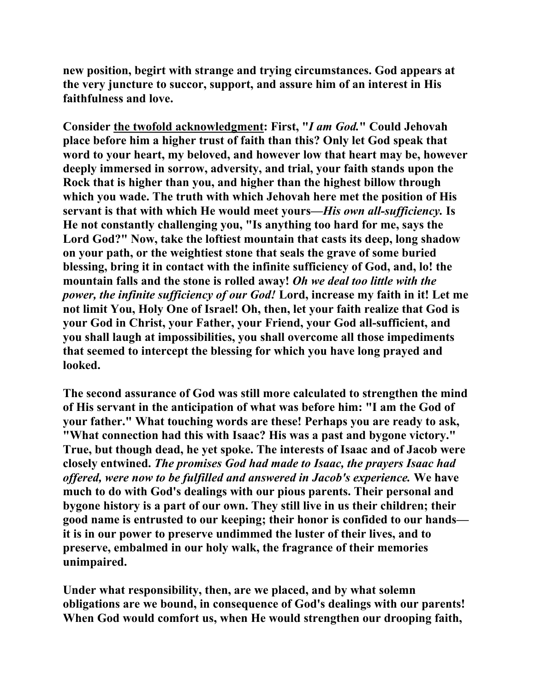**new position, begirt with strange and trying circumstances. God appears at the very juncture to succor, support, and assure him of an interest in His faithfulness and love.** 

**Consider the twofold acknowledgment: First, "***I am God.***" Could Jehovah place before him a higher trust of faith than this? Only let God speak that word to your heart, my beloved, and however low that heart may be, however deeply immersed in sorrow, adversity, and trial, your faith stands upon the Rock that is higher than you, and higher than the highest billow through which you wade. The truth with which Jehovah here met the position of His servant is that with which He would meet yours***—His own all-sufficiency.* **Is He not constantly challenging you, "Is anything too hard for me, says the Lord God?" Now, take the loftiest mountain that casts its deep, long shadow on your path, or the weightiest stone that seals the grave of some buried blessing, bring it in contact with the infinite sufficiency of God, and, lo! the mountain falls and the stone is rolled away!** *Oh we deal too little with the power, the infinite sufficiency of our God!* **Lord, increase my faith in it! Let me not limit You, Holy One of Israel! Oh, then, let your faith realize that God is your God in Christ, your Father, your Friend, your God all-sufficient, and you shall laugh at impossibilities, you shall overcome all those impediments that seemed to intercept the blessing for which you have long prayed and looked.** 

**The second assurance of God was still more calculated to strengthen the mind of His servant in the anticipation of what was before him: "I am the God of your father." What touching words are these! Perhaps you are ready to ask, "What connection had this with Isaac? His was a past and bygone victory." True, but though dead, he yet spoke. The interests of Isaac and of Jacob were closely entwined.** *The promises God had made to Isaac, the prayers Isaac had offered, were now to be fulfilled and answered in Jacob's experience.* **We have much to do with God's dealings with our pious parents. Their personal and bygone history is a part of our own. They still live in us their children; their good name is entrusted to our keeping; their honor is confided to our hands it is in our power to preserve undimmed the luster of their lives, and to preserve, embalmed in our holy walk, the fragrance of their memories unimpaired.** 

**Under what responsibility, then, are we placed, and by what solemn obligations are we bound, in consequence of God's dealings with our parents! When God would comfort us, when He would strengthen our drooping faith,**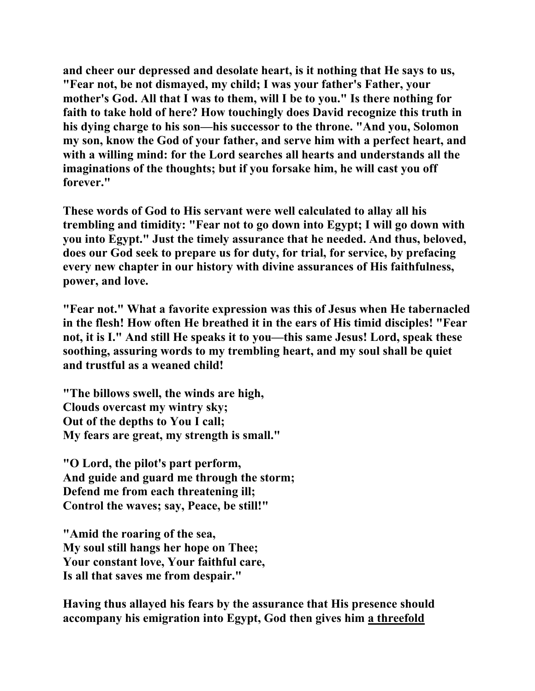**and cheer our depressed and desolate heart, is it nothing that He says to us, "Fear not, be not dismayed, my child; I was your father's Father, your mother's God. All that I was to them, will I be to you." Is there nothing for faith to take hold of here? How touchingly does David recognize this truth in his dying charge to his son—his successor to the throne. "And you, Solomon my son, know the God of your father, and serve him with a perfect heart, and with a willing mind: for the Lord searches all hearts and understands all the imaginations of the thoughts; but if you forsake him, he will cast you off forever."** 

**These words of God to His servant were well calculated to allay all his trembling and timidity: "Fear not to go down into Egypt; I will go down with you into Egypt." Just the timely assurance that he needed. And thus, beloved, does our God seek to prepare us for duty, for trial, for service, by prefacing every new chapter in our history with divine assurances of His faithfulness, power, and love.** 

**"Fear not." What a favorite expression was this of Jesus when He tabernacled in the flesh! How often He breathed it in the ears of His timid disciples! "Fear not, it is I." And still He speaks it to you—this same Jesus! Lord, speak these soothing, assuring words to my trembling heart, and my soul shall be quiet and trustful as a weaned child!** 

**"The billows swell, the winds are high, Clouds overcast my wintry sky; Out of the depths to You I call; My fears are great, my strength is small."** 

**"O Lord, the pilot's part perform, And guide and guard me through the storm; Defend me from each threatening ill; Control the waves; say, Peace, be still!"** 

**"Amid the roaring of the sea, My soul still hangs her hope on Thee; Your constant love, Your faithful care, Is all that saves me from despair."** 

**Having thus allayed his fears by the assurance that His presence should accompany his emigration into Egypt, God then gives him a threefold**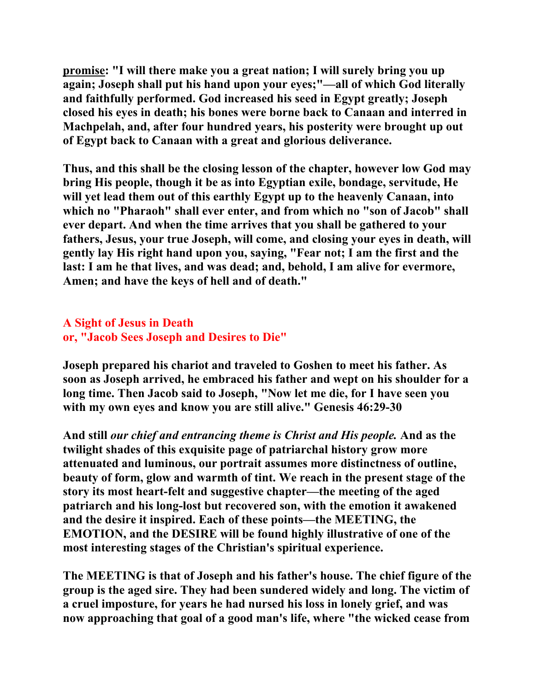**promise: "I will there make you a great nation; I will surely bring you up again; Joseph shall put his hand upon your eyes;"—all of which God literally and faithfully performed. God increased his seed in Egypt greatly; Joseph closed his eyes in death; his bones were borne back to Canaan and interred in Machpelah, and, after four hundred years, his posterity were brought up out of Egypt back to Canaan with a great and glorious deliverance.** 

**Thus, and this shall be the closing lesson of the chapter, however low God may bring His people, though it be as into Egyptian exile, bondage, servitude, He will yet lead them out of this earthly Egypt up to the heavenly Canaan, into which no "Pharaoh" shall ever enter, and from which no "son of Jacob" shall ever depart. And when the time arrives that you shall be gathered to your fathers, Jesus, your true Joseph, will come, and closing your eyes in death, will gently lay His right hand upon you, saying, "Fear not; I am the first and the last: I am he that lives, and was dead; and, behold, I am alive for evermore, Amen; and have the keys of hell and of death."** 

# **A Sight of Jesus in Death or, "Jacob Sees Joseph and Desires to Die"**

**Joseph prepared his chariot and traveled to Goshen to meet his father. As soon as Joseph arrived, he embraced his father and wept on his shoulder for a long time. Then Jacob said to Joseph, "Now let me die, for I have seen you with my own eyes and know you are still alive." Genesis 46:29-30** 

**And still** *our chief and entrancing theme is Christ and His people.* **And as the twilight shades of this exquisite page of patriarchal history grow more attenuated and luminous, our portrait assumes more distinctness of outline, beauty of form, glow and warmth of tint. We reach in the present stage of the story its most heart-felt and suggestive chapter—the meeting of the aged patriarch and his long-lost but recovered son, with the emotion it awakened and the desire it inspired. Each of these points—the MEETING, the EMOTION, and the DESIRE will be found highly illustrative of one of the most interesting stages of the Christian's spiritual experience.** 

**The MEETING is that of Joseph and his father's house. The chief figure of the group is the aged sire. They had been sundered widely and long. The victim of a cruel imposture, for years he had nursed his loss in lonely grief, and was now approaching that goal of a good man's life, where "the wicked cease from**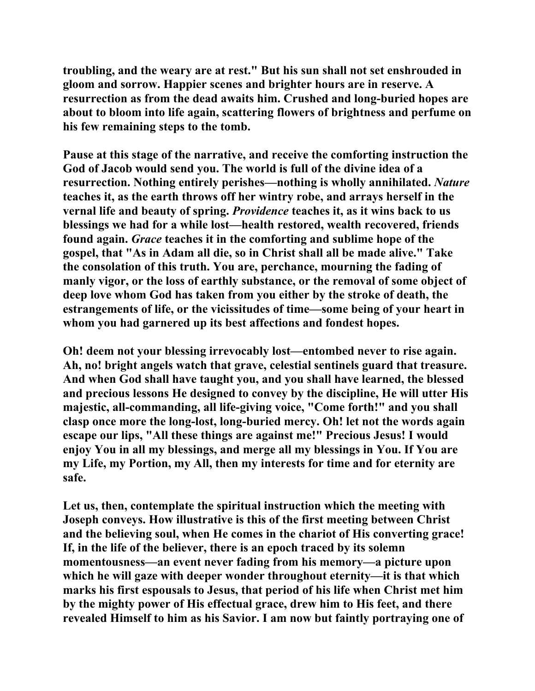**troubling, and the weary are at rest." But his sun shall not set enshrouded in gloom and sorrow. Happier scenes and brighter hours are in reserve. A resurrection as from the dead awaits him. Crushed and long-buried hopes are about to bloom into life again, scattering flowers of brightness and perfume on his few remaining steps to the tomb.** 

**Pause at this stage of the narrative, and receive the comforting instruction the God of Jacob would send you. The world is full of the divine idea of a resurrection. Nothing entirely perishes—nothing is wholly annihilated.** *Nature* **teaches it, as the earth throws off her wintry robe, and arrays herself in the vernal life and beauty of spring.** *Providence* **teaches it, as it wins back to us blessings we had for a while lost—health restored, wealth recovered, friends found again.** *Grace* **teaches it in the comforting and sublime hope of the gospel, that "As in Adam all die, so in Christ shall all be made alive." Take the consolation of this truth. You are, perchance, mourning the fading of manly vigor, or the loss of earthly substance, or the removal of some object of deep love whom God has taken from you either by the stroke of death, the estrangements of life, or the vicissitudes of time—some being of your heart in whom you had garnered up its best affections and fondest hopes.** 

**Oh! deem not your blessing irrevocably lost—entombed never to rise again. Ah, no! bright angels watch that grave, celestial sentinels guard that treasure. And when God shall have taught you, and you shall have learned, the blessed and precious lessons He designed to convey by the discipline, He will utter His majestic, all-commanding, all life-giving voice, "Come forth!" and you shall clasp once more the long-lost, long-buried mercy. Oh! let not the words again escape our lips, "All these things are against me!" Precious Jesus! I would enjoy You in all my blessings, and merge all my blessings in You. If You are my Life, my Portion, my All, then my interests for time and for eternity are safe.** 

**Let us, then, contemplate the spiritual instruction which the meeting with Joseph conveys. How illustrative is this of the first meeting between Christ and the believing soul, when He comes in the chariot of His converting grace! If, in the life of the believer, there is an epoch traced by its solemn momentousness—an event never fading from his memory—a picture upon which he will gaze with deeper wonder throughout eternity—it is that which marks his first espousals to Jesus, that period of his life when Christ met him by the mighty power of His effectual grace, drew him to His feet, and there revealed Himself to him as his Savior. I am now but faintly portraying one of**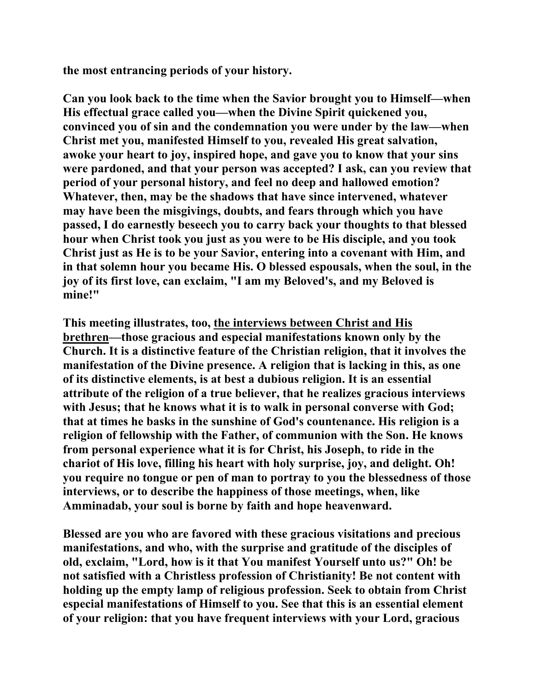**the most entrancing periods of your history.** 

**Can you look back to the time when the Savior brought you to Himself—when His effectual grace called you—when the Divine Spirit quickened you, convinced you of sin and the condemnation you were under by the law—when Christ met you, manifested Himself to you, revealed His great salvation, awoke your heart to joy, inspired hope, and gave you to know that your sins were pardoned, and that your person was accepted? I ask, can you review that period of your personal history, and feel no deep and hallowed emotion? Whatever, then, may be the shadows that have since intervened, whatever may have been the misgivings, doubts, and fears through which you have passed, I do earnestly beseech you to carry back your thoughts to that blessed hour when Christ took you just as you were to be His disciple, and you took Christ just as He is to be your Savior, entering into a covenant with Him, and in that solemn hour you became His. O blessed espousals, when the soul, in the joy of its first love, can exclaim, "I am my Beloved's, and my Beloved is mine!"** 

**This meeting illustrates, too, the interviews between Christ and His brethren—those gracious and especial manifestations known only by the Church. It is a distinctive feature of the Christian religion, that it involves the manifestation of the Divine presence. A religion that is lacking in this, as one of its distinctive elements, is at best a dubious religion. It is an essential attribute of the religion of a true believer, that he realizes gracious interviews with Jesus; that he knows what it is to walk in personal converse with God; that at times he basks in the sunshine of God's countenance. His religion is a religion of fellowship with the Father, of communion with the Son. He knows from personal experience what it is for Christ, his Joseph, to ride in the chariot of His love, filling his heart with holy surprise, joy, and delight. Oh! you require no tongue or pen of man to portray to you the blessedness of those interviews, or to describe the happiness of those meetings, when, like Amminadab, your soul is borne by faith and hope heavenward.** 

**Blessed are you who are favored with these gracious visitations and precious manifestations, and who, with the surprise and gratitude of the disciples of old, exclaim, "Lord, how is it that You manifest Yourself unto us?" Oh! be not satisfied with a Christless profession of Christianity! Be not content with holding up the empty lamp of religious profession. Seek to obtain from Christ especial manifestations of Himself to you. See that this is an essential element of your religion: that you have frequent interviews with your Lord, gracious**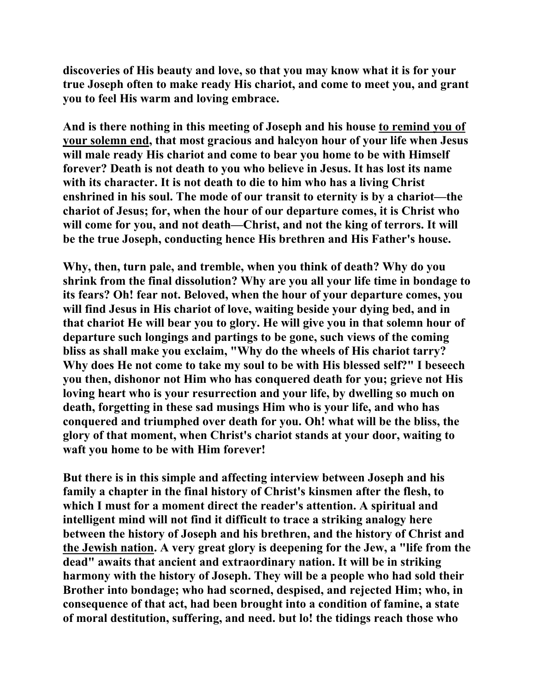**discoveries of His beauty and love, so that you may know what it is for your true Joseph often to make ready His chariot, and come to meet you, and grant you to feel His warm and loving embrace.** 

And is there nothing in this meeting of Joseph and his house to remind you of **your solemn end, that most gracious and halcyon hour of your life when Jesus will male ready His chariot and come to bear you home to be with Himself forever? Death is not death to you who believe in Jesus. It has lost its name with its character. It is not death to die to him who has a living Christ enshrined in his soul. The mode of our transit to eternity is by a chariot—the chariot of Jesus; for, when the hour of our departure comes, it is Christ who will come for you, and not death—Christ, and not the king of terrors. It will be the true Joseph, conducting hence His brethren and His Father's house.** 

**Why, then, turn pale, and tremble, when you think of death? Why do you shrink from the final dissolution? Why are you all your life time in bondage to its fears? Oh! fear not. Beloved, when the hour of your departure comes, you will find Jesus in His chariot of love, waiting beside your dying bed, and in that chariot He will bear you to glory. He will give you in that solemn hour of departure such longings and partings to be gone, such views of the coming bliss as shall make you exclaim, "Why do the wheels of His chariot tarry? Why does He not come to take my soul to be with His blessed self?" I beseech you then, dishonor not Him who has conquered death for you; grieve not His loving heart who is your resurrection and your life, by dwelling so much on death, forgetting in these sad musings Him who is your life, and who has conquered and triumphed over death for you. Oh! what will be the bliss, the glory of that moment, when Christ's chariot stands at your door, waiting to waft you home to be with Him forever!** 

**But there is in this simple and affecting interview between Joseph and his family a chapter in the final history of Christ's kinsmen after the flesh, to which I must for a moment direct the reader's attention. A spiritual and intelligent mind will not find it difficult to trace a striking analogy here between the history of Joseph and his brethren, and the history of Christ and the Jewish nation. A very great glory is deepening for the Jew, a "life from the dead" awaits that ancient and extraordinary nation. It will be in striking harmony with the history of Joseph. They will be a people who had sold their Brother into bondage; who had scorned, despised, and rejected Him; who, in consequence of that act, had been brought into a condition of famine, a state of moral destitution, suffering, and need. but lo! the tidings reach those who**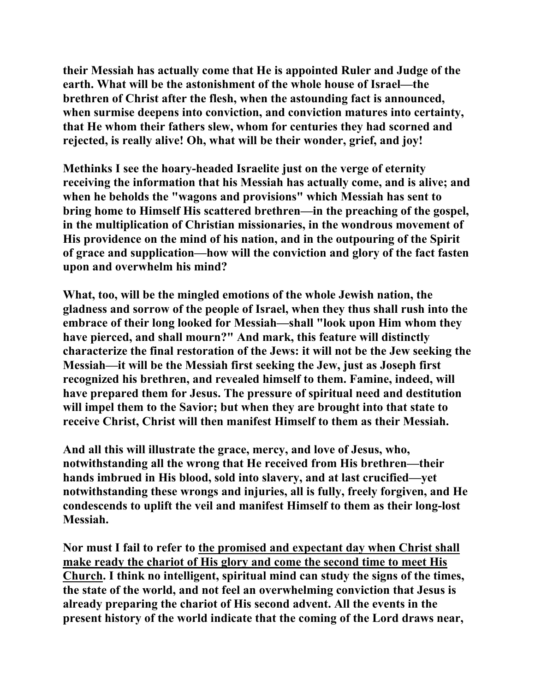**their Messiah has actually come that He is appointed Ruler and Judge of the earth. What will be the astonishment of the whole house of Israel—the brethren of Christ after the flesh, when the astounding fact is announced, when surmise deepens into conviction, and conviction matures into certainty, that He whom their fathers slew, whom for centuries they had scorned and rejected, is really alive! Oh, what will be their wonder, grief, and joy!** 

**Methinks I see the hoary-headed Israelite just on the verge of eternity receiving the information that his Messiah has actually come, and is alive; and when he beholds the "wagons and provisions" which Messiah has sent to bring home to Himself His scattered brethren—in the preaching of the gospel, in the multiplication of Christian missionaries, in the wondrous movement of His providence on the mind of his nation, and in the outpouring of the Spirit of grace and supplication—how will the conviction and glory of the fact fasten upon and overwhelm his mind?** 

**What, too, will be the mingled emotions of the whole Jewish nation, the gladness and sorrow of the people of Israel, when they thus shall rush into the embrace of their long looked for Messiah—shall "look upon Him whom they have pierced, and shall mourn?" And mark, this feature will distinctly characterize the final restoration of the Jews: it will not be the Jew seeking the Messiah—it will be the Messiah first seeking the Jew, just as Joseph first recognized his brethren, and revealed himself to them. Famine, indeed, will have prepared them for Jesus. The pressure of spiritual need and destitution will impel them to the Savior; but when they are brought into that state to receive Christ, Christ will then manifest Himself to them as their Messiah.** 

**And all this will illustrate the grace, mercy, and love of Jesus, who, notwithstanding all the wrong that He received from His brethren—their hands imbrued in His blood, sold into slavery, and at last crucified—yet notwithstanding these wrongs and injuries, all is fully, freely forgiven, and He condescends to uplift the veil and manifest Himself to them as their long-lost Messiah.** 

**Nor must I fail to refer to the promised and expectant day when Christ shall make ready the chariot of His glory and come the second time to meet His Church. I think no intelligent, spiritual mind can study the signs of the times, the state of the world, and not feel an overwhelming conviction that Jesus is already preparing the chariot of His second advent. All the events in the present history of the world indicate that the coming of the Lord draws near,**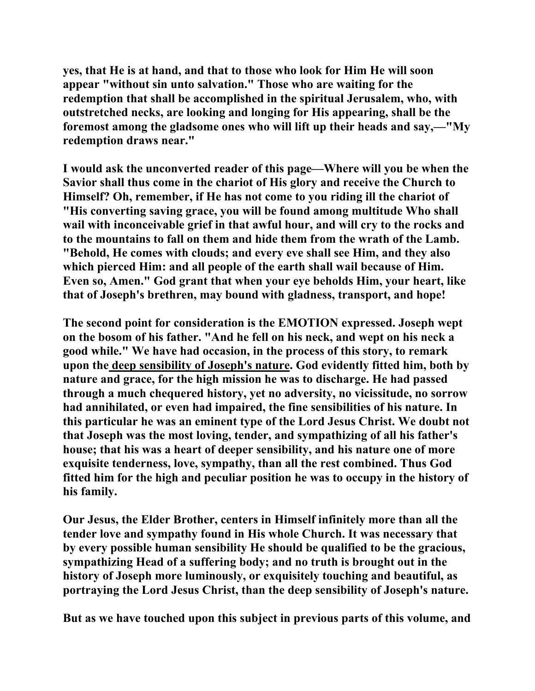**yes, that He is at hand, and that to those who look for Him He will soon appear "without sin unto salvation." Those who are waiting for the redemption that shall be accomplished in the spiritual Jerusalem, who, with outstretched necks, are looking and longing for His appearing, shall be the foremost among the gladsome ones who will lift up their heads and say,—"My redemption draws near."** 

**I would ask the unconverted reader of this page—Where will you be when the Savior shall thus come in the chariot of His glory and receive the Church to Himself? Oh, remember, if He has not come to you riding ill the chariot of "His converting saving grace, you will be found among multitude Who shall wail with inconceivable grief in that awful hour, and will cry to the rocks and to the mountains to fall on them and hide them from the wrath of the Lamb. "Behold, He comes with clouds; and every eve shall see Him, and they also which pierced Him: and all people of the earth shall wail because of Him. Even so, Amen." God grant that when your eye beholds Him, your heart, like that of Joseph's brethren, may bound with gladness, transport, and hope!** 

**The second point for consideration is the EMOTION expressed. Joseph wept on the bosom of his father. "And he fell on his neck, and wept on his neck a good while." We have had occasion, in the process of this story, to remark upon the deep sensibility of Joseph's nature. God evidently fitted him, both by nature and grace, for the high mission he was to discharge. He had passed through a much chequered history, yet no adversity, no vicissitude, no sorrow had annihilated, or even had impaired, the fine sensibilities of his nature. In this particular he was an eminent type of the Lord Jesus Christ. We doubt not that Joseph was the most loving, tender, and sympathizing of all his father's house; that his was a heart of deeper sensibility, and his nature one of more exquisite tenderness, love, sympathy, than all the rest combined. Thus God fitted him for the high and peculiar position he was to occupy in the history of his family.** 

**Our Jesus, the Elder Brother, centers in Himself infinitely more than all the tender love and sympathy found in His whole Church. It was necessary that by every possible human sensibility He should be qualified to be the gracious, sympathizing Head of a suffering body; and no truth is brought out in the history of Joseph more luminously, or exquisitely touching and beautiful, as portraying the Lord Jesus Christ, than the deep sensibility of Joseph's nature.** 

**But as we have touched upon this subject in previous parts of this volume, and**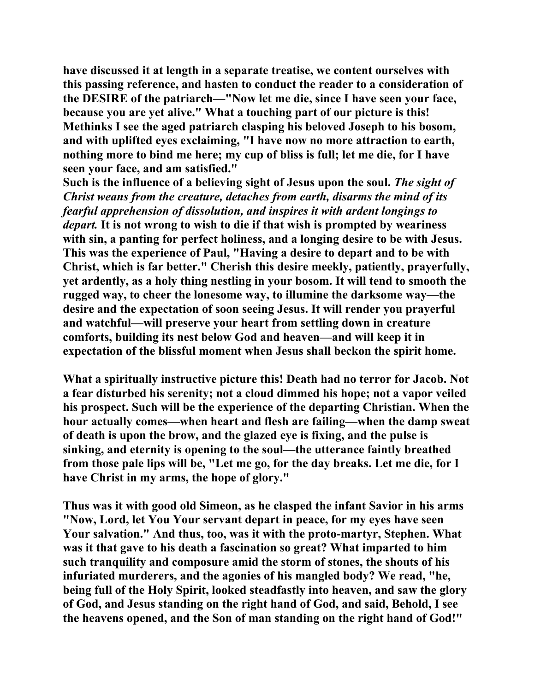**have discussed it at length in a separate treatise, we content ourselves with this passing reference, and hasten to conduct the reader to a consideration of the DESIRE of the patriarch—"Now let me die, since I have seen your face, because you are yet alive." What a touching part of our picture is this! Methinks I see the aged patriarch clasping his beloved Joseph to his bosom, and with uplifted eyes exclaiming, "I have now no more attraction to earth, nothing more to bind me here; my cup of bliss is full; let me die, for I have seen your face, and am satisfied."** 

**Such is the influence of a believing sight of Jesus upon the soul.** *The sight of Christ weans from the creature, detaches from earth, disarms the mind of its fearful apprehension of dissolution, and inspires it with ardent longings to depart.* **It is not wrong to wish to die if that wish is prompted by weariness with sin, a panting for perfect holiness, and a longing desire to be with Jesus. This was the experience of Paul, "Having a desire to depart and to be with Christ, which is far better." Cherish this desire meekly, patiently, prayerfully, yet ardently, as a holy thing nestling in your bosom. It will tend to smooth the rugged way, to cheer the lonesome way, to illumine the darksome way—the desire and the expectation of soon seeing Jesus. It will render you prayerful and watchful—will preserve your heart from settling down in creature comforts, building its nest below God and heaven—and will keep it in expectation of the blissful moment when Jesus shall beckon the spirit home.** 

**What a spiritually instructive picture this! Death had no terror for Jacob. Not a fear disturbed his serenity; not a cloud dimmed his hope; not a vapor veiled his prospect. Such will be the experience of the departing Christian. When the hour actually comes—when heart and flesh are failing—when the damp sweat of death is upon the brow, and the glazed eye is fixing, and the pulse is sinking, and eternity is opening to the soul—the utterance faintly breathed from those pale lips will be, "Let me go, for the day breaks. Let me die, for I have Christ in my arms, the hope of glory."** 

**Thus was it with good old Simeon, as he clasped the infant Savior in his arms "Now, Lord, let You Your servant depart in peace, for my eyes have seen Your salvation." And thus, too, was it with the proto-martyr, Stephen. What was it that gave to his death a fascination so great? What imparted to him such tranquility and composure amid the storm of stones, the shouts of his infuriated murderers, and the agonies of his mangled body? We read, "he, being full of the Holy Spirit, looked steadfastly into heaven, and saw the glory of God, and Jesus standing on the right hand of God, and said, Behold, I see the heavens opened, and the Son of man standing on the right hand of God!"**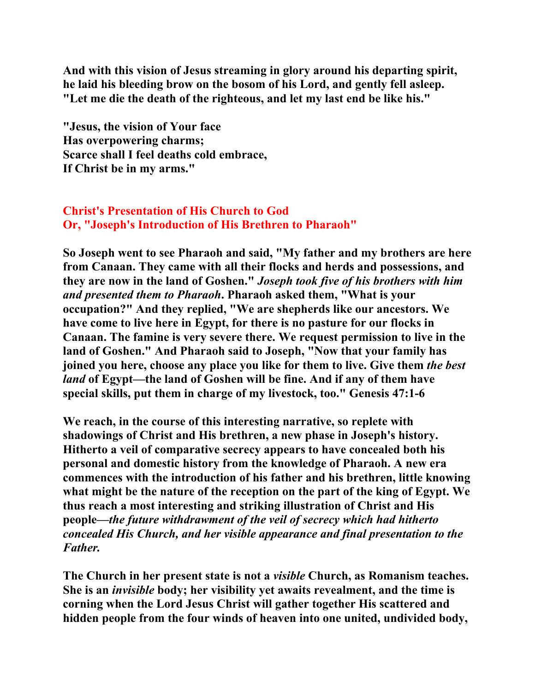**And with this vision of Jesus streaming in glory around his departing spirit, he laid his bleeding brow on the bosom of his Lord, and gently fell asleep. "Let me die the death of the righteous, and let my last end be like his."** 

**"Jesus, the vision of Your face Has overpowering charms; Scarce shall I feel deaths cold embrace, If Christ be in my arms."** 

## **Christ's Presentation of His Church to God Or, "Joseph's Introduction of His Brethren to Pharaoh"**

**So Joseph went to see Pharaoh and said, "My father and my brothers are here from Canaan. They came with all their flocks and herds and possessions, and they are now in the land of Goshen."** *Joseph took five of his brothers with him and presented them to Pharaoh***. Pharaoh asked them, "What is your occupation?" And they replied, "We are shepherds like our ancestors. We have come to live here in Egypt, for there is no pasture for our flocks in Canaan. The famine is very severe there. We request permission to live in the land of Goshen." And Pharaoh said to Joseph, "Now that your family has joined you here, choose any place you like for them to live. Give them** *the best land* **of Egypt—the land of Goshen will be fine. And if any of them have special skills, put them in charge of my livestock, too." Genesis 47:1-6** 

**We reach, in the course of this interesting narrative, so replete with shadowings of Christ and His brethren, a new phase in Joseph's history. Hitherto a veil of comparative secrecy appears to have concealed both his personal and domestic history from the knowledge of Pharaoh. A new era commences with the introduction of his father and his brethren, little knowing what might be the nature of the reception on the part of the king of Egypt. We thus reach a most interesting and striking illustration of Christ and His people—***the future withdrawment of the veil of secrecy which had hitherto concealed His Church, and her visible appearance and final presentation to the Father.*

**The Church in her present state is not a** *visible* **Church, as Romanism teaches. She is an** *invisible* **body; her visibility yet awaits revealment, and the time is corning when the Lord Jesus Christ will gather together His scattered and hidden people from the four winds of heaven into one united, undivided body,**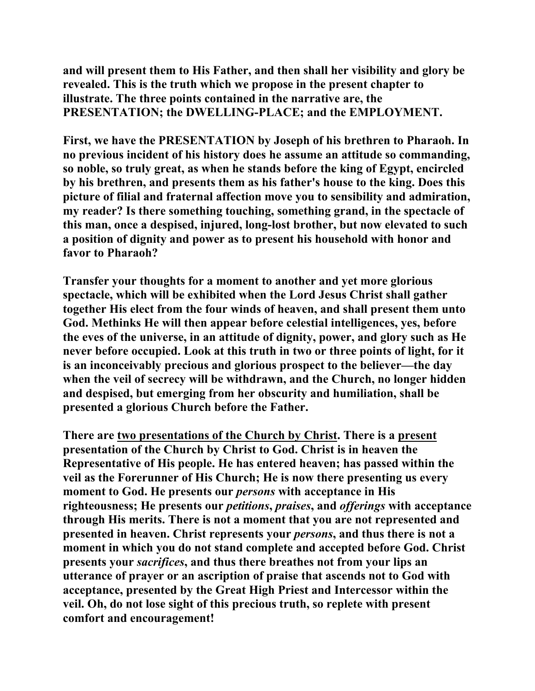**and will present them to His Father, and then shall her visibility and glory be revealed. This is the truth which we propose in the present chapter to illustrate. The three points contained in the narrative are, the PRESENTATION; the DWELLING-PLACE; and the EMPLOYMENT.** 

**First, we have the PRESENTATION by Joseph of his brethren to Pharaoh. In no previous incident of his history does he assume an attitude so commanding, so noble, so truly great, as when he stands before the king of Egypt, encircled by his brethren, and presents them as his father's house to the king. Does this picture of filial and fraternal affection move you to sensibility and admiration, my reader? Is there something touching, something grand, in the spectacle of this man, once a despised, injured, long-lost brother, but now elevated to such a position of dignity and power as to present his household with honor and favor to Pharaoh?** 

**Transfer your thoughts for a moment to another and yet more glorious spectacle, which will be exhibited when the Lord Jesus Christ shall gather together His elect from the four winds of heaven, and shall present them unto God. Methinks He will then appear before celestial intelligences, yes, before the eves of the universe, in an attitude of dignity, power, and glory such as He never before occupied. Look at this truth in two or three points of light, for it is an inconceivably precious and glorious prospect to the believer—the day when the veil of secrecy will be withdrawn, and the Church, no longer hidden and despised, but emerging from her obscurity and humiliation, shall be presented a glorious Church before the Father.** 

**There are two presentations of the Church by Christ. There is a present presentation of the Church by Christ to God. Christ is in heaven the Representative of His people. He has entered heaven; has passed within the veil as the Forerunner of His Church; He is now there presenting us every moment to God. He presents our** *persons* **with acceptance in His righteousness; He presents our** *petitions***,** *praises***, and** *offerings* **with acceptance through His merits. There is not a moment that you are not represented and presented in heaven. Christ represents your** *persons***, and thus there is not a moment in which you do not stand complete and accepted before God. Christ presents your** *sacrifices***, and thus there breathes not from your lips an utterance of prayer or an ascription of praise that ascends not to God with acceptance, presented by the Great High Priest and Intercessor within the veil. Oh, do not lose sight of this precious truth, so replete with present comfort and encouragement!**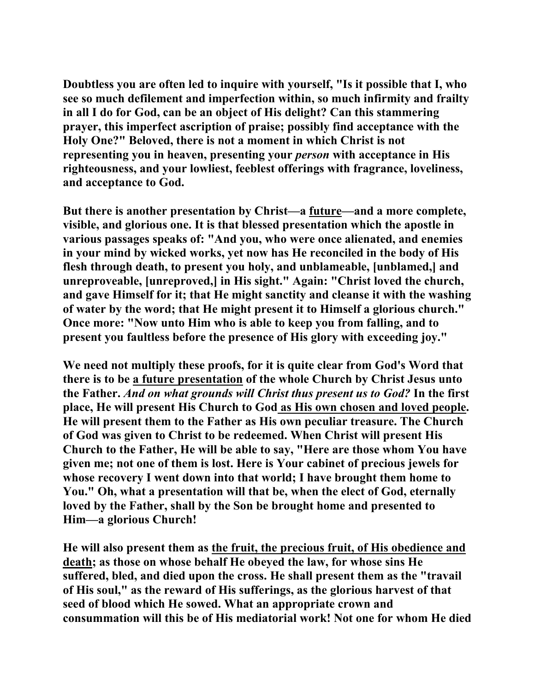**Doubtless you are often led to inquire with yourself, "Is it possible that I, who see so much defilement and imperfection within, so much infirmity and frailty in all I do for God, can be an object of His delight? Can this stammering prayer, this imperfect ascription of praise; possibly find acceptance with the Holy One?" Beloved, there is not a moment in which Christ is not representing you in heaven, presenting your** *person* **with acceptance in His righteousness, and your lowliest, feeblest offerings with fragrance, loveliness, and acceptance to God.** 

**But there is another presentation by Christ—a future—and a more complete, visible, and glorious one. It is that blessed presentation which the apostle in various passages speaks of: "And you, who were once alienated, and enemies in your mind by wicked works, yet now has He reconciled in the body of His flesh through death, to present you holy, and unblameable, [unblamed,] and unreproveable, [unreproved,] in His sight." Again: "Christ loved the church, and gave Himself for it; that He might sanctity and cleanse it with the washing of water by the word; that He might present it to Himself a glorious church." Once more: "Now unto Him who is able to keep you from falling, and to present you faultless before the presence of His glory with exceeding joy."** 

**We need not multiply these proofs, for it is quite clear from God's Word that there is to be a future presentation of the whole Church by Christ Jesus unto the Father.** *And on what grounds will Christ thus present us to God?* **In the first place, He will present His Church to God as His own chosen and loved people. He will present them to the Father as His own peculiar treasure. The Church of God was given to Christ to be redeemed. When Christ will present His Church to the Father, He will be able to say, "Here are those whom You have given me; not one of them is lost. Here is Your cabinet of precious jewels for whose recovery I went down into that world; I have brought them home to You." Oh, what a presentation will that be, when the elect of God, eternally loved by the Father, shall by the Son be brought home and presented to Him—a glorious Church!** 

**He will also present them as the fruit, the precious fruit, of His obedience and death; as those on whose behalf He obeyed the law, for whose sins He suffered, bled, and died upon the cross. He shall present them as the "travail of His soul," as the reward of His sufferings, as the glorious harvest of that seed of blood which He sowed. What an appropriate crown and consummation will this be of His mediatorial work! Not one for whom He died**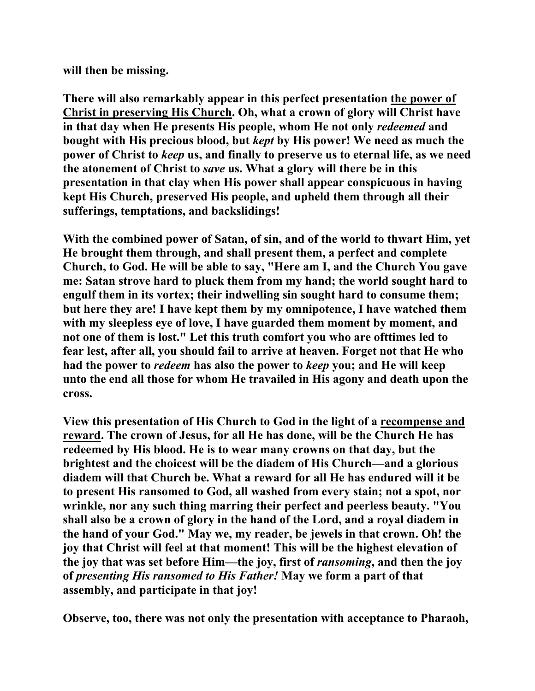**will then be missing.** 

**There will also remarkably appear in this perfect presentation the power of Christ in preserving His Church. Oh, what a crown of glory will Christ have in that day when He presents His people, whom He not only** *redeemed* **and bought with His precious blood, but** *kept* **by His power! We need as much the power of Christ to** *keep* **us, and finally to preserve us to eternal life, as we need the atonement of Christ to** *save* **us. What a glory will there be in this presentation in that clay when His power shall appear conspicuous in having kept His Church, preserved His people, and upheld them through all their sufferings, temptations, and backslidings!** 

**With the combined power of Satan, of sin, and of the world to thwart Him, yet He brought them through, and shall present them, a perfect and complete Church, to God. He will be able to say, "Here am I, and the Church You gave me: Satan strove hard to pluck them from my hand; the world sought hard to engulf them in its vortex; their indwelling sin sought hard to consume them; but here they are! I have kept them by my omnipotence, I have watched them with my sleepless eye of love, I have guarded them moment by moment, and not one of them is lost." Let this truth comfort you who are ofttimes led to fear lest, after all, you should fail to arrive at heaven. Forget not that He who had the power to** *redeem* **has also the power to** *keep* **you; and He will keep unto the end all those for whom He travailed in His agony and death upon the cross.** 

**View this presentation of His Church to God in the light of a recompense and reward. The crown of Jesus, for all He has done, will be the Church He has redeemed by His blood. He is to wear many crowns on that day, but the brightest and the choicest will be the diadem of His Church—and a glorious diadem will that Church be. What a reward for all He has endured will it be to present His ransomed to God, all washed from every stain; not a spot, nor wrinkle, nor any such thing marring their perfect and peerless beauty. "You shall also be a crown of glory in the hand of the Lord, and a royal diadem in the hand of your God." May we, my reader, be jewels in that crown. Oh! the joy that Christ will feel at that moment! This will be the highest elevation of the joy that was set before Him—the joy, first of** *ransoming***, and then the joy of** *presenting His ransomed to His Father!* **May we form a part of that assembly, and participate in that joy!** 

**Observe, too, there was not only the presentation with acceptance to Pharaoh,**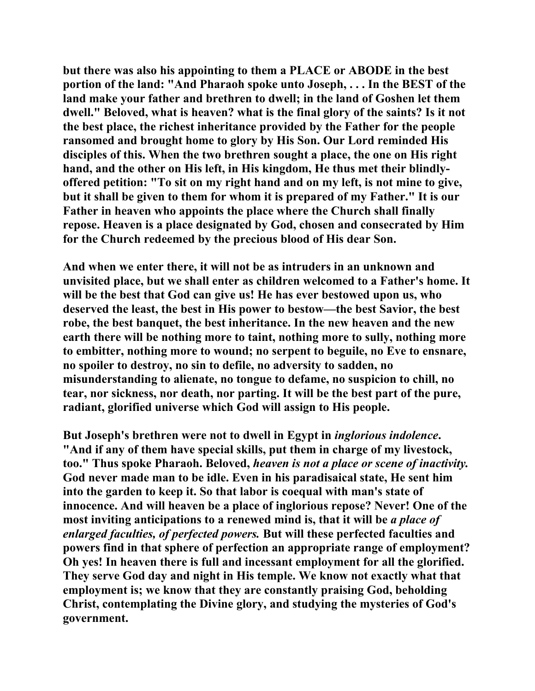**but there was also his appointing to them a PLACE or ABODE in the best portion of the land: "And Pharaoh spoke unto Joseph, . . . In the BEST of the land make your father and brethren to dwell; in the land of Goshen let them dwell." Beloved, what is heaven? what is the final glory of the saints? Is it not the best place, the richest inheritance provided by the Father for the people ransomed and brought home to glory by His Son. Our Lord reminded His disciples of this. When the two brethren sought a place, the one on His right hand, and the other on His left, in His kingdom, He thus met their blindlyoffered petition: "To sit on my right hand and on my left, is not mine to give, but it shall be given to them for whom it is prepared of my Father." It is our Father in heaven who appoints the place where the Church shall finally repose. Heaven is a place designated by God, chosen and consecrated by Him for the Church redeemed by the precious blood of His dear Son.** 

**And when we enter there, it will not be as intruders in an unknown and unvisited place, but we shall enter as children welcomed to a Father's home. It will be the best that God can give us! He has ever bestowed upon us, who deserved the least, the best in His power to bestow—the best Savior, the best robe, the best banquet, the best inheritance. In the new heaven and the new earth there will be nothing more to taint, nothing more to sully, nothing more to embitter, nothing more to wound; no serpent to beguile, no Eve to ensnare, no spoiler to destroy, no sin to defile, no adversity to sadden, no misunderstanding to alienate, no tongue to defame, no suspicion to chill, no tear, nor sickness, nor death, nor parting. It will be the best part of the pure, radiant, glorified universe which God will assign to His people.** 

**But Joseph's brethren were not to dwell in Egypt in** *inglorious indolence***. "And if any of them have special skills, put them in charge of my livestock, too." Thus spoke Pharaoh. Beloved,** *heaven is not a place or scene of inactivity.* **God never made man to be idle. Even in his paradisaical state, He sent him into the garden to keep it. So that labor is coequal with man's state of innocence. And will heaven be a place of inglorious repose? Never! One of the most inviting anticipations to a renewed mind is, that it will be** *a place of enlarged faculties, of perfected powers.* **But will these perfected faculties and powers find in that sphere of perfection an appropriate range of employment? Oh yes! In heaven there is full and incessant employment for all the glorified. They serve God day and night in His temple. We know not exactly what that employment is; we know that they are constantly praising God, beholding Christ, contemplating the Divine glory, and studying the mysteries of God's government.**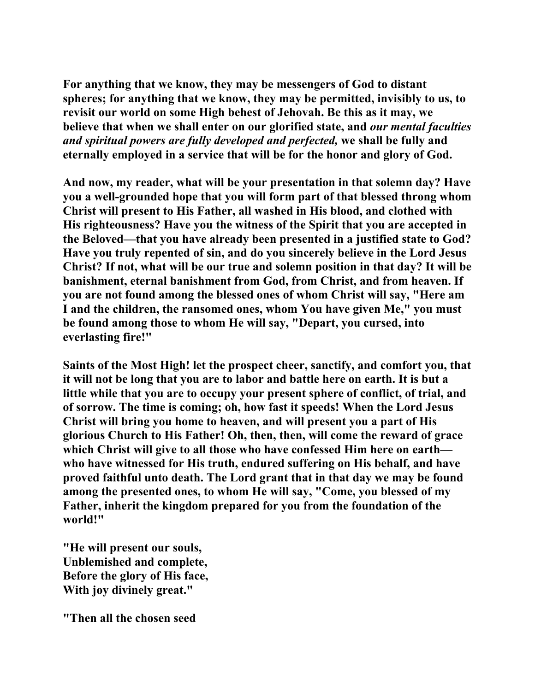**For anything that we know, they may be messengers of God to distant spheres; for anything that we know, they may be permitted, invisibly to us, to revisit our world on some High behest of Jehovah. Be this as it may, we believe that when we shall enter on our glorified state, and** *our mental faculties and spiritual powers are fully developed and perfected,* **we shall be fully and eternally employed in a service that will be for the honor and glory of God.** 

**And now, my reader, what will be your presentation in that solemn day? Have you a well-grounded hope that you will form part of that blessed throng whom Christ will present to His Father, all washed in His blood, and clothed with His righteousness? Have you the witness of the Spirit that you are accepted in the Beloved—that you have already been presented in a justified state to God? Have you truly repented of sin, and do you sincerely believe in the Lord Jesus Christ? If not, what will be our true and solemn position in that day? It will be banishment, eternal banishment from God, from Christ, and from heaven. If you are not found among the blessed ones of whom Christ will say, "Here am I and the children, the ransomed ones, whom You have given Me," you must be found among those to whom He will say, "Depart, you cursed, into everlasting fire!"** 

**Saints of the Most High! let the prospect cheer, sanctify, and comfort you, that it will not be long that you are to labor and battle here on earth. It is but a little while that you are to occupy your present sphere of conflict, of trial, and of sorrow. The time is coming; oh, how fast it speeds! When the Lord Jesus Christ will bring you home to heaven, and will present you a part of His glorious Church to His Father! Oh, then, then, will come the reward of grace which Christ will give to all those who have confessed Him here on earth who have witnessed for His truth, endured suffering on His behalf, and have proved faithful unto death. The Lord grant that in that day we may be found among the presented ones, to whom He will say, "Come, you blessed of my Father, inherit the kingdom prepared for you from the foundation of the world!"** 

**"He will present our souls, Unblemished and complete, Before the glory of His face, With joy divinely great."** 

**"Then all the chosen seed**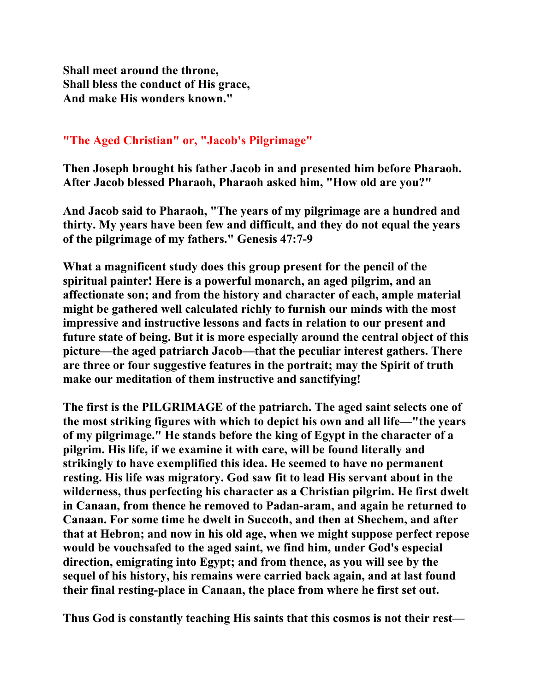**Shall meet around the throne, Shall bless the conduct of His grace, And make His wonders known."** 

### **"The Aged Christian" or, "Jacob's Pilgrimage"**

**Then Joseph brought his father Jacob in and presented him before Pharaoh. After Jacob blessed Pharaoh, Pharaoh asked him, "How old are you?"** 

**And Jacob said to Pharaoh, "The years of my pilgrimage are a hundred and thirty. My years have been few and difficult, and they do not equal the years of the pilgrimage of my fathers." Genesis 47:7-9** 

**What a magnificent study does this group present for the pencil of the spiritual painter! Here is a powerful monarch, an aged pilgrim, and an affectionate son; and from the history and character of each, ample material might be gathered well calculated richly to furnish our minds with the most impressive and instructive lessons and facts in relation to our present and future state of being. But it is more especially around the central object of this picture—the aged patriarch Jacob—that the peculiar interest gathers. There are three or four suggestive features in the portrait; may the Spirit of truth make our meditation of them instructive and sanctifying!** 

**The first is the PILGRIMAGE of the patriarch. The aged saint selects one of the most striking figures with which to depict his own and all life—"the years of my pilgrimage." He stands before the king of Egypt in the character of a pilgrim. His life, if we examine it with care, will be found literally and strikingly to have exemplified this idea. He seemed to have no permanent resting. His life was migratory. God saw fit to lead His servant about in the wilderness, thus perfecting his character as a Christian pilgrim. He first dwelt in Canaan, from thence he removed to Padan-aram, and again he returned to Canaan. For some time he dwelt in Succoth, and then at Shechem, and after that at Hebron; and now in his old age, when we might suppose perfect repose would be vouchsafed to the aged saint, we find him, under God's especial direction, emigrating into Egypt; and from thence, as you will see by the sequel of his history, his remains were carried back again, and at last found their final resting-place in Canaan, the place from where he first set out.** 

**Thus God is constantly teaching His saints that this cosmos is not their rest—**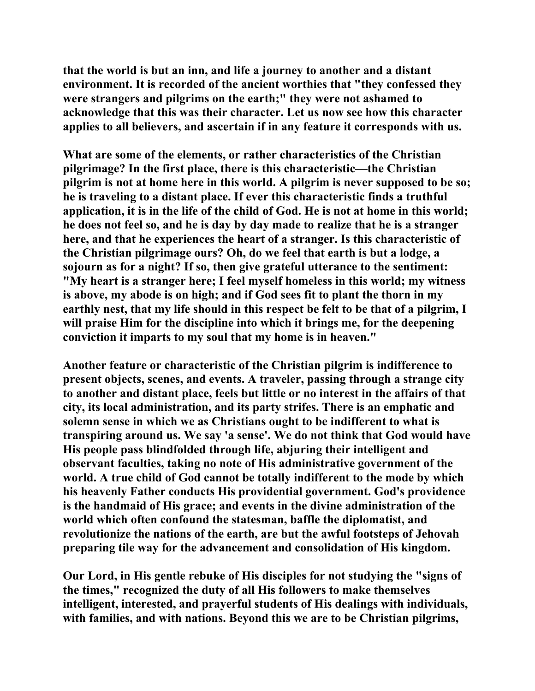**that the world is but an inn, and life a journey to another and a distant environment. It is recorded of the ancient worthies that "they confessed they were strangers and pilgrims on the earth;" they were not ashamed to acknowledge that this was their character. Let us now see how this character applies to all believers, and ascertain if in any feature it corresponds with us.** 

**What are some of the elements, or rather characteristics of the Christian pilgrimage? In the first place, there is this characteristic—the Christian pilgrim is not at home here in this world. A pilgrim is never supposed to be so; he is traveling to a distant place. If ever this characteristic finds a truthful application, it is in the life of the child of God. He is not at home in this world; he does not feel so, and he is day by day made to realize that he is a stranger here, and that he experiences the heart of a stranger. Is this characteristic of the Christian pilgrimage ours? Oh, do we feel that earth is but a lodge, a sojourn as for a night? If so, then give grateful utterance to the sentiment: "My heart is a stranger here; I feel myself homeless in this world; my witness is above, my abode is on high; and if God sees fit to plant the thorn in my earthly nest, that my life should in this respect be felt to be that of a pilgrim, I will praise Him for the discipline into which it brings me, for the deepening conviction it imparts to my soul that my home is in heaven."** 

**Another feature or characteristic of the Christian pilgrim is indifference to present objects, scenes, and events. A traveler, passing through a strange city to another and distant place, feels but little or no interest in the affairs of that city, its local administration, and its party strifes. There is an emphatic and solemn sense in which we as Christians ought to be indifferent to what is transpiring around us. We say 'a sense'. We do not think that God would have His people pass blindfolded through life, abjuring their intelligent and observant faculties, taking no note of His administrative government of the world. A true child of God cannot be totally indifferent to the mode by which his heavenly Father conducts His providential government. God's providence is the handmaid of His grace; and events in the divine administration of the world which often confound the statesman, baffle the diplomatist, and revolutionize the nations of the earth, are but the awful footsteps of Jehovah preparing tile way for the advancement and consolidation of His kingdom.** 

**Our Lord, in His gentle rebuke of His disciples for not studying the "signs of the times," recognized the duty of all His followers to make themselves intelligent, interested, and prayerful students of His dealings with individuals, with families, and with nations. Beyond this we are to be Christian pilgrims,**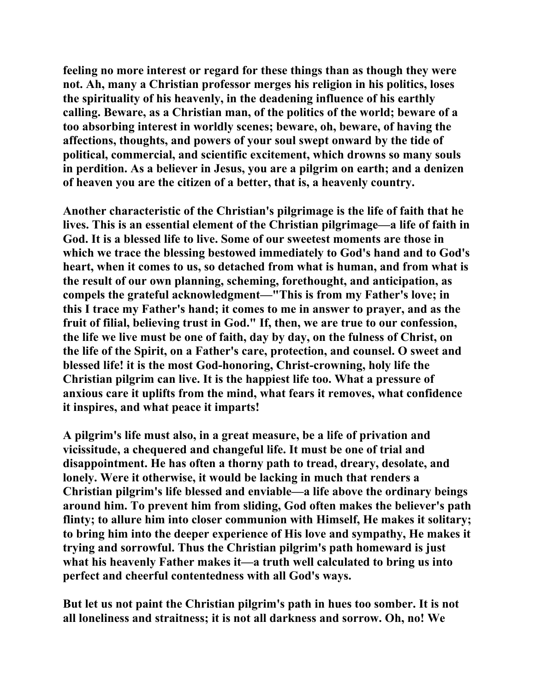**feeling no more interest or regard for these things than as though they were not. Ah, many a Christian professor merges his religion in his politics, loses the spirituality of his heavenly, in the deadening influence of his earthly calling. Beware, as a Christian man, of the politics of the world; beware of a too absorbing interest in worldly scenes; beware, oh, beware, of having the affections, thoughts, and powers of your soul swept onward by the tide of political, commercial, and scientific excitement, which drowns so many souls in perdition. As a believer in Jesus, you are a pilgrim on earth; and a denizen of heaven you are the citizen of a better, that is, a heavenly country.** 

**Another characteristic of the Christian's pilgrimage is the life of faith that he lives. This is an essential element of the Christian pilgrimage—a life of faith in God. It is a blessed life to live. Some of our sweetest moments are those in which we trace the blessing bestowed immediately to God's hand and to God's heart, when it comes to us, so detached from what is human, and from what is the result of our own planning, scheming, forethought, and anticipation, as compels the grateful acknowledgment—"This is from my Father's love; in this I trace my Father's hand; it comes to me in answer to prayer, and as the fruit of filial, believing trust in God." If, then, we are true to our confession, the life we live must be one of faith, day by day, on the fulness of Christ, on the life of the Spirit, on a Father's care, protection, and counsel. O sweet and blessed life! it is the most God-honoring, Christ-crowning, holy life the Christian pilgrim can live. It is the happiest life too. What a pressure of anxious care it uplifts from the mind, what fears it removes, what confidence it inspires, and what peace it imparts!** 

**A pilgrim's life must also, in a great measure, be a life of privation and vicissitude, a chequered and changeful life. It must be one of trial and disappointment. He has often a thorny path to tread, dreary, desolate, and lonely. Were it otherwise, it would be lacking in much that renders a Christian pilgrim's life blessed and enviable—a life above the ordinary beings around him. To prevent him from sliding, God often makes the believer's path flinty; to allure him into closer communion with Himself, He makes it solitary; to bring him into the deeper experience of His love and sympathy, He makes it trying and sorrowful. Thus the Christian pilgrim's path homeward is just what his heavenly Father makes it—a truth well calculated to bring us into perfect and cheerful contentedness with all God's ways.** 

**But let us not paint the Christian pilgrim's path in hues too somber. It is not all loneliness and straitness; it is not all darkness and sorrow. Oh, no! We**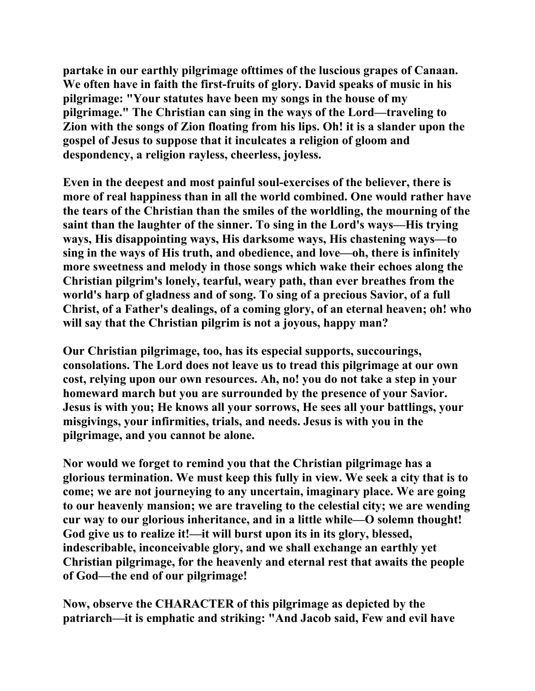**partake in our earthly pilgrimage ofttimes of the luscious grapes of Canaan. We often have in faith the first-fruits of glory. David speaks of music in his pilgrimage: "Your statutes have been my songs in the house of my pilgrimage." The Christian can sing in the ways of the Lord—traveling to Zion with the songs of Zion floating from his lips. Oh! it is a slander upon the gospel of Jesus to suppose that it inculcates a religion of gloom and despondency, a religion rayless, cheerless, joyless.** 

**Even in the deepest and most painful soul-exercises of the believer, there is more of real happiness than in all the world combined. One would rather have the tears of the Christian than the smiles of the worldling, the mourning of the saint than the laughter of the sinner. To sing in the Lord's ways—His trying ways, His disappointing ways, His darksome ways, His chastening ways—to sing in the ways of His truth, and obedience, and love—oh, there is infinitely more sweetness and melody in those songs which wake their echoes along the Christian pilgrim's lonely, tearful, weary path, than ever breathes from the world's harp of gladness and of song. To sing of a precious Savior, of a full Christ, of a Father's dealings, of a coming glory, of an eternal heaven; oh! who will say that the Christian pilgrim is not a joyous, happy man?** 

**Our Christian pilgrimage, too, has its especial supports, succourings, consolations. The Lord does not leave us to tread this pilgrimage at our own cost, relying upon our own resources. Ah, no! you do not take a step in your homeward march but you are surrounded by the presence of your Savior. Jesus is with you; He knows all your sorrows, He sees all your battlings, your misgivings, your infirmities, trials, and needs. Jesus is with you in the pilgrimage, and you cannot be alone.** 

**Nor would we forget to remind you that the Christian pilgrimage has a glorious termination. We must keep this fully in view. We seek a city that is to come; we are not journeying to any uncertain, imaginary place. We are going to our heavenly mansion; we are traveling to the celestial city; we are wending cur way to our glorious inheritance, and in a little while—O solemn thought! God give us to realize it!—it will burst upon its in its glory, blessed, indescribable, inconceivable glory, and we shall exchange an earthly yet Christian pilgrimage, for the heavenly and eternal rest that awaits the people of God—the end of our pilgrimage!** 

**Now, observe the CHARACTER of this pilgrimage as depicted by the patriarch—it is emphatic and striking: "And Jacob said, Few and evil have**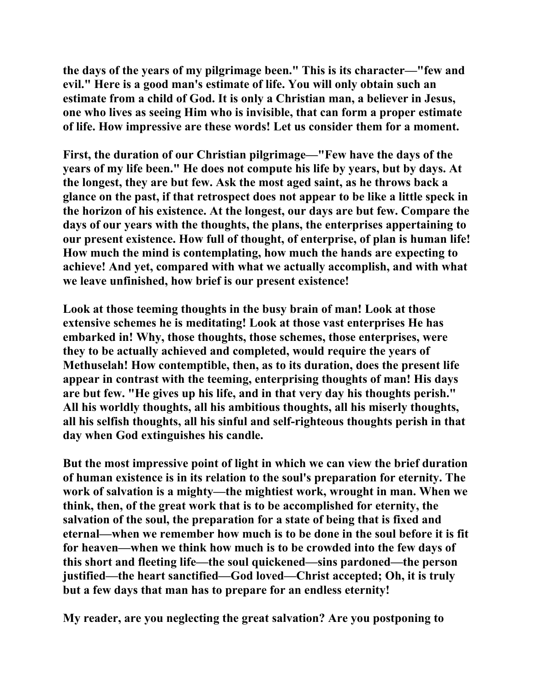**the days of the years of my pilgrimage been." This is its character—"few and evil." Here is a good man's estimate of life. You will only obtain such an estimate from a child of God. It is only a Christian man, a believer in Jesus, one who lives as seeing Him who is invisible, that can form a proper estimate of life. How impressive are these words! Let us consider them for a moment.** 

**First, the duration of our Christian pilgrimage—"Few have the days of the years of my life been." He does not compute his life by years, but by days. At the longest, they are but few. Ask the most aged saint, as he throws back a glance on the past, if that retrospect does not appear to be like a little speck in the horizon of his existence. At the longest, our days are but few. Compare the days of our years with the thoughts, the plans, the enterprises appertaining to our present existence. How full of thought, of enterprise, of plan is human life! How much the mind is contemplating, how much the hands are expecting to achieve! And yet, compared with what we actually accomplish, and with what we leave unfinished, how brief is our present existence!** 

**Look at those teeming thoughts in the busy brain of man! Look at those extensive schemes he is meditating! Look at those vast enterprises He has embarked in! Why, those thoughts, those schemes, those enterprises, were they to be actually achieved and completed, would require the years of Methuselah! How contemptible, then, as to its duration, does the present life appear in contrast with the teeming, enterprising thoughts of man! His days are but few. "He gives up his life, and in that very day his thoughts perish." All his worldly thoughts, all his ambitious thoughts, all his miserly thoughts, all his selfish thoughts, all his sinful and self-righteous thoughts perish in that day when God extinguishes his candle.** 

**But the most impressive point of light in which we can view the brief duration of human existence is in its relation to the soul's preparation for eternity. The work of salvation is a mighty—the mightiest work, wrought in man. When we think, then, of the great work that is to be accomplished for eternity, the salvation of the soul, the preparation for a state of being that is fixed and eternal—when we remember how much is to be done in the soul before it is fit for heaven—when we think how much is to be crowded into the few days of this short and fleeting life—the soul quickened—sins pardoned—the person justified—the heart sanctified—God loved—Christ accepted; Oh, it is truly but a few days that man has to prepare for an endless eternity!** 

**My reader, are you neglecting the great salvation? Are you postponing to**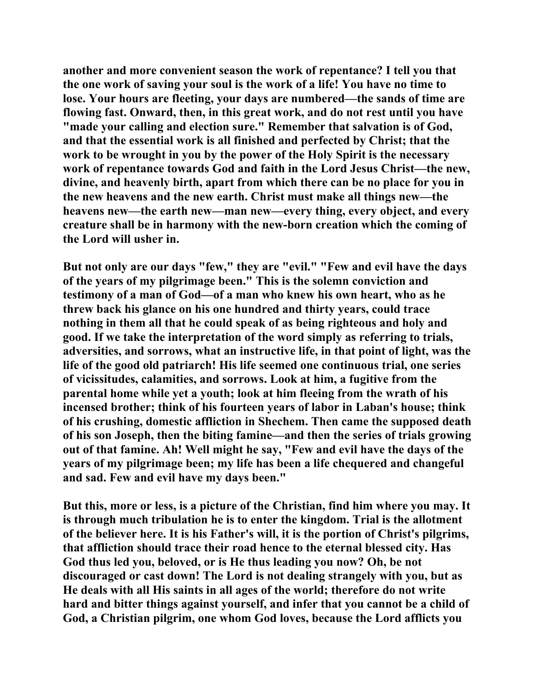**another and more convenient season the work of repentance? I tell you that the one work of saving your soul is the work of a life! You have no time to lose. Your hours are fleeting, your days are numbered—the sands of time are flowing fast. Onward, then, in this great work, and do not rest until you have "made your calling and election sure." Remember that salvation is of God, and that the essential work is all finished and perfected by Christ; that the work to be wrought in you by the power of the Holy Spirit is the necessary work of repentance towards God and faith in the Lord Jesus Christ—the new, divine, and heavenly birth, apart from which there can be no place for you in the new heavens and the new earth. Christ must make all things new—the heavens new—the earth new—man new—every thing, every object, and every creature shall be in harmony with the new-born creation which the coming of the Lord will usher in.** 

**But not only are our days "few," they are "evil." "Few and evil have the days of the years of my pilgrimage been." This is the solemn conviction and testimony of a man of God—of a man who knew his own heart, who as he threw back his glance on his one hundred and thirty years, could trace nothing in them all that he could speak of as being righteous and holy and good. If we take the interpretation of the word simply as referring to trials, adversities, and sorrows, what an instructive life, in that point of light, was the life of the good old patriarch! His life seemed one continuous trial, one series of vicissitudes, calamities, and sorrows. Look at him, a fugitive from the parental home while yet a youth; look at him fleeing from the wrath of his incensed brother; think of his fourteen years of labor in Laban's house; think of his crushing, domestic affliction in Shechem. Then came the supposed death of his son Joseph, then the biting famine—and then the series of trials growing out of that famine. Ah! Well might he say, "Few and evil have the days of the years of my pilgrimage been; my life has been a life chequered and changeful and sad. Few and evil have my days been."** 

**But this, more or less, is a picture of the Christian, find him where you may. It is through much tribulation he is to enter the kingdom. Trial is the allotment of the believer here. It is his Father's will, it is the portion of Christ's pilgrims, that affliction should trace their road hence to the eternal blessed city. Has God thus led you, beloved, or is He thus leading you now? Oh, be not discouraged or cast down! The Lord is not dealing strangely with you, but as He deals with all His saints in all ages of the world; therefore do not write hard and bitter things against yourself, and infer that you cannot be a child of God, a Christian pilgrim, one whom God loves, because the Lord afflicts you**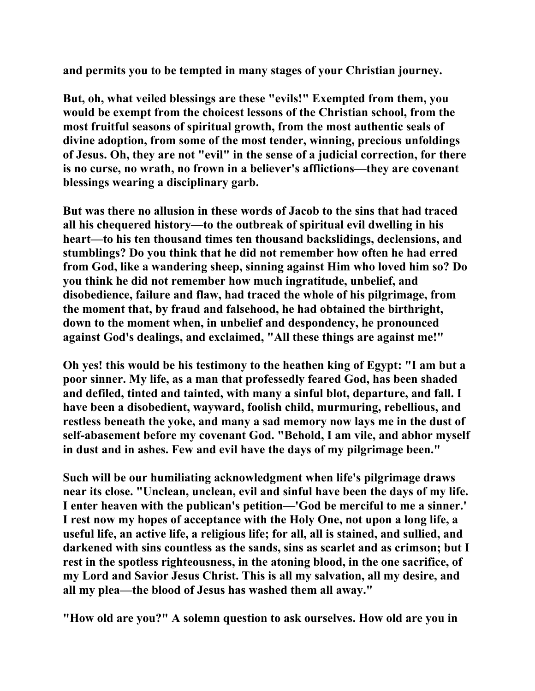**and permits you to be tempted in many stages of your Christian journey.** 

**But, oh, what veiled blessings are these "evils!" Exempted from them, you would be exempt from the choicest lessons of the Christian school, from the most fruitful seasons of spiritual growth, from the most authentic seals of divine adoption, from some of the most tender, winning, precious unfoldings of Jesus. Oh, they are not "evil" in the sense of a judicial correction, for there is no curse, no wrath, no frown in a believer's afflictions—they are covenant blessings wearing a disciplinary garb.** 

**But was there no allusion in these words of Jacob to the sins that had traced all his chequered history—to the outbreak of spiritual evil dwelling in his heart—to his ten thousand times ten thousand backslidings, declensions, and stumblings? Do you think that he did not remember how often he had erred from God, like a wandering sheep, sinning against Him who loved him so? Do you think he did not remember how much ingratitude, unbelief, and disobedience, failure and flaw, had traced the whole of his pilgrimage, from the moment that, by fraud and falsehood, he had obtained the birthright, down to the moment when, in unbelief and despondency, he pronounced against God's dealings, and exclaimed, "All these things are against me!"** 

**Oh yes! this would be his testimony to the heathen king of Egypt: "I am but a poor sinner. My life, as a man that professedly feared God, has been shaded and defiled, tinted and tainted, with many a sinful blot, departure, and fall. I have been a disobedient, wayward, foolish child, murmuring, rebellious, and restless beneath the yoke, and many a sad memory now lays me in the dust of self-abasement before my covenant God. "Behold, I am vile, and abhor myself in dust and in ashes. Few and evil have the days of my pilgrimage been."** 

**Such will be our humiliating acknowledgment when life's pilgrimage draws near its close. "Unclean, unclean, evil and sinful have been the days of my life. I enter heaven with the publican's petition—'God be merciful to me a sinner.' I rest now my hopes of acceptance with the Holy One, not upon a long life, a useful life, an active life, a religious life; for all, all is stained, and sullied, and darkened with sins countless as the sands, sins as scarlet and as crimson; but I rest in the spotless righteousness, in the atoning blood, in the one sacrifice, of my Lord and Savior Jesus Christ. This is all my salvation, all my desire, and all my plea—the blood of Jesus has washed them all away."** 

**"How old are you?" A solemn question to ask ourselves. How old are you in**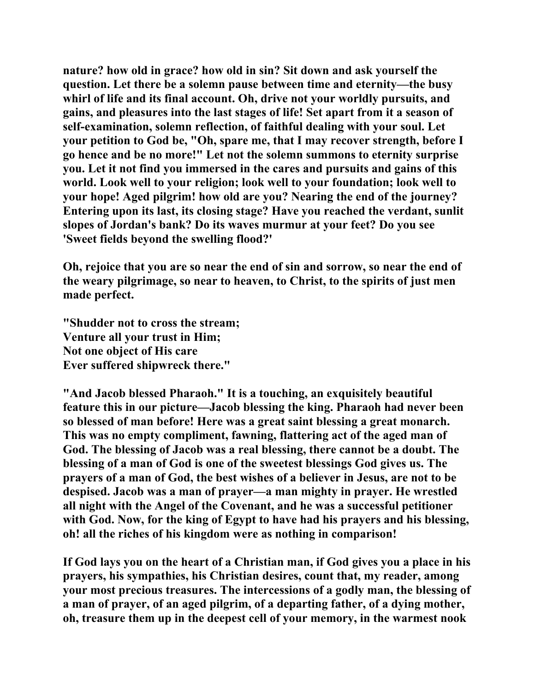**nature? how old in grace? how old in sin? Sit down and ask yourself the question. Let there be a solemn pause between time and eternity—the busy whirl of life and its final account. Oh, drive not your worldly pursuits, and gains, and pleasures into the last stages of life! Set apart from it a season of self-examination, solemn reflection, of faithful dealing with your soul. Let your petition to God be, "Oh, spare me, that I may recover strength, before I go hence and be no more!" Let not the solemn summons to eternity surprise you. Let it not find you immersed in the cares and pursuits and gains of this world. Look well to your religion; look well to your foundation; look well to your hope! Aged pilgrim! how old are you? Nearing the end of the journey? Entering upon its last, its closing stage? Have you reached the verdant, sunlit slopes of Jordan's bank? Do its waves murmur at your feet? Do you see 'Sweet fields beyond the swelling flood?'** 

**Oh, rejoice that you are so near the end of sin and sorrow, so near the end of the weary pilgrimage, so near to heaven, to Christ, to the spirits of just men made perfect.** 

**"Shudder not to cross the stream; Venture all your trust in Him; Not one object of His care Ever suffered shipwreck there."** 

**"And Jacob blessed Pharaoh." It is a touching, an exquisitely beautiful feature this in our picture—Jacob blessing the king. Pharaoh had never been so blessed of man before! Here was a great saint blessing a great monarch. This was no empty compliment, fawning, flattering act of the aged man of God. The blessing of Jacob was a real blessing, there cannot be a doubt. The blessing of a man of God is one of the sweetest blessings God gives us. The prayers of a man of God, the best wishes of a believer in Jesus, are not to be despised. Jacob was a man of prayer—a man mighty in prayer. He wrestled all night with the Angel of the Covenant, and he was a successful petitioner with God. Now, for the king of Egypt to have had his prayers and his blessing, oh! all the riches of his kingdom were as nothing in comparison!** 

**If God lays you on the heart of a Christian man, if God gives you a place in his prayers, his sympathies, his Christian desires, count that, my reader, among your most precious treasures. The intercessions of a godly man, the blessing of a man of prayer, of an aged pilgrim, of a departing father, of a dying mother, oh, treasure them up in the deepest cell of your memory, in the warmest nook**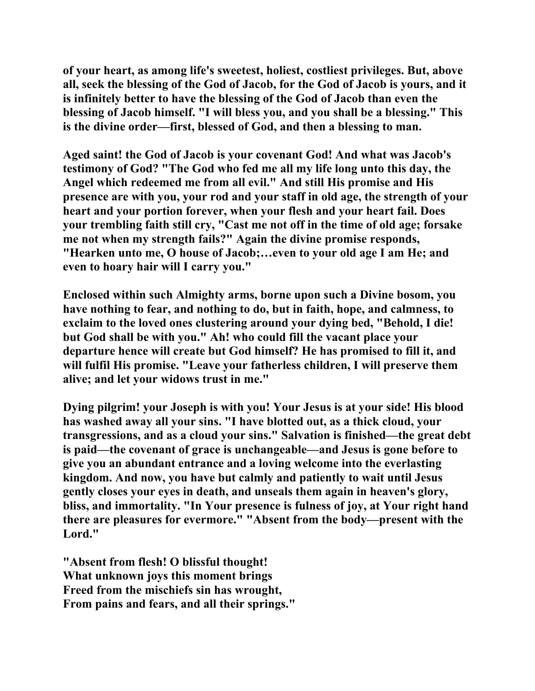**of your heart, as among life's sweetest, holiest, costliest privileges. But, above all, seek the blessing of the God of Jacob, for the God of Jacob is yours, and it is infinitely better to have the blessing of the God of Jacob than even the blessing of Jacob himself. "I will bless you, and you shall be a blessing." This is the divine order—first, blessed of God, and then a blessing to man.** 

**Aged saint! the God of Jacob is your covenant God! And what was Jacob's testimony of God? "The God who fed me all my life long unto this day, the Angel which redeemed me from all evil." And still His promise and His presence are with you, your rod and your staff in old age, the strength of your heart and your portion forever, when your flesh and your heart fail. Does your trembling faith still cry, "Cast me not off in the time of old age; forsake me not when my strength fails?" Again the divine promise responds, "Hearken unto me, O house of Jacob;…even to your old age I am He; and even to hoary hair will I carry you."** 

**Enclosed within such Almighty arms, borne upon such a Divine bosom, you have nothing to fear, and nothing to do, but in faith, hope, and calmness, to exclaim to the loved ones clustering around your dying bed, "Behold, I die! but God shall be with you." Ah! who could fill the vacant place your departure hence will create but God himself? He has promised to fill it, and will fulfil His promise. "Leave your fatherless children, I will preserve them alive; and let your widows trust in me."** 

**Dying pilgrim! your Joseph is with you! Your Jesus is at your side! His blood has washed away all your sins. "I have blotted out, as a thick cloud, your transgressions, and as a cloud your sins." Salvation is finished—the great debt is paid—the covenant of grace is unchangeable—and Jesus is gone before to give you an abundant entrance and a loving welcome into the everlasting kingdom. And now, you have but calmly and patiently to wait until Jesus gently closes your eyes in death, and unseals them again in heaven's glory, bliss, and immortality. "In Your presence is fulness of joy, at Your right hand there are pleasures for evermore." "Absent from the body—present with the Lord."** 

**"Absent from flesh! O blissful thought! What unknown joys this moment brings Freed from the mischiefs sin has wrought, From pains and fears, and all their springs."**